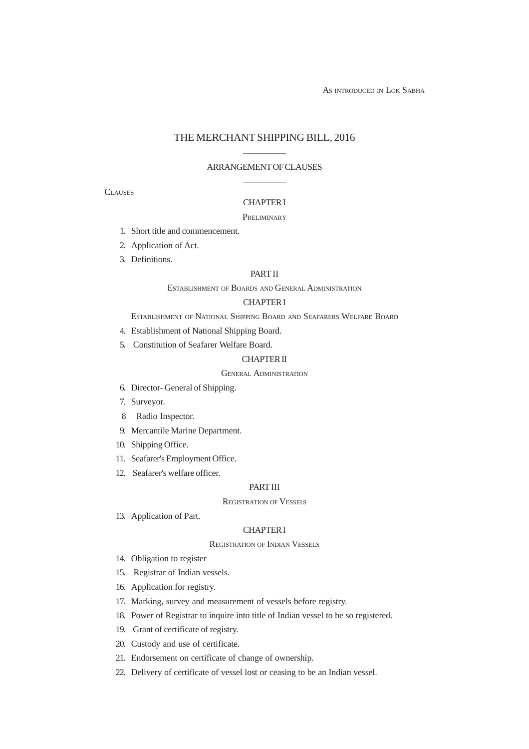AS INTRODUCED IN LOK SABHA

# THE MERCHANT SHIPPING BILL, 2016

# ————— ARRANGEMENT OF CLAUSES —————

**CLAUSES** 

# CHAPTER I

## **PRELIMINARY**

- 1. Short title and commencement.
- 2. Application of Act.
- 3. Definitions.

## PART II

## ESTABLISHMENT OF BOARDS AND GENERAL ADMINISTRATION

## CHAPTER I

ESTABLISHMENT OF NATIONAL SHIPPING BOARD AND SEAFARERS WELFARE BOARD

- 4. Establishment of National Shipping Board.
- 5. Constitution of Seafarer Welfare Board.

## CHAPTER II

# GENERAL ADMINISTRATION

- 6. Director- General of Shipping.
- 7. Surveyor.
- 8 Radio Inspector.
- 9. Mercantile Marine Department.
- 10. Shipping Office.
- 11. Seafarer's Employment Office.
- 12. Seafarer's welfare officer.

# PART III

## REGISTRATION OF VESSELS

13. Application of Part.

## CHAPTER I

## REGISTRATION OF INDIAN VESSELS

- 14. Obligation to register
- 15. Registrar of Indian vessels.
- 16. Application for registry.
- 17. Marking, survey and measurement of vessels before registry.
- 18. Power of Registrar to inquire into title of Indian vessel to be so registered.
- 19. Grant of certificate of registry.
- 20. Custody and use of certificate.
- 21. Endorsement on certificate of change of ownership.
- 22. Delivery of certificate of vessel lost or ceasing to be an Indian vessel.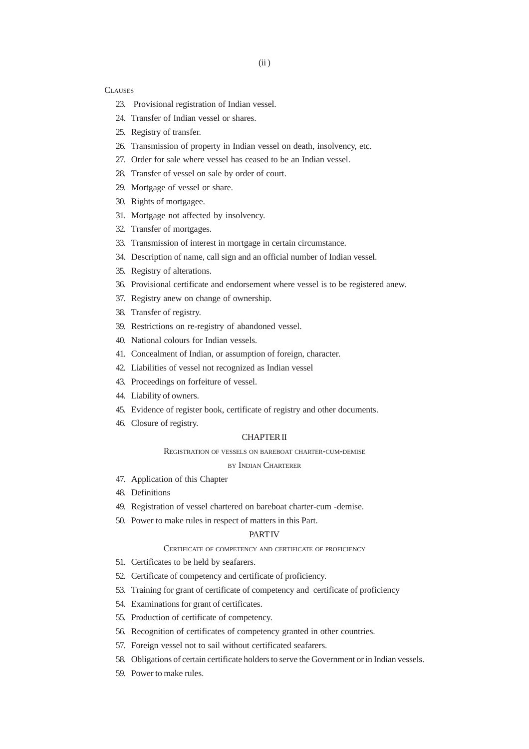- 23. Provisional registration of Indian vessel.
- 24. Transfer of Indian vessel or shares.
- 25. Registry of transfer.
- 26. Transmission of property in Indian vessel on death, insolvency, etc.
- 27. Order for sale where vessel has ceased to be an Indian vessel.
- 28. Transfer of vessel on sale by order of court.
- 29. Mortgage of vessel or share.
- 30. Rights of mortgagee.
- 31. Mortgage not affected by insolvency.
- 32. Transfer of mortgages.
- 33. Transmission of interest in mortgage in certain circumstance.
- 34. Description of name, call sign and an official number of Indian vessel.
- 35. Registry of alterations.
- 36. Provisional certificate and endorsement where vessel is to be registered anew.
- 37. Registry anew on change of ownership.
- 38. Transfer of registry.
- 39. Restrictions on re-registry of abandoned vessel.
- 40. National colours for Indian vessels.
- 41. Concealment of Indian, or assumption of foreign, character.
- 42. Liabilities of vessel not recognized as Indian vessel
- 43. Proceedings on forfeiture of vessel.
- 44. Liability of owners.
- 45. Evidence of register book, certificate of registry and other documents.
- 46. Closure of registry.

## CHAPTER II

#### REGISTRATION OF VESSELS ON BAREBOAT CHARTER-CUM-DEMISE

BY INDIAN CHARTERER

- 47. Application of this Chapter
- 48. Definitions
- 49. Registration of vessel chartered on bareboat charter-cum -demise.
- 50. Power to make rules in respect of matters in this Part.

## **PART IV**

## CERTIFICATE OF COMPETENCY AND CERTIFICATE OF PROFICIENCY

- 51. Certificates to be held by seafarers.
- 52. Certificate of competency and certificate of proficiency.
- 53. Training for grant of certificate of competency and certificate of proficiency
- 54. Examinations for grant of certificates.
- 55. Production of certificate of competency.
- 56. Recognition of certificates of competency granted in other countries.
- 57. Foreign vessel not to sail without certificated seafarers.
- 58. Obligations of certain certificate holders to serve the Government or in Indian vessels.
- 59. Power to make rules.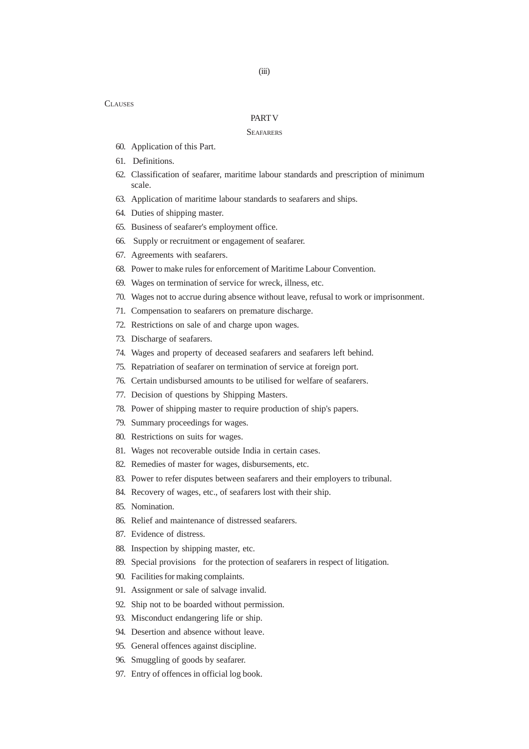#### PART V

#### **SEAFARERS**

- 60. Application of this Part.
- 61. Definitions.
- 62. Classification of seafarer, maritime labour standards and prescription of minimum scale.
- 63. Application of maritime labour standards to seafarers and ships.
- 64. Duties of shipping master.
- 65. Business of seafarer's employment office.
- 66. Supply or recruitment or engagement of seafarer.
- 67. Agreements with seafarers.
- 68. Power to make rules for enforcement of Maritime Labour Convention.
- 69. Wages on termination of service for wreck, illness, etc.
- 70. Wages not to accrue during absence without leave, refusal to work or imprisonment.
- 71. Compensation to seafarers on premature discharge.
- 72. Restrictions on sale of and charge upon wages.
- 73. Discharge of seafarers.
- 74. Wages and property of deceased seafarers and seafarers left behind.
- 75. Repatriation of seafarer on termination of service at foreign port.
- 76. Certain undisbursed amounts to be utilised for welfare of seafarers.
- 77. Decision of questions by Shipping Masters.
- 78. Power of shipping master to require production of ship's papers.
- 79. Summary proceedings for wages.
- 80. Restrictions on suits for wages.
- 81. Wages not recoverable outside India in certain cases.
- 82. Remedies of master for wages, disbursements, etc.
- 83. Power to refer disputes between seafarers and their employers to tribunal.
- 84. Recovery of wages, etc., of seafarers lost with their ship.
- 85. Nomination.
- 86. Relief and maintenance of distressed seafarers.
- 87. Evidence of distress.
- 88. Inspection by shipping master, etc.
- 89. Special provisions for the protection of seafarers in respect of litigation.
- 90. Facilities for making complaints.
- 91. Assignment or sale of salvage invalid.
- 92. Ship not to be boarded without permission.
- 93. Misconduct endangering life or ship.
- 94. Desertion and absence without leave.
- 95. General offences against discipline.
- 96. Smuggling of goods by seafarer.
- 97. Entry of offences in official log book.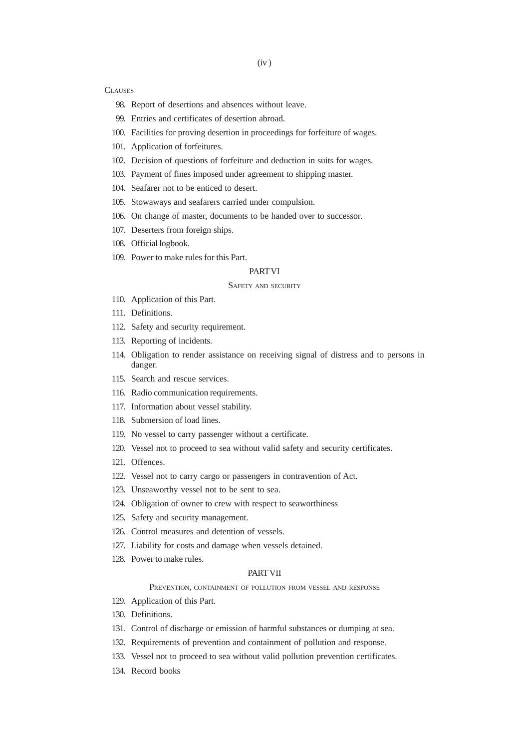- 98. Report of desertions and absences without leave.
- 99. Entries and certificates of desertion abroad.
- 100. Facilities for proving desertion in proceedings for forfeiture of wages.
- 101. Application of forfeitures.
- 102. Decision of questions of forfeiture and deduction in suits for wages.
- 103. Payment of fines imposed under agreement to shipping master.
- 104. Seafarer not to be enticed to desert.
- 105. Stowaways and seafarers carried under compulsion.
- 106. On change of master, documents to be handed over to successor.
- 107. Deserters from foreign ships.
- 108. Official logbook.
- 109. Power to make rules for this Part.

## **PART VI**

#### SAFETY AND SECURITY

- 110. Application of this Part.
- 111. Definitions.
- 112. Safety and security requirement.
- 113. Reporting of incidents.
- 114. Obligation to render assistance on receiving signal of distress and to persons in danger.
- 115. Search and rescue services.
- 116. Radio communication requirements.
- 117. Information about vessel stability.
- 118. Submersion of load lines.
- 119. No vessel to carry passenger without a certificate.
- 120. Vessel not to proceed to sea without valid safety and security certificates.
- 121. Offences.
- 122. Vessel not to carry cargo or passengers in contravention of Act.
- 123. Unseaworthy vessel not to be sent to sea.
- 124. Obligation of owner to crew with respect to seaworthiness
- 125. Safety and security management.
- 126. Control measures and detention of vessels.
- 127. Liability for costs and damage when vessels detained.
- 128. Power to make rules.

### **PART VII**

#### PREVENTION, CONTAINMENT OF POLLUTION FROM VESSEL AND RESPONSE

- 129. Application of this Part.
- 130. Definitions.
- 131. Control of discharge or emission of harmful substances or dumping at sea.
- 132. Requirements of prevention and containment of pollution and response.
- 133. Vessel not to proceed to sea without valid pollution prevention certificates.
- 134. Record books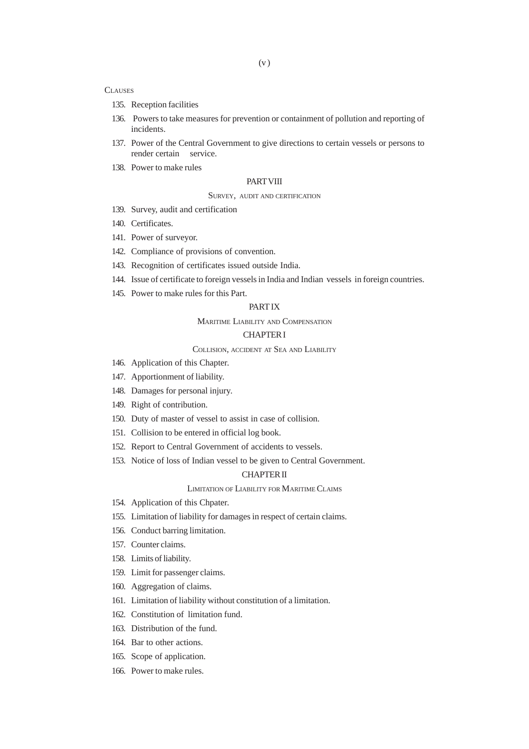- 135. Reception facilities
- 136. Powers to take measures for prevention or containment of pollution and reporting of incidents.
- 137. Power of the Central Government to give directions to certain vessels or persons to render certain service.
- 138. Power to make rules

### **PART VIII**

## SURVEY, AUDIT AND CERTIFICATION

- 139. Survey, audit and certification
- 140. Certificates.
- 141. Power of surveyor.
- 142. Compliance of provisions of convention.
- 143. Recognition of certificates issued outside India.
- 144. Issue of certificate to foreign vessels in India and Indian vessels in foreign countries.
- 145. Power to make rules for this Part.

# PART IX

MARITIME LIABILITY AND COMPENSATION

# CHAPTER I

## COLLISION, ACCIDENT AT SEA AND LIABILITY

- 146. Application of this Chapter.
- 147. Apportionment of liability.
- 148. Damages for personal injury.
- 149. Right of contribution.
- 150. Duty of master of vessel to assist in case of collision.
- 151. Collision to be entered in official log book.
- 152. Report to Central Government of accidents to vessels.
- 153. Notice of loss of Indian vessel to be given to Central Government.

## CHAPTER II

#### LIMITATION OF LIABILITY FOR MARITIME CLAIMS

- 154. Application of this Chpater.
- 155. Limitation of liability for damages in respect of certain claims.
- 156. Conduct barring limitation.
- 157. Counter claims.
- 158. Limits of liability.
- 159. Limit for passenger claims.
- 160. Aggregation of claims.
- 161. Limitation of liability without constitution of a limitation.
- 162. Constitution of limitation fund.
- 163. Distribution of the fund.
- 164. Bar to other actions.
- 165. Scope of application.
- 166. Power to make rules.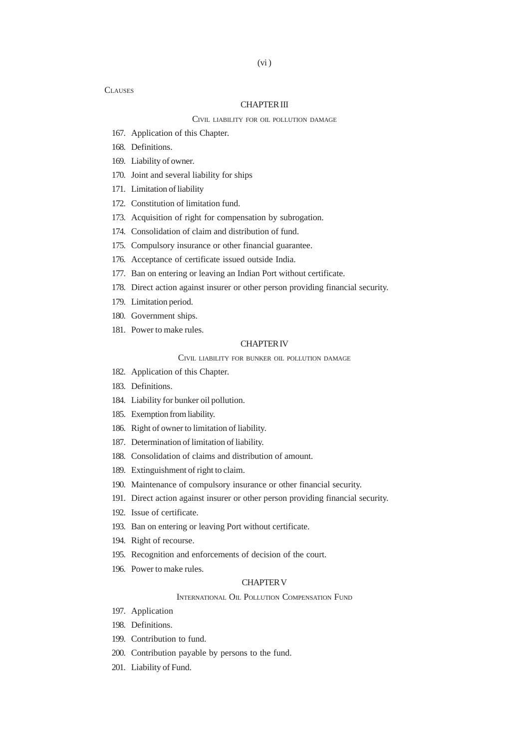## CHAPTER III

#### CIVIL LIABILITY FOR OIL POLLUTION DAMAGE

- 167. Application of this Chapter.
- 168. Definitions.
- 169. Liability of owner.
- 170. Joint and several liability for ships
- 171. Limitation of liability
- 172. Constitution of limitation fund.
- 173. Acquisition of right for compensation by subrogation.
- 174. Consolidation of claim and distribution of fund.
- 175. Compulsory insurance or other financial guarantee.
- 176. Acceptance of certificate issued outside India.
- 177. Ban on entering or leaving an Indian Port without certificate.
- 178. Direct action against insurer or other person providing financial security.
- 179. Limitation period.
- 180. Government ships.
- 181. Power to make rules.

#### CHAPTER IV

CIVIL LIABILITY FOR BUNKER OIL POLLUTION DAMAGE

- 182. Application of this Chapter.
- 183. Definitions.
- 184. Liability for bunker oil pollution.
- 185. Exemption from liability.
- 186. Right of owner to limitation of liability.
- 187. Determination of limitation of liability.
- 188. Consolidation of claims and distribution of amount.
- 189. Extinguishment of right to claim.
- 190. Maintenance of compulsory insurance or other financial security.
- 191. Direct action against insurer or other person providing financial security.
- 192. Issue of certificate.
- 193. Ban on entering or leaving Port without certificate.
- 194. Right of recourse.
- 195. Recognition and enforcements of decision of the court.
- 196. Power to make rules.

## CHAPTER V

#### INTERNATIONAL OIL POLLUTION COMPENSATION FUND

- 197. Application
- 198. Definitions.
- 199. Contribution to fund.
- 200. Contribution payable by persons to the fund.
- 201. Liability of Fund.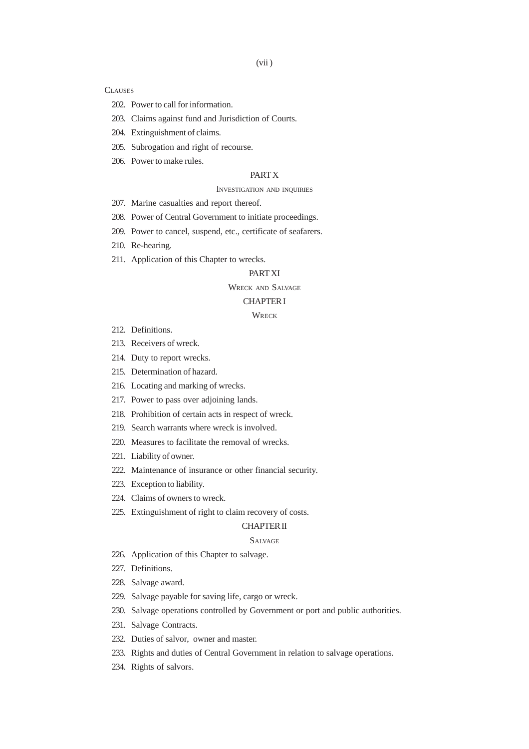- 202. Power to call for information.
- 203. Claims against fund and Jurisdiction of Courts.
- 204. Extinguishment of claims.
- 205. Subrogation and right of recourse.
- 206. Power to make rules.

## PART X

#### INVESTIGATION AND INQUIRIES

- 207. Marine casualties and report thereof.
- 208. Power of Central Government to initiate proceedings.
- 209. Power to cancel, suspend, etc., certificate of seafarers.
- 210. Re-hearing.
- 211. Application of this Chapter to wrecks.

## PART XI

## WRECK AND SALVAGE

#### CHAPTER I

# **WRECK**

- 212. Definitions.
- 213. Receivers of wreck.
- 214. Duty to report wrecks.
- 215. Determination of hazard.
- 216. Locating and marking of wrecks.
- 217. Power to pass over adjoining lands.
- 218. Prohibition of certain acts in respect of wreck.
- 219. Search warrants where wreck is involved.
- 220. Measures to facilitate the removal of wrecks.
- 221. Liability of owner.
- 222. Maintenance of insurance or other financial security.
- 223. Exception to liability.
- 224. Claims of owners to wreck.
- 225. Extinguishment of right to claim recovery of costs.

#### CHAPTER II

#### SALVAGE

- 226. Application of this Chapter to salvage.
- 227. Definitions.
- 228. Salvage award.
- 229. Salvage payable for saving life, cargo or wreck.
- 230. Salvage operations controlled by Government or port and public authorities.
- 231. Salvage Contracts.
- 232. Duties of salvor, owner and master.
- 233. Rights and duties of Central Government in relation to salvage operations.
- 234. Rights of salvors.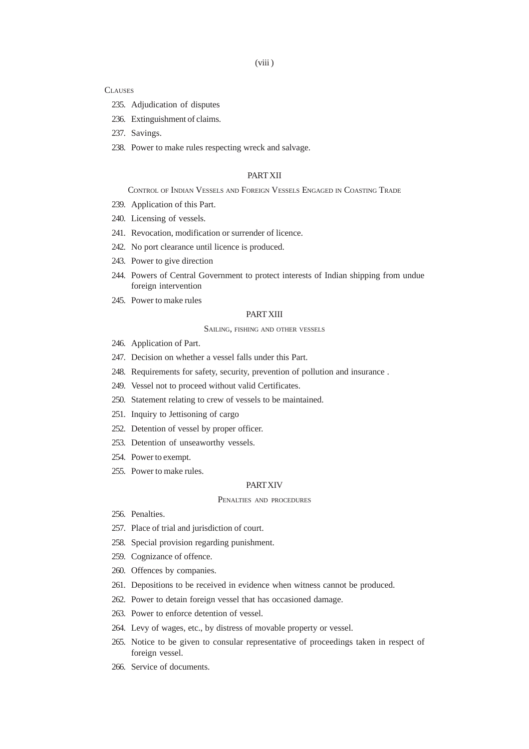- 235. Adjudication of disputes
- 236. Extinguishment of claims.
- 237. Savings.
- 238. Power to make rules respecting wreck and salvage.

## PART XII

## CONTROL OF INDIAN VESSELS AND FOREIGN VESSELS ENGAGED IN COASTING TRADE

- 239. Application of this Part.
- 240. Licensing of vessels.
- 241. Revocation, modification or surrender of licence.
- 242. No port clearance until licence is produced.
- 243. Power to give direction
- 244. Powers of Central Government to protect interests of Indian shipping from undue foreign intervention
- 245. Power to make rules

## PART XIII

#### SAILING, FISHING AND OTHER VESSELS

- 246. Application of Part.
- 247. Decision on whether a vessel falls under this Part.
- 248. Requirements for safety, security, prevention of pollution and insurance .
- 249. Vessel not to proceed without valid Certificates.
- 250. Statement relating to crew of vessels to be maintained.
- 251. Inquiry to Jettisoning of cargo
- 252. Detention of vessel by proper officer.
- 253. Detention of unseaworthy vessels.
- 254. Power to exempt.
- 255. Power to make rules.

## PART XIV

# PENALTIES AND PROCEDURES

- 256. Penalties.
- 257. Place of trial and jurisdiction of court.
- 258. Special provision regarding punishment.
- 259. Cognizance of offence.
- 260. Offences by companies.
- 261. Depositions to be received in evidence when witness cannot be produced.
- 262. Power to detain foreign vessel that has occasioned damage.
- 263. Power to enforce detention of vessel.
- 264. Levy of wages, etc., by distress of movable property or vessel.
- 265. Notice to be given to consular representative of proceedings taken in respect of foreign vessel.
- 266. Service of documents.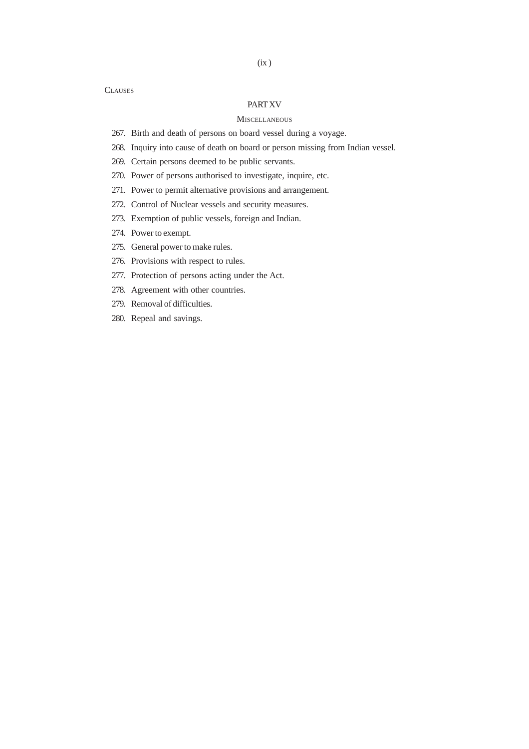# PART XV

#### **MISCELLANEOUS**

- 267. Birth and death of persons on board vessel during a voyage.
- 268. Inquiry into cause of death on board or person missing from Indian vessel.
- 269. Certain persons deemed to be public servants.
- 270. Power of persons authorised to investigate, inquire, etc.
- 271. Power to permit alternative provisions and arrangement.
- 272. Control of Nuclear vessels and security measures.
- 273. Exemption of public vessels, foreign and Indian.
- 274. Power to exempt.
- 275. General power to make rules.
- 276. Provisions with respect to rules.
- 277. Protection of persons acting under the Act.
- 278. Agreement with other countries.
- 279. Removal of difficulties.
- 280. Repeal and savings.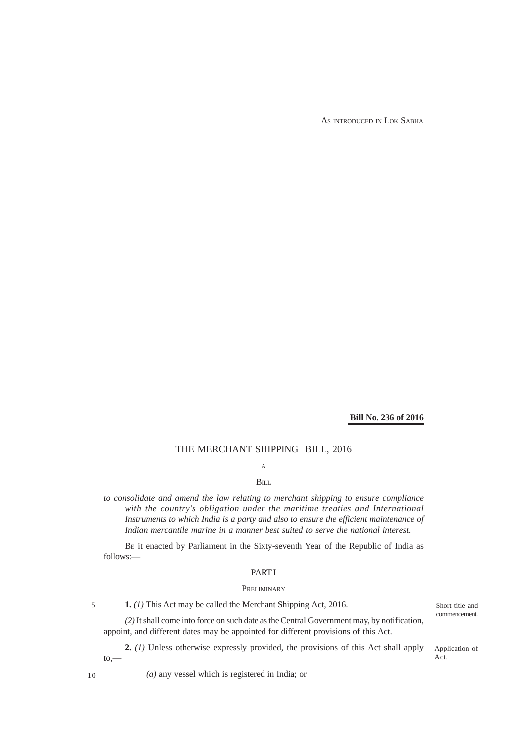AS INTRODUCED IN LOK SABHA

## **Bill No. 236 of 2016**

## THE MERCHANT SHIPPING BILL, 2016

# A

# BILL

*to consolidate and amend the law relating to merchant shipping to ensure compliance with the country's obligation under the maritime treaties and International Instruments to which India is a party and also to ensure the efficient maintenance of Indian mercantile marine in a manner best suited to serve the national interest.*

BE it enacted by Parliament in the Sixty-seventh Year of the Republic of India as follows:—

#### PART I

#### **PRELIMINARY**

**1.** *(1)* This Act may be called the Merchant Shipping Act, 2016.

*(2)* It shall come into force on such date as the Central Government may, by notification, appoint, and different dates may be appointed for different provisions of this Act.

**2.** *(1)* Unless otherwise expressly provided, the provisions of this Act shall apply to,—

Short title and commencement.

Application of Act.

10

5

*(a)* any vessel which is registered in India; or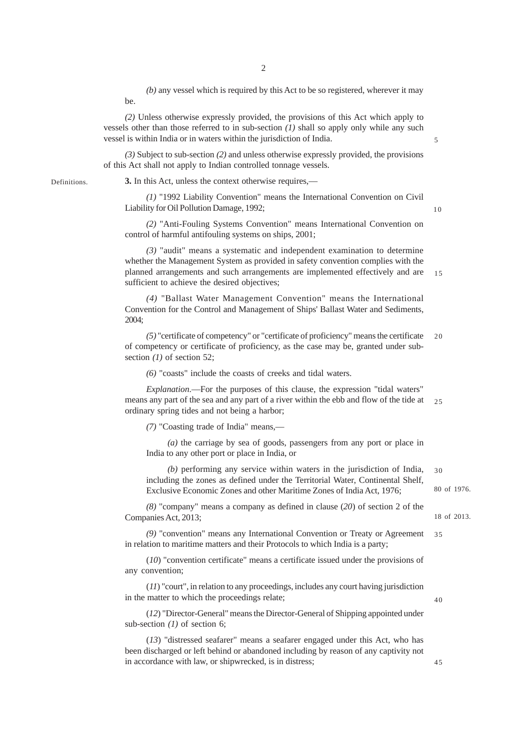*(b)* any vessel which is required by this Act to be so registered, wherever it may be.

*(2)* Unless otherwise expressly provided, the provisions of this Act which apply to vessels other than those referred to in sub-section *(1)* shall so apply only while any such vessel is within India or in waters within the jurisdiction of India.

*(3)* Subject to sub-section *(2)* and unless otherwise expressly provided, the provisions of this Act shall not apply to Indian controlled tonnage vessels.

Definitions.

**3.** In this Act, unless the context otherwise requires,—

*(1)* "1992 Liability Convention" means the International Convention on Civil Liability for Oil Pollution Damage, 1992;

*(2)* "Anti-Fouling Systems Convention" means International Convention on control of harmful antifouling systems on ships, 2001;

*(3)* "audit" means a systematic and independent examination to determine whether the Management System as provided in safety convention complies with the planned arrangements and such arrangements are implemented effectively and are sufficient to achieve the desired objectives; 15

*(4)* "Ballast Water Management Convention" means the International Convention for the Control and Management of Ships' Ballast Water and Sediments, 2004;

*(5)* "certificate of competency" or "certificate of proficiency" means the certificate of competency or certificate of proficiency, as the case may be, granted under subsection *(1)* of section 52; 20

*(6)* "coasts" include the coasts of creeks and tidal waters.

*Explanation*.—For the purposes of this clause, the expression "tidal waters" means any part of the sea and any part of a river within the ebb and flow of the tide at ordinary spring tides and not being a harbor; 25

*(7)* "Coasting trade of India" means,—

*(a)* the carriage by sea of goods, passengers from any port or place in India to any other port or place in India, or

*(b)* performing any service within waters in the jurisdiction of India, including the zones as defined under the Territorial Water, Continental Shelf, Exclusive Economic Zones and other Maritime Zones of India Act, 1976; 30

*(8)* "company" means a company as defined in clause (*20*) of section 2 of the Companies Act, 2013;

*(9)* "convention" means any International Convention or Treaty or Agreement in relation to maritime matters and their Protocols to which India is a party; 35

(*10*) "convention certificate" means a certificate issued under the provisions of any convention;

(*11*) "court", in relation to any proceedings, includes any court having jurisdiction in the matter to which the proceedings relate;

(*12*) "Director-General" means the Director-General of Shipping appointed under sub-section *(1)* of section 6;

(*13*) "distressed seafarer" means a seafarer engaged under this Act, who has been discharged or left behind or abandoned including by reason of any captivity not in accordance with law, or shipwrecked, is in distress;

10

5

80 of 1976.

18 of 2013.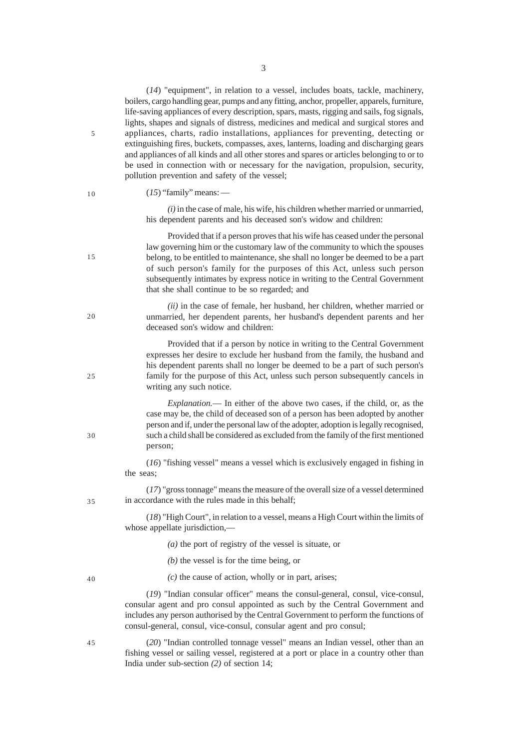(*14*) "equipment", in relation to a vessel, includes boats, tackle, machinery, boilers, cargo handling gear, pumps and any fitting, anchor, propeller, apparels, furniture, life-saving appliances of every description, spars, masts, rigging and sails, fog signals, lights, shapes and signals of distress, medicines and medical and surgical stores and appliances, charts, radio installations, appliances for preventing, detecting or extinguishing fires, buckets, compasses, axes, lanterns, loading and discharging gears and appliances of all kinds and all other stores and spares or articles belonging to or to be used in connection with or necessary for the navigation, propulsion, security, pollution prevention and safety of the vessel; (*15*) "family" means: — *(i)* in the case of male, his wife, his children whether married or unmarried, his dependent parents and his deceased son's widow and children: Provided that if a person proves that his wife has ceased under the personal law governing him or the customary law of the community to which the spouses belong, to be entitled to maintenance, she shall no longer be deemed to be a part of such person's family for the purposes of this Act, unless such person subsequently intimates by express notice in writing to the Central Government that she shall continue to be so regarded; and *(ii)* in the case of female, her husband, her children, whether married or unmarried, her dependent parents, her husband's dependent parents and her deceased son's widow and children: Provided that if a person by notice in writing to the Central Government expresses her desire to exclude her husband from the family, the husband and his dependent parents shall no longer be deemed to be a part of such person's family for the purpose of this Act, unless such person subsequently cancels in writing any such notice. *Explanation.*— In either of the above two cases, if the child, or, as the case may be, the child of deceased son of a person has been adopted by another person and if, under the personal law of the adopter, adoption is legally recognised, such a child shall be considered as excluded from the family of the first mentioned person; (*16*) "fishing vessel" means a vessel which is exclusively engaged in fishing in the seas; (*17*) "gross tonnage" means the measure of the overall size of a vessel determined in accordance with the rules made in this behalf; (*18*) "High Court", in relation to a vessel, means a High Court within the limits of whose appellate jurisdiction,-*(a)* the port of registry of the vessel is situate, or *(b)* the vessel is for the time being, or *(c)* the cause of action, wholly or in part, arises; (*19*) "Indian consular officer" means the consul-general, consul, vice-consul, consular agent and pro consul appointed as such by the Central Government and includes any person authorised by the Central Government to perform the functions of consul-general, consul, vice-consul, consular agent and pro consul; (*20*) "Indian controlled tonnage vessel" means an Indian vessel, other than an fishing vessel or sailing vessel, registered at a port or place in a country other than 5 10 15 20 25 30 35 40 45

India under sub-section *(2)* of section 14;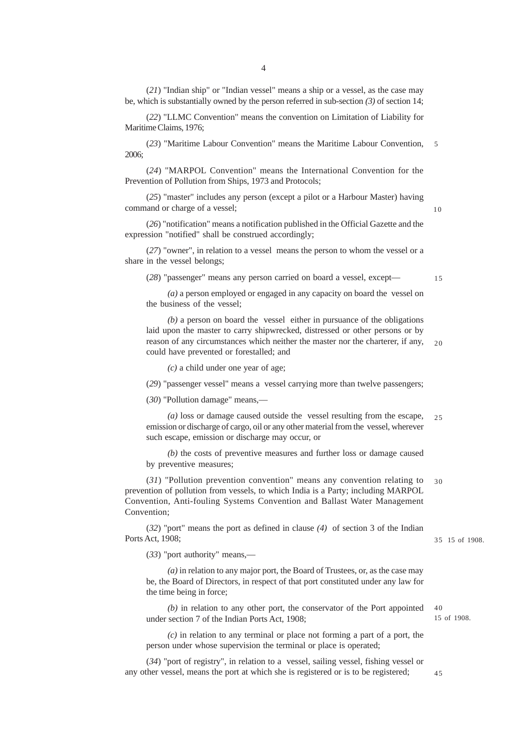(*21*) "Indian ship" or "Indian vessel" means a ship or a vessel, as the case may be, which is substantially owned by the person referred in sub-section *(3)* of section 14;

(*22*) "LLMC Convention" means the convention on Limitation of Liability for Maritime Claims, 1976;

(*23*) "Maritime Labour Convention" means the Maritime Labour Convention, 5 2006;

(*24*) "MARPOL Convention" means the International Convention for the Prevention of Pollution from Ships, 1973 and Protocols;

(*25*) "master" includes any person (except a pilot or a Harbour Master) having command or charge of a vessel;

(*26*) "notification" means a notification published in the Official Gazette and the expression "notified" shall be construed accordingly;

(*27*) "owner", in relation to a vessel means the person to whom the vessel or a share in the vessel belongs;

(*28*) "passenger" means any person carried on board a vessel, except—

15

10

*(a)* a person employed or engaged in any capacity on board the vessel on the business of the vessel;

*(b)* a person on board the vessel either in pursuance of the obligations laid upon the master to carry shipwrecked, distressed or other persons or by reason of any circumstances which neither the master nor the charterer, if any, could have prevented or forestalled; and  $20$ 

*(c)* a child under one year of age;

(*29*) "passenger vessel" means a vessel carrying more than twelve passengers;

(*30*) "Pollution damage" means,—

*(a)* loss or damage caused outside the vessel resulting from the escape, emission or discharge of cargo, oil or any other material from the vessel, wherever such escape, emission or discharge may occur, or  $25$ 

*(b)* the costs of preventive measures and further loss or damage caused by preventive measures;

(*31*) "Pollution prevention convention" means any convention relating to prevention of pollution from vessels, to which India is a Party; including MARPOL Convention, Anti-fouling Systems Convention and Ballast Water Management Convention; 30

(*32*) "port" means the port as defined in clause *(4)* of section 3 of the Indian Ports Act, 1908;

(*33*) "port authority" means,—

*(a)* in relation to any major port, the Board of Trustees, or, as the case may be, the Board of Directors, in respect of that port constituted under any law for the time being in force;

*(b)* in relation to any other port, the conservator of the Port appointed under section 7 of the Indian Ports Act, 1908;

*(c)* in relation to any terminal or place not forming a part of a port, the person under whose supervision the terminal or place is operated;

(*34*) "port of registry", in relation to a vessel, sailing vessel, fishing vessel or any other vessel, means the port at which she is registered or is to be registered;

15 of 1908. 35

15 of 1908.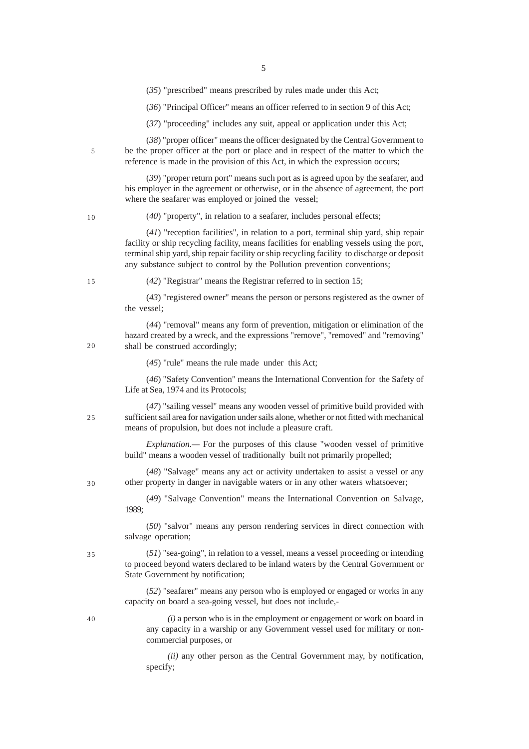(*35*) "prescribed" means prescribed by rules made under this Act;

(*36*) "Principal Officer" means an officer referred to in section 9 of this Act;

(*37*) "proceeding" includes any suit, appeal or application under this Act;

(*38*) "proper officer" means the officer designated by the Central Government to be the proper officer at the port or place and in respect of the matter to which the reference is made in the provision of this Act, in which the expression occurs;

(*39*) "proper return port" means such port as is agreed upon by the seafarer, and his employer in the agreement or otherwise, or in the absence of agreement, the port where the seafarer was employed or joined the vessel;

10

5

(*40*) "property", in relation to a seafarer, includes personal effects;

(*41*) "reception facilities", in relation to a port, terminal ship yard, ship repair facility or ship recycling facility, means facilities for enabling vessels using the port, terminal ship yard, ship repair facility or ship recycling facility to discharge or deposit any substance subject to control by the Pollution prevention conventions;

 $15$ 

 $20$ 

25

30

(*42*) "Registrar" means the Registrar referred to in section 15;

(*43*) "registered owner" means the person or persons registered as the owner of the vessel;

(*44*) "removal" means any form of prevention, mitigation or elimination of the hazard created by a wreck, and the expressions "remove", "removed" and "removing" shall be construed accordingly;

(*45*) "rule" means the rule made under this Act;

(*46*) "Safety Convention" means the International Convention for the Safety of Life at Sea, 1974 and its Protocols;

(*47*) "sailing vessel" means any wooden vessel of primitive build provided with sufficient sail area for navigation under sails alone, whether or not fitted with mechanical means of propulsion, but does not include a pleasure craft.

*Explanation.—* For the purposes of this clause "wooden vessel of primitive build" means a wooden vessel of traditionally built not primarily propelled;

(*48*) "Salvage" means any act or activity undertaken to assist a vessel or any other property in danger in navigable waters or in any other waters whatsoever;

(*49*) "Salvage Convention" means the International Convention on Salvage, 1989;

(*50*) "salvor" means any person rendering services in direct connection with salvage operation;

(*51*) "sea-going", in relation to a vessel, means a vessel proceeding or intending to proceed beyond waters declared to be inland waters by the Central Government or State Government by notification;

(*52*) "seafarer" means any person who is employed or engaged or works in any capacity on board a sea-going vessel, but does not include,-

40

35

*(i)* a person who is in the employment or engagement or work on board in any capacity in a warship or any Government vessel used for military or noncommercial purposes, or

*(ii)* any other person as the Central Government may, by notification, specify;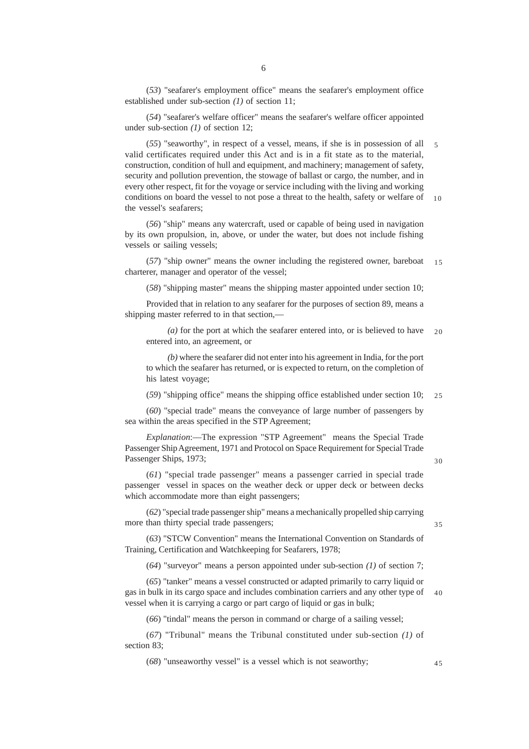(*53*) "seafarer's employment office" means the seafarer's employment office established under sub-section *(1)* of section 11;

(*54*) "seafarer's welfare officer" means the seafarer's welfare officer appointed under sub-section *(1)* of section 12;

(*55*) "seaworthy", in respect of a vessel, means, if she is in possession of all valid certificates required under this Act and is in a fit state as to the material, construction, condition of hull and equipment, and machinery; management of safety, security and pollution prevention, the stowage of ballast or cargo, the number, and in every other respect, fit for the voyage or service including with the living and working conditions on board the vessel to not pose a threat to the health, safety or welfare of the vessel's seafarers; 5 10

(*56*) "ship" means any watercraft, used or capable of being used in navigation by its own propulsion, in, above, or under the water, but does not include fishing vessels or sailing vessels;

(*57*) "ship owner" means the owner including the registered owner, bareboat charterer, manager and operator of the vessel; 15

(*58*) "shipping master" means the shipping master appointed under section 10;

Provided that in relation to any seafarer for the purposes of section 89, means a shipping master referred to in that section,—

*(a)* for the port at which the seafarer entered into, or is believed to have entered into, an agreement, or  $20$ 

*(b)* where the seafarer did not enter into his agreement in India, for the port to which the seafarer has returned, or is expected to return, on the completion of his latest voyage;

(*59*) "shipping office" means the shipping office established under section 10; 25

(*60*) "special trade" means the conveyance of large number of passengers by sea within the areas specified in the STP Agreement;

*Explanation*:—The expression "STP Agreement" means the Special Trade Passenger Ship Agreement, 1971 and Protocol on Space Requirement for Special Trade Passenger Ships, 1973;

30

35

(*61*) "special trade passenger" means a passenger carried in special trade passenger vessel in spaces on the weather deck or upper deck or between decks which accommodate more than eight passengers;

(*62*) "special trade passenger ship" means a mechanically propelled ship carrying more than thirty special trade passengers;

(*63*) "STCW Convention" means the International Convention on Standards of Training, Certification and Watchkeeping for Seafarers, 1978;

(*64*) "surveyor" means a person appointed under sub-section *(1)* of section 7;

(*65*) "tanker" means a vessel constructed or adapted primarily to carry liquid or gas in bulk in its cargo space and includes combination carriers and any other type of vessel when it is carrying a cargo or part cargo of liquid or gas in bulk; 40

(*66*) "tindal" means the person in command or charge of a sailing vessel;

(*67*) "Tribunal" means the Tribunal constituted under sub-section *(1)* of section 83;

(*68*) "unseaworthy vessel" is a vessel which is not seaworthy;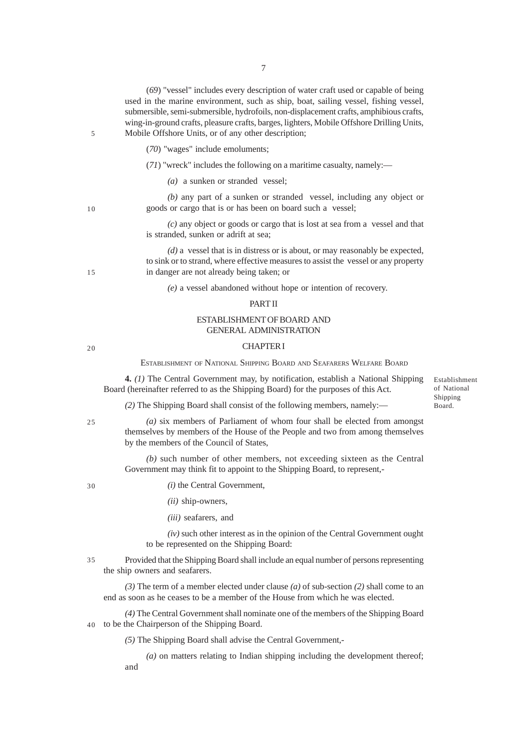(*69*) "vessel" includes every description of water craft used or capable of being used in the marine environment, such as ship, boat, sailing vessel, fishing vessel, submersible, semi-submersible, hydrofoils, non-displacement crafts, amphibious crafts, wing-in-ground crafts, pleasure crafts, barges, lighters, Mobile Offshore Drilling Units, Mobile Offshore Units, or of any other description;

- (*70*) "wages" include emoluments;
- (*71*) "wreck" includes the following on a maritime casualty, namely:—
	- *(a)* a sunken or stranded vessel;

*(b)* any part of a sunken or stranded vessel, including any object or goods or cargo that is or has been on board such a vessel;

*(c)* any object or goods or cargo that is lost at sea from a vessel and that is stranded, sunken or adrift at sea;

*(d)* a vessel that is in distress or is about, or may reasonably be expected, to sink or to strand, where effective measures to assist the vessel or any property in danger are not already being taken; or

*(e)* a vessel abandoned without hope or intention of recovery.

#### PART II

## ESTABLISHMENT OF BOARD AND GENERAL ADMINISTRATION

## CHAPTER I

ESTABLISHMENT OF NATIONAL SHIPPING BOARD AND SEAFARERS WELFARE BOARD

**4.** *(1)* The Central Government may, by notification, establish a National Shipping Board (hereinafter referred to as the Shipping Board) for the purposes of this Act.

Establishment of National Shipping Board.

*(2)* The Shipping Board shall consist of the following members, namely:—

25

*(a)* six members of Parliament of whom four shall be elected from amongst themselves by members of the House of the People and two from among themselves by the members of the Council of States,

*(b)* such number of other members, not exceeding sixteen as the Central Government may think fit to appoint to the Shipping Board, to represent,-

30

*(i)* the Central Government,

*(ii)* ship-owners,

*(iii)* seafarers, and

*(iv)* such other interest as in the opinion of the Central Government ought to be represented on the Shipping Board:

Provided that the Shipping Board shall include an equal number of persons representing the ship owners and seafarers. 35

*(3)* The term of a member elected under clause *(a)* of sub-section *(2)* shall come to an end as soon as he ceases to be a member of the House from which he was elected.

*(4)* The Central Government shall nominate one of the members of the Shipping Board to be the Chairperson of the Shipping Board. 40

*(5)* The Shipping Board shall advise the Central Government,-

*(a)* on matters relating to Indian shipping including the development thereof; and

15

5

10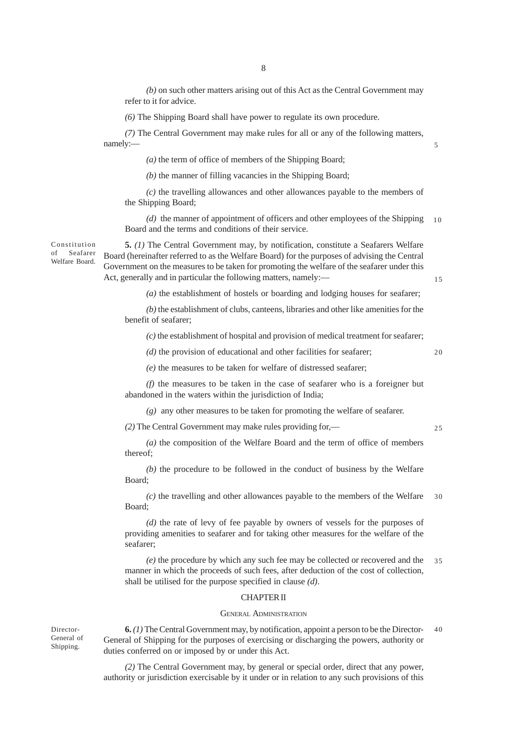*(b)* on such other matters arising out of this Act as the Central Government may refer to it for advice.

*(6)* The Shipping Board shall have power to regulate its own procedure.

*(7)* The Central Government may make rules for all or any of the following matters, namely:—

*(a)* the term of office of members of the Shipping Board;

*(b)* the manner of filling vacancies in the Shipping Board;

*(c)* the travelling allowances and other allowances payable to the members of the Shipping Board;

*(d)* the manner of appointment of officers and other employees of the Shipping Board and the terms and conditions of their service. 10

**5.** *(1)* The Central Government may, by notification, constitute a Seafarers Welfare Board (hereinafter referred to as the Welfare Board) for the purposes of advising the Central Government on the measures to be taken for promoting the welfare of the seafarer under this Act, generally and in particular the following matters, namely:-

*(a)* the establishment of hostels or boarding and lodging houses for seafarer;

*(b)* the establishment of clubs, canteens, libraries and other like amenities for the benefit of seafarer;

*(c)* the establishment of hospital and provision of medical treatment for seafarer;

*(d)* the provision of educational and other facilities for seafarer; *(e)* the measures to be taken for welfare of distressed seafarer;

20

25

15

5

*(f)* the measures to be taken in the case of seafarer who is a foreigner but abandoned in the waters within the jurisdiction of India;

*(g)* any other measures to be taken for promoting the welfare of seafarer.

*(2)* The Central Government may make rules providing for,—

*(a)* the composition of the Welfare Board and the term of office of members thereof;

*(b)* the procedure to be followed in the conduct of business by the Welfare Board;

*(c)* the travelling and other allowances payable to the members of the Welfare Board; 30

*(d)* the rate of levy of fee payable by owners of vessels for the purposes of providing amenities to seafarer and for taking other measures for the welfare of the seafarer;

*(e)* the procedure by which any such fee may be collected or recovered and the manner in which the proceeds of such fees, after deduction of the cost of collection, shall be utilised for the purpose specified in clause *(d)*. 35

#### CHAPTER II

#### GENERAL ADMINISTRATION

**6.** *(1)* The Central Government may, by notification, appoint a person to be the Director-General of Shipping for the purposes of exercising or discharging the powers, authority or duties conferred on or imposed by or under this Act. 40

*(2)* The Central Government may, by general or special order, direct that any power, authority or jurisdiction exercisable by it under or in relation to any such provisions of this

Constitution of Seafarer Welfare Board.

Director-General of Shipping.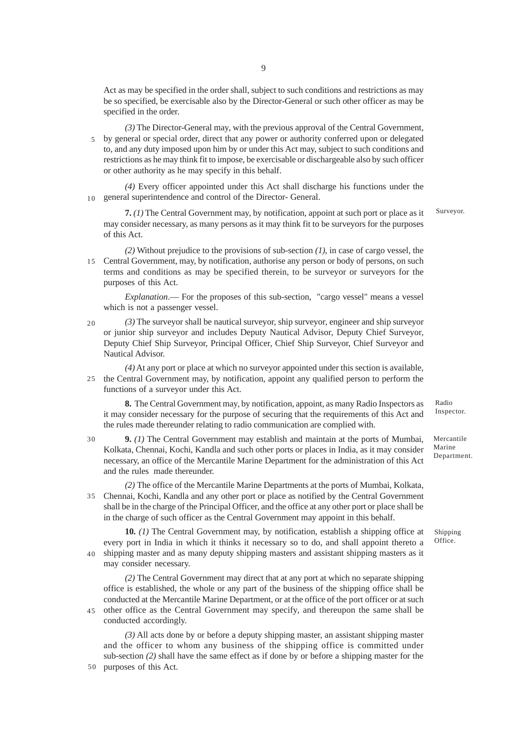Act as may be specified in the order shall, subject to such conditions and restrictions as may be so specified, be exercisable also by the Director-General or such other officer as may be specified in the order.

*(3)* The Director-General may, with the previous approval of the Central Government, by general or special order, direct that any power or authority conferred upon or delegated to, and any duty imposed upon him by or under this Act may, subject to such conditions and restrictions as he may think fit to impose, be exercisable or dischargeable also by such officer or other authority as he may specify in this behalf. 5

*(4)* Every officer appointed under this Act shall discharge his functions under the 10 general superintendence and control of the Director- General.

**7.** *(1)* The Central Government may, by notification, appoint at such port or place as it may consider necessary, as many persons as it may think fit to be surveyors for the purposes of this Act.

Surveyor.

*(2)* Without prejudice to the provisions of sub-section *(1)*, in case of cargo vessel, the Central Government, may, by notification, authorise any person or body of persons, on such 15 terms and conditions as may be specified therein, to be surveyor or surveyors for the purposes of this Act.

*Explanation*.— For the proposes of this sub-section, "cargo vessel" means a vessel which is not a passenger vessel.

20

*(3)* The surveyor shall be nautical surveyor, ship surveyor, engineer and ship surveyor or junior ship surveyor and includes Deputy Nautical Advisor, Deputy Chief Surveyor, Deputy Chief Ship Surveyor, Principal Officer, Chief Ship Surveyor, Chief Surveyor and Nautical Advisor.

*(4)* At any port or place at which no surveyor appointed under this section is available, 25 the Central Government may, by notification, appoint any qualified person to perform the functions of a surveyor under this Act.

**8.** The Central Government may, by notification, appoint, as many Radio Inspectors as it may consider necessary for the purpose of securing that the requirements of this Act and the rules made thereunder relating to radio communication are complied with.

**9.** *(1)* The Central Government may establish and maintain at the ports of Mumbai, Kolkata, Chennai, Kochi, Kandla and such other ports or places in India, as it may consider necessary, an office of the Mercantile Marine Department for the administration of this Act and the rules made thereunder. 30

*(2)* The office of the Mercantile Marine Departments at the ports of Mumbai, Kolkata, Chennai, Kochi, Kandla and any other port or place as notified by the Central Government 35 shall be in the charge of the Principal Officer, and the office at any other port or place shall be in the charge of such officer as the Central Government may appoint in this behalf.

**10.** *(1)* The Central Government may, by notification, establish a shipping office at every port in India in which it thinks it necessary so to do, and shall appoint thereto a shipping master and as many deputy shipping masters and assistant shipping masters as it may consider necessary. 40

*(2)* The Central Government may direct that at any port at which no separate shipping office is established, the whole or any part of the business of the shipping office shall be conducted at the Mercantile Marine Department, or at the office of the port officer or at such other office as the Central Government may specify, and thereupon the same shall be

conducted accordingly.

45

*(3)* All acts done by or before a deputy shipping master, an assistant shipping master and the officer to whom any business of the shipping office is committed under sub-section *(2)* shall have the same effect as if done by or before a shipping master for the 50 purposes of this Act.

Radio Inspector.

Mercantile Marine Department.

Shipping Office.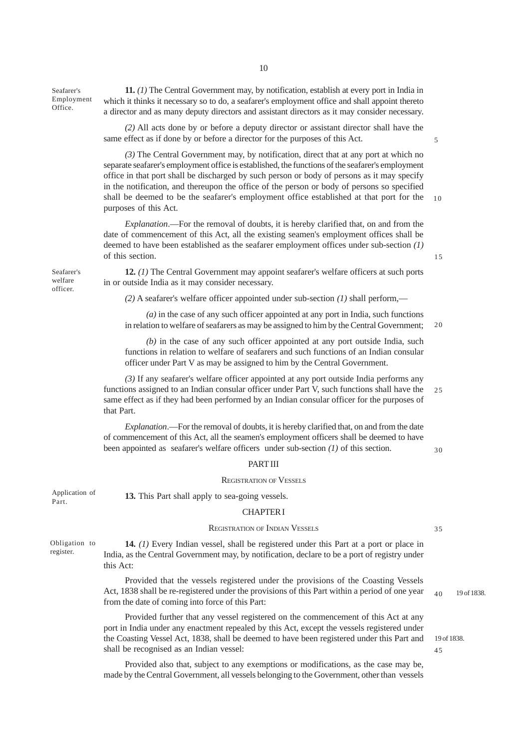Seafarer's Employment Office.

**11.** *(1)* The Central Government may, by notification, establish at every port in India in which it thinks it necessary so to do, a seafarer's employment office and shall appoint thereto a director and as many deputy directors and assistant directors as it may consider necessary.

*(2)* All acts done by or before a deputy director or assistant director shall have the same effect as if done by or before a director for the purposes of this Act.

*(3)* The Central Government may, by notification, direct that at any port at which no separate seafarer's employment office is established, the functions of the seafarer's employment office in that port shall be discharged by such person or body of persons as it may specify in the notification, and thereupon the office of the person or body of persons so specified shall be deemed to be the seafarer's employment office established at that port for the purposes of this Act. 10

*Explanation*.—For the removal of doubts, it is hereby clarified that, on and from the date of commencement of this Act, all the existing seamen's employment offices shall be deemed to have been established as the seafarer employment offices under sub-section *(1)* of this section.

Seafarer's welfare officer.

**12.** *(1)* The Central Government may appoint seafarer's welfare officers at such ports in or outside India as it may consider necessary.

*(2)* A seafarer's welfare officer appointed under sub-section *(1)* shall perform,—

*(a)* in the case of any such officer appointed at any port in India, such functions in relation to welfare of seafarers as may be assigned to him by the Central Government; 20

*(b)* in the case of any such officer appointed at any port outside India, such functions in relation to welfare of seafarers and such functions of an Indian consular officer under Part V as may be assigned to him by the Central Government.

*(3)* If any seafarer's welfare officer appointed at any port outside India performs any functions assigned to an Indian consular officer under Part V, such functions shall have the same effect as if they had been performed by an Indian consular officer for the purposes of that Part. 25

*Explanation*.—For the removal of doubts, it is hereby clarified that, on and from the date of commencement of this Act, all the seamen's employment officers shall be deemed to have been appointed as seafarer's welfare officers under sub-section *(1)* of this section.

#### PART III

#### REGISTRATION OF VESSELS

Application of Part.

#### CHAPTER I

**13.** This Part shall apply to sea-going vessels.

#### REGISTRATION OF INDIAN VESSELS

Obligation to register.

**14.** *(1)* Every Indian vessel, shall be registered under this Part at a port or place in India, as the Central Government may, by notification, declare to be a port of registry under this Act:

Provided that the vessels registered under the provisions of the Coasting Vessels Act, 1838 shall be re-registered under the provisions of this Part within a period of one year from the date of coming into force of this Part:

Provided further that any vessel registered on the commencement of this Act at any port in India under any enactment repealed by this Act, except the vessels registered under the Coasting Vessel Act, 1838, shall be deemed to have been registered under this Part and shall be recognised as an Indian vessel:

Provided also that, subject to any exemptions or modifications, as the case may be, made by the Central Government, all vessels belonging to the Government, other than vessels 35

30

19 of 1838.  $40$ 

19 of 1838.

45

15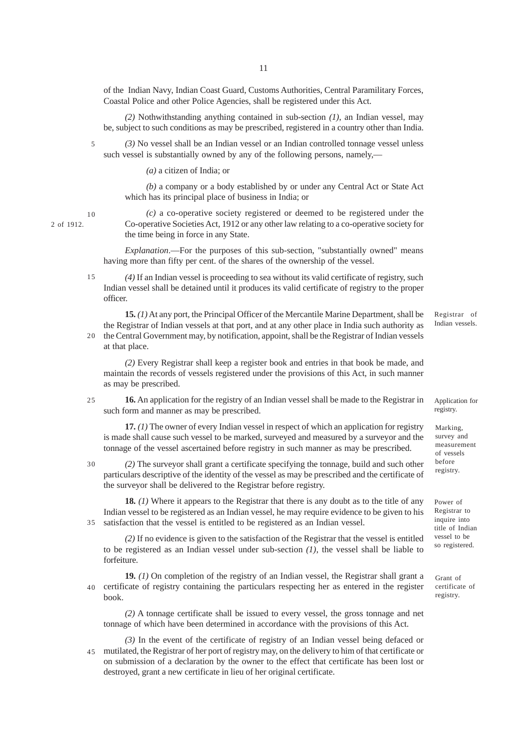of the Indian Navy, Indian Coast Guard, Customs Authorities, Central Paramilitary Forces, Coastal Police and other Police Agencies, shall be registered under this Act.

*(2)* Nothwithstanding anything contained in sub-section *(1)*, an Indian vessel, may be, subject to such conditions as may be prescribed, registered in a country other than India.

*(3)* No vessel shall be an Indian vessel or an Indian controlled tonnage vessel unless such vessel is substantially owned by any of the following persons, namely,—

*(a)* a citizen of India; or

*(b)* a company or a body established by or under any Central Act or State Act which has its principal place of business in India; or

10

20

5

2 of 1912.

*(c)* a co-operative society registered or deemed to be registered under the Co-operative Societies Act, 1912 or any other law relating to a co-operative society for the time being in force in any State.

*Explanation*.—For the purposes of this sub-section, "substantially owned" means having more than fifty per cent. of the shares of the ownership of the vessel.

*(4)* If an Indian vessel is proceeding to sea without its valid certificate of registry, such Indian vessel shall be detained until it produces its valid certificate of registry to the proper officer. 15

**15.** *(1)* At any port, the Principal Officer of the Mercantile Marine Department, shall be the Registrar of Indian vessels at that port, and at any other place in India such authority as the Central Government may, by notification, appoint, shall be the Registrar of Indian vessels

at that place.

*(2)* Every Registrar shall keep a register book and entries in that book be made, and maintain the records of vessels registered under the provisions of this Act, in such manner as may be prescribed.

**16.** An application for the registry of an Indian vessel shall be made to the Registrar in such form and manner as may be prescribed. 25

**17.** *(1)* The owner of every Indian vessel in respect of which an application for registry is made shall cause such vessel to be marked, surveyed and measured by a surveyor and the tonnage of the vessel ascertained before registry in such manner as may be prescribed.

*(2)* The surveyor shall grant a certificate specifying the tonnage, build and such other particulars descriptive of the identity of the vessel as may be prescribed and the certificate of the surveyor shall be delivered to the Registrar before registry. 30

**18.** *(1)* Where it appears to the Registrar that there is any doubt as to the title of any Indian vessel to be registered as an Indian vessel, he may require evidence to be given to his satisfaction that the vessel is entitled to be registered as an Indian vessel. 35

*(2)* If no evidence is given to the satisfaction of the Registrar that the vessel is entitled to be registered as an Indian vessel under sub-section *(1)*, the vessel shall be liable to forfeiture.

**19.** *(1)* On completion of the registry of an Indian vessel, the Registrar shall grant a certificate of registry containing the particulars respecting her as entered in the register book. 40

*(2)* A tonnage certificate shall be issued to every vessel, the gross tonnage and net tonnage of which have been determined in accordance with the provisions of this Act.

*(3)* In the event of the certificate of registry of an Indian vessel being defaced or mutilated, the Registrar of her port of registry may, on the delivery to him of that certificate or on submission of a declaration by the owner to the effect that certificate has been lost or destroyed, grant a new certificate in lieu of her original certificate. 45

Registrar of Indian vessels.

Application for registry.

Marking, survey and measurement of vessels before registry.

Power of Registrar to inquire into title of Indian vessel to be so registered.

Grant of certificate of registry.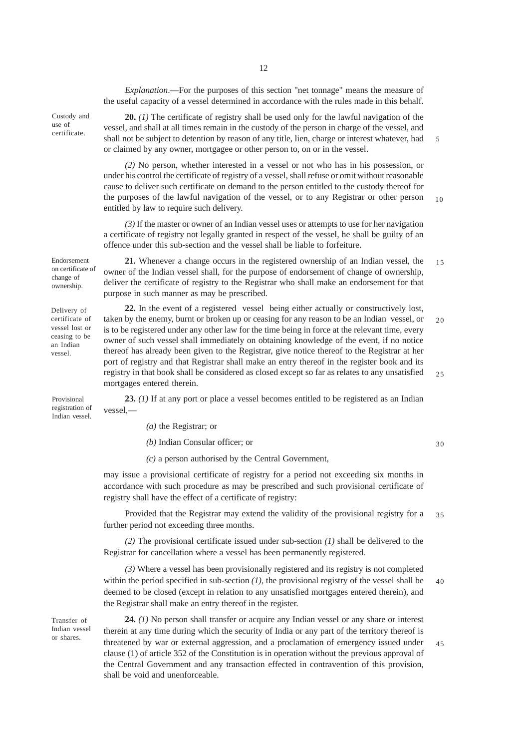*Explanation*.—For the purposes of this section "net tonnage" means the measure of the useful capacity of a vessel determined in accordance with the rules made in this behalf.

Custody and use of certificate.

**20.** *(1)* The certificate of registry shall be used only for the lawful navigation of the vessel, and shall at all times remain in the custody of the person in charge of the vessel, and shall not be subject to detention by reason of any title, lien, charge or interest whatever, had or claimed by any owner, mortgagee or other person to, on or in the vessel. 5

*(2)* No person, whether interested in a vessel or not who has in his possession, or under his control the certificate of registry of a vessel, shall refuse or omit without reasonable cause to deliver such certificate on demand to the person entitled to the custody thereof for the purposes of the lawful navigation of the vessel, or to any Registrar or other person entitled by law to require such delivery. 10

*(3)* If the master or owner of an Indian vessel uses or attempts to use for her navigation a certificate of registry not legally granted in respect of the vessel, he shall be guilty of an offence under this sub-section and the vessel shall be liable to forfeiture.

**21.** Whenever a change occurs in the registered ownership of an Indian vessel, the

owner of the Indian vessel shall, for the purpose of endorsement of change of ownership, deliver the certificate of registry to the Registrar who shall make an endorsement for that purpose in such manner as may be prescribed. Endorsement on certificate of change of ownership.

Delivery of certificate of vessel lost or ceasing to be an Indian vessel.

**22.** In the event of a registered vessel being either actually or constructively lost, taken by the enemy, burnt or broken up or ceasing for any reason to be an Indian vessel, or is to be registered under any other law for the time being in force at the relevant time, every owner of such vessel shall immediately on obtaining knowledge of the event, if no notice thereof has already been given to the Registrar, give notice thereof to the Registrar at her port of registry and that Registrar shall make an entry thereof in the register book and its registry in that book shall be considered as closed except so far as relates to any unsatisfied mortgages entered therein.

Provisional registration of Indian vessel.

**23.** *(1)* If at any port or place a vessel becomes entitled to be registered as an Indian vessel,—

*(a)* the Registrar; or

*(b)* Indian Consular officer; or

30

15

20

25

*(c)* a person authorised by the Central Government,

may issue a provisional certificate of registry for a period not exceeding six months in accordance with such procedure as may be prescribed and such provisional certificate of registry shall have the effect of a certificate of registry:

Provided that the Registrar may extend the validity of the provisional registry for a further period not exceeding three months. 35

*(2)* The provisional certificate issued under sub-section *(1)* shall be delivered to the Registrar for cancellation where a vessel has been permanently registered.

*(3)* Where a vessel has been provisionally registered and its registry is not completed within the period specified in sub-section *(1)*, the provisional registry of the vessel shall be deemed to be closed (except in relation to any unsatisfied mortgages entered therein), and the Registrar shall make an entry thereof in the register. 40

Transfer of Indian vessel or shares.

**24.** *(1)* No person shall transfer or acquire any Indian vessel or any share or interest therein at any time during which the security of India or any part of the territory thereof is threatened by war or external aggression, and a proclamation of emergency issued under clause (1) of article 352 of the Constitution is in operation without the previous approval of the Central Government and any transaction effected in contravention of this provision, shall be void and unenforceable. 45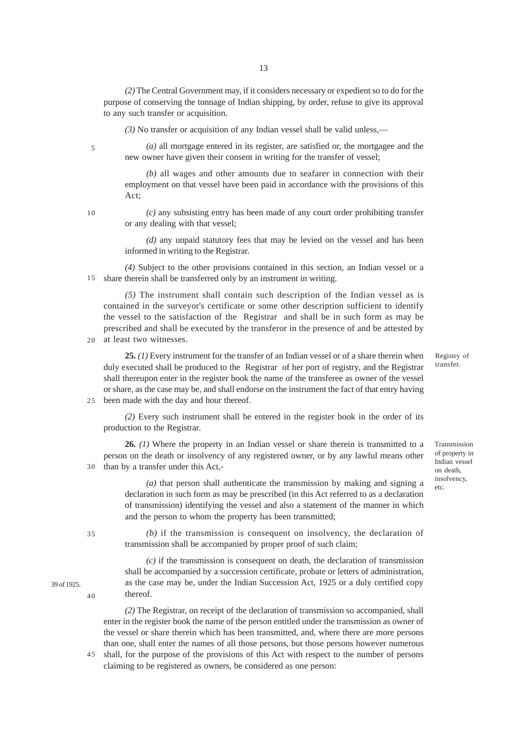*(2)* The Central Government may, if it considers necessary or expedient so to do for the purpose of conserving the tonnage of Indian shipping, by order, refuse to give its approval to any such transfer or acquisition.

*(3)* No transfer or acquisition of any Indian vessel shall be valid unless,—

5

*(a)* all mortgage entered in its register, are satisfied or, the mortgagee and the new owner have given their consent in writing for the transfer of vessel;

*(b)* all wages and other amounts due to seafarer in connection with their employment on that vessel have been paid in accordance with the provisions of this Act;

10

25

35

40

39 of 1925.

*(c)* any subsisting entry has been made of any court order prohibiting transfer or any dealing with that vessel;

*(d)* any unpaid statutory fees that may be levied on the vessel and has been informed in writing to the Registrar.

*(4)* Subject to the other provisions contained in this section, an Indian vessel or a share therein shall be transferred only by an instrument in writing. 15

*(5)* The instrument shall contain such description of the Indian vessel as is contained in the surveyor's certificate or some other description sufficient to identify the vessel to the satisfaction of the Registrar and shall be in such form as may be prescribed and shall be executed by the transferor in the presence of and be attested by at least two witnesses.

20

**25.** *(1)* Every instrument for the transfer of an Indian vessel or of a share therein when duly executed shall be produced to the Registrar of her port of registry, and the Registrar shall thereupon enter in the register book the name of the transferee as owner of the vessel or share, as the case may be, and shall endorse on the instrument the fact of that entry having been made with the day and hour thereof.

*(2)* Every such instrument shall be entered in the register book in the order of its production to the Registrar.

**26.** *(1)* Where the property in an Indian vessel or share therein is transmitted to a person on the death or insolvency of any registered owner, or by any lawful means other than by a transfer under this Act,- 30

> *(a)* that person shall authenticate the transmission by making and signing a declaration in such form as may be prescribed (in this Act referred to as a declaration of transmission) identifying the vessel and also a statement of the manner in which and the person to whom the property has been transmitted;

*(b)* if the transmission is consequent on insolvency, the declaration of transmission shall be accompanied by proper proof of such claim;

*(c)* if the transmission is consequent on death, the declaration of transmission shall be accompanied by a succession certificate, probate or letters of administration, as the case may be, under the Indian Succession Act, 1925 or a duly certified copy thereof.

*(2)* The Registrar, on receipt of the declaration of transmission so accompanied, shall enter in the register book the name of the person entitled under the transmission as owner of the vessel or share therein which has been transmitted, and, where there are more persons than one, shall enter the names of all those persons, but those persons however numerous

shall, for the purpose of the provisions of this Act with respect to the number of persons claiming to be registered as owners, be considered as one person: 45

Registry of transfer.

Transmission of property in Indian vessel on death, insolvency, etc.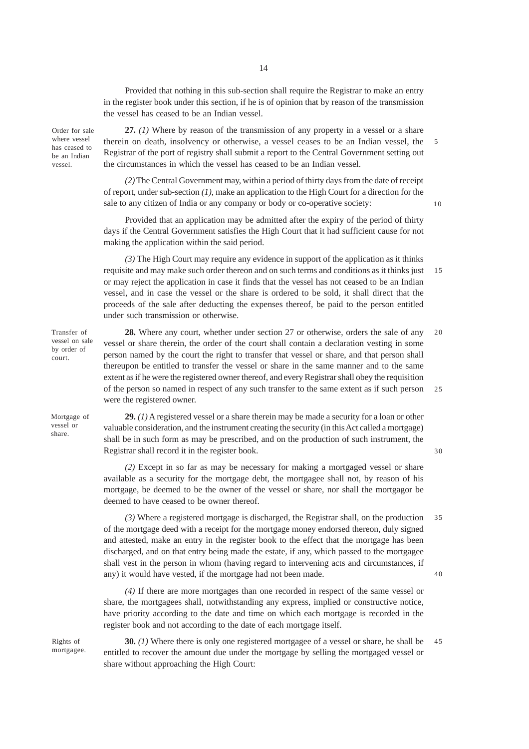Provided that nothing in this sub-section shall require the Registrar to make an entry in the register book under this section, if he is of opinion that by reason of the transmission the vessel has ceased to be an Indian vessel.

Order for sale where vessel has ceased to be an Indian vessel.

**27.** *(1)* Where by reason of the transmission of any property in a vessel or a share therein on death, insolvency or otherwise, a vessel ceases to be an Indian vessel, the Registrar of the port of registry shall submit a report to the Central Government setting out the circumstances in which the vessel has ceased to be an Indian vessel.

*(2)* The Central Government may, within a period of thirty days from the date of receipt of report, under sub-section *(1)*, make an application to the High Court for a direction for the sale to any citizen of India or any company or body or co-operative society:

Provided that an application may be admitted after the expiry of the period of thirty days if the Central Government satisfies the High Court that it had sufficient cause for not making the application within the said period.

*(3)* The High Court may require any evidence in support of the application as it thinks requisite and may make such order thereon and on such terms and conditions as it thinks just or may reject the application in case it finds that the vessel has not ceased to be an Indian vessel, and in case the vessel or the share is ordered to be sold, it shall direct that the proceeds of the sale after deducting the expenses thereof, be paid to the person entitled under such transmission or otherwise. 15

**28.** Where any court, whether under section 27 or otherwise, orders the sale of any vessel or share therein, the order of the court shall contain a declaration vesting in some person named by the court the right to transfer that vessel or share, and that person shall thereupon be entitled to transfer the vessel or share in the same manner and to the same extent as if he were the registered owner thereof, and every Registrar shall obey the requisition of the person so named in respect of any such transfer to the same extent as if such person were the registered owner.  $20$ 25

**29.** *(1)* A registered vessel or a share therein may be made a security for a loan or other valuable consideration, and the instrument creating the security (in this Act called a mortgage) shall be in such form as may be prescribed, and on the production of such instrument, the Registrar shall record it in the register book.

*(2)* Except in so far as may be necessary for making a mortgaged vessel or share available as a security for the mortgage debt, the mortgagee shall not, by reason of his mortgage, be deemed to be the owner of the vessel or share, nor shall the mortgagor be deemed to have ceased to be owner thereof.

*(3)* Where a registered mortgage is discharged, the Registrar shall, on the production of the mortgage deed with a receipt for the mortgage money endorsed thereon, duly signed and attested, make an entry in the register book to the effect that the mortgage has been discharged, and on that entry being made the estate, if any, which passed to the mortgagee shall vest in the person in whom (having regard to intervening acts and circumstances, if any) it would have vested, if the mortgage had not been made. 35 40

*(4)* If there are more mortgages than one recorded in respect of the same vessel or share, the mortgagees shall, notwithstanding any express, implied or constructive notice, have priority according to the date and time on which each mortgage is recorded in the register book and not according to the date of each mortgage itself.

Rights of mortgagee.

**30.** *(1)* Where there is only one registered mortgagee of a vessel or share, he shall be entitled to recover the amount due under the mortgage by selling the mortgaged vessel or share without approaching the High Court: 45

Transfer of vessel on sale by order of court.

Mortgage of vessel or share.

 $30$ 

5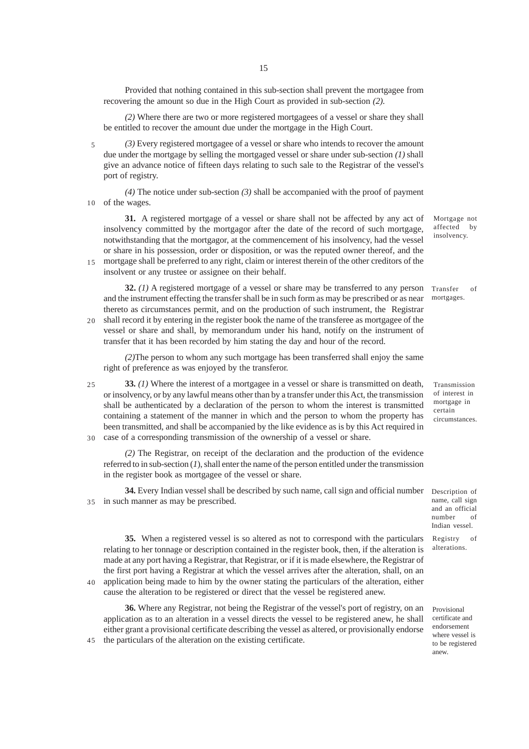Provided that nothing contained in this sub-section shall prevent the mortgagee from recovering the amount so due in the High Court as provided in sub-section *(2)*.

*(2)* Where there are two or more registered mortgagees of a vessel or share they shall be entitled to recover the amount due under the mortgage in the High Court.

*(3)* Every registered mortgagee of a vessel or share who intends to recover the amount due under the mortgage by selling the mortgaged vessel or share under sub-section *(1)* shall give an advance notice of fifteen days relating to such sale to the Registrar of the vessel's port of registry. 5

*(4)* The notice under sub-section *(3)* shall be accompanied with the proof of payment of the wages. 10

**31.** A registered mortgage of a vessel or share shall not be affected by any act of insolvency committed by the mortgagor after the date of the record of such mortgage, notwithstanding that the mortgagor, at the commencement of his insolvency, had the vessel or share in his possession, order or disposition, or was the reputed owner thereof, and the mortgage shall be preferred to any right, claim or interest therein of the other creditors of the 15

**32.** *(1)* A registered mortgage of a vessel or share may be transferred to any person and the instrument effecting the transfer shall be in such form as may be prescribed or as near

insolvent or any trustee or assignee on their behalf.

 $40$ 

45

thereto as circumstances permit, and on the production of such instrument, the Registrar shall record it by entering in the register book the name of the transferee as mortgagee of the vessel or share and shall, by memorandum under his hand, notify on the instrument of transfer that it has been recorded by him stating the day and hour of the record.  $20$ 

*(2)*The person to whom any such mortgage has been transferred shall enjoy the same right of preference as was enjoyed by the transferor.

**33.** *(1)* Where the interest of a mortgagee in a vessel or share is transmitted on death, or insolvency, or by any lawful means other than by a transfer under this Act, the transmission shall be authenticated by a declaration of the person to whom the interest is transmitted containing a statement of the manner in which and the person to whom the property has been transmitted, and shall be accompanied by the like evidence as is by this Act required in case of a corresponding transmission of the ownership of a vessel or share. 25 30

*(2)* The Registrar, on receipt of the declaration and the production of the evidence referred to in sub-section (*1*), shall enter the name of the person entitled under the transmission in the register book as mortgagee of the vessel or share.

**34.** Every Indian vessel shall be described by such name, call sign and official number in such manner as may be prescribed. 35

**35.** When a registered vessel is so altered as not to correspond with the particulars relating to her tonnage or description contained in the register book, then, if the alteration is made at any port having a Registrar, that Registrar, or if it is made elsewhere, the Registrar of the first port having a Registrar at which the vessel arrives after the alteration, shall, on an application being made to him by the owner stating the particulars of the alteration, either cause the alteration to be registered or direct that the vessel be registered anew.

**36.** Where any Registrar, not being the Registrar of the vessel's port of registry, on an application as to an alteration in a vessel directs the vessel to be registered anew, he shall either grant a provisional certificate describing the vessel as altered, or provisionally endorse the particulars of the alteration on the existing certificate.

Mortgage not affected by insolvency.

Transfer of mortgages.

Transmission of interest in mortgage in certain circumstances.

Description of name, call sign and an official number of Indian vessel.

Registry of alterations.

Provisional certificate and endorsement where vessel is to be registered anew.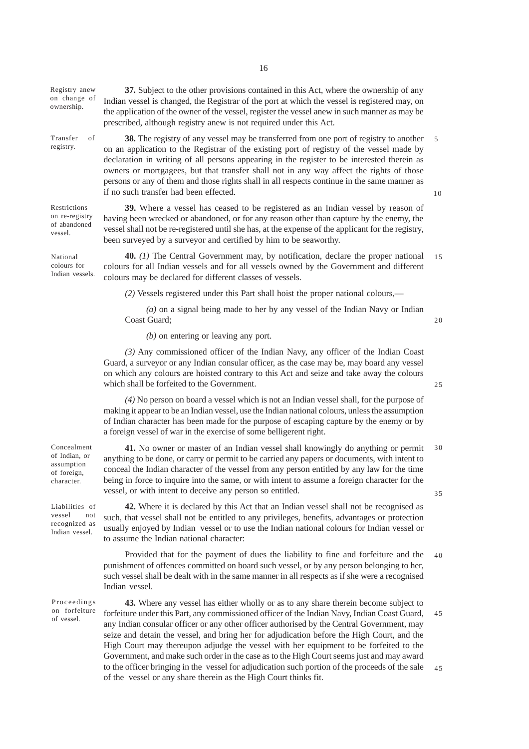| Registry anew<br>on change of<br>ownership.                             | 37. Subject to the other provisions contained in this Act, where the ownership of any<br>Indian vessel is changed, the Registrar of the port at which the vessel is registered may, on<br>the application of the owner of the vessel, register the vessel anew in such manner as may be<br>prescribed, although registry anew is not required under this Act.                                                                                                                                                           |          |
|-------------------------------------------------------------------------|-------------------------------------------------------------------------------------------------------------------------------------------------------------------------------------------------------------------------------------------------------------------------------------------------------------------------------------------------------------------------------------------------------------------------------------------------------------------------------------------------------------------------|----------|
| Transfer<br>of<br>registry.                                             | 38. The registry of any vessel may be transferred from one port of registry to another<br>on an application to the Registrar of the existing port of registry of the vessel made by<br>declaration in writing of all persons appearing in the register to be interested therein as<br>owners or mortgagees, but that transfer shall not in any way affect the rights of those<br>persons or any of them and those rights shall in all respects continue in the same manner as<br>if no such transfer had been effected. | 5<br>10  |
| Restrictions<br>on re-registry<br>of abandoned<br>vessel.               | 39. Where a vessel has ceased to be registered as an Indian vessel by reason of<br>having been wrecked or abandoned, or for any reason other than capture by the enemy, the<br>vessel shall not be re-registered until she has, at the expense of the applicant for the registry,<br>been surveyed by a surveyor and certified by him to be seaworthy.                                                                                                                                                                  |          |
| National<br>colours for<br>Indian vessels.                              | 40. (1) The Central Government may, by notification, declare the proper national<br>colours for all Indian vessels and for all vessels owned by the Government and different<br>colours may be declared for different classes of vessels.                                                                                                                                                                                                                                                                               | 15       |
|                                                                         | (2) Vessels registered under this Part shall hoist the proper national colours,—                                                                                                                                                                                                                                                                                                                                                                                                                                        |          |
|                                                                         | $(a)$ on a signal being made to her by any vessel of the Indian Navy or Indian<br>Coast Guard;                                                                                                                                                                                                                                                                                                                                                                                                                          | 20       |
|                                                                         | $(b)$ on entering or leaving any port.                                                                                                                                                                                                                                                                                                                                                                                                                                                                                  |          |
|                                                                         | (3) Any commissioned officer of the Indian Navy, any officer of the Indian Coast<br>Guard, a surveyor or any Indian consular officer, as the case may be, may board any vessel<br>on which any colours are hoisted contrary to this Act and seize and take away the colours<br>which shall be forfeited to the Government.                                                                                                                                                                                              | 25       |
|                                                                         | (4) No person on board a vessel which is not an Indian vessel shall, for the purpose of<br>making it appear to be an Indian vessel, use the Indian national colours, unless the assumption<br>of Indian character has been made for the purpose of escaping capture by the enemy or by<br>a foreign vessel of war in the exercise of some belligerent right.                                                                                                                                                            |          |
| Concealment<br>of Indian, or<br>assumption<br>of foreign,<br>character. | 41. No owner or master of an Indian vessel shall knowingly do anything or permit<br>anything to be done, or carry or permit to be carried any papers or documents, with intent to<br>conceal the Indian character of the vessel from any person entitled by any law for the time<br>being in force to inquire into the same, or with intent to assume a foreign character for the<br>vessel, or with intent to deceive any person so entitled.                                                                          | 30<br>35 |
| Liabilities of<br>vessel<br>not<br>recognized as<br>Indian vessel.      | 42. Where it is declared by this Act that an Indian vessel shall not be recognised as<br>such, that vessel shall not be entitled to any privileges, benefits, advantages or protection<br>usually enjoyed by Indian vessel or to use the Indian national colours for Indian vessel or<br>to assume the Indian national character:                                                                                                                                                                                       |          |
|                                                                         | Provided that for the payment of dues the liability to fine and forfeiture and the<br>punishment of offences committed on board such vessel, or by any person belonging to her,                                                                                                                                                                                                                                                                                                                                         | 40       |

Proceedings on forfeiture of vessel.

Indian vessel.

**43.** Where any vessel has either wholly or as to any share therein become subject to forfeiture under this Part, any commissioned officer of the Indian Navy, Indian Coast Guard, any Indian consular officer or any other officer authorised by the Central Government, may seize and detain the vessel, and bring her for adjudication before the High Court, and the High Court may thereupon adjudge the vessel with her equipment to be forfeited to the Government, and make such order in the case as to the High Court seems just and may award to the officer bringing in the vessel for adjudication such portion of the proceeds of the sale of the vessel or any share therein as the High Court thinks fit. 45 45

such vessel shall be dealt with in the same manner in all respects as if she were a recognised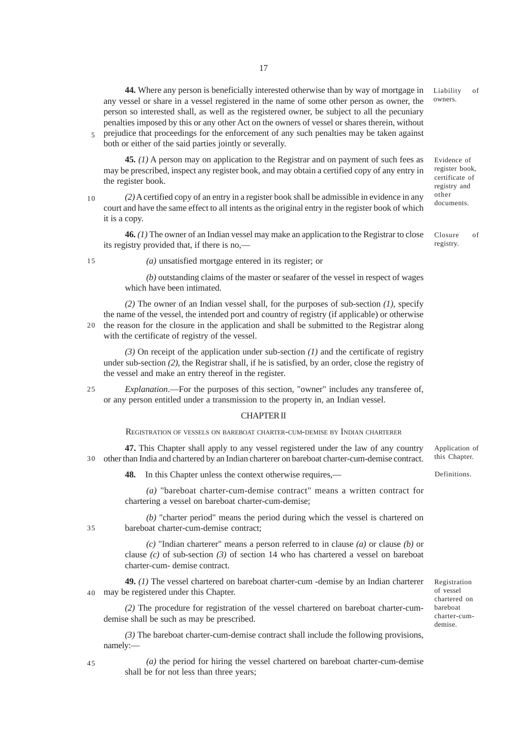**44.** Where any person is beneficially interested otherwise than by way of mortgage in any vessel or share in a vessel registered in the name of some other person as owner, the person so interested shall, as well as the registered owner, be subject to all the pecuniary penalties imposed by this or any other Act on the owners of vessel or shares therein, without prejudice that proceedings for the enforcement of any such penalties may be taken against Liability of owners.

both or either of the said parties jointly or severally.

**45.** *(1)* A person may on application to the Registrar and on payment of such fees as may be prescribed, inspect any register book, and may obtain a certified copy of any entry in the register book.

*(2)* A certified copy of an entry in a register book shall be admissible in evidence in any court and have the same effect to all intents as the original entry in the register book of which it is a copy. 10

**46.** *(1)* The owner of an Indian vessel may make an application to the Registrar to close its registry provided that, if there is no,—

15

5

*(a)* unsatisfied mortgage entered in its register; or

*(b)* outstanding claims of the master or seafarer of the vessel in respect of wages which have been intimated.

*(2)* The owner of an Indian vessel shall, for the purposes of sub-section *(1)*, specify the name of the vessel, the intended port and country of registry (if applicable) or otherwise the reason for the closure in the application and shall be submitted to the Registrar along with the certificate of registry of the vessel. 20

*(3)* On receipt of the application under sub-section *(1)* and the certificate of registry under sub-section *(2)*, the Registrar shall, if he is satisfied, by an order, close the registry of the vessel and make an entry thereof in the register.

*Explanation*.—For the purposes of this section, "owner" includes any transferee of, or any person entitled under a transmission to the property in, an Indian vessel.  $25$ 

## CHAPTER II

REGISTRATION OF VESSELS ON BAREBOAT CHARTER-CUM-DEMISE BY INDIAN CHARTERER

**47.** This Chapter shall apply to any vessel registered under the law of any country other than India and chartered by an Indian charterer on bareboat charter-cum-demise contract. 30

**48.** In this Chapter unless the context otherwise requires,—

*(a)* "bareboat charter-cum-demise contract" means a written contract for chartering a vessel on bareboat charter-cum-demise;

*(b)* "charter period" means the period during which the vessel is chartered on bareboat charter-cum-demise contract;

*(c)* "Indian charterer" means a person referred to in clause *(a)* or clause *(b)* or clause *(c)* of sub-section *(3)* of section 14 who has chartered a vessel on bareboat charter-cum- demise contract.

**49.** *(1)* The vessel chartered on bareboat charter-cum -demise by an Indian charterer may be registered under this Chapter.

*(2)* The procedure for registration of the vessel chartered on bareboat charter-cumdemise shall be such as may be prescribed.

*(3)* The bareboat charter-cum-demise contract shall include the following provisions, namely:—

*(a)* the period for hiring the vessel chartered on bareboat charter-cum-demise shall be for not less than three years;

Application of this Chapter.

Definitions.

Evidence of register book, certificate of registry and other documents.

Closure of registry.

Registration of vessel chartered on bareboat charter-cumdemise.

45

35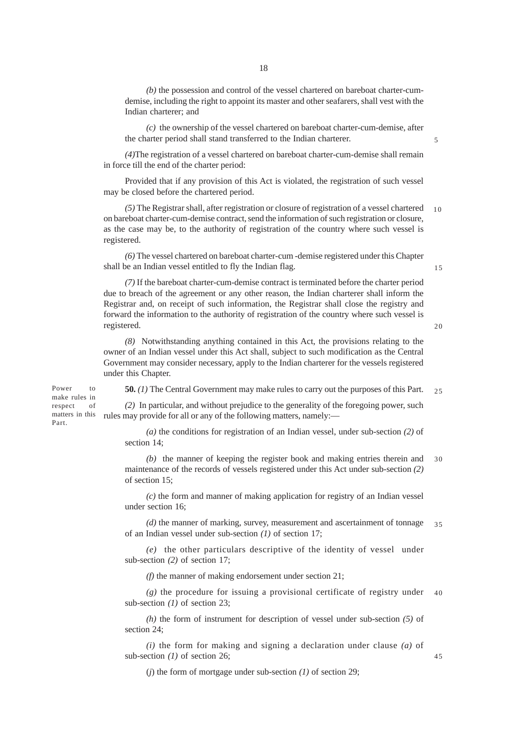*(b)* the possession and control of the vessel chartered on bareboat charter-cumdemise, including the right to appoint its master and other seafarers, shall vest with the Indian charterer; and

*(c)* the ownership of the vessel chartered on bareboat charter-cum-demise, after the charter period shall stand transferred to the Indian charterer.

*(4)*The registration of a vessel chartered on bareboat charter-cum-demise shall remain in force till the end of the charter period:

Provided that if any provision of this Act is violated, the registration of such vessel may be closed before the chartered period.

*(5)* The Registrar shall, after registration or closure of registration of a vessel chartered on bareboat charter-cum-demise contract, send the information of such registration or closure, as the case may be, to the authority of registration of the country where such vessel is registered. 10

*(6)* The vessel chartered on bareboat charter-cum -demise registered under this Chapter shall be an Indian vessel entitled to fly the Indian flag.

15

 $20$ 

45

5

*(7)* If the bareboat charter-cum-demise contract is terminated before the charter period due to breach of the agreement or any other reason, the Indian charterer shall inform the Registrar and, on receipt of such information, the Registrar shall close the registry and forward the information to the authority of registration of the country where such vessel is registered.

*(8)* Notwithstanding anything contained in this Act, the provisions relating to the owner of an Indian vessel under this Act shall, subject to such modification as the Central Government may consider necessary, apply to the Indian charterer for the vessels registered under this Chapter.

**50.** *(1)* The Central Government may make rules to carry out the purposes of this Part.  $25$ 

*(2)* In particular, and without prejudice to the generality of the foregoing power, such rules may provide for all or any of the following matters, namely: respect of matters in this

Power to make rules in

Part.

*(a)* the conditions for registration of an Indian vessel, under sub-section *(2)* of section 14;

*(b)* the manner of keeping the register book and making entries therein and maintenance of the records of vessels registered under this Act under sub-section *(2)* of section 15; 30

*(c)* the form and manner of making application for registry of an Indian vessel under section 16;

*(d)* the manner of marking, survey, measurement and ascertainment of tonnage of an Indian vessel under sub-section *(1)* of section 17; 35

*(e)* the other particulars descriptive of the identity of vessel under sub-section *(2)* of section 17;

*(f)* the manner of making endorsement under section 21;

*(g)* the procedure for issuing a provisional certificate of registry under sub-section *(1)* of section 23; 40

*(h)* the form of instrument for description of vessel under sub-section *(5)* of section 24;

*(i)* the form for making and signing a declaration under clause *(a)* of sub-section *(1)* of section 26;

(*j*) the form of mortgage under sub-section *(1)* of section 29;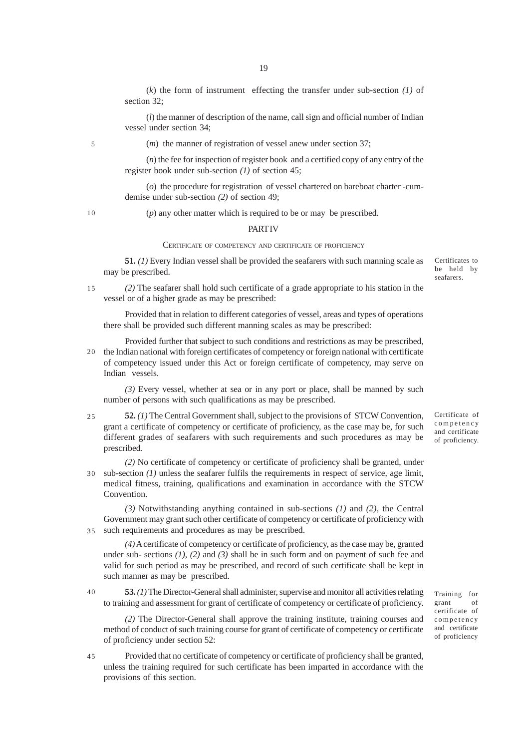(*k*) the form of instrument effecting the transfer under sub-section *(1)* of section 32;

(*l*) the manner of description of the name, call sign and official number of Indian vessel under section 34;

5

(*m*) the manner of registration of vessel anew under section 37;

(*n*) the fee for inspection of register book and a certified copy of any entry of the register book under sub-section *(1)* of section 45;

(*o*) the procedure for registration of vessel chartered on bareboat charter -cumdemise under sub-section *(2)* of section 49;

10

(*p*) any other matter which is required to be or may be prescribed.

#### **PART IV**

#### CERTIFICATE OF COMPETENCY AND CERTIFICATE OF PROFICIENCY

**51.** *(1)* Every Indian vessel shall be provided the seafarers with such manning scale as may be prescribed.

Certificates to be held by seafarers.

*(2)* The seafarer shall hold such certificate of a grade appropriate to his station in the vessel or of a higher grade as may be prescribed: 15

Provided that in relation to different categories of vessel, areas and types of operations there shall be provided such different manning scales as may be prescribed:

Provided further that subject to such conditions and restrictions as may be prescribed, 20 the Indian national with foreign certificates of competency or foreign national with certificate of competency issued under this Act or foreign certificate of competency, may serve on Indian vessels.

*(3)* Every vessel, whether at sea or in any port or place, shall be manned by such number of persons with such qualifications as may be prescribed.

- **52.** *(1)* The Central Government shall, subject to the provisions of STCW Convention, grant a certificate of competency or certificate of proficiency, as the case may be, for such different grades of seafarers with such requirements and such procedures as may be prescribed. 25
- *(2)* No certificate of competency or certificate of proficiency shall be granted, under sub-section *(1)* unless the seafarer fulfils the requirements in respect of service, age limit, 30 medical fitness, training, qualifications and examination in accordance with the STCW Convention.

*(3)* Notwithstanding anything contained in sub-sections *(1)* and *(2)*, the Central Government may grant such other certificate of competency or certificate of proficiency with such requirements and procedures as may be prescribed. 35

*(4)* A certificate of competency or certificate of proficiency, as the case may be, granted under sub- sections *(1)*, *(2)* and *(3)* shall be in such form and on payment of such fee and valid for such period as may be prescribed, and record of such certificate shall be kept in such manner as may be prescribed.

**53.***(1)* The Director-General shall administer, supervise and monitor all activities relating to training and assessment for grant of certificate of competency or certificate of proficiency. 40

*(2)* The Director-General shall approve the training institute, training courses and method of conduct of such training course for grant of certificate of competency or certificate of proficiency under section 52:

Provided that no certificate of competency or certificate of proficiency shall be granted, unless the training required for such certificate has been imparted in accordance with the provisions of this section. 45

Certificate of competency and certificate of proficiency.

Training for grant of certificate of competency and certificate of proficiency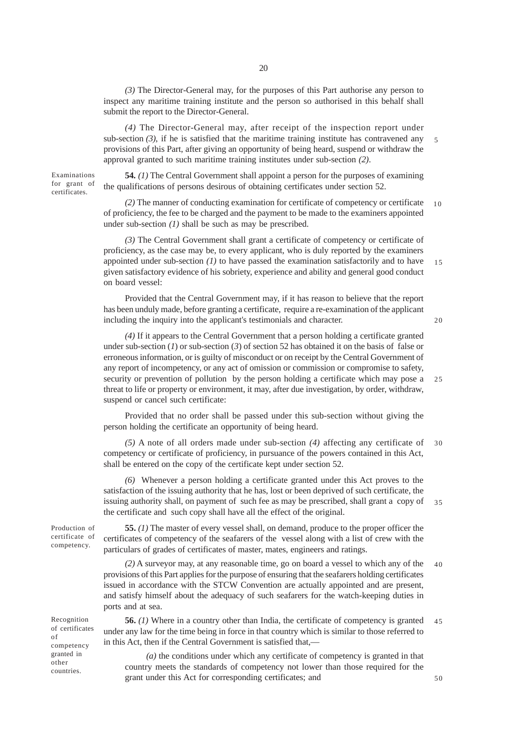20

*(3)* The Director-General may, for the purposes of this Part authorise any person to inspect any maritime training institute and the person so authorised in this behalf shall submit the report to the Director-General.

*(4)* The Director-General may, after receipt of the inspection report under sub-section  $(3)$ , if he is satisfied that the maritime training institute has contravened any provisions of this Part, after giving an opportunity of being heard, suspend or withdraw the approval granted to such maritime training institutes under sub-section *(2)*.

Examinations for grant of certificates.

**54.** *(1)* The Central Government shall appoint a person for the purposes of examining the qualifications of persons desirous of obtaining certificates under section 52.

*(2)* The manner of conducting examination for certificate of competency or certificate of proficiency, the fee to be charged and the payment to be made to the examiners appointed under sub-section *(1)* shall be such as may be prescribed. 10

*(3)* The Central Government shall grant a certificate of competency or certificate of proficiency, as the case may be, to every applicant, who is duly reported by the examiners appointed under sub-section *(1)* to have passed the examination satisfactorily and to have given satisfactory evidence of his sobriety, experience and ability and general good conduct on board vessel: 15

Provided that the Central Government may, if it has reason to believe that the report has been unduly made, before granting a certificate, require a re-examination of the applicant including the inquiry into the applicant's testimonials and character.

*(4)* If it appears to the Central Government that a person holding a certificate granted under sub-section (*1*) or sub-section (*3*) of section 52 has obtained it on the basis of false or erroneous information, or is guilty of misconduct or on receipt by the Central Government of any report of incompetency, or any act of omission or commission or compromise to safety, security or prevention of pollution by the person holding a certificate which may pose a threat to life or property or environment, it may, after due investigation, by order, withdraw, suspend or cancel such certificate: 25

Provided that no order shall be passed under this sub-section without giving the person holding the certificate an opportunity of being heard.

*(5)* A note of all orders made under sub-section *(4)* affecting any certificate of competency or certificate of proficiency, in pursuance of the powers contained in this Act, shall be entered on the copy of the certificate kept under section 52.  $30$ 

*(6)* Whenever a person holding a certificate granted under this Act proves to the satisfaction of the issuing authority that he has, lost or been deprived of such certificate, the issuing authority shall, on payment of such fee as may be prescribed, shall grant a copy of the certificate and such copy shall have all the effect of the original. 35

Production of certificate of competency.

**55.** *(1)* The master of every vessel shall, on demand, produce to the proper officer the certificates of competency of the seafarers of the vessel along with a list of crew with the particulars of grades of certificates of master, mates, engineers and ratings.

*(2)* A surveyor may, at any reasonable time, go on board a vessel to which any of the provisions of this Part applies for the purpose of ensuring that the seafarers holding certificates issued in accordance with the STCW Convention are actually appointed and are present, and satisfy himself about the adequacy of such seafarers for the watch-keeping duties in ports and at sea. 40

**56.** *(1)* Where in a country other than India, the certificate of competency is granted under any law for the time being in force in that country which is similar to those referred to in this Act, then if the Central Government is satisfied that,— 45

*(a)* the conditions under which any certificate of competency is granted in that country meets the standards of competency not lower than those required for the grant under this Act for corresponding certificates; and

Recognition of certificates of competency granted in other countries.

20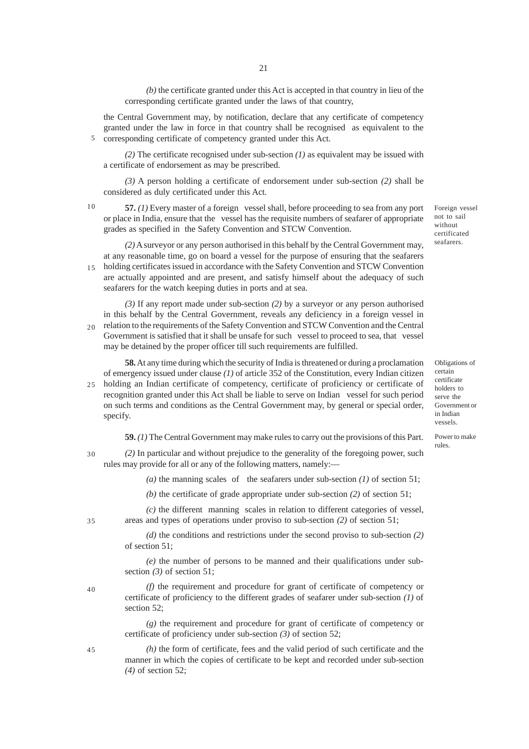*(b)* the certificate granted under this Act is accepted in that country in lieu of the corresponding certificate granted under the laws of that country,

the Central Government may, by notification, declare that any certificate of competency granted under the law in force in that country shall be recognised as equivalent to the corresponding certificate of competency granted under this Act.

*(2)* The certificate recognised under sub-section *(1)* as equivalent may be issued with a certificate of endorsement as may be prescribed.

*(3)* A person holding a certificate of endorsement under sub-section *(2)* shall be considered as duly certificated under this Act.

10

5

**57.** *(1)* Every master of a foreign vessel shall, before proceeding to sea from any port or place in India, ensure that the vessel has the requisite numbers of seafarer of appropriate grades as specified in the Safety Convention and STCW Convention.

*(2)* A surveyor or any person authorised in this behalf by the Central Government may, at any reasonable time, go on board a vessel for the purpose of ensuring that the seafarers 15 holding certificates issued in accordance with the Safety Convention and STCW Convention are actually appointed and are present, and satisfy himself about the adequacy of such seafarers for the watch keeping duties in ports and at sea.

*(3)* If any report made under sub-section *(2)* by a surveyor or any person authorised in this behalf by the Central Government, reveals any deficiency in a foreign vessel in relation to the requirements of the Safety Convention and STCW Convention and the Central Government is satisfied that it shall be unsafe for such vessel to proceed to sea, that vessel may be detained by the proper officer till such requirements are fulfilled.  $20<sup>2</sup>$ 

**58.** At any time during which the security of India is threatened or during a proclamation of emergency issued under clause *(1)* of article 352 of the Constitution, every Indian citizen holding an Indian certificate of competency, certificate of proficiency or certificate of recognition granted under this Act shall be liable to serve on Indian vessel for such period on such terms and conditions as the Central Government may, by general or special order, specify. 25

**59.** *(1)* The Central Government may make rules to carry out the provisions of this Part.

*(2)* In particular and without prejudice to the generality of the foregoing power, such rules may provide for all or any of the following matters, namely:— 30

(a) the manning scales of the seafarers under sub-section  $(1)$  of section 51;

*(b)* the certificate of grade appropriate under sub-section *(2)* of section 51;

*(c)* the different manning scales in relation to different categories of vessel, areas and types of operations under proviso to sub-section *(2)* of section 51;

*(d)* the conditions and restrictions under the second proviso to sub-section *(2)* of section 51;

*(e)* the number of persons to be manned and their qualifications under subsection *(3)* of section 51;

*(f)* the requirement and procedure for grant of certificate of competency or certificate of proficiency to the different grades of seafarer under sub-section *(1)* of section 52;

*(g)* the requirement and procedure for grant of certificate of competency or certificate of proficiency under sub-section *(3)* of section 52;

*(h)* the form of certificate, fees and the valid period of such certificate and the manner in which the copies of certificate to be kept and recorded under sub-section *(4)* of section 52;

Foreign vessel not to sail without certificated seafarers.

Obligations of certain certificate holders to serve the Government or in Indian vessels.

Power to make rules.

35

40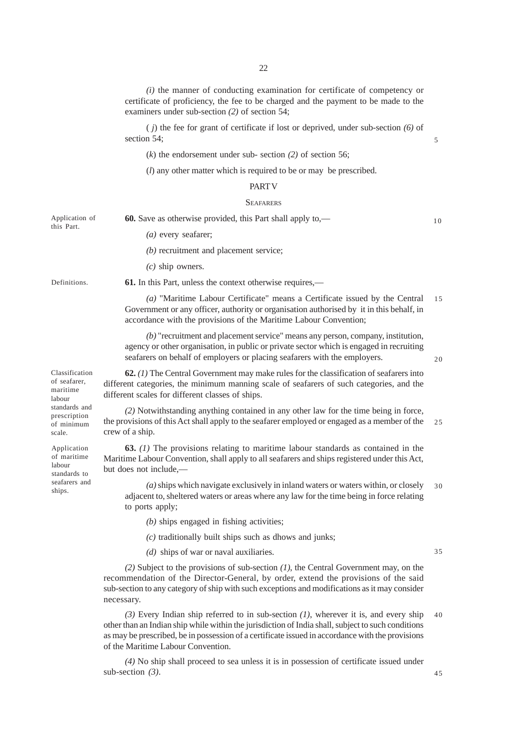*(i)* the manner of conducting examination for certificate of competency or certificate of proficiency, the fee to be charged and the payment to be made to the examiners under sub-section *(2)* of section 54;

( *j*) the fee for grant of certificate if lost or deprived, under sub-section *(6)* of section 54;

(*k*) the endorsement under sub- section *(2)* of section 56;

(*l*) any other matter which is required to be or may be prescribed.

## PART V

#### **SEAFARERS**

**60.** Save as otherwise provided, this Part shall apply to,— *(a)* every seafarer; *(b)* recruitment and placement service; *(c)* ship owners. Application of this Part.

**Definitions**.

Classification of seafarer, maritime labour standards and prescription of minimum scale.

Application of maritime labour standards to seafarers and ships.

**61.** In this Part, unless the context otherwise requires,—

*(a)* "Maritime Labour Certificate" means a Certificate issued by the Central Government or any officer, authority or organisation authorised by it in this behalf, in accordance with the provisions of the Maritime Labour Convention; 15

*(b)* "recruitment and placement service" means any person, company, institution, agency or other organisation, in public or private sector which is engaged in recruiting seafarers on behalf of employers or placing seafarers with the employers.

 $20$ 

5

10

**62.** *(1)* The Central Government may make rules for the classification of seafarers into different categories, the minimum manning scale of seafarers of such categories, and the different scales for different classes of ships.

*(2)* Notwithstanding anything contained in any other law for the time being in force, the provisions of this Act shall apply to the seafarer employed or engaged as a member of the crew of a ship. 25

**63.** *(1)* The provisions relating to maritime labour standards as contained in the Maritime Labour Convention, shall apply to all seafarers and ships registered under this Act, but does not include,—

*(a)* ships which navigate exclusively in inland waters or waters within, or closely adjacent to, sheltered waters or areas where any law for the time being in force relating to ports apply;  $30$ 

*(b)* ships engaged in fishing activities;

*(c)* traditionally built ships such as dhows and junks;

*(d)* ships of war or naval auxiliaries.

35

45

*(2)* Subject to the provisions of sub-section *(1)*, the Central Government may, on the recommendation of the Director-General, by order, extend the provisions of the said sub-section to any category of ship with such exceptions and modifications as it may consider necessary.

*(3)* Every Indian ship referred to in sub-section *(1)*, wherever it is, and every ship other than an Indian ship while within the jurisdiction of India shall, subject to such conditions as may be prescribed, be in possession of a certificate issued in accordance with the provisions of the Maritime Labour Convention. 40

*(4)* No ship shall proceed to sea unless it is in possession of certificate issued under sub-section *(3)*.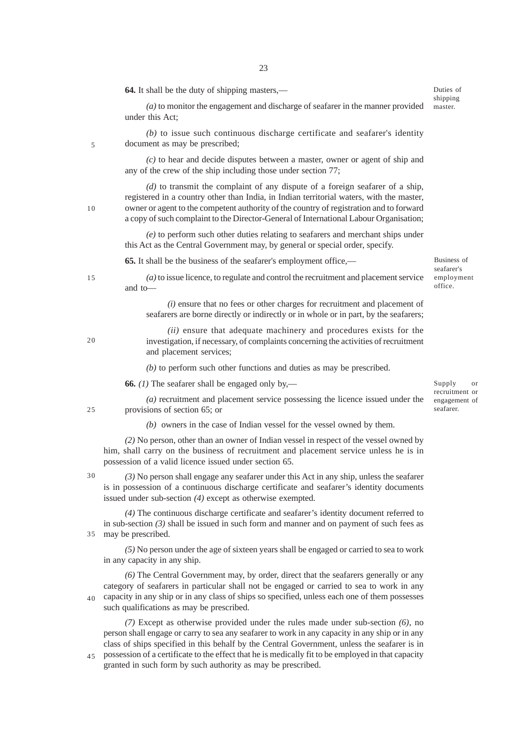| <b>64.</b> It shall be the duty of shipping masters,—                                                                                                                                                                                                                                                                                                            |  |  |
|------------------------------------------------------------------------------------------------------------------------------------------------------------------------------------------------------------------------------------------------------------------------------------------------------------------------------------------------------------------|--|--|
| $(a)$ to monitor the engagement and discharge of seafarer in the manner provided<br>under this Act;                                                                                                                                                                                                                                                              |  |  |
| (b) to issue such continuous discharge certificate and seafarer's identity<br>document as may be prescribed;                                                                                                                                                                                                                                                     |  |  |
| $(c)$ to hear and decide disputes between a master, owner or agent of ship and<br>any of the crew of the ship including those under section 77;                                                                                                                                                                                                                  |  |  |
| $(d)$ to transmit the complaint of any dispute of a foreign seafarer of a ship,<br>registered in a country other than India, in Indian territorial waters, with the master,<br>owner or agent to the competent authority of the country of registration and to forward<br>a copy of such complaint to the Director-General of International Labour Organisation; |  |  |
| (e) to perform such other duties relating to seafarers and merchant ships under<br>this Act as the Central Government may, by general or special order, specify.                                                                                                                                                                                                 |  |  |
| <b>65.</b> It shall be the business of the seafarer's employment office,—                                                                                                                                                                                                                                                                                        |  |  |
| $(a)$ to issue licence, to regulate and control the recruitment and placement service<br>and to-                                                                                                                                                                                                                                                                 |  |  |

*(i)* ensure that no fees or other charges for recruitment and placement of seafarers are borne directly or indirectly or in whole or in part, by the seafarers;

*(ii)* ensure that adequate machinery and procedures exists for the investigation, if necessary, of complaints concerning the activities of recruitment and placement services;

*(b)* to perform such other functions and duties as may be prescribed.

**66.** *(1)* The seafarer shall be engaged only by,—

Supply or recruitment or engagement of seafarer.

*(a)* recruitment and placement service possessing the licence issued under the provisions of section 65; or

*(b)* owners in the case of Indian vessel for the vessel owned by them.

*(2)* No person, other than an owner of Indian vessel in respect of the vessel owned by him, shall carry on the business of recruitment and placement service unless he is in possession of a valid licence issued under section 65.

*(3)* No person shall engage any seafarer under this Act in any ship, unless the seafarer is in possession of a continuous discharge certificate and seafarer's identity documents issued under sub-section *(4)* except as otherwise exempted.

*(4)* The continuous discharge certificate and seafarer's identity document referred to in sub-section  $(3)$  shall be issued in such form and manner and on payment of such fees as may be prescribed. 35

*(5)* No person under the age of sixteen years shall be engaged or carried to sea to work in any capacity in any ship.

*(6)* The Central Government may, by order, direct that the seafarers generally or any category of seafarers in particular shall not be engaged or carried to sea to work in any capacity in any ship or in any class of ships so specified, unless each one of them possesses such qualifications as may be prescribed. 40

*(7)* Except as otherwise provided under the rules made under sub-section *(6)*, no person shall engage or carry to sea any seafarer to work in any capacity in any ship or in any class of ships specified in this behalf by the Central Government, unless the seafarer is in possession of a certificate to the effect that he is medically fit to be employed in that capacity

granted in such form by such authority as may be prescribed. 45

Duties of shipping master.

Business of seafarer's employment office.

20

25

30

15

5

10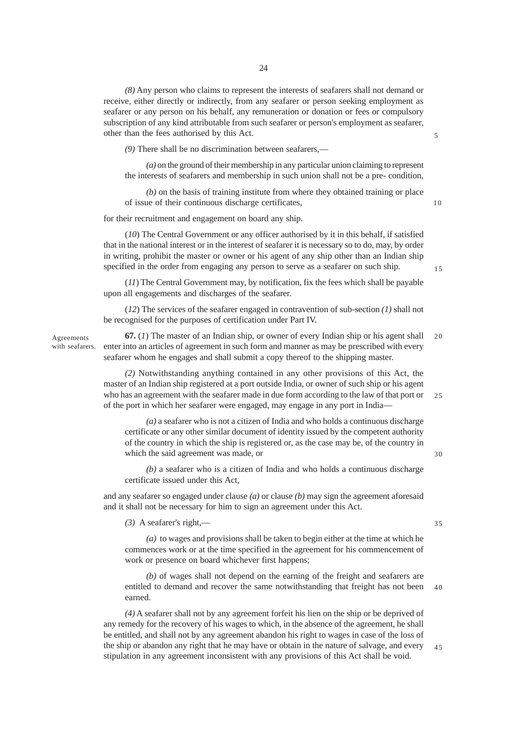*(8)* Any person who claims to represent the interests of seafarers shall not demand or receive, either directly or indirectly, from any seafarer or person seeking employment as seafarer or any person on his behalf, any remuneration or donation or fees or compulsory subscription of any kind attributable from such seafarer or person's employment as seafarer, other than the fees authorised by this Act.

*(9)* There shall be no discrimination between seafarers,—

*(a)* on the ground of their membership in any particular union claiming to represent the interests of seafarers and membership in such union shall not be a pre- condition,

*(b)* on the basis of training institute from where they obtained training or place of issue of their continuous discharge certificates,

for their recruitment and engagement on board any ship.

(*10*) The Central Government or any officer authorised by it in this behalf, if satisfied that in the national interest or in the interest of seafarer it is necessary so to do, may, by order in writing, prohibit the master or owner or his agent of any ship other than an Indian ship specified in the order from engaging any person to serve as a seafarer on such ship.

(*11*) The Central Government may, by notification, fix the fees which shall be payable upon all engagements and discharges of the seafarer.

(*12*) The services of the seafarer engaged in contravention of sub-section *(1)* shall not be recognised for the purposes of certification under Part IV.

Agreements with seafarers.

**67.** (*1*) The master of an Indian ship, or owner of every Indian ship or his agent shall enter into an articles of agreement in such form and manner as may be prescribed with every seafarer whom he engages and shall submit a copy thereof to the shipping master. 20

*(2)* Notwithstanding anything contained in any other provisions of this Act, the master of an Indian ship registered at a port outside India, or owner of such ship or his agent who has an agreement with the seafarer made in due form according to the law of that port or of the port in which her seafarer were engaged, may engage in any port in India— 25

*(a)* a seafarer who is not a citizen of India and who holds a continuous discharge certificate or any other similar document of identity issued by the competent authority of the country in which the ship is registered or, as the case may be, of the country in which the said agreement was made, or

*(b)* a seafarer who is a citizen of India and who holds a continuous discharge certificate issued under this Act,

and any seafarer so engaged under clause *(a)* or clause *(b)* may sign the agreement aforesaid and it shall not be necessary for him to sign an agreement under this Act.

*(3)* A seafarer's right,—

*(a)* to wages and provisions shall be taken to begin either at the time at which he commences work or at the time specified in the agreement for his commencement of work or presence on board whichever first happens;

*(b)* of wages shall not depend on the earning of the freight and seafarers are entitled to demand and recover the same notwithstanding that freight has not been earned. 40

*(4)* A seafarer shall not by any agreement forfeit his lien on the ship or be deprived of any remedy for the recovery of his wages to which, in the absence of the agreement, he shall be entitled, and shall not by any agreement abandon his right to wages in case of the loss of the ship or abandon any right that he may have or obtain in the nature of salvage, and every stipulation in any agreement inconsistent with any provisions of this Act shall be void. 45

5

15

10

35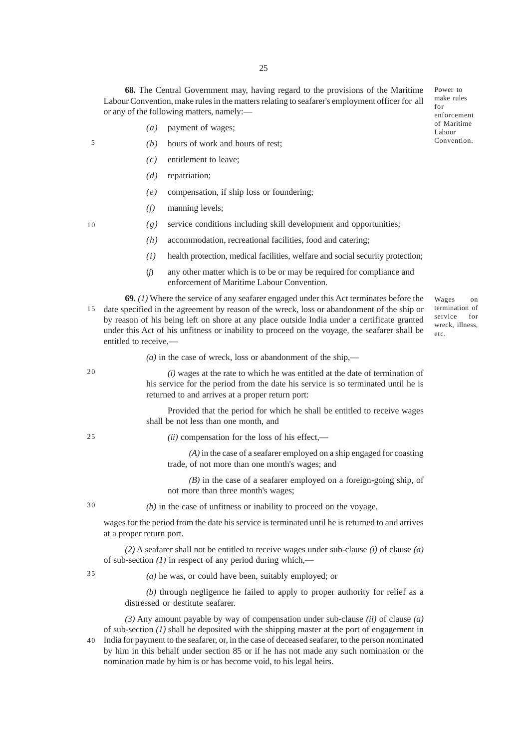**68.** The Central Government may, having regard to the provisions of the Maritime Labour Convention, make rules in the matters relating to seafarer's employment officer for all or any of the following matters, namely:—

- *(a)* payment of wages;
- *(b)* hours of work and hours of rest;
	- *(c)* entitlement to leave;
	- *(d)* repatriation;
	- *(e)* compensation, if ship loss or foundering;
	- *(f)* manning levels;
	- *(g)* service conditions including skill development and opportunities;
		- *(h)* accommodation, recreational facilities, food and catering;
		- *(i)* health protection, medical facilities, welfare and social security protection;
		- (*j*) any other matter which is to be or may be required for compliance and enforcement of Maritime Labour Convention.

**69.** *(1)* Where the service of any seafarer engaged under this Act terminates before the 15 date specified in the agreement by reason of the wreck, loss or abandonment of the ship or by reason of his being left on shore at any place outside India under a certificate granted under this Act of his unfitness or inability to proceed on the voyage, the seafarer shall be entitled to receive,—

 $(a)$  in the case of wreck, loss or abandonment of the ship,—

*(i)* wages at the rate to which he was entitled at the date of termination of his service for the period from the date his service is so terminated until he is returned to and arrives at a proper return port:

Provided that the period for which he shall be entitled to receive wages shall be not less than one month, and

*(ii)* compensation for the loss of his effect,—

*(A)* in the case of a seafarer employed on a ship engaged for coasting trade, of not more than one month's wages; and

*(B)* in the case of a seafarer employed on a foreign-going ship, of not more than three month's wages;

30

20

 $25$ 

5

10

*(b)* in the case of unfitness or inability to proceed on the voyage,

wages for the period from the date his service is terminated until he is returned to and arrives at a proper return port.

*(2)* A seafarer shall not be entitled to receive wages under sub-clause *(i)* of clause *(a)* of sub-section *(1)* in respect of any period during which,—

35

*(a)* he was, or could have been, suitably employed; or

*(b)* through negligence he failed to apply to proper authority for relief as a distressed or destitute seafarer.

*(3)* Any amount payable by way of compensation under sub-clause *(ii)* of clause *(a)* of sub-section *(1)* shall be deposited with the shipping master at the port of engagement in India for payment to the seafarer, or, in the case of deceased seafarer, to the person nominated

by him in this behalf under section 85 or if he has not made any such nomination or the nomination made by him is or has become void, to his legal heirs. 40

Power to make rules for enforcement of Maritime Labour Convention.

termination of service for wreck, illness, etc.

Wages on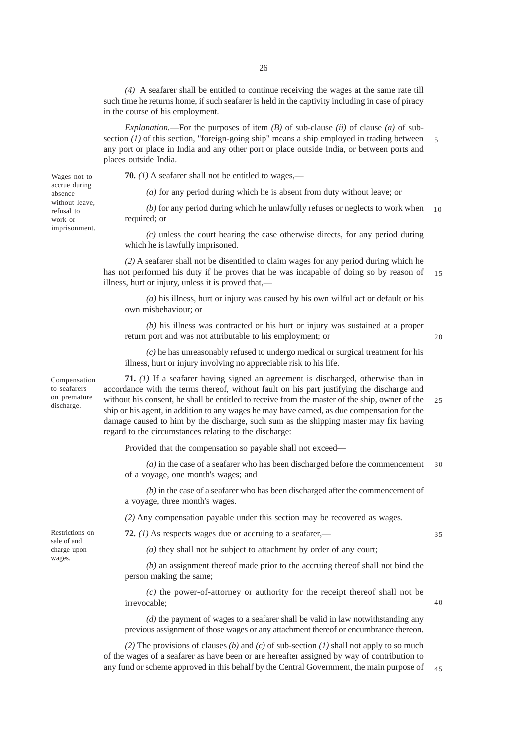*(4)* A seafarer shall be entitled to continue receiving the wages at the same rate till such time he returns home, if such seafarer is held in the captivity including in case of piracy in the course of his employment.

*Explanation.*—For the purposes of item *(B)* of sub-clause *(ii)* of clause *(a)* of subsection *(1)* of this section, "foreign-going ship" means a ship employed in trading between any port or place in India and any other port or place outside India, or between ports and places outside India. 5

**70.** *(1)* A seafarer shall not be entitled to wages,—

*(a)* for any period during which he is absent from duty without leave; or

*(b)* for any period during which he unlawfully refuses or neglects to work when required; or  $10$ 

*(c)* unless the court hearing the case otherwise directs, for any period during which he is lawfully imprisoned.

*(2)* A seafarer shall not be disentitled to claim wages for any period during which he has not performed his duty if he proves that he was incapable of doing so by reason of illness, hurt or injury, unless it is proved that,— 15

*(a)* his illness, hurt or injury was caused by his own wilful act or default or his own misbehaviour; or

*(b)* his illness was contracted or his hurt or injury was sustained at a proper return port and was not attributable to his employment; or

*(c)* he has unreasonably refused to undergo medical or surgical treatment for his illness, hurt or injury involving no appreciable risk to his life.

Compensation to seafarers on premature discharge.

Wages not to accrue during absence without leave, refusal to work or imprisonment.

> **71.** *(1)* If a seafarer having signed an agreement is discharged, otherwise than in accordance with the terms thereof, without fault on his part justifying the discharge and without his consent, he shall be entitled to receive from the master of the ship, owner of the ship or his agent, in addition to any wages he may have earned, as due compensation for the damage caused to him by the discharge, such sum as the shipping master may fix having regard to the circumstances relating to the discharge: 25

Provided that the compensation so payable shall not exceed—

*(a)* in the case of a seafarer who has been discharged before the commencement of a voyage, one month's wages; and 30

*(b)* in the case of a seafarer who has been discharged after the commencement of a voyage, three month's wages.

*(2)* Any compensation payable under this section may be recovered as wages.

**72.** *(1)* As respects wages due or accruing to a seafarer,—

35

40

*(a)* they shall not be subject to attachment by order of any court;

*(b)* an assignment thereof made prior to the accruing thereof shall not bind the person making the same;

*(c)* the power-of-attorney or authority for the receipt thereof shall not be irrevocable;

*(d)* the payment of wages to a seafarer shall be valid in law notwithstanding any previous assignment of those wages or any attachment thereof or encumbrance thereon.

*(2)* The provisions of clauses *(b)* and *(c)* of sub-section *(1)* shall not apply to so much of the wages of a seafarer as have been or are hereafter assigned by way of contribution to any fund or scheme approved in this behalf by the Central Government, the main purpose of 45

Restrictions on sale of and charge upon wages.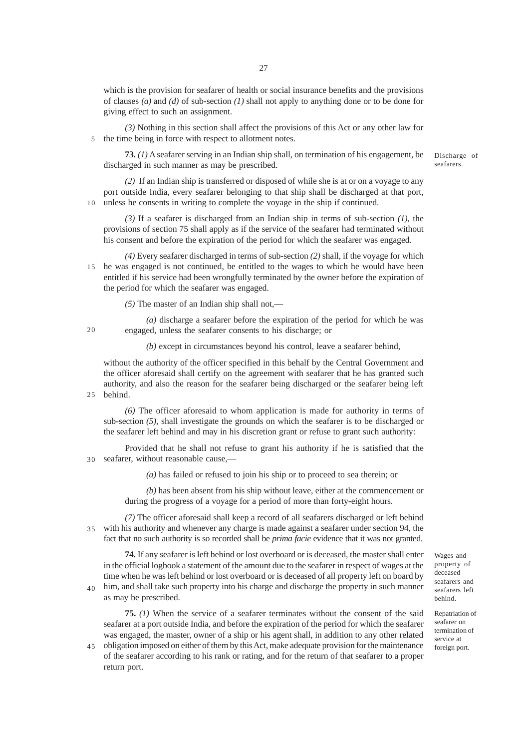which is the provision for seafarer of health or social insurance benefits and the provisions of clauses *(a)* and *(d)* of sub-section *(1)* shall not apply to anything done or to be done for giving effect to such an assignment.

*(3)* Nothing in this section shall affect the provisions of this Act or any other law for the time being in force with respect to allotment notes. 5

**73.** *(1)* A seafarer serving in an Indian ship shall, on termination of his engagement, be discharged in such manner as may be prescribed.

*(2)* If an Indian ship is transferred or disposed of while she is at or on a voyage to any port outside India, every seafarer belonging to that ship shall be discharged at that port, unless he consents in writing to complete the voyage in the ship if continued. 10

*(3)* If a seafarer is discharged from an Indian ship in terms of sub-section *(1)*, the provisions of section 75 shall apply as if the service of the seafarer had terminated without his consent and before the expiration of the period for which the seafarer was engaged.

*(4)* Every seafarer discharged in terms of sub-section *(2)* shall, if the voyage for which 15 he was engaged is not continued, be entitled to the wages to which he would have been entitled if his service had been wrongfully terminated by the owner before the expiration of the period for which the seafarer was engaged.

*(5)* The master of an Indian ship shall not,—

*(a)* discharge a seafarer before the expiration of the period for which he was engaged, unless the seafarer consents to his discharge; or

*(b)* except in circumstances beyond his control, leave a seafarer behind,

without the authority of the officer specified in this behalf by the Central Government and the officer aforesaid shall certify on the agreement with seafarer that he has granted such authority, and also the reason for the seafarer being discharged or the seafarer being left behind. 25

*(6)* The officer aforesaid to whom application is made for authority in terms of sub-section *(5)*, shall investigate the grounds on which the seafarer is to be discharged or the seafarer left behind and may in his discretion grant or refuse to grant such authority:

Provided that he shall not refuse to grant his authority if he is satisfied that the seafarer, without reasonable cause,-30

*(a)* has failed or refused to join his ship or to proceed to sea therein; or

*(b)* has been absent from his ship without leave, either at the commencement or during the progress of a voyage for a period of more than forty-eight hours.

*(7)* The officer aforesaid shall keep a record of all seafarers discharged or left behind with his authority and whenever any charge is made against a seafarer under section 94, the fact that no such authority is so recorded shall be *prima facie* evidence that it was not granted. 35

**74.** If any seafarer is left behind or lost overboard or is deceased, the master shall enter in the official logbook a statement of the amount due to the seafarer in respect of wages at the time when he was left behind or lost overboard or is deceased of all property left on board by him, and shall take such property into his charge and discharge the property in such manner

as may be prescribed.

40

**75.** *(1)* When the service of a seafarer terminates without the consent of the said seafarer at a port outside India, and before the expiration of the period for which the seafarer was engaged, the master, owner of a ship or his agent shall, in addition to any other related

obligation imposed on either of them by this Act, make adequate provision for the maintenance 45of the seafarer according to his rank or rating, and for the return of that seafarer to a proper return port.

Wages and property of deceased seafarers and seafarers left behind.

Repatriation of seafarer on termination of service at foreign port.

Discharge of seafarers.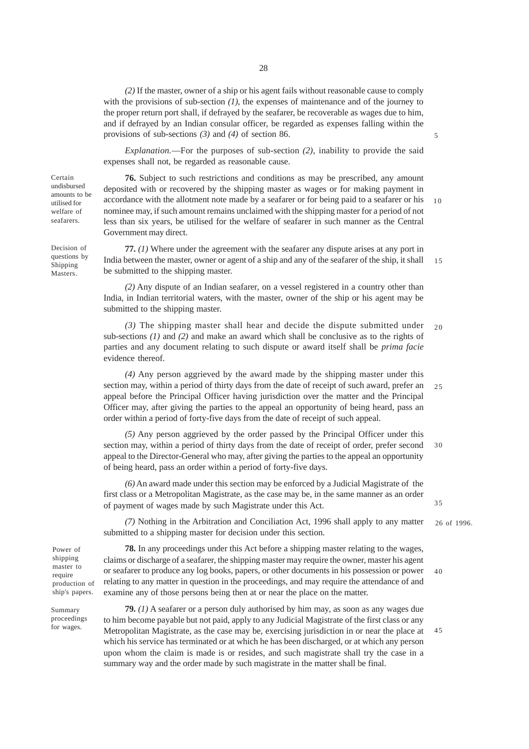28

*(2)* If the master, owner of a ship or his agent fails without reasonable cause to comply with the provisions of sub-section *(1)*, the expenses of maintenance and of the journey to the proper return port shall, if defrayed by the seafarer, be recoverable as wages due to him, and if defrayed by an Indian consular officer, be regarded as expenses falling within the provisions of sub-sections *(3)* and *(4)* of section 86.

*Explanation.*—For the purposes of sub-section *(2)*, inability to provide the said expenses shall not, be regarded as reasonable cause.

**76.** Subject to such restrictions and conditions as may be prescribed, any amount deposited with or recovered by the shipping master as wages or for making payment in accordance with the allotment note made by a seafarer or for being paid to a seafarer or his nominee may, if such amount remains unclaimed with the shipping master for a period of not less than six years, be utilised for the welfare of seafarer in such manner as the Central Government may direct. 10

**77.** *(1)* Where under the agreement with the seafarer any dispute arises at any port in India between the master, owner or agent of a ship and any of the seafarer of the ship, it shall be submitted to the shipping master. 15

*(2)* Any dispute of an Indian seafarer, on a vessel registered in a country other than India, in Indian territorial waters, with the master, owner of the ship or his agent may be submitted to the shipping master.

*(3)* The shipping master shall hear and decide the dispute submitted under sub-sections *(1)* and *(2)* and make an award which shall be conclusive as to the rights of parties and any document relating to such dispute or award itself shall be *prima facie* evidence thereof. 20

*(4)* Any person aggrieved by the award made by the shipping master under this section may, within a period of thirty days from the date of receipt of such award, prefer an appeal before the Principal Officer having jurisdiction over the matter and the Principal Officer may, after giving the parties to the appeal an opportunity of being heard, pass an order within a period of forty-five days from the date of receipt of such appeal. 25

*(5)* Any person aggrieved by the order passed by the Principal Officer under this section may, within a period of thirty days from the date of receipt of order, prefer second appeal to the Director-General who may, after giving the parties to the appeal an opportunity of being heard, pass an order within a period of forty-five days. 30

*(6)* An award made under this section may be enforced by a Judicial Magistrate of the first class or a Metropolitan Magistrate, as the case may be, in the same manner as an order of payment of wages made by such Magistrate under this Act.

*(7)* Nothing in the Arbitration and Conciliation Act, 1996 shall apply to any matter submitted to a shipping master for decision under this section. 26 of 1996.

Power of shipping master to require production of ship's papers.

Summary proceedings for wages.

**78.** In any proceedings under this Act before a shipping master relating to the wages, claims or discharge of a seafarer, the shipping master may require the owner, master his agent or seafarer to produce any log books, papers, or other documents in his possession or power relating to any matter in question in the proceedings, and may require the attendance of and examine any of those persons being then at or near the place on the matter. 40

**79.** *(1)* A seafarer or a person duly authorised by him may, as soon as any wages due to him become payable but not paid, apply to any Judicial Magistrate of the first class or any Metropolitan Magistrate, as the case may be, exercising jurisdiction in or near the place at which his service has terminated or at which he has been discharged, or at which any person upon whom the claim is made is or resides, and such magistrate shall try the case in a summary way and the order made by such magistrate in the matter shall be final. 45

undisbursed amounts to be utilised for welfare of seafarers.

Certain

Decision of questions by Shipping Masters.

35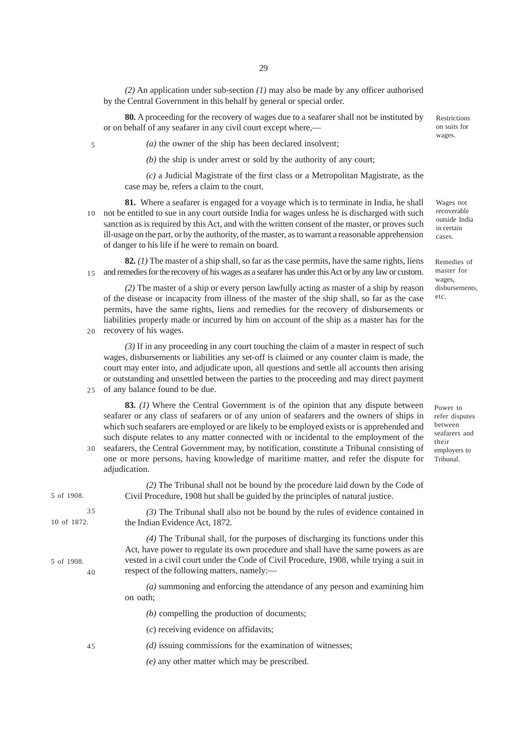*(2)* An application under sub-section *(1)* may also be made by any officer authorised by the Central Government in this behalf by general or special order.

**80.** A proceeding for the recovery of wages due to a seafarer shall not be instituted by or on behalf of any seafarer in any civil court except where,—

*(a)* the owner of the ship has been declared insolvent;

*(b)* the ship is under arrest or sold by the authority of any court;

*(c)* a Judicial Magistrate of the first class or a Metropolitan Magistrate, as the case may be, refers a claim to the court.

**81.** Where a seafarer is engaged for a voyage which is to terminate in India, he shall 10 not be entitled to sue in any court outside India for wages unless he is discharged with such sanction as is required by this Act, and with the written consent of the master, or proves such ill-usage on the part, or by the authority, of the master, as to warrant a reasonable apprehension of danger to his life if he were to remain on board.

**82.** *(1)* The master of a ship shall, so far as the case permits, have the same rights, liens and remedies for the recovery of his wages as a seafarer has under this Act or by any law or custom. 15

*(2)* The master of a ship or every person lawfully acting as master of a ship by reason of the disease or incapacity from illness of the master of the ship shall, so far as the case permits, have the same rights, liens and remedies for the recovery of disbursements or liabilities properly made or incurred by him on account of the ship as a master has for the recovery of his wages.

20

5

25

*(3)* If in any proceeding in any court touching the claim of a master in respect of such wages, disbursements or liabilities any set-off is claimed or any counter claim is made, the court may enter into, and adjudicate upon, all questions and settle all accounts then arising or outstanding and unsettled between the parties to the proceeding and may direct payment of any balance found to be due.

**83.** *(1)* Where the Central Government is of the opinion that any dispute between seafarer or any class of seafarers or of any union of seafarers and the owners of ships in which such seafarers are employed or are likely to be employed exists or is apprehended and such dispute relates to any matter connected with or incidental to the employment of the seafarers, the Central Government may, by notification, constitute a Tribunal consisting of one or more persons, having knowledge of maritime matter, and refer the dispute for adjudication. 30

*(2)* The Tribunal shall not be bound by the procedure laid down by the Code of Civil Procedure, 1908 but shall be guided by the principles of natural justice. *(3)* The Tribunal shall also not be bound by the rules of evidence contained in the Indian Evidence Act, 1872. *(4)* The Tribunal shall, for the purposes of discharging its functions under this Act, have power to regulate its own procedure and shall have the same powers as are vested in a civil court under the Code of Civil Procedure, 1908, while trying a suit in respect of the following matters, namely:— *(a)* summoning and enforcing the attendance of any person and examining him on oath; *(b)* compelling the production of documents; (*c*) receiving evidence on affidavits; *(d)* issuing commissions for the examination of witnesses; *(e)* any other matter which may be prescribed. 10 of 1872. 5 of 1908. 5 of 1908. 35 40 45

Restrictions on suits for wages.

Wages not recoverable outside India in certain cases.

Remedies of master for wages, disbursements, etc.

Power to refer disputes between seafarers and their employers to Tribunal.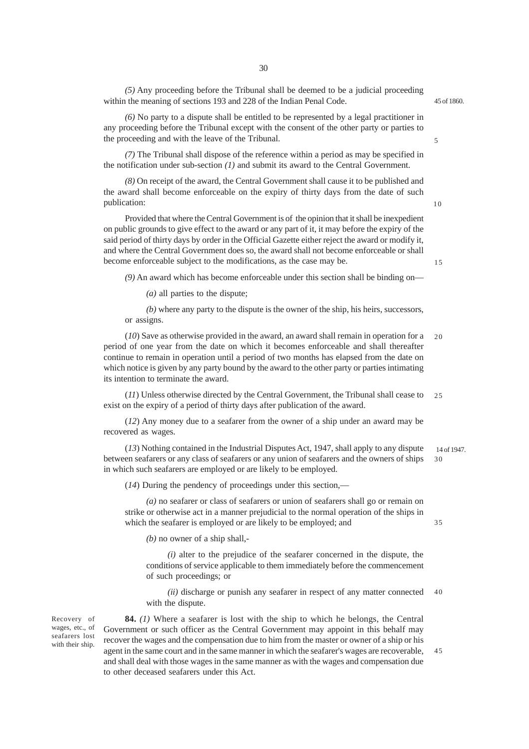*(5)* Any proceeding before the Tribunal shall be deemed to be a judicial proceeding within the meaning of sections 193 and 228 of the Indian Penal Code.

45 of 1860.

*(6)* No party to a dispute shall be entitled to be represented by a legal practitioner in any proceeding before the Tribunal except with the consent of the other party or parties to the proceeding and with the leave of the Tribunal.

*(7)* The Tribunal shall dispose of the reference within a period as may be specified in the notification under sub-section *(1)* and submit its award to the Central Government.

*(8)* On receipt of the award, the Central Government shall cause it to be published and the award shall become enforceable on the expiry of thirty days from the date of such publication:

Provided that where the Central Government is of the opinion that it shall be inexpedient on public grounds to give effect to the award or any part of it, it may before the expiry of the said period of thirty days by order in the Official Gazette either reject the award or modify it, and where the Central Government does so, the award shall not become enforceable or shall become enforceable subject to the modifications, as the case may be.

*(9)* An award which has become enforceable under this section shall be binding on—

*(a)* all parties to the dispute;

*(b)* where any party to the dispute is the owner of the ship, his heirs, successors, or assigns.

(*10*) Save as otherwise provided in the award, an award shall remain in operation for a period of one year from the date on which it becomes enforceable and shall thereafter continue to remain in operation until a period of two months has elapsed from the date on which notice is given by any party bound by the award to the other party or parties intimating its intention to terminate the award. 20

(*11*) Unless otherwise directed by the Central Government, the Tribunal shall cease to exist on the expiry of a period of thirty days after publication of the award. 25

(*12*) Any money due to a seafarer from the owner of a ship under an award may be recovered as wages.

(*13*) Nothing contained in the Industrial Disputes Act, 1947, shall apply to any dispute between seafarers or any class of seafarers or any union of seafarers and the owners of ships in which such seafarers are employed or are likely to be employed. 30

(*14*) During the pendency of proceedings under this section,—

*(a)* no seafarer or class of seafarers or union of seafarers shall go or remain on strike or otherwise act in a manner prejudicial to the normal operation of the ships in which the seafarer is employed or are likely to be employed; and

*(b)* no owner of a ship shall,-

*(i)* alter to the prejudice of the seafarer concerned in the dispute, the conditions of service applicable to them immediately before the commencement of such proceedings; or

*(ii)* discharge or punish any seafarer in respect of any matter connected with the dispute. 40

Recovery of wages, etc., of seafarers lost with their ship.

**84.** *(1)* Where a seafarer is lost with the ship to which he belongs, the Central Government or such officer as the Central Government may appoint in this behalf may recover the wages and the compensation due to him from the master or owner of a ship or his agent in the same court and in the same manner in which the seafarer's wages are recoverable, and shall deal with those wages in the same manner as with the wages and compensation due to other deceased seafarers under this Act. 45

10

15

5

14 of 1947.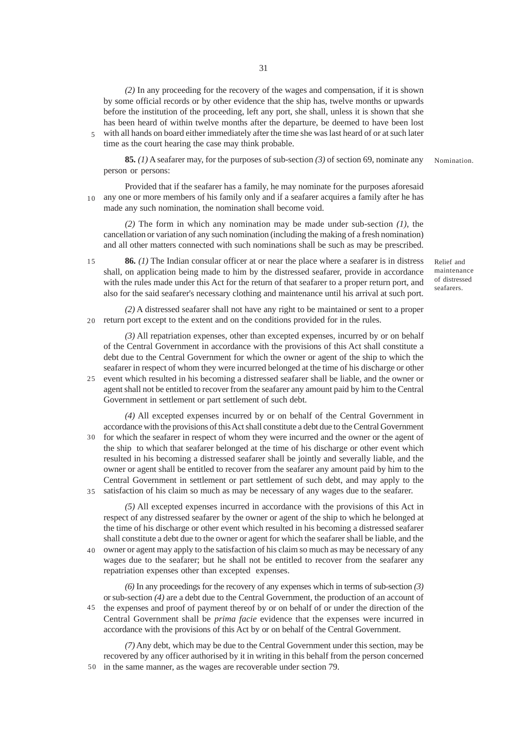*(2)* In any proceeding for the recovery of the wages and compensation, if it is shown by some official records or by other evidence that the ship has, twelve months or upwards before the institution of the proceeding, left any port, she shall, unless it is shown that she has been heard of within twelve months after the departure, be deemed to have been lost with all hands on board either immediately after the time she was last heard of or at such later 5 time as the court hearing the case may think probable.

**85.** *(1)* A seafarer may, for the purposes of sub-section *(3)* of section 69, nominate any person or persons:

Provided that if the seafarer has a family, he may nominate for the purposes aforesaid any one or more members of his family only and if a seafarer acquires a family after he has 10 made any such nomination, the nomination shall become void.

*(2)* The form in which any nomination may be made under sub-section *(1)*, the cancellation or variation of any such nomination (including the making of a fresh nomination) and all other matters connected with such nominations shall be such as may be prescribed.

**86.** *(1)* The Indian consular officer at or near the place where a seafarer is in distress shall, on application being made to him by the distressed seafarer, provide in accordance with the rules made under this Act for the return of that seafarer to a proper return port, and also for the said seafarer's necessary clothing and maintenance until his arrival at such port. 15

Relief and maintenance of distressed seafarers.

Nomination.

*(2)* A distressed seafarer shall not have any right to be maintained or sent to a proper return port except to the extent and on the conditions provided for in the rules. 20

*(3)* All repatriation expenses, other than excepted expenses, incurred by or on behalf of the Central Government in accordance with the provisions of this Act shall constitute a debt due to the Central Government for which the owner or agent of the ship to which the seafarer in respect of whom they were incurred belonged at the time of his discharge or other event which resulted in his becoming a distressed seafarer shall be liable, and the owner or agent shall not be entitled to recover from the seafarer any amount paid by him to the Central  $25$ 

- Government in settlement or part settlement of such debt. *(4)* All excepted expenses incurred by or on behalf of the Central Government in
- accordance with the provisions of this Act shall constitute a debt due to the Central Government 30 for which the seafarer in respect of whom they were incurred and the owner or the agent of the ship to which that seafarer belonged at the time of his discharge or other event which resulted in his becoming a distressed seafarer shall be jointly and severally liable, and the owner or agent shall be entitled to recover from the seafarer any amount paid by him to the Central Government in settlement or part settlement of such debt, and may apply to the satisfaction of his claim so much as may be necessary of any wages due to the seafarer. 35

*(5)* All excepted expenses incurred in accordance with the provisions of this Act in respect of any distressed seafarer by the owner or agent of the ship to which he belonged at the time of his discharge or other event which resulted in his becoming a distressed seafarer shall constitute a debt due to the owner or agent for which the seafarer shall be liable, and the owner or agent may apply to the satisfaction of his claim so much as may be necessary of any wages due to the seafarer; but he shall not be entitled to recover from the seafarer any repatriation expenses other than excepted expenses. 40

*(6)* In any proceedings for the recovery of any expenses which in terms of sub-section *(3)* or sub-section *(4)* are a debt due to the Central Government, the production of an account of the expenses and proof of payment thereof by or on behalf of or under the direction of the Central Government shall be *prima facie* evidence that the expenses were incurred in accordance with the provisions of this Act by or on behalf of the Central Government. 45

*(7)* Any debt, which may be due to the Central Government under this section, may be recovered by any officer authorised by it in writing in this behalf from the person concerned in the same manner, as the wages are recoverable under section 79. 50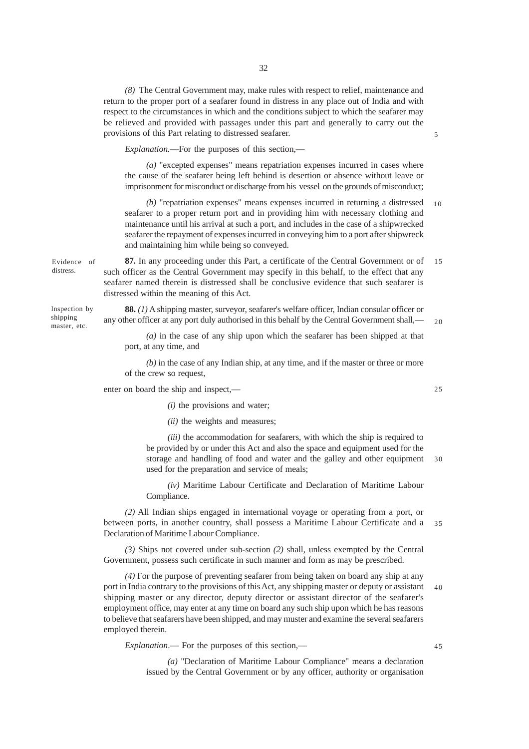*(8)* The Central Government may, make rules with respect to relief, maintenance and return to the proper port of a seafarer found in distress in any place out of India and with respect to the circumstances in which and the conditions subject to which the seafarer may be relieved and provided with passages under this part and generally to carry out the provisions of this Part relating to distressed seafarer.

*Explanation.*—For the purposes of this section,—

*(a)* "excepted expenses" means repatriation expenses incurred in cases where the cause of the seafarer being left behind is desertion or absence without leave or imprisonment for misconduct or discharge from his vessel on the grounds of misconduct;

*(b)* "repatriation expenses" means expenses incurred in returning a distressed seafarer to a proper return port and in providing him with necessary clothing and maintenance until his arrival at such a port, and includes in the case of a shipwrecked seafarer the repayment of expenses incurred in conveying him to a port after shipwreck and maintaining him while being so conveyed. 10

**87.** In any proceeding under this Part, a certificate of the Central Government or of such officer as the Central Government may specify in this behalf, to the effect that any seafarer named therein is distressed shall be conclusive evidence that such seafarer is distressed within the meaning of this Act. 15

**88.** *(1)* A shipping master, surveyor, seafarer's welfare officer, Indian consular officer or any other officer at any port duly authorised in this behalf by the Central Government shall,—

*(a)* in the case of any ship upon which the seafarer has been shipped at that port, at any time, and

*(b)* in the case of any Indian ship, at any time, and if the master or three or more of the crew so request,

enter on board the ship and inspect,—

Evidence of distress.

Inspection by shipping master, etc.

- *(i)* the provisions and water;
- *(ii)* the weights and measures;

*(iii)* the accommodation for seafarers, with which the ship is required to be provided by or under this Act and also the space and equipment used for the storage and handling of food and water and the galley and other equipment used for the preparation and service of meals; 30

*(iv)* Maritime Labour Certificate and Declaration of Maritime Labour Compliance.

*(2)* All Indian ships engaged in international voyage or operating from a port, or between ports, in another country, shall possess a Maritime Labour Certificate and a 35 Declaration of Maritime Labour Compliance.

*(3)* Ships not covered under sub-section *(2)* shall, unless exempted by the Central Government, possess such certificate in such manner and form as may be prescribed.

*(4)* For the purpose of preventing seafarer from being taken on board any ship at any port in India contrary to the provisions of this Act, any shipping master or deputy or assistant shipping master or any director, deputy director or assistant director of the seafarer's employment office, may enter at any time on board any such ship upon which he has reasons to believe that seafarers have been shipped, and may muster and examine the several seafarers employed therein. 40

*Explanation*.— For the purposes of this section,—

*(a)* "Declaration of Maritime Labour Compliance" means a declaration issued by the Central Government or by any officer, authority or organisation

25

45

 $20$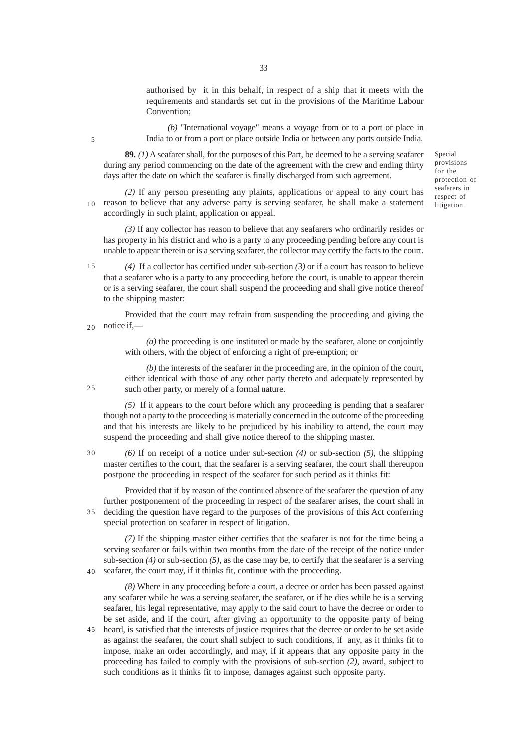authorised by it in this behalf, in respect of a ship that it meets with the requirements and standards set out in the provisions of the Maritime Labour Convention;

*(b)* "International voyage" means a voyage from or to a port or place in India to or from a port or place outside India or between any ports outside India.

**89.** *(1)* A seafarer shall, for the purposes of this Part, be deemed to be a serving seafarer during any period commencing on the date of the agreement with the crew and ending thirty days after the date on which the seafarer is finally discharged from such agreement.

*(2)* If any person presenting any plaints, applications or appeal to any court has  $10$  reason to believe that any adverse party is serving seafarer, he shall make a statement accordingly in such plaint, application or appeal.

*(3)* If any collector has reason to believe that any seafarers who ordinarily resides or has property in his district and who is a party to any proceeding pending before any court is unable to appear therein or is a serving seafarer, the collector may certify the facts to the court.

*(4)* If a collector has certified under sub-section *(3)* or if a court has reason to believe that a seafarer who is a party to any proceeding before the court, is unable to appear therein or is a serving seafarer, the court shall suspend the proceeding and shall give notice thereof to the shipping master: 15

Provided that the court may refrain from suspending the proceeding and giving the notice if,— 20

> *(a)* the proceeding is one instituted or made by the seafarer, alone or conjointly with others, with the object of enforcing a right of pre-emption; or

*(b)* the interests of the seafarer in the proceeding are, in the opinion of the court, either identical with those of any other party thereto and adequately represented by such other party, or merely of a formal nature.

*(5)* If it appears to the court before which any proceeding is pending that a seafarer though not a party to the proceeding is materially concerned in the outcome of the proceeding and that his interests are likely to be prejudiced by his inability to attend, the court may suspend the proceeding and shall give notice thereof to the shipping master.

*(6)* If on receipt of a notice under sub-section *(4)* or sub-section *(5)*, the shipping master certifies to the court, that the seafarer is a serving seafarer, the court shall thereupon postpone the proceeding in respect of the seafarer for such period as it thinks fit:

Provided that if by reason of the continued absence of the seafarer the question of any further postponement of the proceeding in respect of the seafarer arises, the court shall in deciding the question have regard to the purposes of the provisions of this Act conferring special protection on seafarer in respect of litigation. 35

*(7)* If the shipping master either certifies that the seafarer is not for the time being a serving seafarer or fails within two months from the date of the receipt of the notice under sub-section *(4)* or sub-section *(5)*, as the case may be, to certify that the seafarer is a serving seafarer, the court may, if it thinks fit, continue with the proceeding. 40

*(8)* Where in any proceeding before a court, a decree or order has been passed against any seafarer while he was a serving seafarer, the seafarer, or if he dies while he is a serving seafarer, his legal representative, may apply to the said court to have the decree or order to be set aside, and if the court, after giving an opportunity to the opposite party of being heard, is satisfied that the interests of justice requires that the decree or order to be set aside as against the seafarer, the court shall subject to such conditions, if any, as it thinks fit to impose, make an order accordingly, and may, if it appears that any opposite party in the proceeding has failed to comply with the provisions of sub-section *(2)*, award, subject to such conditions as it thinks fit to impose, damages against such opposite party. 45

Special provisions for the protection of seafarers in respect of litigation.

 $25$ 

5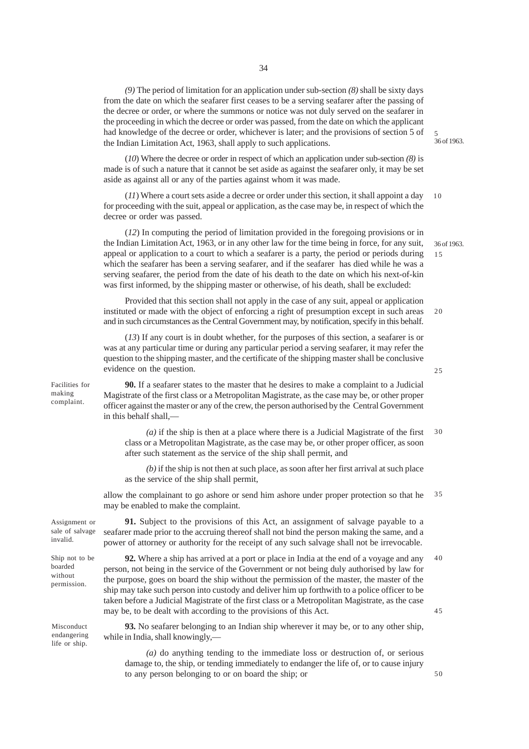*(9)* The period of limitation for an application under sub-section *(8)* shall be sixty days from the date on which the seafarer first ceases to be a serving seafarer after the passing of the decree or order, or where the summons or notice was not duly served on the seafarer in the proceeding in which the decree or order was passed, from the date on which the applicant had knowledge of the decree or order, whichever is later; and the provisions of section 5 of the Indian Limitation Act, 1963, shall apply to such applications.

(*10*) Where the decree or order in respect of which an application under sub-section *(8)* is made is of such a nature that it cannot be set aside as against the seafarer only, it may be set aside as against all or any of the parties against whom it was made.

(*11*) Where a court sets aside a decree or order under this section, it shall appoint a day for proceeding with the suit, appeal or application, as the case may be, in respect of which the decree or order was passed. 10

(*12*) In computing the period of limitation provided in the foregoing provisions or in the Indian Limitation Act, 1963, or in any other law for the time being in force, for any suit, appeal or application to a court to which a seafarer is a party, the period or periods during which the seafarer has been a serving seafarer, and if the seafarer has died while he was a serving seafarer, the period from the date of his death to the date on which his next-of-kin was first informed, by the shipping master or otherwise, of his death, shall be excluded:

Provided that this section shall not apply in the case of any suit, appeal or application instituted or made with the object of enforcing a right of presumption except in such areas and in such circumstances as the Central Government may, by notification, specify in this behalf.  $20$ 

(*13*) If any court is in doubt whether, for the purposes of this section, a seafarer is or was at any particular time or during any particular period a serving seafarer, it may refer the question to the shipping master, and the certificate of the shipping master shall be conclusive evidence on the question.

Facilities for making complaint.

**90.** If a seafarer states to the master that he desires to make a complaint to a Judicial Magistrate of the first class or a Metropolitan Magistrate, as the case may be, or other proper officer against the master or any of the crew, the person authorised by the Central Government in this behalf shall,—

*(a)* if the ship is then at a place where there is a Judicial Magistrate of the first class or a Metropolitan Magistrate, as the case may be, or other proper officer, as soon after such statement as the service of the ship shall permit, and 30

*(b)* if the ship is not then at such place, as soon after her first arrival at such place as the service of the ship shall permit,

allow the complainant to go ashore or send him ashore under proper protection so that he may be enabled to make the complaint. 35

Assignment or sale of salvage invalid.

Ship not to be boarded without permission.

Misconduct endangering life or ship.

**91.** Subject to the provisions of this Act, an assignment of salvage payable to a seafarer made prior to the accruing thereof shall not bind the person making the same, and a power of attorney or authority for the receipt of any such salvage shall not be irrevocable.

**92.** Where a ship has arrived at a port or place in India at the end of a voyage and any person, not being in the service of the Government or not being duly authorised by law for the purpose, goes on board the ship without the permission of the master, the master of the ship may take such person into custody and deliver him up forthwith to a police officer to be taken before a Judicial Magistrate of the first class or a Metropolitan Magistrate, as the case may be, to be dealt with according to the provisions of this Act. 40 45

50

**93.** No seafarer belonging to an Indian ship wherever it may be, or to any other ship, while in India, shall knowingly,-

*(a)* do anything tending to the immediate loss or destruction of, or serious damage to, the ship, or tending immediately to endanger the life of, or to cause injury to any person belonging to or on board the ship; or

36 of 1963. 5

36 of 1963.

15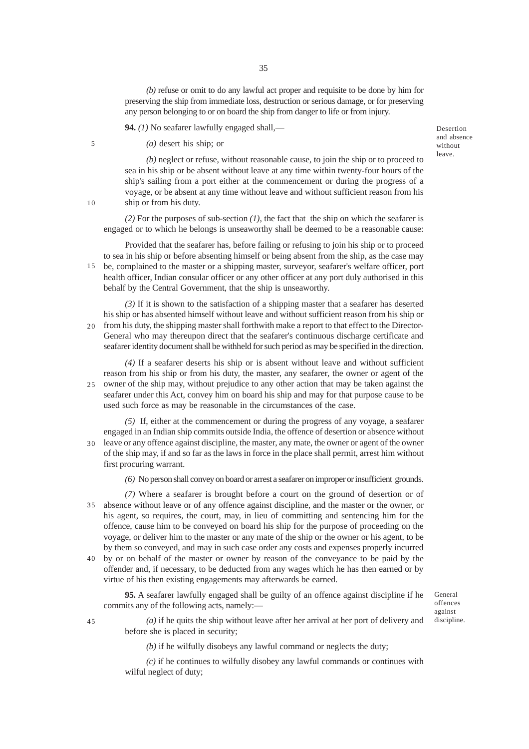*(b)* refuse or omit to do any lawful act proper and requisite to be done by him for preserving the ship from immediate loss, destruction or serious damage, or for preserving any person belonging to or on board the ship from danger to life or from injury.

**94.** *(1)* No seafarer lawfully engaged shall,—

*(a)* desert his ship; or

5

10

Desertion and absence without leave.

*(b)* neglect or refuse, without reasonable cause, to join the ship or to proceed to sea in his ship or be absent without leave at any time within twenty-four hours of the ship's sailing from a port either at the commencement or during the progress of a voyage, or be absent at any time without leave and without sufficient reason from his ship or from his duty.

*(2)* For the purposes of sub-section *(1)*, the fact that the ship on which the seafarer is engaged or to which he belongs is unseaworthy shall be deemed to be a reasonable cause:

Provided that the seafarer has, before failing or refusing to join his ship or to proceed to sea in his ship or before absenting himself or being absent from the ship, as the case may be, complained to the master or a shipping master, surveyor, seafarer's welfare officer, port 15 health officer, Indian consular officer or any other officer at any port duly authorised in this behalf by the Central Government, that the ship is unseaworthy.

*(3)* If it is shown to the satisfaction of a shipping master that a seafarer has deserted his ship or has absented himself without leave and without sufficient reason from his ship or from his duty, the shipping master shall forthwith make a report to that effect to the Director-General who may thereupon direct that the seafarer's continuous discharge certificate and seafarer identity document shall be withheld for such period as may be specified in the direction. 20

*(4)* If a seafarer deserts his ship or is absent without leave and without sufficient reason from his ship or from his duty, the master, any seafarer, the owner or agent of the owner of the ship may, without prejudice to any other action that may be taken against the seafarer under this Act, convey him on board his ship and may for that purpose cause to be used such force as may be reasonable in the circumstances of the case. 25

*(5)* If, either at the commencement or during the progress of any voyage, a seafarer engaged in an Indian ship commits outside India, the offence of desertion or absence without leave or any offence against discipline, the master, any mate, the owner or agent of the owner of the ship may, if and so far as the laws in force in the place shall permit, arrest him without first procuring warrant. 30

*(6)* No person shall convey on board or arrest a seafarer on improper or insufficient grounds.

*(7)* Where a seafarer is brought before a court on the ground of desertion or of absence without leave or of any offence against discipline, and the master or the owner, or 35 his agent, so requires, the court, may, in lieu of committing and sentencing him for the offence, cause him to be conveyed on board his ship for the purpose of proceeding on the voyage, or deliver him to the master or any mate of the ship or the owner or his agent, to be by them so conveyed, and may in such case order any costs and expenses properly incurred

by or on behalf of the master or owner by reason of the conveyance to be paid by the offender and, if necessary, to be deducted from any wages which he has then earned or by virtue of his then existing engagements may afterwards be earned. 40

**95.** A seafarer lawfully engaged shall be guilty of an offence against discipline if he commits any of the following acts, namely:—

General offences against discipline.

45

*(a)* if he quits the ship without leave after her arrival at her port of delivery and before she is placed in security;

*(b)* if he wilfully disobeys any lawful command or neglects the duty;

*(c)* if he continues to wilfully disobey any lawful commands or continues with wilful neglect of duty;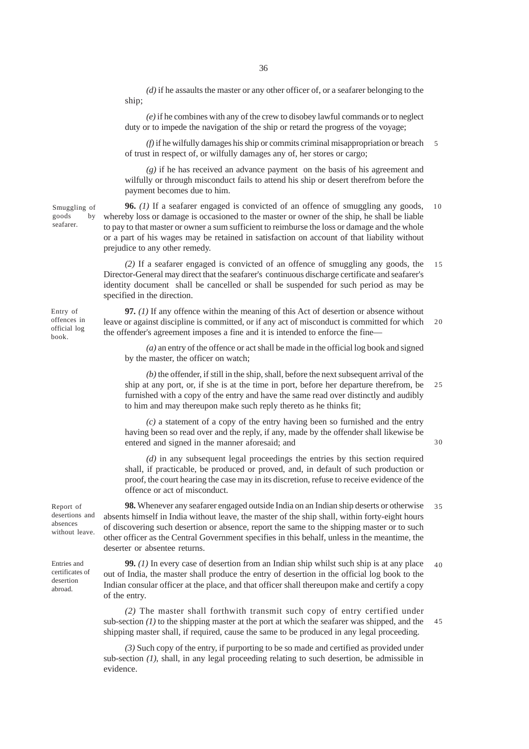*(d)* if he assaults the master or any other officer of, or a seafarer belonging to the ship;

*(e)* if he combines with any of the crew to disobey lawful commands or to neglect duty or to impede the navigation of the ship or retard the progress of the voyage;

*(f)* if he wilfully damages his ship or commits criminal misappropriation or breach of trust in respect of, or wilfully damages any of, her stores or cargo; 5

*(g)* if he has received an advance payment on the basis of his agreement and wilfully or through misconduct fails to attend his ship or desert therefrom before the payment becomes due to him.

**96.** *(1)* If a seafarer engaged is convicted of an offence of smuggling any goods, whereby loss or damage is occasioned to the master or owner of the ship, he shall be liable to pay to that master or owner a sum sufficient to reimburse the loss or damage and the whole or a part of his wages may be retained in satisfaction on account of that liability without prejudice to any other remedy. 10

*(2)* If a seafarer engaged is convicted of an offence of smuggling any goods, the Director-General may direct that the seafarer's continuous discharge certificate and seafarer's identity document shall be cancelled or shall be suspended for such period as may be specified in the direction. 15

**97.** *(1)* If any offence within the meaning of this Act of desertion or absence without leave or against discipline is committed, or if any act of misconduct is committed for which the offender's agreement imposes a fine and it is intended to enforce the fine—  $20$ 

*(a)* an entry of the offence or act shall be made in the official log book and signed by the master, the officer on watch;

*(b)* the offender, if still in the ship, shall, before the next subsequent arrival of the ship at any port, or, if she is at the time in port, before her departure therefrom, be furnished with a copy of the entry and have the same read over distinctly and audibly to him and may thereupon make such reply thereto as he thinks fit; 25

*(c)* a statement of a copy of the entry having been so furnished and the entry having been so read over and the reply, if any, made by the offender shall likewise be entered and signed in the manner aforesaid; and

30

*(d)* in any subsequent legal proceedings the entries by this section required shall, if practicable, be produced or proved, and, in default of such production or proof, the court hearing the case may in its discretion, refuse to receive evidence of the offence or act of misconduct.

Report of desertions and absences without leave.

Smuggling of goods by seafarer.

Entry of offences in official log book.

Entries and certificates of desertion abroad.

**98.** Whenever any seafarer engaged outside India on an Indian ship deserts or otherwise absents himself in India without leave, the master of the ship shall, within forty-eight hours of discovering such desertion or absence, report the same to the shipping master or to such other officer as the Central Government specifies in this behalf, unless in the meantime, the deserter or absentee returns. 35

**99.** *(1)* In every case of desertion from an Indian ship whilst such ship is at any place out of India, the master shall produce the entry of desertion in the official log book to the Indian consular officer at the place, and that officer shall thereupon make and certify a copy of the entry. 40

*(2)* The master shall forthwith transmit such copy of entry certified under sub-section  $(1)$  to the shipping master at the port at which the seafarer was shipped, and the shipping master shall, if required, cause the same to be produced in any legal proceeding. 45

*(3)* Such copy of the entry, if purporting to be so made and certified as provided under sub-section *(1)*, shall, in any legal proceeding relating to such desertion, be admissible in evidence.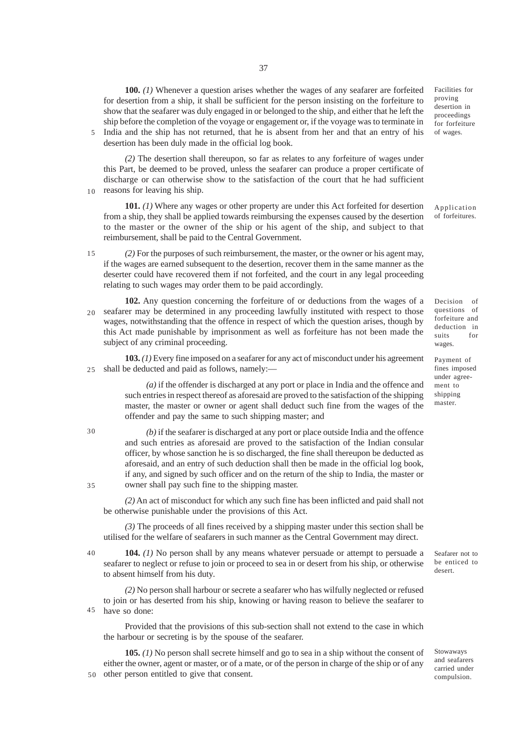**100.** *(1)* Whenever a question arises whether the wages of any seafarer are forfeited for desertion from a ship, it shall be sufficient for the person insisting on the forfeiture to show that the seafarer was duly engaged in or belonged to the ship, and either that he left the ship before the completion of the voyage or engagement or, if the voyage was to terminate in India and the ship has not returned, that he is absent from her and that an entry of his

desertion has been duly made in the official log book.

5

10

30

35

*(2)* The desertion shall thereupon, so far as relates to any forfeiture of wages under this Part, be deemed to be proved, unless the seafarer can produce a proper certificate of discharge or can otherwise show to the satisfaction of the court that he had sufficient reasons for leaving his ship.

**101.** *(1)* Where any wages or other property are under this Act forfeited for desertion from a ship, they shall be applied towards reimbursing the expenses caused by the desertion to the master or the owner of the ship or his agent of the ship, and subject to that reimbursement, shall be paid to the Central Government.

- *(2)* For the purposes of such reimbursement, the master, or the owner or his agent may, if the wages are earned subsequent to the desertion, recover them in the same manner as the deserter could have recovered them if not forfeited, and the court in any legal proceeding relating to such wages may order them to be paid accordingly. 15
- **102.** Any question concerning the forfeiture of or deductions from the wages of a seafarer may be determined in any proceeding lawfully instituted with respect to those wages, notwithstanding that the offence in respect of which the question arises, though by this Act made punishable by imprisonment as well as forfeiture has not been made the subject of any criminal proceeding. 20

**103.** *(1)* Every fine imposed on a seafarer for any act of misconduct under his agreement shall be deducted and paid as follows, namely:—  $25$ 

> *(a)* if the offender is discharged at any port or place in India and the offence and such entries in respect thereof as aforesaid are proved to the satisfaction of the shipping master, the master or owner or agent shall deduct such fine from the wages of the offender and pay the same to such shipping master; and

*(b)* if the seafarer is discharged at any port or place outside India and the offence and such entries as aforesaid are proved to the satisfaction of the Indian consular officer, by whose sanction he is so discharged, the fine shall thereupon be deducted as aforesaid, and an entry of such deduction shall then be made in the official log book, if any, and signed by such officer and on the return of the ship to India, the master or owner shall pay such fine to the shipping master.

*(2)* An act of misconduct for which any such fine has been inflicted and paid shall not be otherwise punishable under the provisions of this Act.

*(3)* The proceeds of all fines received by a shipping master under this section shall be utilised for the welfare of seafarers in such manner as the Central Government may direct.

**104.** *(1)* No person shall by any means whatever persuade or attempt to persuade a seafarer to neglect or refuse to join or proceed to sea in or desert from his ship, or otherwise to absent himself from his duty.  $40$ 

*(2)* No person shall harbour or secrete a seafarer who has wilfully neglected or refused to join or has deserted from his ship, knowing or having reason to believe the seafarer to have so done: 45

Provided that the provisions of this sub-section shall not extend to the case in which the harbour or secreting is by the spouse of the seafarer.

**105.** *(1)* No person shall secrete himself and go to sea in a ship without the consent of either the owner, agent or master, or of a mate, or of the person in charge of the ship or of any 50 other person entitled to give that consent.

Facilities for proving desertion in proceedings for forfeiture of wages.

Application of forfeitures.

Decision of questions of forfeiture and deduction in suits for wages.

Payment of fines imposed under agreement to shipping master.

Seafarer not to be enticed to desert.

Stowaways and seafarers carried under compulsion.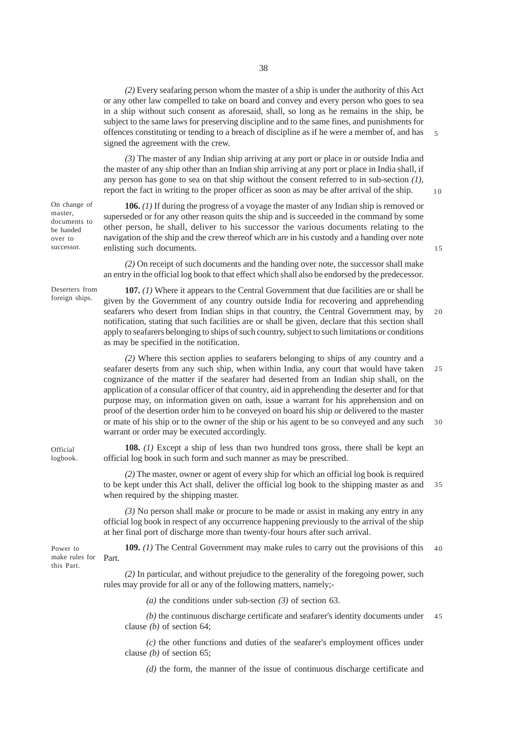*(3)* The master of any Indian ship arriving at any port or place in or outside India and the master of any ship other than an Indian ship arriving at any port or place in India shall, if any person has gone to sea on that ship without the consent referred to in sub-section *(1)*, report the fact in writing to the proper officer as soon as may be after arrival of the ship.

10

15

**106.** *(1)* If during the progress of a voyage the master of any Indian ship is removed or superseded or for any other reason quits the ship and is succeeded in the command by some other person, he shall, deliver to his successor the various documents relating to the navigation of the ship and the crew thereof which are in his custody and a handing over note enlisting such documents.

*(2)* On receipt of such documents and the handing over note, the successor shall make an entry in the official log book to that effect which shall also be endorsed by the predecessor.

Deserters from foreign ships.

**Official** logbook.

Power to this Part.

On change of master, documents to be handed over to successor.

> given by the Government of any country outside India for recovering and apprehending seafarers who desert from Indian ships in that country, the Central Government may, by notification, stating that such facilities are or shall be given, declare that this section shall apply to seafarers belonging to ships of such country, subject to such limitations or conditions as may be specified in the notification. 20

**107.** *(1)* Where it appears to the Central Government that due facilities are or shall be

*(2)* Where this section applies to seafarers belonging to ships of any country and a seafarer deserts from any such ship, when within India, any court that would have taken cognizance of the matter if the seafarer had deserted from an Indian ship shall, on the application of a consular officer of that country, aid in apprehending the deserter and for that purpose may, on information given on oath, issue a warrant for his apprehension and on proof of the desertion order him to be conveyed on board his ship or delivered to the master or mate of his ship or to the owner of the ship or his agent to be so conveyed and any such warrant or order may be executed accordingly. 25 30

**108.** *(1)* Except a ship of less than two hundred tons gross, there shall be kept an official log book in such form and such manner as may be prescribed.

*(2)* The master, owner or agent of every ship for which an official log book is required to be kept under this Act shall, deliver the official log book to the shipping master as and when required by the shipping master. 35

*(3)* No person shall make or procure to be made or assist in making any entry in any official log book in respect of any occurrence happening previously to the arrival of the ship at her final port of discharge more than twenty-four hours after such arrival.

**109.** *(1)* The Central Government may make rules to carry out the provisions of this make rules for Part. 40

> *(2)* In particular, and without prejudice to the generality of the foregoing power, such rules may provide for all or any of the following matters, namely;-

> > *(a)* the conditions under sub-section *(3)* of section 63.

*(b)* the continuous discharge certificate and seafarer's identity documents under clause *(b)* of section 64; 45

*(c)* the other functions and duties of the seafarer's employment offices under clause *(b)* of section 65;

*(d)* the form, the manner of the issue of continuous discharge certificate and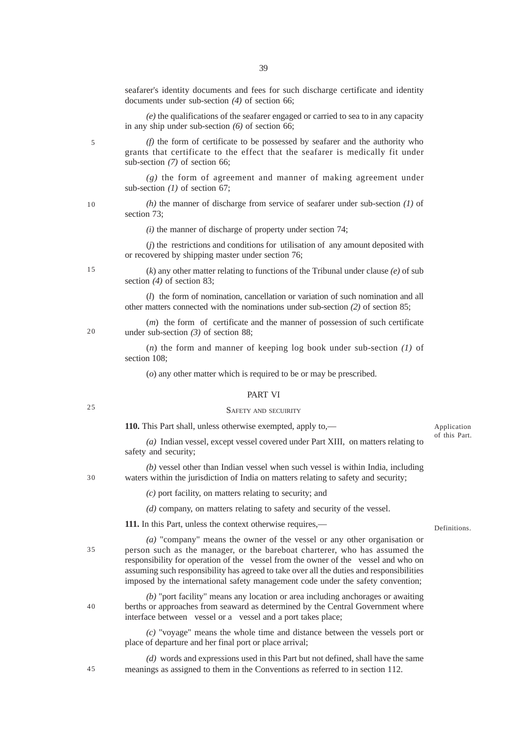seafarer's identity documents and fees for such discharge certificate and identity documents under sub-section *(4)* of section 66;

*(e)* the qualifications of the seafarer engaged or carried to sea to in any capacity in any ship under sub-section *(6)* of section 66;

*(f)* the form of certificate to be possessed by seafarer and the authority who grants that certificate to the effect that the seafarer is medically fit under sub-section *(7)* of section 66;

*(g)* the form of agreement and manner of making agreement under sub-section *(1)* of section 67;

*(h)* the manner of discharge from service of seafarer under sub-section *(1)* of section 73;

*(i)* the manner of discharge of property under section 74;

(*j*) the restrictions and conditions for utilisation of any amount deposited with or recovered by shipping master under section 76;

(*k*) any other matter relating to functions of the Tribunal under clause *(e)* of sub section *(4)* of section 83;

(*l*) the form of nomination, cancellation or variation of such nomination and all other matters connected with the nominations under sub-section *(2)* of section 85;

(*m*) the form of certificate and the manner of possession of such certificate under sub-section *(3)* of section 88;

(*n*) the form and manner of keeping log book under sub-section *(1)* of section 108;

(*o*) any other matter which is required to be or may be prescribed.

### PART VI

#### SAFETY AND SECUIRITY

**110.** This Part shall, unless otherwise exempted, apply to,—

*(a)* Indian vessel, except vessel covered under Part XIII, on matters relating to safety and security;

*(b)* vessel other than Indian vessel when such vessel is within India, including waters within the jurisdiction of India on matters relating to safety and security;

*(c)* port facility, on matters relating to security; and

*(d)* company, on matters relating to safety and security of the vessel.

**111.** In this Part, unless the context otherwise requires,—

Definitions.

Application of this Part.

*(a)* "company" means the owner of the vessel or any other organisation or person such as the manager, or the bareboat charterer, who has assumed the responsibility for operation of the vessel from the owner of the vessel and who on assuming such responsibility has agreed to take over all the duties and responsibilities imposed by the international safety management code under the safety convention;

*(b)* "port facility" means any location or area including anchorages or awaiting berths or approaches from seaward as determined by the Central Government where interface between vessel or a vessel and a port takes place;

*(c)* "voyage" means the whole time and distance between the vessels port or place of departure and her final port or place arrival;

*(d)* words and expressions used in this Part but not defined, shall have the same meanings as assigned to them in the Conventions as referred to in section 112.

10

5

20

15

25

30

40

45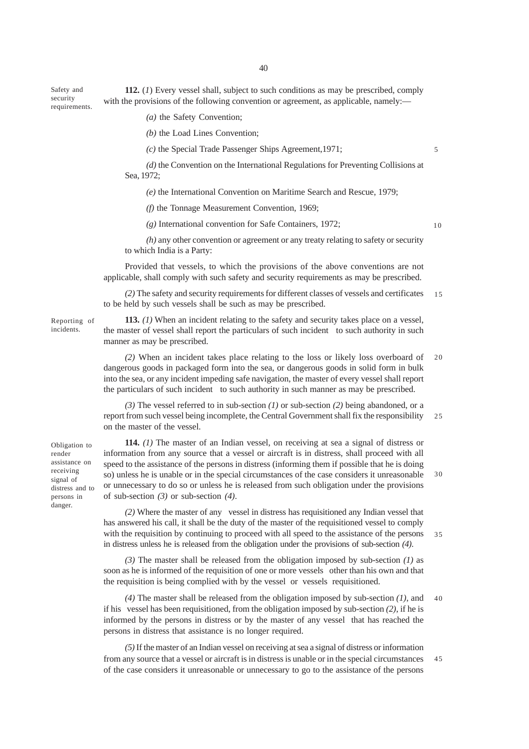**112.** (*1*) Every vessel shall, subject to such conditions as may be prescribed, comply with the provisions of the following convention or agreement, as applicable, namely: requirements.

*(a)* the Safety Convention;

*(b)* the Load Lines Convention;

*(c)* the Special Trade Passenger Ships Agreement,1971;

*(d)* the Convention on the International Regulations for Preventing Collisions at Sea, 1972;

*(e)* the International Convention on Maritime Search and Rescue, 1979;

*(f)* the Tonnage Measurement Convention, 1969;

*(g)* International convention for Safe Containers, 1972;

10

5

*(h)* any other convention or agreement or any treaty relating to safety or security to which India is a Party:

Provided that vessels, to which the provisions of the above conventions are not applicable, shall comply with such safety and security requirements as may be prescribed.

*(2)* The safety and security requirements for different classes of vessels and certificates to be held by such vessels shall be such as may be prescribed. 15

Reporting of incidents.

Safety and security

> **113.** *(1)* When an incident relating to the safety and security takes place on a vessel, the master of vessel shall report the particulars of such incident to such authority in such manner as may be prescribed.

*(2)* When an incident takes place relating to the loss or likely loss overboard of dangerous goods in packaged form into the sea, or dangerous goods in solid form in bulk into the sea, or any incident impeding safe navigation, the master of every vessel shall report the particulars of such incident to such authority in such manner as may be prescribed. 20

*(3)* The vessel referred to in sub-section *(1)* or sub-section *(2)* being abandoned, or a report from such vessel being incomplete, the Central Government shall fix the responsibility on the master of the vessel. 25

Obligation to render assistance on receiving signal of distress and to persons in danger.

**114.** *(1)* The master of an Indian vessel, on receiving at sea a signal of distress or information from any source that a vessel or aircraft is in distress, shall proceed with all speed to the assistance of the persons in distress (informing them if possible that he is doing so) unless he is unable or in the special circumstances of the case considers it unreasonable or unnecessary to do so or unless he is released from such obligation under the provisions of sub-section *(3)* or sub-section *(4)*. 30

*(2)* Where the master of any vessel in distress has requisitioned any Indian vessel that has answered his call, it shall be the duty of the master of the requisitioned vessel to comply with the requisition by continuing to proceed with all speed to the assistance of the persons in distress unless he is released from the obligation under the provisions of sub-section *(4)*. 35

*(3)* The master shall be released from the obligation imposed by sub-section *(1)* as soon as he is informed of the requisition of one or more vessels other than his own and that the requisition is being complied with by the vessel or vessels requisitioned.

*(4)* The master shall be released from the obligation imposed by sub-section *(1)*, and if his vessel has been requisitioned, from the obligation imposed by sub-section *(2)*, if he is informed by the persons in distress or by the master of any vessel that has reached the persons in distress that assistance is no longer required. 40

*(5)* If the master of an Indian vessel on receiving at sea a signal of distress or information from any source that a vessel or aircraft is in distress is unable or in the special circumstances of the case considers it unreasonable or unnecessary to go to the assistance of the persons 45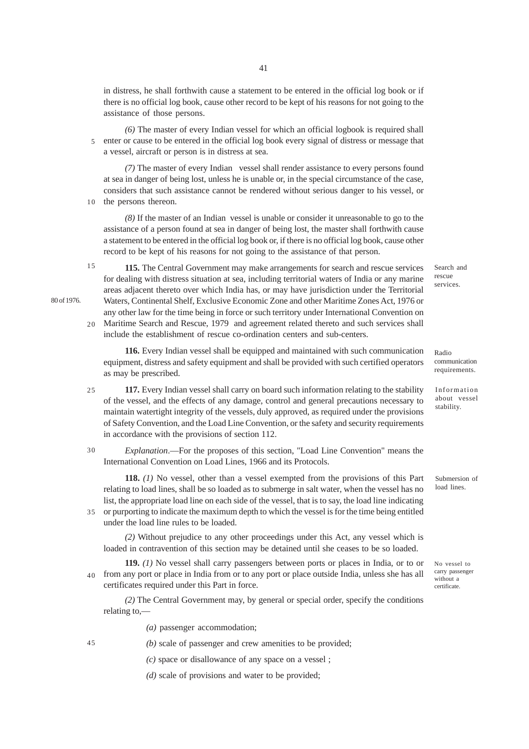in distress, he shall forthwith cause a statement to be entered in the official log book or if there is no official log book, cause other record to be kept of his reasons for not going to the assistance of those persons.

*(6)* The master of every Indian vessel for which an official logbook is required shall enter or cause to be entered in the official log book every signal of distress or message that a vessel, aircraft or person is in distress at sea. 5

*(7)* The master of every Indian vessel shall render assistance to every persons found at sea in danger of being lost, unless he is unable or, in the special circumstance of the case, considers that such assistance cannot be rendered without serious danger to his vessel, or

the persons thereon. 10

80 of 1976.

*(8)* If the master of an Indian vessel is unable or consider it unreasonable to go to the assistance of a person found at sea in danger of being lost, the master shall forthwith cause a statement to be entered in the official log book or, if there is no official log book, cause other record to be kept of his reasons for not going to the assistance of that person.

**115.** The Central Government may make arrangements for search and rescue services for dealing with distress situation at sea, including territorial waters of India or any marine areas adjacent thereto over which India has, or may have jurisdiction under the Territorial Waters, Continental Shelf, Exclusive Economic Zone and other Maritime Zones Act, 1976 or any other law for the time being in force or such territory under International Convention on Maritime Search and Rescue, 1979 and agreement related thereto and such services shall include the establishment of rescue co-ordination centers and sub-centers. 15 20

**116.** Every Indian vessel shall be equipped and maintained with such communication equipment, distress and safety equipment and shall be provided with such certified operators as may be prescribed.

**117.** Every Indian vessel shall carry on board such information relating to the stability of the vessel, and the effects of any damage, control and general precautions necessary to maintain watertight integrity of the vessels, duly approved, as required under the provisions of Safety Convention, and the Load Line Convention, or the safety and security requirements in accordance with the provisions of section 112. 25

*Explanation*.—For the proposes of this section, "Load Line Convention" means the International Convention on Load Lines, 1966 and its Protocols. 30

**118.** *(1)* No vessel, other than a vessel exempted from the provisions of this Part relating to load lines, shall be so loaded as to submerge in salt water, when the vessel has no list, the appropriate load line on each side of the vessel, that is to say, the load line indicating or purporting to indicate the maximum depth to which the vessel is for the time being entitled

under the load line rules to be loaded.

*(2)* Without prejudice to any other proceedings under this Act, any vessel which is loaded in contravention of this section may be detained until she ceases to be so loaded.

**119.** *(1)* No vessel shall carry passengers between ports or places in India, or to or from any port or place in India from or to any port or place outside India, unless she has all certificates required under this Part in force.  $40<sup>-1</sup>$ 

*(2)* The Central Government may, by general or special order, specify the conditions relating to,—

*(a)* passenger accommodation;

45

35

*(b)* scale of passenger and crew amenities to be provided;

*(c)* space or disallowance of any space on a vessel ;

*(d)* scale of provisions and water to be provided;

Search and rescue services.

Radio communication requirements.

Information about vessel stability.

Submersion of load lines.

No vessel to carry passenger without a certificate.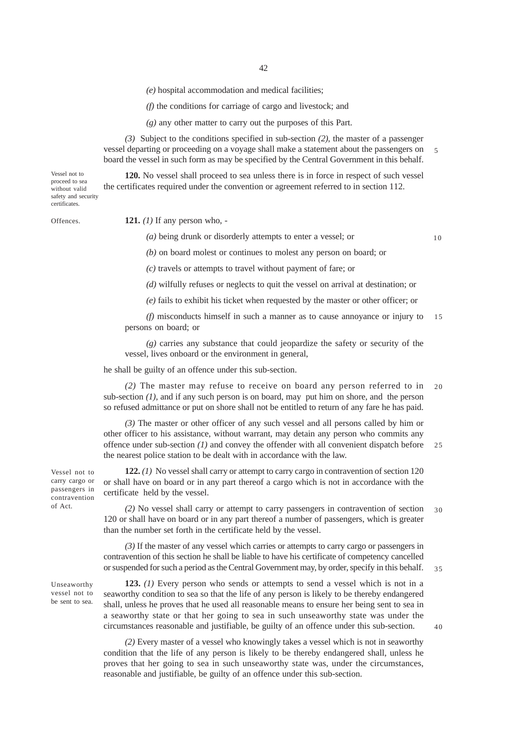*(e)* hospital accommodation and medical facilities;

*(f)* the conditions for carriage of cargo and livestock; and

*(g)* any other matter to carry out the purposes of this Part.

*(3)* Subject to the conditions specified in sub-section *(2)*, the master of a passenger vessel departing or proceeding on a voyage shall make a statement about the passengers on board the vessel in such form as may be specified by the Central Government in this behalf. 5

**120.** No vessel shall proceed to sea unless there is in force in respect of such vessel

Vessel not to proceed to sea without valid safety and security certificates.

Offences.

**121.** *(1)* If any person who, -

*(a)* being drunk or disorderly attempts to enter a vessel; or

the certificates required under the convention or agreement referred to in section 112.

10

*(b)* on board molest or continues to molest any person on board; or

*(c)* travels or attempts to travel without payment of fare; or

*(d)* wilfully refuses or neglects to quit the vessel on arrival at destination; or

*(e)* fails to exhibit his ticket when requested by the master or other officer; or

*(f)* misconducts himself in such a manner as to cause annoyance or injury to persons on board; or 15

*(g)* carries any substance that could jeopardize the safety or security of the vessel, lives onboard or the environment in general,

he shall be guilty of an offence under this sub-section.

*(2)* The master may refuse to receive on board any person referred to in sub-section  $(1)$ , and if any such person is on board, may put him on shore, and the person so refused admittance or put on shore shall not be entitled to return of any fare he has paid. 20

*(3)* The master or other officer of any such vessel and all persons called by him or other officer to his assistance, without warrant, may detain any person who commits any offence under sub-section *(1)* and convey the offender with all convenient dispatch before the nearest police station to be dealt with in accordance with the law.  $25$ 

**122.** *(1)* No vessel shall carry or attempt to carry cargo in contravention of section 120 or shall have on board or in any part thereof a cargo which is not in accordance with the certificate held by the vessel.

*(2)* No vessel shall carry or attempt to carry passengers in contravention of section 120 or shall have on board or in any part thereof a number of passengers, which is greater than the number set forth in the certificate held by the vessel. 30

*(3)* If the master of any vessel which carries or attempts to carry cargo or passengers in contravention of this section he shall be liable to have his certificate of competency cancelled or suspended for such a period as the Central Government may, by order, specify in this behalf. 35

Unseaworthy vessel not to be sent to sea.

**123.** *(1)* Every person who sends or attempts to send a vessel which is not in a seaworthy condition to sea so that the life of any person is likely to be thereby endangered shall, unless he proves that he used all reasonable means to ensure her being sent to sea in a seaworthy state or that her going to sea in such unseaworthy state was under the circumstances reasonable and justifiable, be guilty of an offence under this sub-section.

*(2)* Every master of a vessel who knowingly takes a vessel which is not in seaworthy condition that the life of any person is likely to be thereby endangered shall, unless he proves that her going to sea in such unseaworthy state was, under the circumstances, reasonable and justifiable, be guilty of an offence under this sub-section.

carry cargo or passengers in contravention of Act.

Vessel not to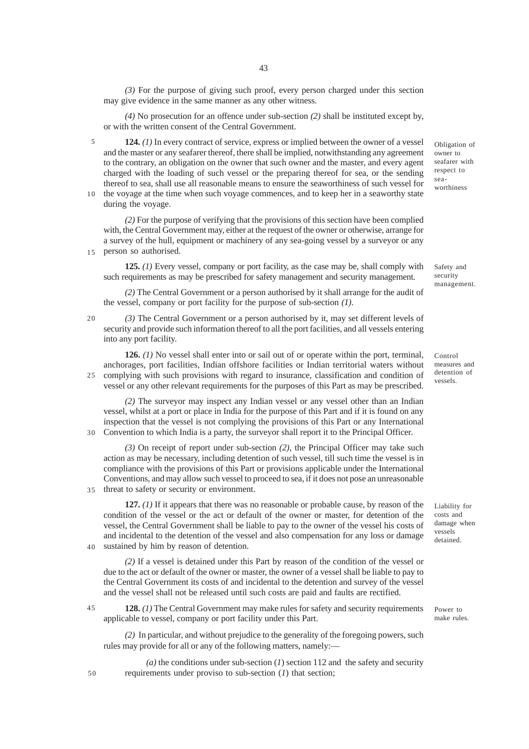*(3)* For the purpose of giving such proof, every person charged under this section may give evidence in the same manner as any other witness.

*(4)* No prosecution for an offence under sub-section *(2)* shall be instituted except by, or with the written consent of the Central Government.

**124.** *(1)* In every contract of service, express or implied between the owner of a vessel and the master or any seafarer thereof, there shall be implied, notwithstanding any agreement to the contrary, an obligation on the owner that such owner and the master, and every agent charged with the loading of such vessel or the preparing thereof for sea, or the sending thereof to sea, shall use all reasonable means to ensure the seaworthiness of such vessel for 5

the voyage at the time when such voyage commences, and to keep her in a seaworthy state during the voyage. 10

*(2)* For the purpose of verifying that the provisions of this section have been complied with, the Central Government may, either at the request of the owner or otherwise, arrange for a survey of the hull, equipment or machinery of any sea-going vessel by a surveyor or any person so authorised.

**125.** *(1)* Every vessel, company or port facility, as the case may be, shall comply with such requirements as may be prescribed for safety management and security management.

*(2)* The Central Government or a person authorised by it shall arrange for the audit of the vessel, company or port facility for the purpose of sub-section *(1)*.

 $20$ 

35

40

15

*(3)* The Central Government or a person authorised by it, may set different levels of security and provide such information thereof to all the port facilities, and all vessels entering into any port facility.

**126.** *(1)* No vessel shall enter into or sail out of or operate within the port, terminal, anchorages, port facilities, Indian offshore facilities or Indian territorial waters without complying with such provisions with regard to insurance, classification and condition of vessel or any other relevant requirements for the purposes of this Part as may be prescribed. 25

*(2)* The surveyor may inspect any Indian vessel or any vessel other than an Indian vessel, whilst at a port or place in India for the purpose of this Part and if it is found on any inspection that the vessel is not complying the provisions of this Part or any International Convention to which India is a party, the surveyor shall report it to the Principal Officer. 30

*(3)* On receipt of report under sub-section *(2)*, the Principal Officer may take such action as may be necessary, including detention of such vessel, till such time the vessel is in compliance with the provisions of this Part or provisions applicable under the International Conventions, and may allow such vessel to proceed to sea, if it does not pose an unreasonable threat to safety or security or environment.

**127.** *(1)* If it appears that there was no reasonable or probable cause, by reason of the condition of the vessel or the act or default of the owner or master, for detention of the vessel, the Central Government shall be liable to pay to the owner of the vessel his costs of and incidental to the detention of the vessel and also compensation for any loss or damage sustained by him by reason of detention.

*(2)* If a vessel is detained under this Part by reason of the condition of the vessel or due to the act or default of the owner or master, the owner of a vessel shall be liable to pay to the Central Government its costs of and incidental to the detention and survey of the vessel and the vessel shall not be released until such costs are paid and faults are rectified.

**128.** *(1)* The Central Government may make rules for safety and security requirements applicable to vessel, company or port facility under this Part. 45

*(2)* In particular, and without prejudice to the generality of the foregoing powers, such rules may provide for all or any of the following matters, namely:—

 $(a)$  the conditions under sub-section  $(I)$  section 112 and the safety and security requirements under proviso to sub-section (*1*) that section;

Obligation of owner to seafarer with respect to seaworthiness

management.

Safety and security

Control measures and detention of vessels.

costs and damage when vessels detained.

Liability for

Power to make rules.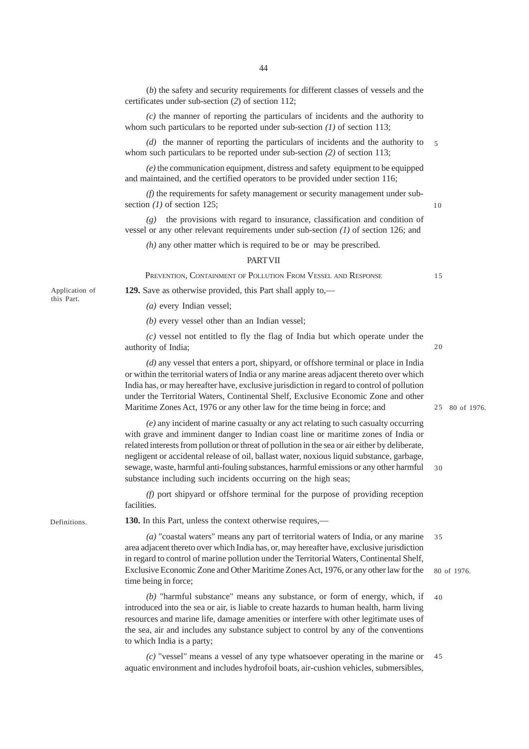(*b*) the safety and security requirements for different classes of vessels and the certificates under sub-section (*2*) of section 112;

*(c)* the manner of reporting the particulars of incidents and the authority to whom such particulars to be reported under sub-section *(1)* of section 113;

*(d)* the manner of reporting the particulars of incidents and the authority to whom such particulars to be reported under sub-section *(2)* of section 113; 5

*(e)* the communication equipment, distress and safety equipment to be equipped and maintained, and the certified operators to be provided under section 116;

*(f)* the requirements for safety management or security management under subsection *(1)* of section 125;

*(g)* the provisions with regard to insurance, classification and condition of vessel or any other relevant requirements under sub-section *(1)* of section 126; and

*(h)* any other matter which is required to be or may be prescribed.

## **PART VII**

PREVENTION, CONTAINMENT OF POLLUTION FROM VESSEL AND RESPONSE

**129.** Save as otherwise provided, this Part shall apply to,—

*(a)* every Indian vessel;

*(b)* every vessel other than an Indian vessel;

*(c)* vessel not entitled to fly the flag of India but which operate under the authority of India;

*(d)* any vessel that enters a port, shipyard, or offshore terminal or place in India or within the territorial waters of India or any marine areas adjacent thereto over which India has, or may hereafter have, exclusive jurisdiction in regard to control of pollution under the Territorial Waters, Continental Shelf, Exclusive Economic Zone and other Maritime Zones Act, 1976 or any other law for the time being in force; and

*(e)* any incident of marine casualty or any act relating to such casualty occurring with grave and imminent danger to Indian coast line or maritime zones of India or related interests from pollution or threat of pollution in the sea or air either by deliberate, negligent or accidental release of oil, ballast water, noxious liquid substance, garbage, sewage, waste, harmful anti-fouling substances, harmful emissions or any other harmful substance including such incidents occurring on the high seas;

*(f)* port shipyard or offshore terminal for the purpose of providing reception facilities.

**130.** In this Part, unless the context otherwise requires,—

*(a)* "coastal waters" means any part of territorial waters of India, or any marine area adjacent thereto over which India has, or, may hereafter have, exclusive jurisdiction in regard to control of marine pollution under the Territorial Waters, Continental Shelf, Exclusive Economic Zone and Other Maritime Zones Act, 1976, or any other law for the time being in force; 35

*(b)* "harmful substance" means any substance, or form of energy, which, if introduced into the sea or air, is liable to create hazards to human health, harm living resources and marine life, damage amenities or interfere with other legitimate uses of the sea, air and includes any substance subject to control by any of the conventions to which India is a party; 40

*(c)* "vessel" means a vessel of any type whatsoever operating in the marine or aquatic environment and includes hydrofoil boats, air-cushion vehicles, submersibles, 45

Application of this Part.

Definitions.

15

20

30

10

80 of 1976.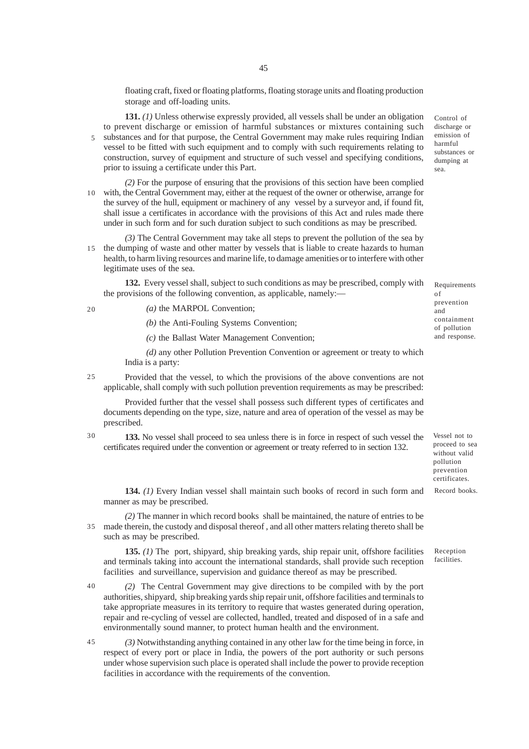floating craft, fixed or floating platforms, floating storage units and floating production storage and off-loading units.

**131.** *(1)* Unless otherwise expressly provided, all vessels shall be under an obligation to prevent discharge or emission of harmful substances or mixtures containing such substances and for that purpose, the Central Government may make rules requiring Indian vessel to be fitted with such equipment and to comply with such requirements relating to construction, survey of equipment and structure of such vessel and specifying conditions, prior to issuing a certificate under this Part.

*(2)* For the purpose of ensuring that the provisions of this section have been complied with, the Central Government may, either at the request of the owner or otherwise, arrange for 10 the survey of the hull, equipment or machinery of any vessel by a surveyor and, if found fit, shall issue a certificates in accordance with the provisions of this Act and rules made there under in such form and for such duration subject to such conditions as may be prescribed.

*(3)* The Central Government may take all steps to prevent the pollution of the sea by 15 the dumping of waste and other matter by vessels that is liable to create hazards to human health, to harm living resources and marine life, to damage amenities or to interfere with other legitimate uses of the sea.

**132.** Every vessel shall, subject to such conditions as may be prescribed, comply with the provisions of the following convention, as applicable, namely:—

 $20$ 

5

*(a)* the MARPOL Convention;

*(b)* the Anti-Fouling Systems Convention;

*(c)* the Ballast Water Management Convention;

*(d)* any other Pollution Prevention Convention or agreement or treaty to which India is a party:

Provided that the vessel, to which the provisions of the above conventions are not applicable, shall comply with such pollution prevention requirements as may be prescribed: 25

Provided further that the vessel shall possess such different types of certificates and documents depending on the type, size, nature and area of operation of the vessel as may be prescribed.

30

**133.** No vessel shall proceed to sea unless there is in force in respect of such vessel the certificates required under the convention or agreement or treaty referred to in section 132.

Vessel not to proceed to sea without valid pollution prevention certificates.

**134.** *(1)* Every Indian vessel shall maintain such books of record in such form and manner as may be prescribed.

*(2)* The manner in which record books shall be maintained, the nature of entries to be made therein, the custody and disposal thereof , and all other matters relating thereto shall be 35 such as may be prescribed.

**135.** *(1)* The port, shipyard, ship breaking yards, ship repair unit, offshore facilities and terminals taking into account the international standards, shall provide such reception facilities and surveillance, supervision and guidance thereof as may be prescribed.

*(2)* The Central Government may give directions to be compiled with by the port authorities, shipyard, ship breaking yards ship repair unit, offshore facilities and terminals to take appropriate measures in its territory to require that wastes generated during operation, repair and re-cycling of vessel are collected, handled, treated and disposed of in a safe and environmentally sound manner, to protect human health and the environment. 40

*(3)* Notwithstanding anything contained in any other law for the time being in force, in respect of every port or place in India, the powers of the port authority or such persons under whose supervision such place is operated shall include the power to provide reception facilities in accordance with the requirements of the convention. 45

Requirements of prevention and containment of pollution

and response.

Control of discharge or emission of harmful substances or dumping at sea.

Record books.

Reception facilities.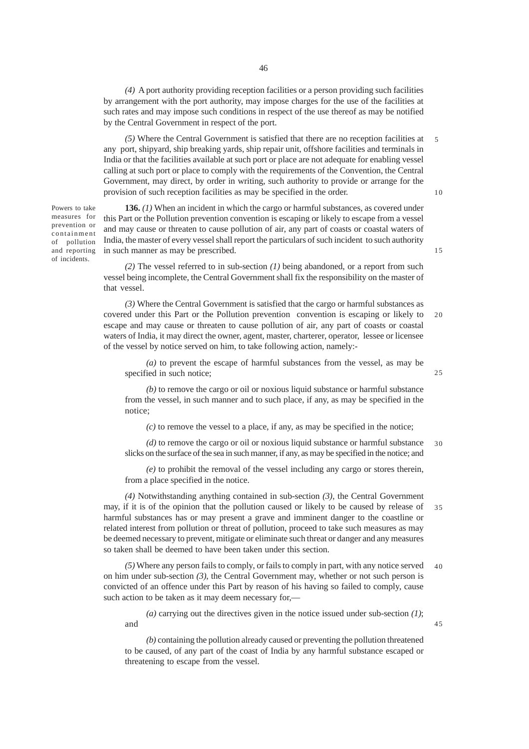*(4)* A port authority providing reception facilities or a person providing such facilities by arrangement with the port authority, may impose charges for the use of the facilities at such rates and may impose such conditions in respect of the use thereof as may be notified by the Central Government in respect of the port.

*(5)* Where the Central Government is satisfied that there are no reception facilities at any port, shipyard, ship breaking yards, ship repair unit, offshore facilities and terminals in India or that the facilities available at such port or place are not adequate for enabling vessel calling at such port or place to comply with the requirements of the Convention, the Central Government, may direct, by order in writing, such authority to provide or arrange for the provision of such reception facilities as may be specified in the order. 5

Powers to take measures for prevention or containment of pollution and reporting of incidents.

**136.** *(1)* When an incident in which the cargo or harmful substances, as covered under this Part or the Pollution prevention convention is escaping or likely to escape from a vessel and may cause or threaten to cause pollution of air, any part of coasts or coastal waters of India, the master of every vessel shall report the particulars of such incident to such authority in such manner as may be prescribed.

*(2)* The vessel referred to in sub-section *(1)* being abandoned, or a report from such vessel being incomplete, the Central Government shall fix the responsibility on the master of that vessel.

*(3)* Where the Central Government is satisfied that the cargo or harmful substances as covered under this Part or the Pollution prevention convention is escaping or likely to escape and may cause or threaten to cause pollution of air, any part of coasts or coastal waters of India, it may direct the owner, agent, master, charterer, operator, lessee or licensee of the vessel by notice served on him, to take following action, namely:-  $20$ 

*(a)* to prevent the escape of harmful substances from the vessel, as may be specified in such notice;

*(b)* to remove the cargo or oil or noxious liquid substance or harmful substance from the vessel, in such manner and to such place, if any, as may be specified in the notice;

*(c)* to remove the vessel to a place, if any, as may be specified in the notice;

*(d)* to remove the cargo or oil or noxious liquid substance or harmful substance slicks on the surface of the sea in such manner, if any, as may be specified in the notice; and 30

*(e)* to prohibit the removal of the vessel including any cargo or stores therein, from a place specified in the notice.

*(4)* Notwithstanding anything contained in sub-section *(3)*, the Central Government may, if it is of the opinion that the pollution caused or likely to be caused by release of harmful substances has or may present a grave and imminent danger to the coastline or related interest from pollution or threat of pollution, proceed to take such measures as may be deemed necessary to prevent, mitigate or eliminate such threat or danger and any measures so taken shall be deemed to have been taken under this section. 35

*(5)* Where any person fails to comply, or fails to comply in part, with any notice served on him under sub-section *(3)*, the Central Government may, whether or not such person is convicted of an offence under this Part by reason of his having so failed to comply, cause such action to be taken as it may deem necessary for,-40

*(a)* carrying out the directives given in the notice issued under sub-section *(1)*; and

*(b)* containing the pollution already caused or preventing the pollution threatened to be caused, of any part of the coast of India by any harmful substance escaped or threatening to escape from the vessel.

10

15

 $25$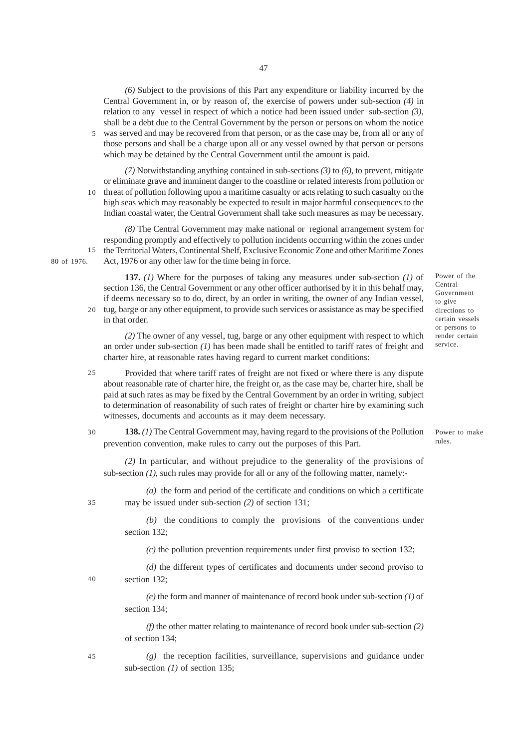*(6)* Subject to the provisions of this Part any expenditure or liability incurred by the Central Government in, or by reason of, the exercise of powers under sub-section *(4)* in relation to any vessel in respect of which a notice had been issued under sub-section *(3)*, shall be a debt due to the Central Government by the person or persons on whom the notice was served and may be recovered from that person, or as the case may be, from all or any of

those persons and shall be a charge upon all or any vessel owned by that person or persons which may be detained by the Central Government until the amount is paid. 5

*(7)* Notwithstanding anything contained in sub-sections *(3)* to *(6)*, to prevent, mitigate or eliminate grave and imminent danger to the coastline or related interests from pollution or threat of pollution following upon a maritime casualty or acts relating to such casualty on the high seas which may reasonably be expected to result in major harmful consequences to the Indian coastal water, the Central Government shall take such measures as may be necessary. 10

*(8)* The Central Government may make national or regional arrangement system for responding promptly and effectively to pollution incidents occurring within the zones under the Territorial Waters, Continental Shelf, Exclusive Economic Zone and other Maritime Zones Act, 1976 or any other law for the time being in force. 15

**137.** *(1)* Where for the purposes of taking any measures under sub-section *(1)* of section 136, the Central Government or any other officer authorised by it in this behalf may, if deems necessary so to do, direct, by an order in writing, the owner of any Indian vessel, tug, barge or any other equipment, to provide such services or assistance as may be specified in that order.

*(2)* The owner of any vessel, tug, barge or any other equipment with respect to which an order under sub-section *(1)* has been made shall be entitled to tariff rates of freight and charter hire, at reasonable rates having regard to current market conditions:

Provided that where tariff rates of freight are not fixed or where there is any dispute about reasonable rate of charter hire, the freight or, as the case may be, charter hire, shall be paid at such rates as may be fixed by the Central Government by an order in writing, subject to determination of reasonability of such rates of freight or charter hire by examining such witnesses, documents and accounts as it may deem necessary.  $25$ 

**138.** *(1)* The Central Government may, having regard to the provisions of the Pollution prevention convention, make rules to carry out the purposes of this Part. 30

*(2)* In particular, and without prejudice to the generality of the provisions of sub-section *(1)*, such rules may provide for all or any of the following matter, namely:-

*(a)* the form and period of the certificate and conditions on which a certificate may be issued under sub-section *(2)* of section 131;

*(b)* the conditions to comply the provisions of the conventions under section 132;

*(c)* the pollution prevention requirements under first proviso to section 132;

*(d)* the different types of certificates and documents under second proviso to section 132; 40

> *(e)* the form and manner of maintenance of record book under sub-section *(1)* of section 134;

> *(f)* the other matter relating to maintenance of record book under sub-section *(2)* of section 134;

> *(g)* the reception facilities, surveillance, supervisions and guidance under sub-section *(1)* of section 135;

Power of the Central Government to give directions to certain vessels or persons to render certain service.

Power to make rules.

35

80 of 1976.

 $20<sup>2</sup>$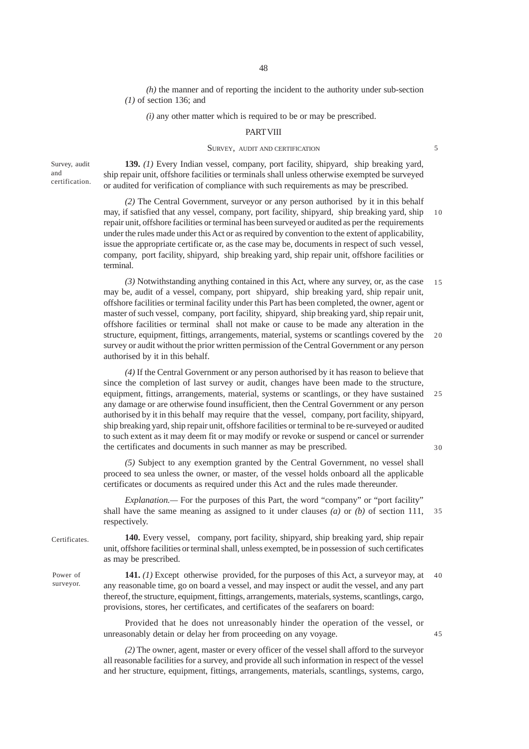*(h)* the manner and of reporting the incident to the authority under sub-section *(1)* of section 136; and

*(i)* any other matter which is required to be or may be prescribed.

#### **PART VIII**

### SURVEY, AUDIT AND CERTIFICATION

Survey, audit and certification.

**139.** *(1)* Every Indian vessel, company, port facility, shipyard, ship breaking yard, ship repair unit, offshore facilities or terminals shall unless otherwise exempted be surveyed or audited for verification of compliance with such requirements as may be prescribed.

*(2)* The Central Government, surveyor or any person authorised by it in this behalf may, if satisfied that any vessel, company, port facility, shipyard, ship breaking yard, ship repair unit, offshore facilities or terminal has been surveyed or audited as per the requirements under the rules made under this Act or as required by convention to the extent of applicability, issue the appropriate certificate or, as the case may be, documents in respect of such vessel, company, port facility, shipyard, ship breaking yard, ship repair unit, offshore facilities or terminal. 10

*(3)* Notwithstanding anything contained in this Act, where any survey, or, as the case may be, audit of a vessel, company, port shipyard, ship breaking yard, ship repair unit, offshore facilities or terminal facility under this Part has been completed, the owner, agent or master of such vessel, company, port facility, shipyard, ship breaking yard, ship repair unit, offshore facilities or terminal shall not make or cause to be made any alteration in the structure, equipment, fittings, arrangements, material, systems or scantlings covered by the survey or audit without the prior written permission of the Central Government or any person authorised by it in this behalf. 15  $20$ 

*(4)* If the Central Government or any person authorised by it has reason to believe that since the completion of last survey or audit, changes have been made to the structure, equipment, fittings, arrangements, material, systems or scantlings, or they have sustained any damage or are otherwise found insufficient, then the Central Government or any person authorised by it in this behalf may require that the vessel, company, port facility, shipyard, ship breaking yard, ship repair unit, offshore facilities or terminal to be re-surveyed or audited to such extent as it may deem fit or may modify or revoke or suspend or cancel or surrender the certificates and documents in such manner as may be prescribed. 25

30

45

*(5)* Subject to any exemption granted by the Central Government, no vessel shall proceed to sea unless the owner, or master, of the vessel holds onboard all the applicable certificates or documents as required under this Act and the rules made thereunder.

*Explanation.—* For the purposes of this Part, the word "company" or "port facility" shall have the same meaning as assigned to it under clauses *(a)* or *(b)* of section 111, respectively. 35

**Certificates** 

Power of surveyor.

**140.** Every vessel, company, port facility, shipyard, ship breaking yard, ship repair unit, offshore facilities or terminal shall, unless exempted, be in possession of such certificates as may be prescribed.

**141.** *(1)* Except otherwise provided, for the purposes of this Act, a surveyor may, at any reasonable time, go on board a vessel, and may inspect or audit the vessel, and any part thereof, the structure, equipment, fittings, arrangements, materials, systems, scantlings, cargo, provisions, stores, her certificates, and certificates of the seafarers on board: 40

Provided that he does not unreasonably hinder the operation of the vessel, or unreasonably detain or delay her from proceeding on any voyage.

*(2)* The owner, agent, master or every officer of the vessel shall afford to the surveyor all reasonable facilities for a survey, and provide all such information in respect of the vessel and her structure, equipment, fittings, arrangements, materials, scantlings, systems, cargo,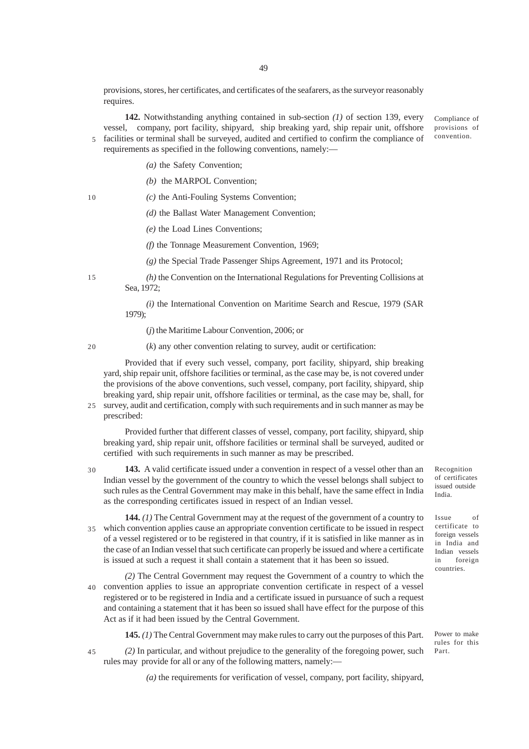provisions, stores, her certificates, and certificates of the seafarers, as the surveyor reasonably requires.

**142.** Notwithstanding anything contained in sub-section *(1)* of section 139, every vessel, company, port facility, shipyard, ship breaking yard, ship repair unit, offshore facilities or terminal shall be surveyed, audited and certified to confirm the compliance of requirements as specified in the following conventions, namely:— Compliance of provisions of convention. 5

- *(a)* the Safety Convention;
- *(b)* the MARPOL Convention;
- *(c)* the Anti-Fouling Systems Convention;
	- *(d)* the Ballast Water Management Convention;
	- *(e)* the Load Lines Conventions;
	- *(f)* the Tonnage Measurement Convention, 1969;
	- *(g)* the Special Trade Passenger Ships Agreement, 1971 and its Protocol;

*(h)* the Convention on the International Regulations for Preventing Collisions at Sea, 1972;

*(i)* the International Convention on Maritime Search and Rescue, 1979 (SAR 1979);

(*j*) the Maritime Labour Convention, 2006; or

20

15

10

(*k*) any other convention relating to survey, audit or certification:

Provided that if every such vessel, company, port facility, shipyard, ship breaking yard, ship repair unit, offshore facilities or terminal, as the case may be, is not covered under the provisions of the above conventions, such vessel, company, port facility, shipyard, ship breaking yard, ship repair unit, offshore facilities or terminal, as the case may be, shall, for

25 survey, audit and certification, comply with such requirements and in such manner as may be prescribed:

Provided further that different classes of vessel, company, port facility, shipyard, ship breaking yard, ship repair unit, offshore facilities or terminal shall be surveyed, audited or certified with such requirements in such manner as may be prescribed.

**143.** A valid certificate issued under a convention in respect of a vessel other than an Indian vessel by the government of the country to which the vessel belongs shall subject to such rules as the Central Government may make in this behalf, have the same effect in India as the corresponding certificates issued in respect of an Indian vessel. 30

**144.** *(1)* The Central Government may at the request of the government of a country to which convention applies cause an appropriate convention certificate to be issued in respect of a vessel registered or to be registered in that country, if it is satisfied in like manner as in the case of an Indian vessel that such certificate can properly be issued and where a certificate is issued at such a request it shall contain a statement that it has been so issued. 35

*(2)* The Central Government may request the Government of a country to which the convention applies to issue an appropriate convention certificate in respect of a vessel 40 registered or to be registered in India and a certificate issued in pursuance of such a request and containing a statement that it has been so issued shall have effect for the purpose of this Act as if it had been issued by the Central Government.

**145.** *(1)* The Central Government may make rules to carry out the purposes of this Part.

*(2)* In particular, and without prejudice to the generality of the foregoing power, such rules may provide for all or any of the following matters, namely:— 45

Recognition of certificates issued outside India.

Issue of certificate to foreign vessels in India and Indian vessels in foreign countries.

Power to make rules for this Part.

*(a)* the requirements for verification of vessel, company, port facility, shipyard,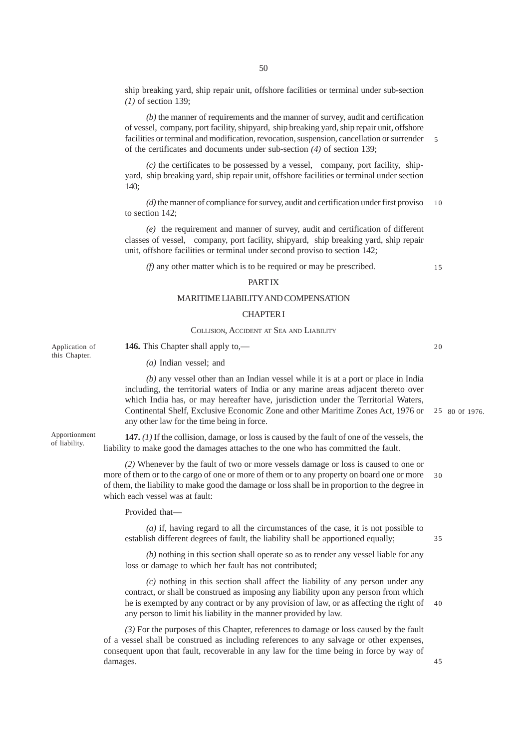50

ship breaking yard, ship repair unit, offshore facilities or terminal under sub-section *(1)* of section 139;

*(b)* the manner of requirements and the manner of survey, audit and certification of vessel, company, port facility, shipyard, ship breaking yard, ship repair unit, offshore facilities or terminal and modification, revocation, suspension, cancellation or surrender of the certificates and documents under sub-section *(4)* of section 139;

 $(c)$  the certificates to be possessed by a vessel, company, port facility, shipyard, ship breaking yard, ship repair unit, offshore facilities or terminal under section  $140<sup>°</sup>$ 

*(d)* the manner of compliance for survey, audit and certification under first proviso to section 142; 10

*(e)* the requirement and manner of survey, audit and certification of different classes of vessel, company, port facility, shipyard, ship breaking yard, ship repair unit, offshore facilities or terminal under second proviso to section 142;

*(f)* any other matter which is to be required or may be prescribed.

## PART IX

# MARITIME LIABILITY AND COMPENSATION

### CHAPTER I

### COLLISION, ACCIDENT AT SEA AND LIABILITY

Application of this Chapter.

Apportionment of liability.

**146.** This Chapter shall apply to,— *(a)* Indian vessel; and

*(b)* any vessel other than an Indian vessel while it is at a port or place in India including, the territorial waters of India or any marine areas adjacent thereto over which India has, or may hereafter have, jurisdiction under the Territorial Waters, Continental Shelf, Exclusive Economic Zone and other Maritime Zones Act, 1976 or any other law for the time being in force.

**147.** *(1)* If the collision, damage, or loss is caused by the fault of one of the vessels, the liability to make good the damages attaches to the one who has committed the fault.

*(2)* Whenever by the fault of two or more vessels damage or loss is caused to one or more of them or to the cargo of one or more of them or to any property on board one or more of them, the liability to make good the damage or loss shall be in proportion to the degree in which each vessel was at fault: 30

Provided that—

*(a)* if, having regard to all the circumstances of the case, it is not possible to establish different degrees of fault, the liability shall be apportioned equally;

*(b)* nothing in this section shall operate so as to render any vessel liable for any loss or damage to which her fault has not contributed;

*(c)* nothing in this section shall affect the liability of any person under any contract, or shall be construed as imposing any liability upon any person from which he is exempted by any contract or by any provision of law, or as affecting the right of any person to limit his liability in the manner provided by law. 40

*(3)* For the purposes of this Chapter, references to damage or loss caused by the fault of a vessel shall be construed as including references to any salvage or other expenses, consequent upon that fault, recoverable in any law for the time being in force by way of damages.

80 0f 1976. 25

5

15

20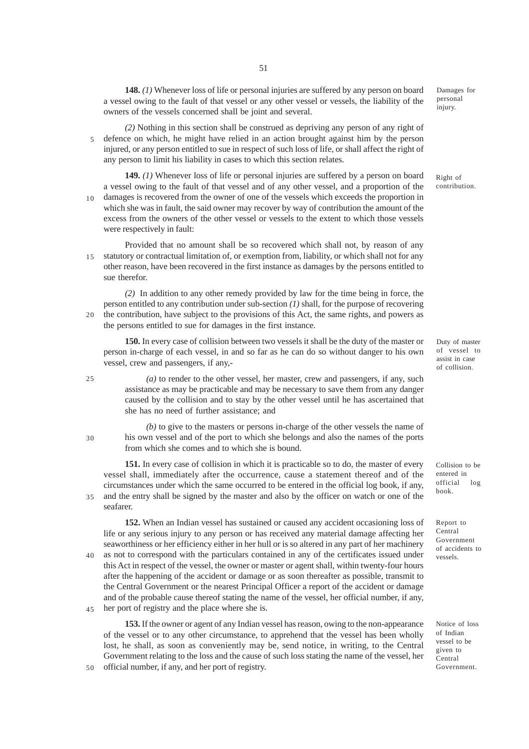**148.** *(1)* Whenever loss of life or personal injuries are suffered by any person on board a vessel owing to the fault of that vessel or any other vessel or vessels, the liability of the owners of the vessels concerned shall be joint and several.

*(2)* Nothing in this section shall be construed as depriving any person of any right of defence on which, he might have relied in an action brought against him by the person injured, or any person entitled to sue in respect of such loss of life, or shall affect the right of any person to limit his liability in cases to which this section relates. 5

**149.** *(1)* Whenever loss of life or personal injuries are suffered by a person on board a vessel owing to the fault of that vessel and of any other vessel, and a proportion of the damages is recovered from the owner of one of the vessels which exceeds the proportion in which she was in fault, the said owner may recover by way of contribution the amount of the excess from the owners of the other vessel or vessels to the extent to which those vessels were respectively in fault:  $10<sup>-1</sup>$ 

Provided that no amount shall be so recovered which shall not, by reason of any statutory or contractual limitation of, or exemption from, liability, or which shall not for any other reason, have been recovered in the first instance as damages by the persons entitled to sue therefor. 15

*(2)* In addition to any other remedy provided by law for the time being in force, the person entitled to any contribution under sub-section *(1)* shall, for the purpose of recovering the contribution, have subject to the provisions of this Act, the same rights, and powers as the persons entitled to sue for damages in the first instance.  $20$ 

**150.** In every case of collision between two vessels it shall be the duty of the master or person in-charge of each vessel, in and so far as he can do so without danger to his own vessel, crew and passengers, if any,-

*(a)* to render to the other vessel, her master, crew and passengers, if any, such assistance as may be practicable and may be necessary to save them from any danger caused by the collision and to stay by the other vessel until he has ascertained that she has no need of further assistance; and

*(b)* to give to the masters or persons in-charge of the other vessels the name of his own vessel and of the port to which she belongs and also the names of the ports from which she comes and to which she is bound. 30

25

50

**151.** In every case of collision in which it is practicable so to do, the master of every vessel shall, immediately after the occurrence, cause a statement thereof and of the circumstances under which the same occurred to be entered in the official log book, if any, and the entry shall be signed by the master and also by the officer on watch or one of the seafarer. 35

**152.** When an Indian vessel has sustained or caused any accident occasioning loss of life or any serious injury to any person or has received any material damage affecting her seaworthiness or her efficiency either in her hull or is so altered in any part of her machinery as not to correspond with the particulars contained in any of the certificates issued under this Act in respect of the vessel, the owner or master or agent shall, within twenty-four hours after the happening of the accident or damage or as soon thereafter as possible, transmit to the Central Government or the nearest Principal Officer a report of the accident or damage and of the probable cause thereof stating the name of the vessel, her official number, if any, her port of registry and the place where she is. 40 45

**153.** If the owner or agent of any Indian vessel has reason, owing to the non-appearance of the vessel or to any other circumstance, to apprehend that the vessel has been wholly lost, he shall, as soon as conveniently may be, send notice, in writing, to the Central Government relating to the loss and the cause of such loss stating the name of the vessel, her official number, if any, and her port of registry.

Damages for personal injury.

Right of contribution.

Duty of master of vessel to assist in case of collision.

Collision to be entered in official log book.

Report to Central Government of accidents to vessels.

Notice of loss of Indian vessel to be given to Central Government.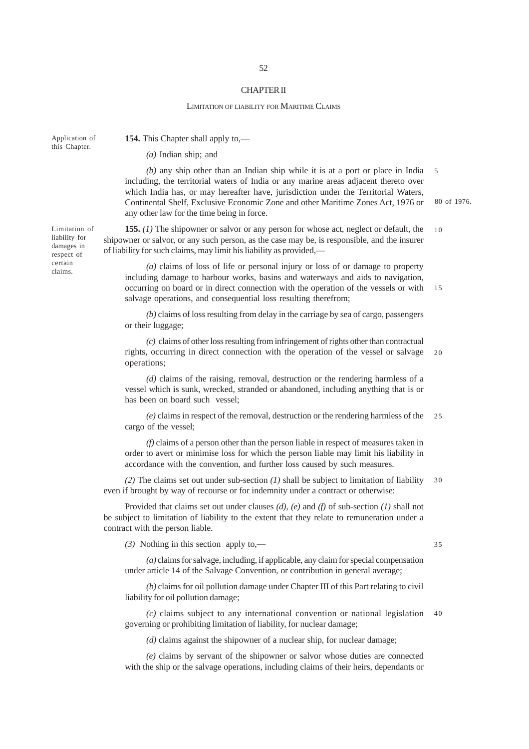### CHAPTER II

#### LIMITATION OF LIABILITY FOR MARITIME CLAIMS

Application of this Chapter.

**154.** This Chapter shall apply to,—

*(a)* Indian ship; and

*(b)* any ship other than an Indian ship while it is at a port or place in India including, the territorial waters of India or any marine areas adjacent thereto over which India has, or may hereafter have, jurisdiction under the Territorial Waters, Continental Shelf, Exclusive Economic Zone and other Maritime Zones Act, 1976 or any other law for the time being in force. 80 of 1976. 5

**155.** *(1)* The shipowner or salvor or any person for whose act, neglect or default, the shipowner or salvor, or any such person, as the case may be, is responsible, and the insurer of liability for such claims, may limit his liability as provided,— 10

*(a)* claims of loss of life or personal injury or loss of or damage to property including damage to harbour works, basins and waterways and aids to navigation, occurring on board or in direct connection with the operation of the vessels or with salvage operations, and consequential loss resulting therefrom; 15

*(b)* claims of loss resulting from delay in the carriage by sea of cargo, passengers or their luggage;

*(c)* claims of other loss resulting from infringement of rights other than contractual rights, occurring in direct connection with the operation of the vessel or salvage operations;  $20$ 

*(d)* claims of the raising, removal, destruction or the rendering harmless of a vessel which is sunk, wrecked, stranded or abandoned, including anything that is or has been on board such vessel;

*(e)* claims in respect of the removal, destruction or the rendering harmless of the cargo of the vessel;  $25$ 

*(f)* claims of a person other than the person liable in respect of measures taken in order to avert or minimise loss for which the person liable may limit his liability in accordance with the convention, and further loss caused by such measures.

*(2)* The claims set out under sub-section *(1)* shall be subject to limitation of liability even if brought by way of recourse or for indemnity under a contract or otherwise: 30

Provided that claims set out under clauses *(d)*, *(e)* and *(f)* of sub-section *(1)* shall not be subject to limitation of liability to the extent that they relate to remuneration under a contract with the person liable.

*(3)* Nothing in this section apply to,—

35

*(a)* claims for salvage, including, if applicable, any claim for special compensation under article 14 of the Salvage Convention, or contribution in general average;

*(b)* claims for oil pollution damage under Chapter III of this Part relating to civil liability for oil pollution damage;

*(c)* claims subject to any international convention or national legislation governing or prohibiting limitation of liability, for nuclear damage; 40

*(d)* claims against the shipowner of a nuclear ship, for nuclear damage;

*(e)* claims by servant of the shipowner or salvor whose duties are connected with the ship or the salvage operations, including claims of their heirs, dependants or

Limitation of liability for damages in respect of certain claims.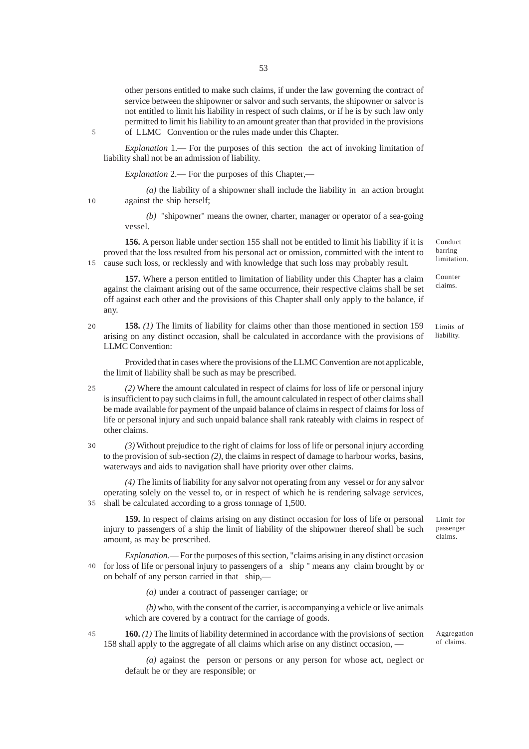other persons entitled to make such claims, if under the law governing the contract of service between the shipowner or salvor and such servants, the shipowner or salvor is not entitled to limit his liability in respect of such claims, or if he is by such law only permitted to limit his liability to an amount greater than that provided in the provisions of LLMC Convention or the rules made under this Chapter.

5

10

*Explanation* 1.— For the purposes of this section the act of invoking limitation of liability shall not be an admission of liability.

*Explanation* 2.— For the purposes of this Chapter,—

*(a)* the liability of a shipowner shall include the liability in an action brought against the ship herself;

*(b)* "shipowner" means the owner, charter, manager or operator of a sea-going vessel.

**156.** A person liable under section 155 shall not be entitled to limit his liability if it is proved that the loss resulted from his personal act or omission, committed with the intent to 15 cause such loss, or recklessly and with knowledge that such loss may probably result.

**157.** Where a person entitled to limitation of liability under this Chapter has a claim against the claimant arising out of the same occurrence, their respective claims shall be set off against each other and the provisions of this Chapter shall only apply to the balance, if any.

**158.** *(1)* The limits of liability for claims other than those mentioned in section 159 arising on any distinct occasion, shall be calculated in accordance with the provisions of LLMC Convention: Limits of liability. 20

Provided that in cases where the provisions of the LLMC Convention are not applicable, the limit of liability shall be such as may be prescribed.

*(2)* Where the amount calculated in respect of claims for loss of life or personal injury is insufficient to pay such claims in full, the amount calculated in respect of other claims shall be made available for payment of the unpaid balance of claims in respect of claims for loss of life or personal injury and such unpaid balance shall rank rateably with claims in respect of other claims.  $25$ 

*(3)* Without prejudice to the right of claims for loss of life or personal injury according to the provision of sub-section *(2)*, the claims in respect of damage to harbour works, basins, waterways and aids to navigation shall have priority over other claims. 30

*(4)* The limits of liability for any salvor not operating from any vessel or for any salvor operating solely on the vessel to, or in respect of which he is rendering salvage services, shall be calculated according to a gross tonnage of 1,500. 35

**159.** In respect of claims arising on any distinct occasion for loss of life or personal injury to passengers of a ship the limit of liability of the shipowner thereof shall be such amount, as may be prescribed.

*Explanation.*— For the purposes of this section, "claims arising in any distinct occasion for loss of life or personal injury to passengers of a ship " means any claim brought by or 40 on behalf of any person carried in that ship,—

*(a)* under a contract of passenger carriage; or

*(b)* who, with the consent of the carrier, is accompanying a vehicle or live animals which are covered by a contract for the carriage of goods.

**160.** *(1)* The limits of liability determined in accordance with the provisions of section 158 shall apply to the aggregate of all claims which arise on any distinct occasion, —

> *(a)* against the person or persons or any person for whose act, neglect or default he or they are responsible; or

Limit for passenger

Conduct barring limitation.

Counter claims.

claims.

Aggregation of claims.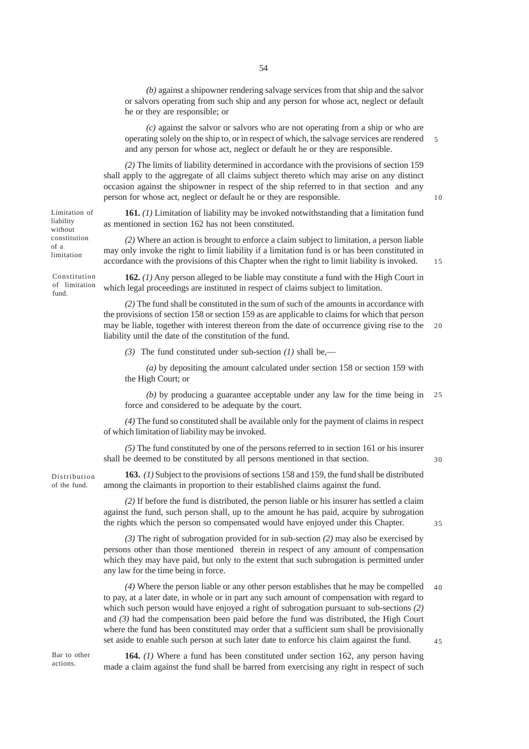*(b)* against a shipowner rendering salvage services from that ship and the salvor or salvors operating from such ship and any person for whose act, neglect or default he or they are responsible; or

*(c)* against the salvor or salvors who are not operating from a ship or who are operating solely on the ship to, or in respect of which, the salvage services are rendered and any person for whose act, neglect or default he or they are responsible. 5

*(2)* The limits of liability determined in accordance with the provisions of section 159 shall apply to the aggregate of all claims subject thereto which may arise on any distinct occasion against the shipowner in respect of the ship referred to in that section and any person for whose act, neglect or default he or they are responsible.

10

**161.** *(1)* Limitation of liability may be invoked notwithstanding that a limitation fund as mentioned in section 162 has not been constituted.

*(2)* Where an action is brought to enforce a claim subject to limitation, a person liable may only invoke the right to limit liability if a limitation fund is or has been constituted in accordance with the provisions of this Chapter when the right to limit liability is invoked.

15

30

35

**162.** *(1)* Any person alleged to be liable may constitute a fund with the High Court in which legal proceedings are instituted in respect of claims subject to limitation. Constitution of limitation

> *(2)* The fund shall be constituted in the sum of such of the amounts in accordance with the provisions of section 158 or section 159 as are applicable to claims for which that person may be liable, together with interest thereon from the date of occurrence giving rise to the liability until the date of the constitution of the fund. 20

*(3)* The fund constituted under sub-section *(1)* shall be,—

*(a)* by depositing the amount calculated under section 158 or section 159 with the High Court; or

*(b)* by producing a guarantee acceptable under any law for the time being in force and considered to be adequate by the court. 25

*(4)* The fund so constituted shall be available only for the payment of claims in respect of which limitation of liability may be invoked.

*(5)* The fund constituted by one of the persons referred to in section 161 or his insurer shall be deemed to be constituted by all persons mentioned in that section.

Distribution of the fund.

Limitation of liability without constitution of a limitation

fund.

**163.** *(1)* Subject to the provisions of sections 158 and 159, the fund shall be distributed among the claimants in proportion to their established claims against the fund.

*(2)* If before the fund is distributed, the person liable or his insurer has settled a claim against the fund, such person shall, up to the amount he has paid, acquire by subrogation the rights which the person so compensated would have enjoyed under this Chapter.

*(3)* The right of subrogation provided for in sub-section *(2)* may also be exercised by persons other than those mentioned therein in respect of any amount of compensation which they may have paid, but only to the extent that such subrogation is permitted under any law for the time being in force.

*(4)* Where the person liable or any other person establishes that he may be compelled to pay, at a later date, in whole or in part any such amount of compensation with regard to which such person would have enjoyed a right of subrogation pursuant to sub-sections *(2)* and *(3)* had the compensation been paid before the fund was distributed, the High Court where the fund has been constituted may order that a sufficient sum shall be provisionally set aside to enable such person at such later date to enforce his claim against the fund. 40 45

Bar to other actions.

**164.** *(1)* Where a fund has been constituted under section 162, any person having made a claim against the fund shall be barred from exercising any right in respect of such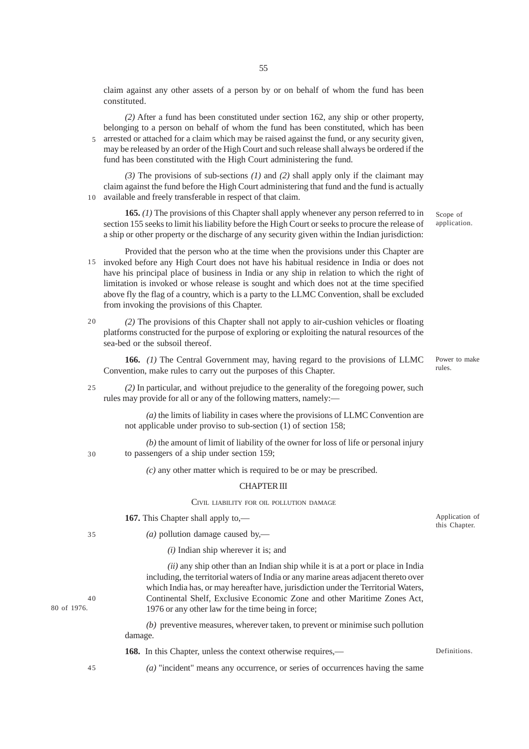claim against any other assets of a person by or on behalf of whom the fund has been constituted.

*(2)* After a fund has been constituted under section 162, any ship or other property, belonging to a person on behalf of whom the fund has been constituted, which has been arrested or attached for a claim which may be raised against the fund, or any security given, may be released by an order of the High Court and such release shall always be ordered if the fund has been constituted with the High Court administering the fund. 5

*(3)* The provisions of sub-sections *(1)* and *(2)* shall apply only if the claimant may claim against the fund before the High Court administering that fund and the fund is actually available and freely transferable in respect of that claim. 10

**165.** *(1)* The provisions of this Chapter shall apply whenever any person referred to in section 155 seeks to limit his liability before the High Court or seeks to procure the release of a ship or other property or the discharge of any security given within the Indian jurisdiction:

Provided that the person who at the time when the provisions under this Chapter are 15 invoked before any High Court does not have his habitual residence in India or does not have his principal place of business in India or any ship in relation to which the right of limitation is invoked or whose release is sought and which does not at the time specified above fly the flag of a country, which is a party to the LLMC Convention, shall be excluded from invoking the provisions of this Chapter.

*(2)* The provisions of this Chapter shall not apply to air-cushion vehicles or floating platforms constructed for the purpose of exploring or exploiting the natural resources of the sea-bed or the subsoil thereof.  $20$ 

**166.** *(1)* The Central Government may, having regard to the provisions of LLMC Convention, make rules to carry out the purposes of this Chapter.

*(2)* In particular, and without prejudice to the generality of the foregoing power, such rules may provide for all or any of the following matters, namely:— 25

> *(a)* the limits of liability in cases where the provisions of LLMC Convention are not applicable under proviso to sub-section (1) of section 158;

*(b)* the amount of limit of liability of the owner for loss of life or personal injury to passengers of a ship under section 159;

*(c)* any other matter which is required to be or may be prescribed.

### CHAPTER III

# CIVIL LIABILITY FOR OIL POLLUTION DAMAGE

**167.** This Chapter shall apply to,—

30

35

 $40$ 

80 of 1976.

*(a)* pollution damage caused by,—

*(i)* Indian ship wherever it is; and

*(ii)* any ship other than an Indian ship while it is at a port or place in India including, the territorial waters of India or any marine areas adjacent thereto over which India has, or may hereafter have, jurisdiction under the Territorial Waters, Continental Shelf, Exclusive Economic Zone and other Maritime Zones Act, 1976 or any other law for the time being in force;

*(b)* preventive measures, wherever taken, to prevent or minimise such pollution damage.

**168.** In this Chapter, unless the context otherwise requires.—

45

*(a)* "incident" means any occurrence, or series of occurrences having the same

Scope of application.

Power to make rules.

Application of this Chapter.

Definitions.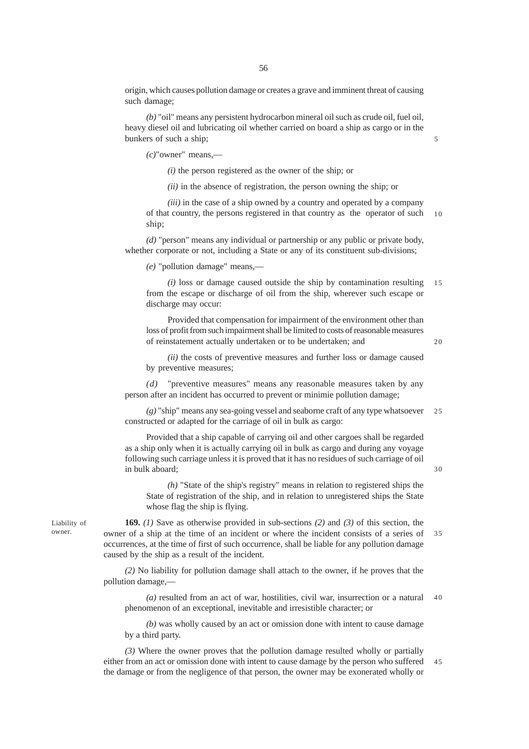origin, which causes pollution damage or creates a grave and imminent threat of causing such damage;

*(b)* "oil" means any persistent hydrocarbon mineral oil such as crude oil, fuel oil, heavy diesel oil and lubricating oil whether carried on board a ship as cargo or in the bunkers of such a ship;

*(c)*"owner" means,—

*(i)* the person registered as the owner of the ship; or

*(ii)* in the absence of registration, the person owning the ship; or

*(iii)* in the case of a ship owned by a country and operated by a company of that country, the persons registered in that country as the operator of such ship;  $10$ 

*(d)* "person" means any individual or partnership or any public or private body, whether corporate or not, including a State or any of its constituent sub-divisions;

*(e)* "pollution damage" means,—

*(i)* loss or damage caused outside the ship by contamination resulting from the escape or discharge of oil from the ship, wherever such escape or discharge may occur: 15

Provided that compensation for impairment of the environment other than loss of profit from such impairment shall be limited to costs of reasonable measures of reinstatement actually undertaken or to be undertaken; and

20

30

*(ii)* the costs of preventive measures and further loss or damage caused by preventive measures;

*(d)* "preventive measures" means any reasonable measures taken by any person after an incident has occurred to prevent or minimie pollution damage;

*(g)* "ship" means any sea-going vessel and seaborne craft of any type whatsoever constructed or adapted for the carriage of oil in bulk as cargo:  $25$ 

Provided that a ship capable of carrying oil and other cargoes shall be regarded as a ship only when it is actually carrying oil in bulk as cargo and during any voyage following such carriage unless it is proved that it has no residues of such carriage of oil in bulk aboard;

*(h)* "State of the ship's registry" means in relation to registered ships the State of registration of the ship, and in relation to unregistered ships the State whose flag the ship is flying.

Liability of owner.

**169.** *(1)* Save as otherwise provided in sub-sections *(2)* and *(3)* of this section, the owner of a ship at the time of an incident or where the incident consists of a series of occurrences, at the time of first of such occurrence, shall be liable for any pollution damage caused by the ship as a result of the incident. 35

*(2)* No liability for pollution damage shall attach to the owner, if he proves that the pollution damage,—

*(a)* resulted from an act of war, hostilities, civil war, insurrection or a natural phenomenon of an exceptional, inevitable and irresistible character; or 40

*(b)* was wholly caused by an act or omission done with intent to cause damage by a third party.

*(3)* Where the owner proves that the pollution damage resulted wholly or partially either from an act or omission done with intent to cause damage by the person who suffered the damage or from the negligence of that person, the owner may be exonerated wholly or 45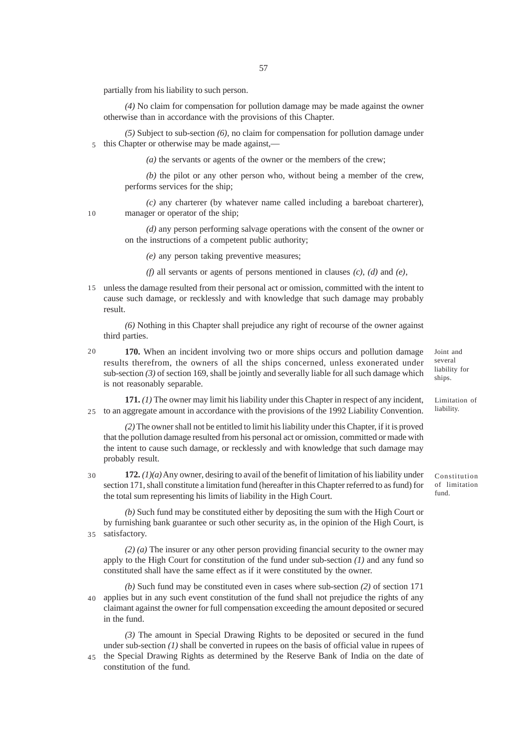partially from his liability to such person.

*(4)* No claim for compensation for pollution damage may be made against the owner otherwise than in accordance with the provisions of this Chapter.

*(5)* Subject to sub-section *(6)*, no claim for compensation for pollution damage under this Chapter or otherwise may be made against,— 5

*(a)* the servants or agents of the owner or the members of the crew;

*(b)* the pilot or any other person who, without being a member of the crew, performs services for the ship;

*(c)* any charterer (by whatever name called including a bareboat charterer), manager or operator of the ship;

*(d)* any person performing salvage operations with the consent of the owner or on the instructions of a competent public authority;

*(e)* any person taking preventive measures;

*(f)* all servants or agents of persons mentioned in clauses *(c)*, *(d)* and *(e)*,

unless the damage resulted from their personal act or omission, committed with the intent to 15 cause such damage, or recklessly and with knowledge that such damage may probably result.

*(6)* Nothing in this Chapter shall prejudice any right of recourse of the owner against third parties.

20

10

**170.** When an incident involving two or more ships occurs and pollution damage results therefrom, the owners of all the ships concerned, unless exonerated under sub-section  $(3)$  of section 169, shall be jointly and severally liable for all such damage which is not reasonably separable.

**171.** *(1)* The owner may limit his liability under this Chapter in respect of any incident, to an aggregate amount in accordance with the provisions of the 1992 Liability Convention. 25

*(2)* The owner shall not be entitled to limit his liability under this Chapter, if it is proved that the pollution damage resulted from his personal act or omission, committed or made with the intent to cause such damage, or recklessly and with knowledge that such damage may probably result.

**172.** *(1)(a)* Any owner, desiring to avail of the benefit of limitation of his liability under section 171, shall constitute a limitation fund (hereafter in this Chapter referred to as fund) for the total sum representing his limits of liability in the High Court. 30

*(b)* Such fund may be constituted either by depositing the sum with the High Court or by furnishing bank guarantee or such other security as, in the opinion of the High Court, is satisfactory. 35

*(2) (a)* The insurer or any other person providing financial security to the owner may apply to the High Court for constitution of the fund under sub-section *(1)* and any fund so constituted shall have the same effect as if it were constituted by the owner.

*(b)* Such fund may be constituted even in cases where sub-section *(2)* of section 171 40 applies but in any such event constitution of the fund shall not prejudice the rights of any claimant against the owner for full compensation exceeding the amount deposited or secured in the fund.

*(3)* The amount in Special Drawing Rights to be deposited or secured in the fund under sub-section *(1)* shall be converted in rupees on the basis of official value in rupees of 45 the Special Drawing Rights as determined by the Reserve Bank of India on the date of

constitution of the fund.

Joint and several liability for ships.

Limitation of liability.

Constitution of limitation fund.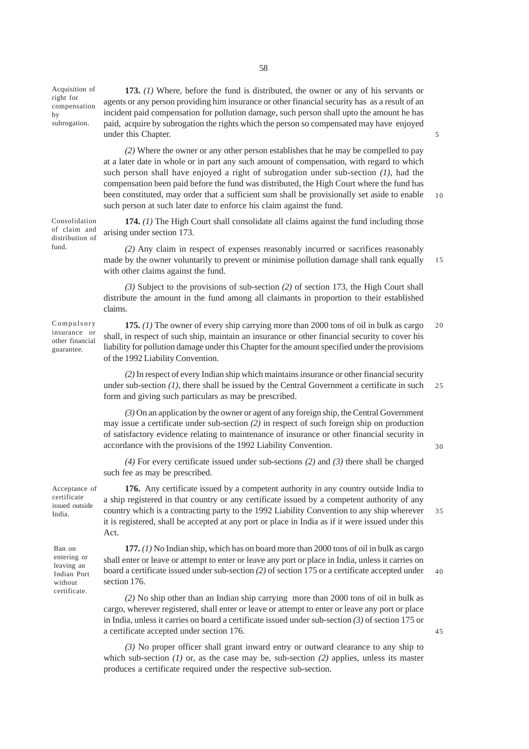Acquisition of right for compensation by subrogation.

**173.** *(1)* Where, before the fund is distributed, the owner or any of his servants or agents or any person providing him insurance or other financial security has as a result of an incident paid compensation for pollution damage, such person shall upto the amount he has paid, acquire by subrogation the rights which the person so compensated may have enjoyed under this Chapter.

*(2)* Where the owner or any other person establishes that he may be compelled to pay at a later date in whole or in part any such amount of compensation, with regard to which such person shall have enjoyed a right of subrogation under sub-section *(1)*, had the compensation been paid before the fund was distributed, the High Court where the fund has been constituted, may order that a sufficient sum shall be provisionally set aside to enable such person at such later date to enforce his claim against the fund. 10

5

30

45

**174.** *(1)* The High Court shall consolidate all claims against the fund including those arising under section 173. Consolidation of claim and distribution of

> *(2)* Any claim in respect of expenses reasonably incurred or sacrifices reasonably made by the owner voluntarily to prevent or minimise pollution damage shall rank equally with other claims against the fund. 15

*(3)* Subject to the provisions of sub-section *(2)* of section 173, the High Court shall distribute the amount in the fund among all claimants in proportion to their established claims.

Compulsory insurance or other financial guarantee.

fund.

**175.** *(1)* The owner of every ship carrying more than 2000 tons of oil in bulk as cargo shall, in respect of such ship, maintain an insurance or other financial security to cover his liability for pollution damage under this Chapter for the amount specified under the provisions of the 1992 Liability Convention. 20

*(2)* In respect of every Indian ship which maintains insurance or other financial security under sub-section (1), there shall be issued by the Central Government a certificate in such form and giving such particulars as may be prescribed.  $25$ 

*(3)* On an application by the owner or agent of any foreign ship, the Central Government may issue a certificate under sub-section *(2)* in respect of such foreign ship on production of satisfactory evidence relating to maintenance of insurance or other financial security in accordance with the provisions of the 1992 Liability Convention.

*(4)* For every certificate issued under sub-sections *(2)* and *(3)* there shall be charged such fee as may be prescribed.

**176.** Any certificate issued by a competent authority in any country outside India to a ship registered in that country or any certificate issued by a competent authority of any country which is a contracting party to the 1992 Liability Convention to any ship wherever it is registered, shall be accepted at any port or place in India as if it were issued under this Act. 35

Ban on entering or leaving an Indian Port without certificate.

Acceptance of certificate issued outside India.

> **177.** *(1)* No Indian ship, which has on board more than 2000 tons of oil in bulk as cargo shall enter or leave or attempt to enter or leave any port or place in India, unless it carries on board a certificate issued under sub-section *(2)* of section 175 or a certificate accepted under section 176. 40

*(2)* No ship other than an Indian ship carrying more than 2000 tons of oil in bulk as cargo, wherever registered, shall enter or leave or attempt to enter or leave any port or place in India, unless it carries on board a certificate issued under sub-section *(3)* of section 175 or a certificate accepted under section 176.

*(3)* No proper officer shall grant inward entry or outward clearance to any ship to which sub-section *(1)* or, as the case may be, sub-section *(2)* applies, unless its master produces a certificate required under the respective sub-section.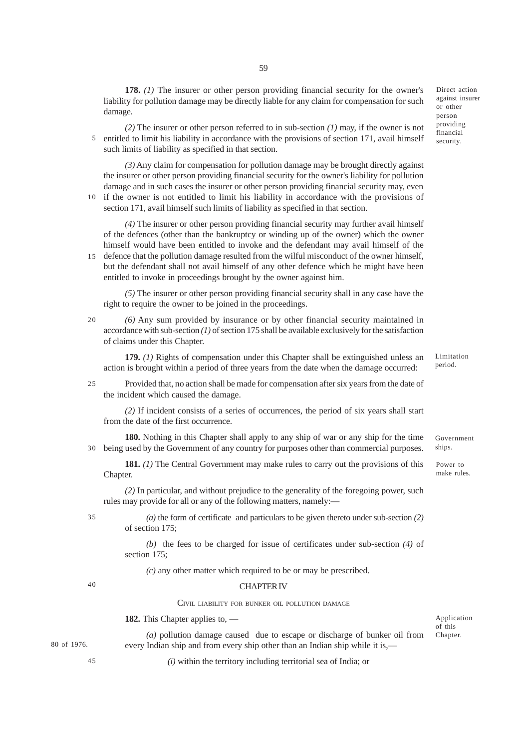**178.** *(1)* The insurer or other person providing financial security for the owner's liability for pollution damage may be directly liable for any claim for compensation for such damage.

59

*(2)* The insurer or other person referred to in sub-section *(1)* may, if the owner is not entitled to limit his liability in accordance with the provisions of section 171, avail himself such limits of liability as specified in that section. 5

*(3)* Any claim for compensation for pollution damage may be brought directly against the insurer or other person providing financial security for the owner's liability for pollution damage and in such cases the insurer or other person providing financial security may, even 10 if the owner is not entitled to limit his liability in accordance with the provisions of

section 171, avail himself such limits of liability as specified in that section.

*(4)* The insurer or other person providing financial security may further avail himself of the defences (other than the bankruptcy or winding up of the owner) which the owner himself would have been entitled to invoke and the defendant may avail himself of the 15 defence that the pollution damage resulted from the wilful misconduct of the owner himself,

but the defendant shall not avail himself of any other defence which he might have been entitled to invoke in proceedings brought by the owner against him.

*(5)* The insurer or other person providing financial security shall in any case have the right to require the owner to be joined in the proceedings.

*(6)* Any sum provided by insurance or by other financial security maintained in accordance with sub-section *(1)* of section 175 shall be available exclusively for the satisfaction of claims under this Chapter. 20

**179.** *(1)* Rights of compensation under this Chapter shall be extinguished unless an action is brought within a period of three years from the date when the damage occurred:

Provided that, no action shall be made for compensation after six years from the date of the incident which caused the damage. 25

*(2)* If incident consists of a series of occurrences, the period of six years shall start from the date of the first occurrence.

**180.** Nothing in this Chapter shall apply to any ship of war or any ship for the time being used by the Government of any country for purposes other than commercial purposes. 30

**181.** *(1)* The Central Government may make rules to carry out the provisions of this Chapter.

*(2)* In particular, and without prejudice to the generality of the foregoing power, such rules may provide for all or any of the following matters, namely:—

35

*(a)* the form of certificate and particulars to be given thereto under sub-section *(2)* of section 175;

*(b)* the fees to be charged for issue of certificates under sub-section *(4)* of section 175:

*(c)* any other matter which required to be or may be prescribed.

### 40

45

#### CHAPTER IV

CIVIL LIABILITY FOR BUNKER OIL POLLUTION DAMAGE

**182.** This Chapter applies to, —

80 of 1976.

*(a)* pollution damage caused due to escape or discharge of bunker oil from every Indian ship and from every ship other than an Indian ship while it is,—

*(i)* within the territory including territorial sea of India; or

Direct action against insurer or other person providing financial security.

Government ships.

Limitation period.

Power to make rules.

Application of this Chapter.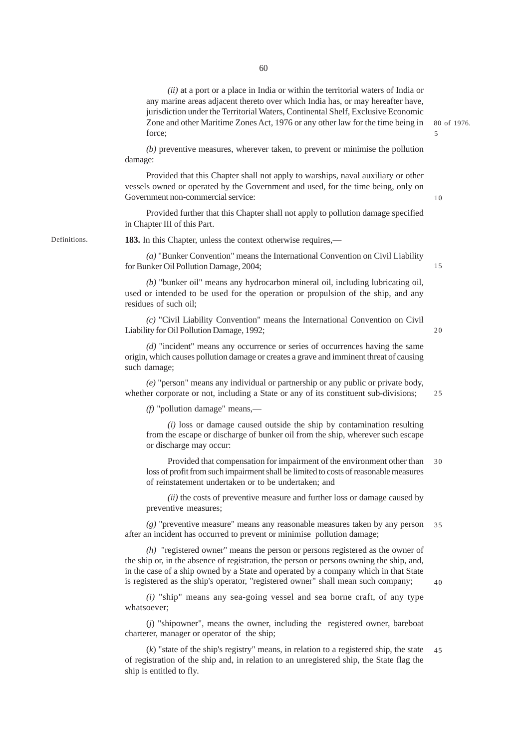*(ii)* at a port or a place in India or within the territorial waters of India or any marine areas adjacent thereto over which India has, or may hereafter have, jurisdiction under the Territorial Waters, Continental Shelf, Exclusive Economic Zone and other Maritime Zones Act, 1976 or any other law for the time being in force;

*(b)* preventive measures, wherever taken, to prevent or minimise the pollution damage:

Provided that this Chapter shall not apply to warships, naval auxiliary or other vessels owned or operated by the Government and used, for the time being, only on Government non-commercial service:

Provided further that this Chapter shall not apply to pollution damage specified in Chapter III of this Part.

Definitions.

**183.** In this Chapter, unless the context otherwise requires,—

*(a)* "Bunker Convention" means the International Convention on Civil Liability for Bunker Oil Pollution Damage, 2004;

*(b)* "bunker oil" means any hydrocarbon mineral oil, including lubricating oil, used or intended to be used for the operation or propulsion of the ship, and any residues of such oil;

*(c)* "Civil Liability Convention" means the International Convention on Civil Liability for Oil Pollution Damage, 1992;

*(d)* "incident" means any occurrence or series of occurrences having the same origin, which causes pollution damage or creates a grave and imminent threat of causing such damage;

*(e)* "person" means any individual or partnership or any public or private body, whether corporate or not, including a State or any of its constituent sub-divisions;

*(f)* "pollution damage" means,—

*(i)* loss or damage caused outside the ship by contamination resulting from the escape or discharge of bunker oil from the ship, wherever such escape or discharge may occur:

Provided that compensation for impairment of the environment other than loss of profit from such impairment shall be limited to costs of reasonable measures of reinstatement undertaken or to be undertaken; and 30

*(ii)* the costs of preventive measure and further loss or damage caused by preventive measures;

*(g)* "preventive measure" means any reasonable measures taken by any person after an incident has occurred to prevent or minimise pollution damage; 35

*(h)* "registered owner" means the person or persons registered as the owner of the ship or, in the absence of registration, the person or persons owning the ship, and, in the case of a ship owned by a State and operated by a company which in that State is registered as the ship's operator, "registered owner" shall mean such company;

*(i)* "ship" means any sea-going vessel and sea borne craft, of any type whatsoever;

(*j*) "shipowner", means the owner, including the registered owner, bareboat charterer, manager or operator of the ship;

 $(k)$  "state of the ship's registry" means, in relation to a registered ship, the state of registration of the ship and, in relation to an unregistered ship, the State flag the ship is entitled to fly. 45

25

15

20

10

80 of 1976.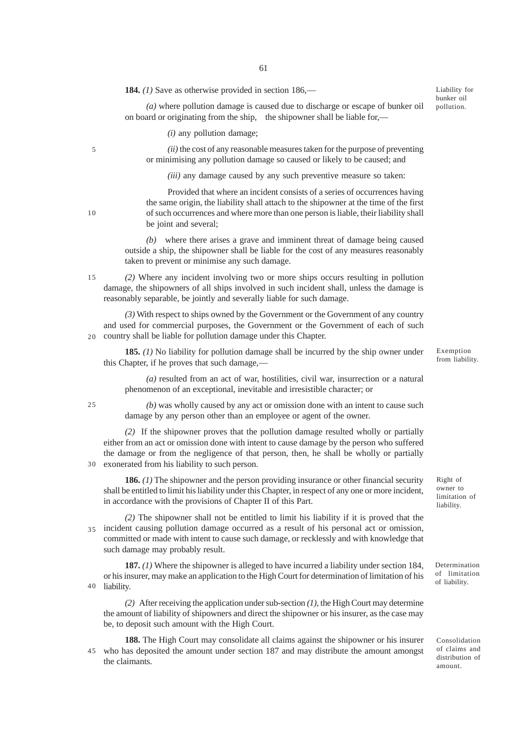**184.** *(1)* Save as otherwise provided in section 186,—

*(a)* where pollution damage is caused due to discharge or escape of bunker oil on board or originating from the ship, the shipowner shall be liable for,—

*(i)* any pollution damage;

*(ii)* the cost of any reasonable measures taken for the purpose of preventing or minimising any pollution damage so caused or likely to be caused; and

*(iii)* any damage caused by any such preventive measure so taken:

Provided that where an incident consists of a series of occurrences having the same origin, the liability shall attach to the shipowner at the time of the first of such occurrences and where more than one person is liable, their liability shall be joint and several;

*(b)* where there arises a grave and imminent threat of damage being caused outside a ship, the shipowner shall be liable for the cost of any measures reasonably taken to prevent or minimise any such damage.

*(2)* Where any incident involving two or more ships occurs resulting in pollution damage, the shipowners of all ships involved in such incident shall, unless the damage is reasonably separable, be jointly and severally liable for such damage. 15

*(3)* With respect to ships owned by the Government or the Government of any country and used for commercial purposes, the Government or the Government of each of such country shall be liable for pollution damage under this Chapter.  $20$ 

**185.** *(1)* No liability for pollution damage shall be incurred by the ship owner under this Chapter, if he proves that such damage,—

*(a)* resulted from an act of war, hostilities, civil war, insurrection or a natural phenomenon of an exceptional, inevitable and irresistible character; or

*(b)* was wholly caused by any act or omission done with an intent to cause such damage by any person other than an employee or agent of the owner.

*(2)* If the shipowner proves that the pollution damage resulted wholly or partially either from an act or omission done with intent to cause damage by the person who suffered the damage or from the negligence of that person, then, he shall be wholly or partially exonerated from his liability to such person. 30

**186.** *(1)* The shipowner and the person providing insurance or other financial security shall be entitled to limit his liability under this Chapter, in respect of any one or more incident, in accordance with the provisions of Chapter II of this Part.

*(2)* The shipowner shall not be entitled to limit his liability if it is proved that the incident causing pollution damage occurred as a result of his personal act or omission, committed or made with intent to cause such damage, or recklessly and with knowledge that such damage may probably result. 35

**187.** *(1)* Where the shipowner is alleged to have incurred a liability under section 184, or his insurer, may make an application to the High Court for determination of limitation of his liability. 40

*(2)* After receiving the application under sub-section *(1)*, the High Court may determine the amount of liability of shipowners and direct the shipowner or his insurer, as the case may be, to deposit such amount with the High Court.

**188.** The High Court may consolidate all claims against the shipowner or his insurer who has deposited the amount under section 187 and may distribute the amount amongst the claimants. 45

from liability.

Exemption

Liability for bunker oil pollution.

Right of owner to limitation of liability.

Determination of limitation of liability.

Consolidation of claims and distribution of amount.

10

25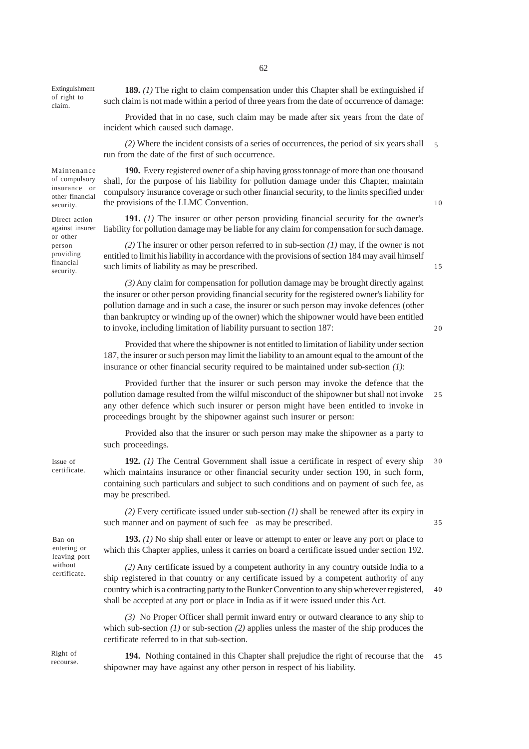Extinguishment of right to claim.

**189.** *(1)* The right to claim compensation under this Chapter shall be extinguished if such claim is not made within a period of three years from the date of occurrence of damage:

Provided that in no case, such claim may be made after six years from the date of incident which caused such damage.

*(2)* Where the incident consists of a series of occurrences, the period of six years shall run from the date of the first of such occurrence. 5

Maintenance of compulsory insurance or other financial security.

Direct action against insurer or other person providing financial security.

**190.** Every registered owner of a ship having gross tonnage of more than one thousand shall, for the purpose of his liability for pollution damage under this Chapter, maintain compulsory insurance coverage or such other financial security, to the limits specified under the provisions of the LLMC Convention.

**191.** *(1)* The insurer or other person providing financial security for the owner's liability for pollution damage may be liable for any claim for compensation for such damage.

*(2)* The insurer or other person referred to in sub-section *(1)* may, if the owner is not entitled to limit his liability in accordance with the provisions of section 184 may avail himself such limits of liability as may be prescribed.

*(3)* Any claim for compensation for pollution damage may be brought directly against the insurer or other person providing financial security for the registered owner's liability for pollution damage and in such a case, the insurer or such person may invoke defences (other than bankruptcy or winding up of the owner) which the shipowner would have been entitled to invoke, including limitation of liability pursuant to section 187:

insurance or other financial security required to be maintained under sub-section *(1)*:

Provided that where the shipowner is not entitled to limitation of liability under section 187, the insurer or such person may limit the liability to an amount equal to the amount of the

Provided further that the insurer or such person may invoke the defence that the pollution damage resulted from the wilful misconduct of the shipowner but shall not invoke any other defence which such insurer or person might have been entitled to invoke in proceedings brought by the shipowner against such insurer or person: 25

Provided also that the insurer or such person may make the shipowner as a party to such proceedings.

**192.** *(1)* The Central Government shall issue a certificate in respect of every ship which maintains insurance or other financial security under section 190, in such form, containing such particulars and subject to such conditions and on payment of such fee, as may be prescribed. 30

*(2)* Every certificate issued under sub-section *(1)* shall be renewed after its expiry in such manner and on payment of such fee as may be prescribed.

**193.** *(1)* No ship shall enter or leave or attempt to enter or leave any port or place to which this Chapter applies, unless it carries on board a certificate issued under section 192.

*(2)* Any certificate issued by a competent authority in any country outside India to a ship registered in that country or any certificate issued by a competent authority of any country which is a contracting party to the Bunker Convention to any ship wherever registered, shall be accepted at any port or place in India as if it were issued under this Act. 40

*(3)* No Proper Officer shall permit inward entry or outward clearance to any ship to which sub-section *(1)* or sub-section *(2)* applies unless the master of the ship produces the certificate referred to in that sub-section.

Right of recourse.

Issue of certificate.

Ban on entering or leaving port without certificate.

> **194.** Nothing contained in this Chapter shall prejudice the right of recourse that the shipowner may have against any other person in respect of his liability. 45

62

15

10

 $20$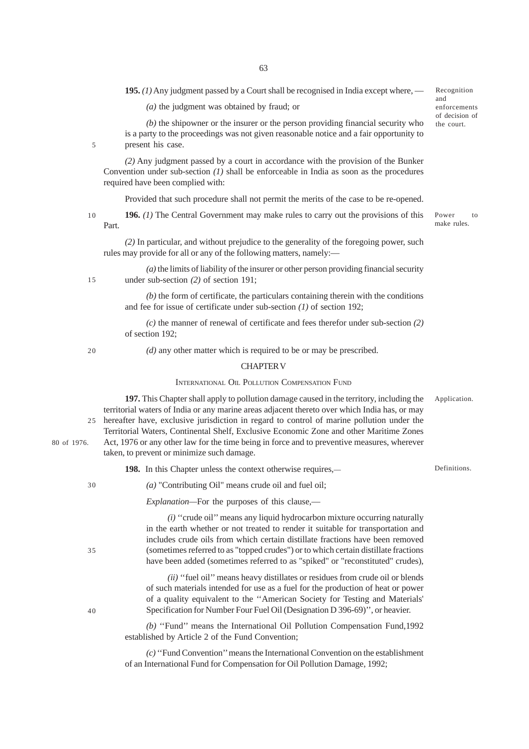**195.** *(1)* Any judgment passed by a Court shall be recognised in India except where, —

*(a)* the judgment was obtained by fraud; or

*(b)* the shipowner or the insurer or the person providing financial security who is a party to the proceedings was not given reasonable notice and a fair opportunity to present his case.

*(2)* Any judgment passed by a court in accordance with the provision of the Bunker Convention under sub-section *(1)* shall be enforceable in India as soon as the procedures required have been complied with:

Provided that such procedure shall not permit the merits of the case to be re-opened.

**196.** *(1)* The Central Government may make rules to carry out the provisions of this Part. 10

*(2)* In particular, and without prejudice to the generality of the foregoing power, such rules may provide for all or any of the following matters, namely:—

*(a)* the limits of liability of the insurer or other person providing financial security under sub-section *(2)* of section 191; 15

> *(b)* the form of certificate, the particulars containing therein with the conditions and fee for issue of certificate under sub-section *(1)* of section 192;

> *(c)* the manner of renewal of certificate and fees therefor under sub-section *(2)* of section 192;

20

5

*(d)* any other matter which is required to be or may be prescribed.

### CHAPTER V

#### INTERNATIONAL OIL POLLUTION COMPENSATION FUND

**197.** This Chapter shall apply to pollution damage caused in the territory, including the territorial waters of India or any marine areas adjacent thereto over which India has, or may hereafter have, exclusive jurisdiction in regard to control of marine pollution under the Territorial Waters, Continental Shelf, Exclusive Economic Zone and other Maritime Zones 25

Act, 1976 or any other law for the time being in force and to preventive measures, wherever taken, to prevent or minimize such damage.

> **198.** In this Chapter unless the context otherwise requires,— Definitions.

*(a)* "Contributing Oil" means crude oil and fuel oil;

*Explanation—*For the purposes of this clause,—

*(i)* ''crude oil'' means any liquid hydrocarbon mixture occurring naturally in the earth whether or not treated to render it suitable for transportation and includes crude oils from which certain distillate fractions have been removed (sometimes referred to as "topped crudes") or to which certain distillate fractions have been added (sometimes referred to as "spiked" or "reconstituted" crudes),

*(ii)* "fuel oil" means heavy distillates or residues from crude oil or blends of such materials intended for use as a fuel for the production of heat or power of a quality equivalent to the ''American Society for Testing and Materials' Specification for Number Four Fuel Oil (Designation D 396-69)'', or heavier.

*(b)* ''Fund'' means the International Oil Pollution Compensation Fund,1992 established by Article 2 of the Fund Convention;

*(c)* ''Fund Convention'' means the International Convention on the establishment of an International Fund for Compensation for Oil Pollution Damage, 1992;

80 of 1976.

30

 $40$ 

35

Power to make rules.

Recognition and

enforcements of decision of the court.

Application.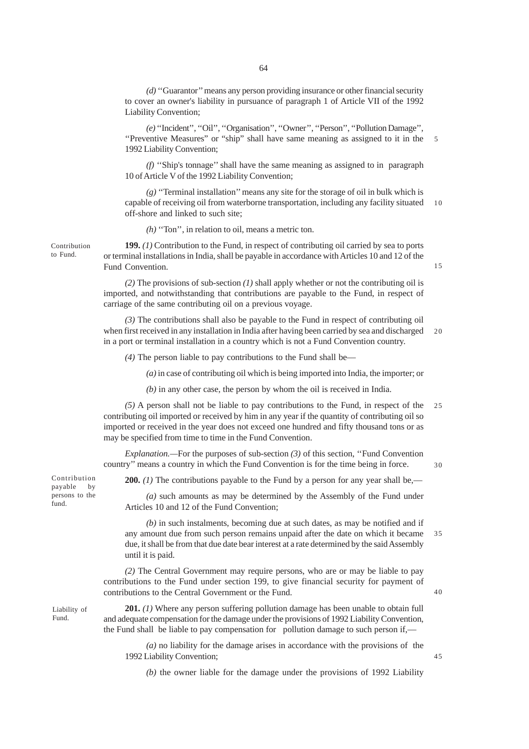*(d)* ''Guarantor'' means any person providing insurance or other financial security to cover an owner's liability in pursuance of paragraph 1 of Article VII of the 1992 Liability Convention;

*(e)* ''Incident'', ''Oil'', ''Organisation'', ''Owner'', ''Person'', ''Pollution Damage'', ''Preventive Measures" or "ship" shall have same meaning as assigned to it in the 1992 Liability Convention; 5

*(f)* ''Ship's tonnage'' shall have the same meaning as assigned to in paragraph 10 of Article V of the 1992 Liability Convention;

*(g)* ''Terminal installation'' means any site for the storage of oil in bulk which is capable of receiving oil from waterborne transportation, including any facility situated off-shore and linked to such site; 10

*(h)* ''Ton'', in relation to oil, means a metric ton.

**199.** *(1)* Contribution to the Fund, in respect of contributing oil carried by sea to ports or terminal installations in India, shall be payable in accordance with Articles 10 and 12 of the Fund Convention.

*(2)* The provisions of sub-section *(1)* shall apply whether or not the contributing oil is imported, and notwithstanding that contributions are payable to the Fund, in respect of carriage of the same contributing oil on a previous voyage.

*(3)* The contributions shall also be payable to the Fund in respect of contributing oil when first received in any installation in India after having been carried by sea and discharged in a port or terminal installation in a country which is not a Fund Convention country.  $20$ 

*(4)* The person liable to pay contributions to the Fund shall be—

*(a)* in case of contributing oil which is being imported into India, the importer; or

*(b)* in any other case, the person by whom the oil is received in India.

*(5)* A person shall not be liable to pay contributions to the Fund, in respect of the contributing oil imported or received by him in any year if the quantity of contributing oil so imported or received in the year does not exceed one hundred and fifty thousand tons or as may be specified from time to time in the Fund Convention.  $25$ 

*Explanation.—*For the purposes of sub-section *(3)* of this section, ''Fund Convention country'' means a country in which the Fund Convention is for the time being in force. 30

**200.** (1) The contributions payable to the Fund by a person for any year shall be,—

*(a)* such amounts as may be determined by the Assembly of the Fund under Articles 10 and 12 of the Fund Convention;

*(b)* in such instalments, becoming due at such dates, as may be notified and if any amount due from such person remains unpaid after the date on which it became due, it shall be from that due date bear interest at a rate determined by the said Assembly until it is paid. 35

*(2)* The Central Government may require persons, who are or may be liable to pay contributions to the Fund under section 199, to give financial security for payment of contributions to the Central Government or the Fund.

**201.** *(1)* Where any person suffering pollution damage has been unable to obtain full and adequate compensation for the damage under the provisions of 1992 Liability Convention, the Fund shall be liable to pay compensation for pollution damage to such person if,—

*(a)* no liability for the damage arises in accordance with the provisions of the 1992 Liability Convention;

*(b)* the owner liable for the damage under the provisions of 1992 Liability

Contribution payable by persons to the fund.

Liability of Fund.

Contribution to Fund.

45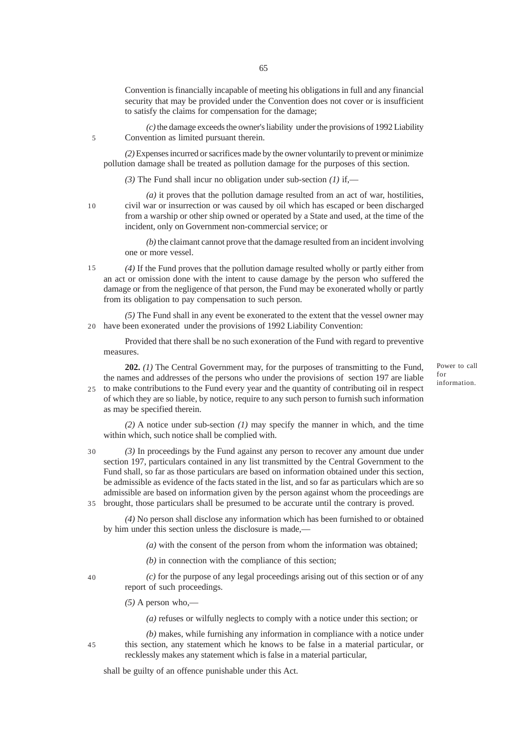Convention is financially incapable of meeting his obligations in full and any financial security that may be provided under the Convention does not cover or is insufficient to satisfy the claims for compensation for the damage;

*(c)* the damage exceeds the owner's liability under the provisions of 1992 Liability Convention as limited pursuant therein.

*(2)* Expenses incurred or sacrifices made by the owner voluntarily to prevent or minimize pollution damage shall be treated as pollution damage for the purposes of this section.

*(3)* The Fund shall incur no obligation under sub-section *(1)* if,—

10

5

*(a)* it proves that the pollution damage resulted from an act of war, hostilities, civil war or insurrection or was caused by oil which has escaped or been discharged from a warship or other ship owned or operated by a State and used, at the time of the incident, only on Government non-commercial service; or

*(b)* the claimant cannot prove that the damage resulted from an incident involving one or more vessel.

*(4)* If the Fund proves that the pollution damage resulted wholly or partly either from an act or omission done with the intent to cause damage by the person who suffered the damage or from the negligence of that person, the Fund may be exonerated wholly or partly from its obligation to pay compensation to such person. 15

*(5)* The Fund shall in any event be exonerated to the extent that the vessel owner may have been exonerated under the provisions of 1992 Liability Convention: 20

Provided that there shall be no such exoneration of the Fund with regard to preventive measures.

**202.** *(1)* The Central Government may, for the purposes of transmitting to the Fund, the names and addresses of the persons who under the provisions of section 197 are liable to make contributions to the Fund every year and the quantity of contributing oil in respect of which they are so liable, by notice, require to any such person to furnish such information as may be specified therein. 25

*(2)* A notice under sub-section *(1)* may specify the manner in which, and the time within which, such notice shall be complied with.

*(3)* In proceedings by the Fund against any person to recover any amount due under section 197, particulars contained in any list transmitted by the Central Government to the Fund shall, so far as those particulars are based on information obtained under this section, be admissible as evidence of the facts stated in the list, and so far as particulars which are so admissible are based on information given by the person against whom the proceedings are 30

brought, those particulars shall be presumed to be accurate until the contrary is proved. 35

*(4)* No person shall disclose any information which has been furnished to or obtained by him under this section unless the disclosure is made,—

*(a)* with the consent of the person from whom the information was obtained;

*(b)* in connection with the compliance of this section;

 $40$ 

*(c)* for the purpose of any legal proceedings arising out of this section or of any report of such proceedings.

*(5)* A person who,—

*(a)* refuses or wilfully neglects to comply with a notice under this section; or

45

*(b)* makes, while furnishing any information in compliance with a notice under this section, any statement which he knows to be false in a material particular, or recklessly makes any statement which is false in a material particular,

shall be guilty of an offence punishable under this Act.

Power to call for information.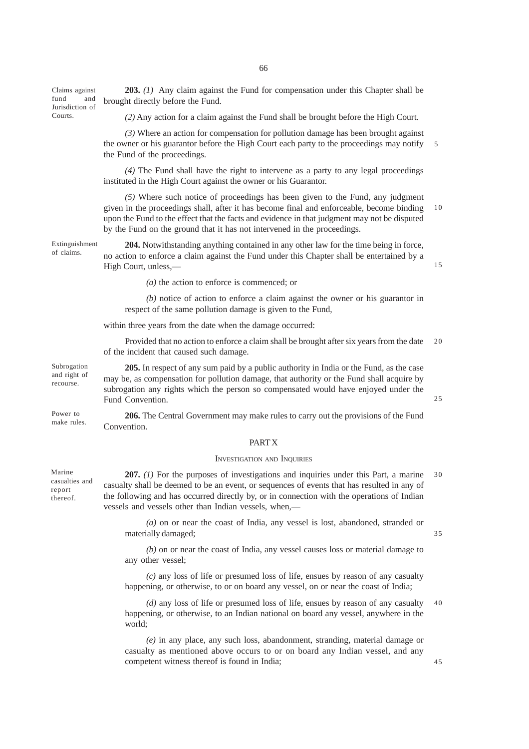66

Claims against fund and Jurisdiction of Courts.

**203.** *(1)* Any claim against the Fund for compensation under this Chapter shall be brought directly before the Fund.

*(2)* Any action for a claim against the Fund shall be brought before the High Court.

*(3)* Where an action for compensation for pollution damage has been brought against the owner or his guarantor before the High Court each party to the proceedings may notify the Fund of the proceedings. 5

*(4)* The Fund shall have the right to intervene as a party to any legal proceedings instituted in the High Court against the owner or his Guarantor.

*(5)* Where such notice of proceedings has been given to the Fund, any judgment given in the proceedings shall, after it has become final and enforceable, become binding upon the Fund to the effect that the facts and evidence in that judgment may not be disputed by the Fund on the ground that it has not intervened in the proceedings. 10

Extinguishment of claims.

**204.** Notwithstanding anything contained in any other law for the time being in force, no action to enforce a claim against the Fund under this Chapter shall be entertained by a High Court, unless,—

*(a)* the action to enforce is commenced; or

*(b)* notice of action to enforce a claim against the owner or his guarantor in respect of the same pollution damage is given to the Fund,

within three years from the date when the damage occurred:

Provided that no action to enforce a claim shall be brought after six years from the date of the incident that caused such damage.  $20$ 

**205.** In respect of any sum paid by a public authority in India or the Fund, as the case may be, as compensation for pollution damage, that authority or the Fund shall acquire by subrogation any rights which the person so compensated would have enjoyed under the Fund Convention.

**206.** The Central Government may make rules to carry out the provisions of the Fund Convention. Power to make rules.

## **PART X**

#### INVESTIGATION AND INQUIRIES

**207.** *(1)* For the purposes of investigations and inquiries under this Part, a marine casualty shall be deemed to be an event, or sequences of events that has resulted in any of the following and has occurred directly by, or in connection with the operations of Indian vessels and vessels other than Indian vessels, when,—  $30$ 

*(a)* on or near the coast of India, any vessel is lost, abandoned, stranded or materially damaged;

*(b)* on or near the coast of India, any vessel causes loss or material damage to any other vessel;

*(c)* any loss of life or presumed loss of life, ensues by reason of any casualty happening, or otherwise, to or on board any vessel, on or near the coast of India;

*(d)* any loss of life or presumed loss of life, ensues by reason of any casualty happening, or otherwise, to an Indian national on board any vessel, anywhere in the world; 40

*(e)* in any place, any such loss, abandonment, stranding, material damage or casualty as mentioned above occurs to or on board any Indian vessel, and any competent witness thereof is found in India;

Marine casualties and report thereof.

Subrogation and right of recourse.

15

35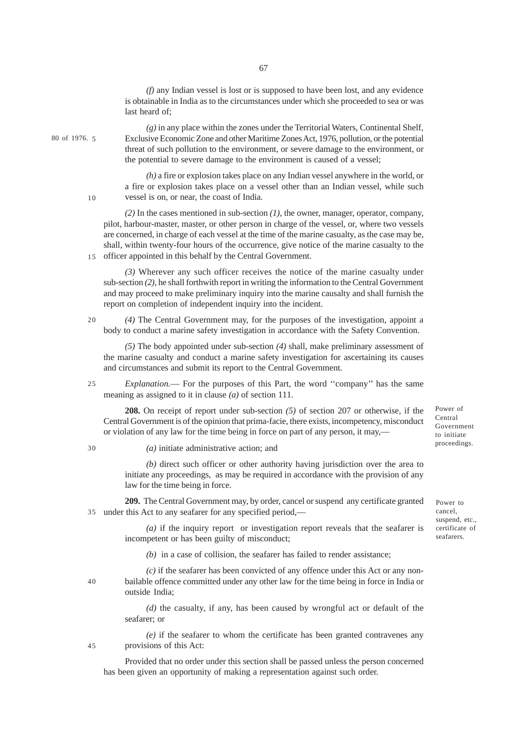*(f)* any Indian vessel is lost or is supposed to have been lost, and any evidence is obtainable in India as to the circumstances under which she proceeded to sea or was last heard of;

*(g)* in any place within the zones under the Territorial Waters, Continental Shelf, Exclusive Economic Zone and other Maritime Zones Act, 1976, pollution, or the potential threat of such pollution to the environment, or severe damage to the environment, or the potential to severe damage to the environment is caused of a vessel;

*(h)* a fire or explosion takes place on any Indian vessel anywhere in the world, or a fire or explosion takes place on a vessel other than an Indian vessel, while such vessel is on, or near, the coast of India.

*(2)* In the cases mentioned in sub-section *(1)*, the owner, manager, operator, company, pilot, harbour-master, master, or other person in charge of the vessel, or, where two vessels are concerned, in charge of each vessel at the time of the marine casualty, as the case may be, shall, within twenty-four hours of the occurrence, give notice of the marine casualty to the 15 officer appointed in this behalf by the Central Government.

*(3)* Wherever any such officer receives the notice of the marine casualty under sub-section *(2)*, he shall forthwith report in writing the information to the Central Government and may proceed to make preliminary inquiry into the marine causalty and shall furnish the report on completion of independent inquiry into the incident.

*(4)* The Central Government may, for the purposes of the investigation, appoint a body to conduct a marine safety investigation in accordance with the Safety Convention.

*(5)* The body appointed under sub-section *(4)* shall, make preliminary assessment of the marine casualty and conduct a marine safety investigation for ascertaining its causes and circumstances and submit its report to the Central Government.

*Explanation.*— For the purposes of this Part, the word ''company'' has the same meaning as assigned to it in clause *(a)* of section 111. 25

**208.** On receipt of report under sub-section *(5)* of section 207 or otherwise, if the Central Government is of the opinion that prima-facie, there exists, incompetency, misconduct or violation of any law for the time being in force on part of any person, it may,—

*(a)* initiate administrative action; and

*(b)* direct such officer or other authority having jurisdiction over the area to initiate any proceedings, as may be required in accordance with the provision of any law for the time being in force.

**209.** The Central Government may, by order, cancel or suspend any certificate granted under this Act to any seafarer for any specified period,— 35

> *(a)* if the inquiry report or investigation report reveals that the seafarer is incompetent or has been guilty of misconduct;

*(b)* in a case of collision, the seafarer has failed to render assistance;

*(c)* if the seafarer has been convicted of any offence under this Act or any nonbailable offence committed under any other law for the time being in force in India or outside India;

*(d)* the casualty, if any, has been caused by wrongful act or default of the seafarer; or

*(e)* if the seafarer to whom the certificate has been granted contravenes any provisions of this Act:

Provided that no order under this section shall be passed unless the person concerned has been given an opportunity of making a representation against such order.

Power of Central Government to initiate proceedings.

Power to cancel, suspend, etc., certificate of seafarers.

20

30

10

80 of 1976. 5

40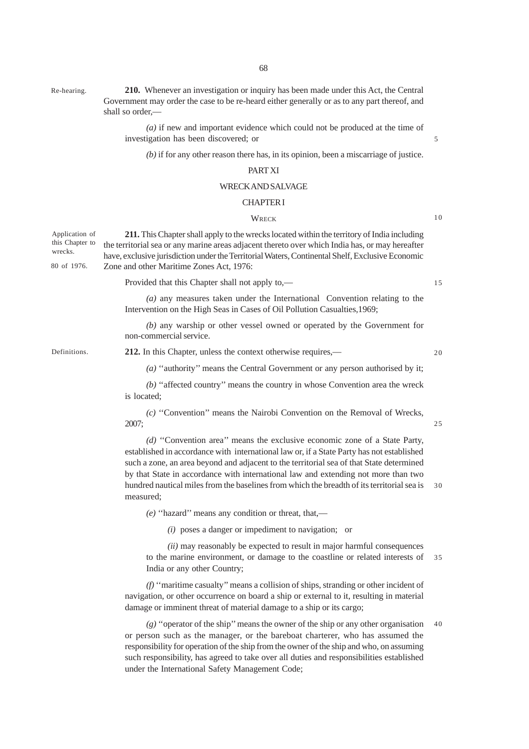Re-hearing.

**210.** Whenever an investigation or inquiry has been made under this Act, the Central Government may order the case to be re-heard either generally or as to any part thereof, and shall so order,—

*(a)* if new and important evidence which could not be produced at the time of investigation has been discovered; or

*(b)* if for any other reason there has, in its opinion, been a miscarriage of justice.

## PART XI

### WRECK AND SALVAGE

## CHAPTER I

## **WRECK**

10

15

5

**211.** This Chapter shall apply to the wrecks located within the territory of India including the territorial sea or any marine areas adjacent thereto over which India has, or may hereafter have, exclusive jurisdiction under the Territorial Waters, Continental Shelf, Exclusive Economic Zone and other Maritime Zones Act, 1976: Application of this Chapter to wrecks. 80 of 1976.

Provided that this Chapter shall not apply to,—

*(a)* any measures taken under the International Convention relating to the Intervention on the High Seas in Cases of Oil Pollution Casualties,1969;

*(b)* any warship or other vessel owned or operated by the Government for non-commercial service.

Definitions.

**212.** In this Chapter, unless the context otherwise requires,—

 $20$ 

25

*(a)* ''authority'' means the Central Government or any person authorised by it;

*(b)* ''affected country'' means the country in whose Convention area the wreck is located;

*(c)* ''Convention'' means the Nairobi Convention on the Removal of Wrecks, 2007;

*(d)* ''Convention area'' means the exclusive economic zone of a State Party, established in accordance with international law or, if a State Party has not established such a zone, an area beyond and adjacent to the territorial sea of that State determined by that State in accordance with international law and extending not more than two hundred nautical miles from the baselines from which the breadth of its territorial sea is measured; 30

*(e)* ''hazard'' means any condition or threat, that,—

*(i)* poses a danger or impediment to navigation; or

*(ii)* may reasonably be expected to result in major harmful consequences to the marine environment, or damage to the coastline or related interests of India or any other Country; 35

*(f)* ''maritime casualty'' means a collision of ships, stranding or other incident of navigation, or other occurrence on board a ship or external to it, resulting in material damage or imminent threat of material damage to a ship or its cargo;

*(g)* ''operator of the ship'' means the owner of the ship or any other organisation or person such as the manager, or the bareboat charterer, who has assumed the responsibility for operation of the ship from the owner of the ship and who, on assuming such responsibility, has agreed to take over all duties and responsibilities established under the International Safety Management Code; 40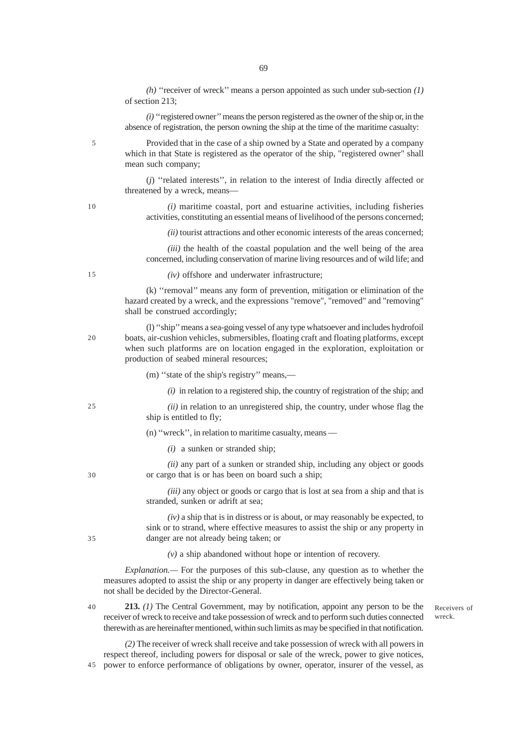*(h)* ''receiver of wreck'' means a person appointed as such under sub-section *(1)* of section 213;

*(i)* ''registered owner'' means the person registered as the owner of the ship or, in the absence of registration, the person owning the ship at the time of the maritime casualty:

Provided that in the case of a ship owned by a State and operated by a company which in that State is registered as the operator of the ship, "registered owner" shall mean such company;

(*j*) ''related interests'', in relation to the interest of India directly affected or threatened by a wreck, means—

*(i)* maritime coastal, port and estuarine activities, including fisheries activities, constituting an essential means of livelihood of the persons concerned;

*(ii)* tourist attractions and other economic interests of the areas concerned;

*(iii)* the health of the coastal population and the well being of the area concerned, including conservation of marine living resources and of wild life; and

*(iv)* offshore and underwater infrastructure;

(k) ''removal'' means any form of prevention, mitigation or elimination of the hazard created by a wreck, and the expressions "remove", "removed" and "removing" shall be construed accordingly;

(l) ''ship'' means a sea-going vessel of any type whatsoever and includes hydrofoil boats, air-cushion vehicles, submersibles, floating craft and floating platforms, except when such platforms are on location engaged in the exploration, exploitation or production of seabed mineral resources;

(m) ''state of the ship's registry'' means,—

*(i)* in relation to a registered ship, the country of registration of the ship; and

*(ii)* in relation to an unregistered ship, the country, under whose flag the ship is entitled to fly;

(n) ''wreck'', in relation to maritime casualty, means —

*(i)* a sunken or stranded ship;

*(ii)* any part of a sunken or stranded ship, including any object or goods or cargo that is or has been on board such a ship;

*(iii)* any object or goods or cargo that is lost at sea from a ship and that is stranded, sunken or adrift at sea;

*(iv)* a ship that is in distress or is about, or may reasonably be expected, to sink or to strand, where effective measures to assist the ship or any property in danger are not already being taken; or

*(v)* a ship abandoned without hope or intention of recovery.

*Explanation.—* For the purposes of this sub-clause, any question as to whether the measures adopted to assist the ship or any property in danger are effectively being taken or not shall be decided by the Director-General.

**213.** *(1)* The Central Government, may by notification, appoint any person to be the receiver of wreck to receive and take possession of wreck and to perform such duties connected therewith as are hereinafter mentioned, within such limits as may be specified in that notification. 40

Receivers of wreck.

*(2)* The receiver of wreck shall receive and take possession of wreck with all powers in respect thereof, including powers for disposal or sale of the wreck, power to give notices, power to enforce performance of obligations by owner, operator, insurer of the vessel, as 45

10

15

20

5

25

30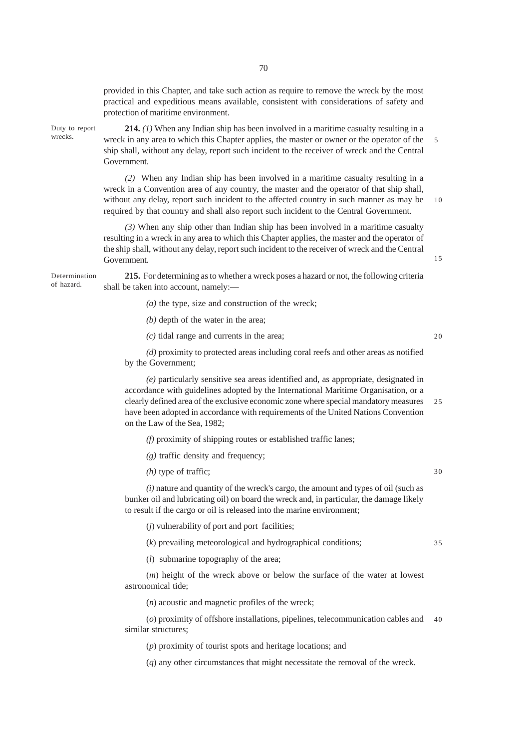provided in this Chapter, and take such action as require to remove the wreck by the most practical and expeditious means available, consistent with considerations of safety and protection of maritime environment.

Duty to report wrecks.

**214.** *(1)* When any Indian ship has been involved in a maritime casualty resulting in a wreck in any area to which this Chapter applies, the master or owner or the operator of the ship shall, without any delay, report such incident to the receiver of wreck and the Central Government.

*(2)* When any Indian ship has been involved in a maritime casualty resulting in a wreck in a Convention area of any country, the master and the operator of that ship shall, without any delay, report such incident to the affected country in such manner as may be required by that country and shall also report such incident to the Central Government. 10

*(3)* When any ship other than Indian ship has been involved in a maritime casualty resulting in a wreck in any area to which this Chapter applies, the master and the operator of the ship shall, without any delay, report such incident to the receiver of wreck and the Central Government.

Determination of hazard.

**215.** For determining as to whether a wreck poses a hazard or not, the following criteria shall be taken into account, namely:—

- *(a)* the type, size and construction of the wreck;
- *(b)* depth of the water in the area;
- *(c)* tidal range and currents in the area;

*(d)* proximity to protected areas including coral reefs and other areas as notified by the Government;

*(e)* particularly sensitive sea areas identified and, as appropriate, designated in accordance with guidelines adopted by the International Maritime Organisation, or a clearly defined area of the exclusive economic zone where special mandatory measures have been adopted in accordance with requirements of the United Nations Convention on the Law of the Sea, 1982; 25

*(f)* proximity of shipping routes or established traffic lanes;

*(g)* traffic density and frequency;

*(h)* type of traffic;

30

35

5

15

20

*(i)* nature and quantity of the wreck's cargo, the amount and types of oil (such as bunker oil and lubricating oil) on board the wreck and, in particular, the damage likely to result if the cargo or oil is released into the marine environment;

(*j*) vulnerability of port and port facilities;

(*k*) prevailing meteorological and hydrographical conditions;

(*l*) submarine topography of the area;

(*m*) height of the wreck above or below the surface of the water at lowest astronomical tide;

(*n*) acoustic and magnetic profiles of the wreck;

(*o*) proximity of offshore installations, pipelines, telecommunication cables and 40similar structures;

(*p*) proximity of tourist spots and heritage locations; and

(*q*) any other circumstances that might necessitate the removal of the wreck.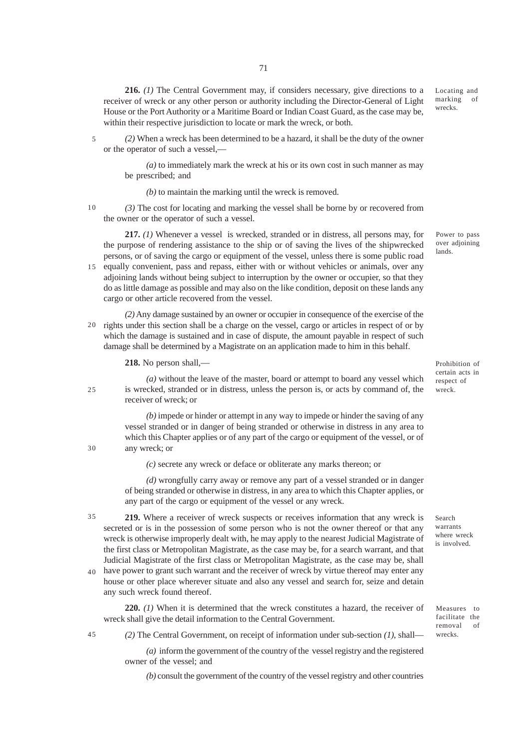**216.** *(1)* The Central Government may, if considers necessary, give directions to a receiver of wreck or any other person or authority including the Director-General of Light House or the Port Authority or a Maritime Board or Indian Coast Guard, as the case may be, within their respective jurisdiction to locate or mark the wreck, or both.

*(2)* When a wreck has been determined to be a hazard, it shall be the duty of the owner or the operator of such a vessel,— 5

*(a)* to immediately mark the wreck at his or its own cost in such manner as may be prescribed; and

*(b)* to maintain the marking until the wreck is removed.

10

 $25$ 

30

*(3)* The cost for locating and marking the vessel shall be borne by or recovered from the owner or the operator of such a vessel.

**217.** *(1)* Whenever a vessel is wrecked, stranded or in distress, all persons may, for the purpose of rendering assistance to the ship or of saving the lives of the shipwrecked persons, or of saving the cargo or equipment of the vessel, unless there is some public road

15 equally convenient, pass and repass, either with or without vehicles or animals, over any adjoining lands without being subject to interruption by the owner or occupier, so that they do as little damage as possible and may also on the like condition, deposit on these lands any cargo or other article recovered from the vessel.

*(2)* Any damage sustained by an owner or occupier in consequence of the exercise of the 20 rights under this section shall be a charge on the vessel, cargo or articles in respect of or by which the damage is sustained and in case of dispute, the amount payable in respect of such damage shall be determined by a Magistrate on an application made to him in this behalf.

**218.** No person shall,—

*(a)* without the leave of the master, board or attempt to board any vessel which is wrecked, stranded or in distress, unless the person is, or acts by command of, the receiver of wreck; or

*(b)* impede or hinder or attempt in any way to impede or hinder the saving of any vessel stranded or in danger of being stranded or otherwise in distress in any area to which this Chapter applies or of any part of the cargo or equipment of the vessel, or of any wreck; or

*(c)* secrete any wreck or deface or obliterate any marks thereon; or

*(d)* wrongfully carry away or remove any part of a vessel stranded or in danger of being stranded or otherwise in distress, in any area to which this Chapter applies, or any part of the cargo or equipment of the vessel or any wreck.

**219.** Where a receiver of wreck suspects or receives information that any wreck is secreted or is in the possession of some person who is not the owner thereof or that any wreck is otherwise improperly dealt with, he may apply to the nearest Judicial Magistrate of the first class or Metropolitan Magistrate, as the case may be, for a search warrant, and that Judicial Magistrate of the first class or Metropolitan Magistrate, as the case may be, shall 35

have power to grant such warrant and the receiver of wreck by virtue thereof may enter any house or other place wherever situate and also any vessel and search for, seize and detain any such wreck found thereof. 40

**220.** *(1)* When it is determined that the wreck constitutes a hazard, the receiver of wreck shall give the detail information to the Central Government.

*(2)* The Central Government, on receipt of information under sub-section *(1)*, shall— 45

> *(a)* inform the government of the country of the vessel registry and the registered owner of the vessel; and

*(b)* consult the government of the country of the vessel registry and other countries

Power to pass over adjoining lands.

Locating and marking of wrecks.

Prohibition of certain acts in respect of wreck.

Search warrants where wreck is involved.

Measures to facilitate the removal of wrecks.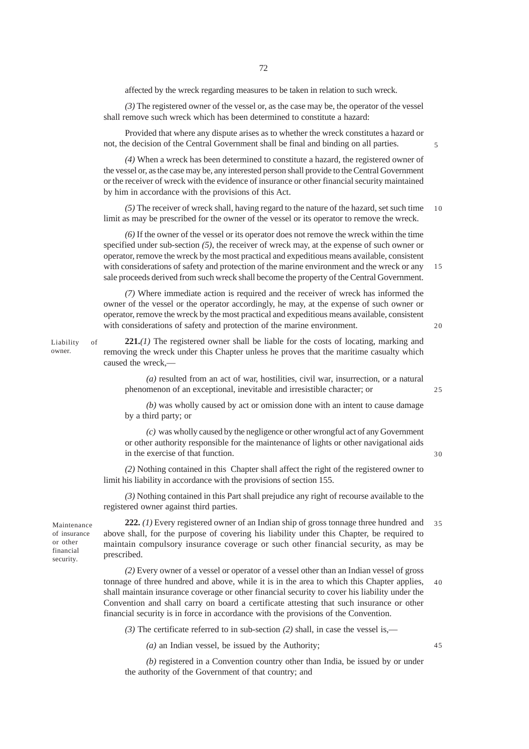affected by the wreck regarding measures to be taken in relation to such wreck.

*(3)* The registered owner of the vessel or, as the case may be, the operator of the vessel shall remove such wreck which has been determined to constitute a hazard:

Provided that where any dispute arises as to whether the wreck constitutes a hazard or not, the decision of the Central Government shall be final and binding on all parties.

*(4)* When a wreck has been determined to constitute a hazard, the registered owner of the vessel or, as the case may be, any interested person shall provide to the Central Government or the receiver of wreck with the evidence of insurance or other financial security maintained by him in accordance with the provisions of this Act.

*(5)* The receiver of wreck shall, having regard to the nature of the hazard, set such time limit as may be prescribed for the owner of the vessel or its operator to remove the wreck. 10

*(6)* If the owner of the vessel or its operator does not remove the wreck within the time specified under sub-section *(5)*, the receiver of wreck may, at the expense of such owner or operator, remove the wreck by the most practical and expeditious means available, consistent with considerations of safety and protection of the marine environment and the wreck or any sale proceeds derived from such wreck shall become the property of the Central Government.

*(7)* Where immediate action is required and the receiver of wreck has informed the owner of the vessel or the operator accordingly, he may, at the expense of such owner or operator, remove the wreck by the most practical and expeditious means available, consistent with considerations of safety and protection of the marine environment.

 $20$ 

15

#### Liability of owner.

**221.***(1)* The registered owner shall be liable for the costs of locating, marking and removing the wreck under this Chapter unless he proves that the maritime casualty which caused the wreck,—

*(a)* resulted from an act of war, hostilities, civil war, insurrection, or a natural phenomenon of an exceptional, inevitable and irresistible character; or

25

30

45

*(b)* was wholly caused by act or omission done with an intent to cause damage by a third party; or

*(c)* was wholly caused by the negligence or other wrongful act of any Government or other authority responsible for the maintenance of lights or other navigational aids in the exercise of that function.

*(2)* Nothing contained in this Chapter shall affect the right of the registered owner to limit his liability in accordance with the provisions of section 155.

*(3)* Nothing contained in this Part shall prejudice any right of recourse available to the registered owner against third parties.

Maintenance of insurance or other financial security.

**222.** *(1)* Every registered owner of an Indian ship of gross tonnage three hundred and above shall, for the purpose of covering his liability under this Chapter, be required to maintain compulsory insurance coverage or such other financial security, as may be prescribed. 35

*(2)* Every owner of a vessel or operator of a vessel other than an Indian vessel of gross tonnage of three hundred and above, while it is in the area to which this Chapter applies, shall maintain insurance coverage or other financial security to cover his liability under the Convention and shall carry on board a certificate attesting that such insurance or other financial security is in force in accordance with the provisions of the Convention. 40

*(3)* The certificate referred to in sub-section *(2)* shall, in case the vessel is,—

*(a)* an Indian vessel, be issued by the Authority;

*(b)* registered in a Convention country other than India, be issued by or under the authority of the Government of that country; and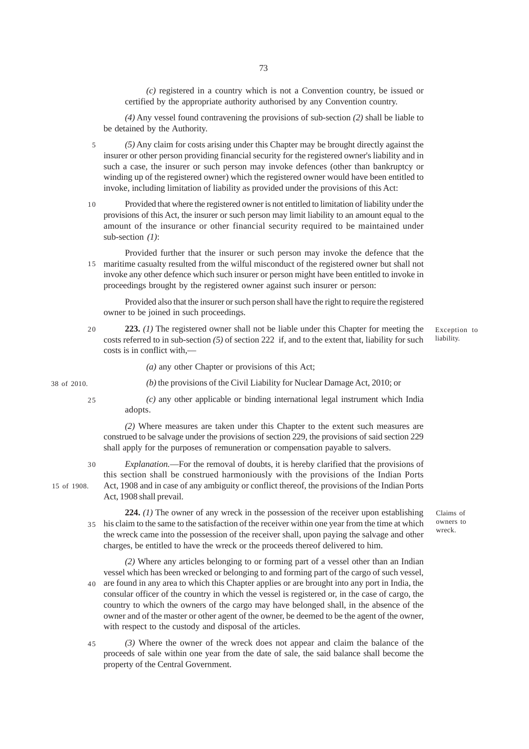*(c)* registered in a country which is not a Convention country, be issued or certified by the appropriate authority authorised by any Convention country.

*(4)* Any vessel found contravening the provisions of sub-section *(2)* shall be liable to be detained by the Authority.

*(5)* Any claim for costs arising under this Chapter may be brought directly against the insurer or other person providing financial security for the registered owner's liability and in such a case, the insurer or such person may invoke defences (other than bankruptcy or winding up of the registered owner) which the registered owner would have been entitled to invoke, including limitation of liability as provided under the provisions of this Act: 5

Provided that where the registered owner is not entitled to limitation of liability under the provisions of this Act, the insurer or such person may limit liability to an amount equal to the amount of the insurance or other financial security required to be maintained under sub-section *(1)*: 10

Provided further that the insurer or such person may invoke the defence that the maritime casualty resulted from the wilful misconduct of the registered owner but shall not 15 invoke any other defence which such insurer or person might have been entitled to invoke in proceedings brought by the registered owner against such insurer or person:

Provided also that the insurer or such person shall have the right to require the registered owner to be joined in such proceedings.

**223.** *(1)* The registered owner shall not be liable under this Chapter for meeting the costs referred to in sub-section *(5)* of section 222 if, and to the extent that, liability for such costs is in conflict with,—  $20$ 

Exception to liability.

*(a)* any other Chapter or provisions of this Act;

38 of 2010.

25

30

*(c)* any other applicable or binding international legal instrument which India adopts.

*(b)* the provisions of the Civil Liability for Nuclear Damage Act, 2010; or

*(2)* Where measures are taken under this Chapter to the extent such measures are construed to be salvage under the provisions of section 229, the provisions of said section 229 shall apply for the purposes of remuneration or compensation payable to salvers.

*Explanation.*—For the removal of doubts, it is hereby clarified that the provisions of this section shall be construed harmoniously with the provisions of the Indian Ports Act, 1908 and in case of any ambiguity or conflict thereof, the provisions of the Indian Ports Act, 1908 shall prevail.

> Claims of owners to

**224.** *(1)* The owner of any wreck in the possession of the receiver upon establishing his claim to the same to the satisfaction of the receiver within one year from the time at which 35 the wreck came into the possession of the receiver shall, upon paying the salvage and other charges, be entitled to have the wreck or the proceeds thereof delivered to him. wreck.

*(2)* Where any articles belonging to or forming part of a vessel other than an Indian vessel which has been wrecked or belonging to and forming part of the cargo of such vessel, are found in any area to which this Chapter applies or are brought into any port in India, the consular officer of the country in which the vessel is registered or, in the case of cargo, the country to which the owners of the cargo may have belonged shall, in the absence of the owner and of the master or other agent of the owner, be deemed to be the agent of the owner, with respect to the custody and disposal of the articles. 40

*(3)* Where the owner of the wreck does not appear and claim the balance of the proceeds of sale within one year from the date of sale, the said balance shall become the property of the Central Government. 45

15 of 1908.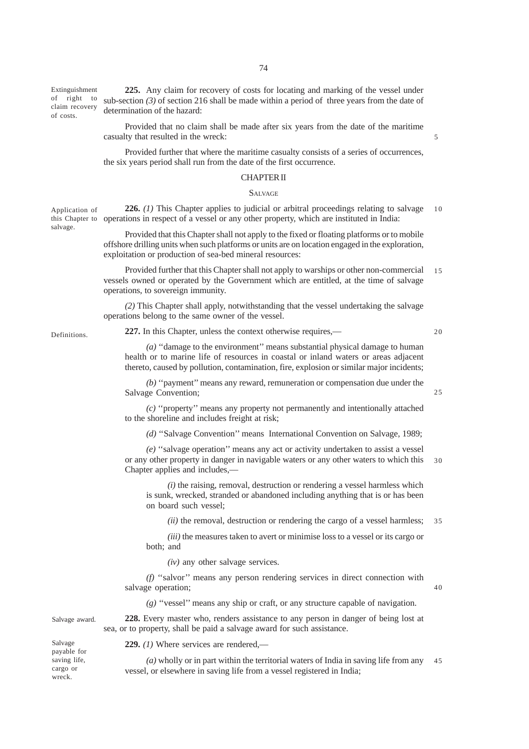Extinguishment of right to claim recovery of costs.

**225.** Any claim for recovery of costs for locating and marking of the vessel under sub-section *(3)* of section 216 shall be made within a period of three years from the date of determination of the hazard:

Provided that no claim shall be made after six years from the date of the maritime casualty that resulted in the wreck:

Provided further that where the maritime casualty consists of a series of occurrences, the six years period shall run from the date of the first occurrence.

## CHAPTER II

#### **SALVAGE**

**226.** *(1)* This Chapter applies to judicial or arbitral proceedings relating to salvage this Chapter to operations in respect of a vessel or any other property, which are instituted in India: Application of 10

> Provided that this Chapter shall not apply to the fixed or floating platforms or to mobile offshore drilling units when such platforms or units are on location engaged in the exploration, exploitation or production of sea-bed mineral resources:

Provided further that this Chapter shall not apply to warships or other non-commercial vessels owned or operated by the Government which are entitled, at the time of salvage operations, to sovereign immunity. 15

*(2)* This Chapter shall apply, notwithstanding that the vessel undertaking the salvage operations belong to the same owner of the vessel.

**Definitions** 

salvage.

**227.** In this Chapter, unless the context otherwise requires,—

20

 $25$ 

40

5

*(a)* ''damage to the environment'' means substantial physical damage to human health or to marine life of resources in coastal or inland waters or areas adjacent thereto, caused by pollution, contamination, fire, explosion or similar major incidents;

*(b)* ''payment'' means any reward, remuneration or compensation due under the Salvage Convention;

*(c)* ''property'' means any property not permanently and intentionally attached to the shoreline and includes freight at risk;

*(d)* ''Salvage Convention'' means International Convention on Salvage, 1989;

*(e)* ''salvage operation'' means any act or activity undertaken to assist a vessel or any other property in danger in navigable waters or any other waters to which this Chapter applies and includes,— 30

*(i)* the raising, removal, destruction or rendering a vessel harmless which is sunk, wrecked, stranded or abandoned including anything that is or has been on board such vessel;

*(ii)* the removal, destruction or rendering the cargo of a vessel harmless; 35

*(iii)* the measures taken to avert or minimise loss to a vessel or its cargo or both; and

*(iv)* any other salvage services.

*(f)* ''salvor'' means any person rendering services in direct connection with salvage operation;

*(g)* ''vessel'' means any ship or craft, or any structure capable of navigation.

**228.** Every master who, renders assistance to any person in danger of being lost at sea, or to property, shall be paid a salvage award for such assistance. Salvage award.

Salvage payable for saving life, cargo or wreck.

**229.** *(1)* Where services are rendered,—

*(a)* wholly or in part within the territorial waters of India in saving life from any vessel, or elsewhere in saving life from a vessel registered in India; 45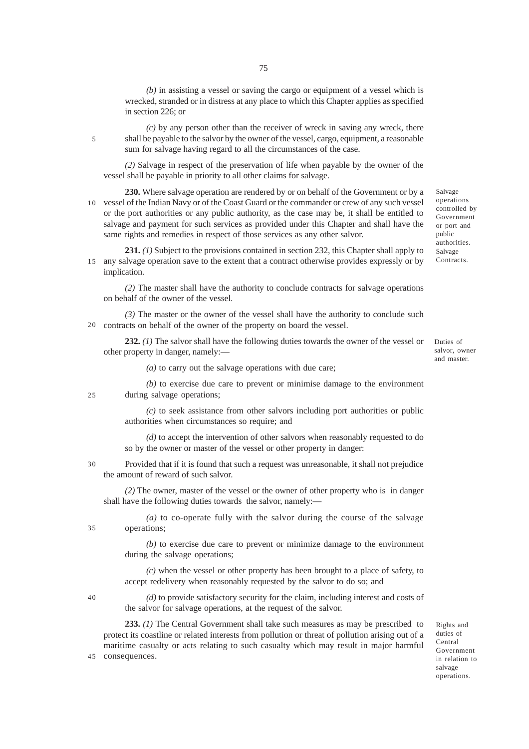*(b)* in assisting a vessel or saving the cargo or equipment of a vessel which is wrecked, stranded or in distress at any place to which this Chapter applies as specified in section 226; or

*(c)* by any person other than the receiver of wreck in saving any wreck, there shall be payable to the salvor by the owner of the vessel, cargo, equipment, a reasonable sum for salvage having regard to all the circumstances of the case.

*(2)* Salvage in respect of the preservation of life when payable by the owner of the vessel shall be payable in priority to all other claims for salvage.

**230.** Where salvage operation are rendered by or on behalf of the Government or by a vessel of the Indian Navy or of the Coast Guard or the commander or crew of any such vessel 10 or the port authorities or any public authority, as the case may be, it shall be entitled to salvage and payment for such services as provided under this Chapter and shall have the same rights and remedies in respect of those services as any other salvor.

231. (1) Subject to the provisions contained in section 232, this Chapter shall apply to any salvage operation save to the extent that a contract otherwise provides expressly or by 15 implication.

*(2)* The master shall have the authority to conclude contracts for salvage operations on behalf of the owner of the vessel.

*(3)* The master or the owner of the vessel shall have the authority to conclude such contracts on behalf of the owner of the property on board the vessel. 20

**232.** *(1)* The salvor shall have the following duties towards the owner of the vessel or other property in danger, namely:—

Duties of salvor, owner and master.

Salvage operations controlled by Government or port and public authorities. Salvage Contracts.

*(a)* to carry out the salvage operations with due care;

*(b)* to exercise due care to prevent or minimise damage to the environment during salvage operations;

*(c)* to seek assistance from other salvors including port authorities or public authorities when circumstances so require; and

*(d)* to accept the intervention of other salvors when reasonably requested to do so by the owner or master of the vessel or other property in danger:

Provided that if it is found that such a request was unreasonable, it shall not prejudice the amount of reward of such salvor. 30

*(2)* The owner, master of the vessel or the owner of other property who is in danger shall have the following duties towards the salvor, namely:—

*(a)* to co-operate fully with the salvor during the course of the salvage operations;

*(b)* to exercise due care to prevent or minimize damage to the environment during the salvage operations;

*(c)* when the vessel or other property has been brought to a place of safety, to accept redelivery when reasonably requested by the salvor to do so; and

40

35

25

5

*(d)* to provide satisfactory security for the claim, including interest and costs of the salvor for salvage operations, at the request of the salvor.

**233.** *(1)* The Central Government shall take such measures as may be prescribed to protect its coastline or related interests from pollution or threat of pollution arising out of a maritime casualty or acts relating to such casualty which may result in major harmful consequences. 45

Rights and duties of Central Government in relation to salvage operations.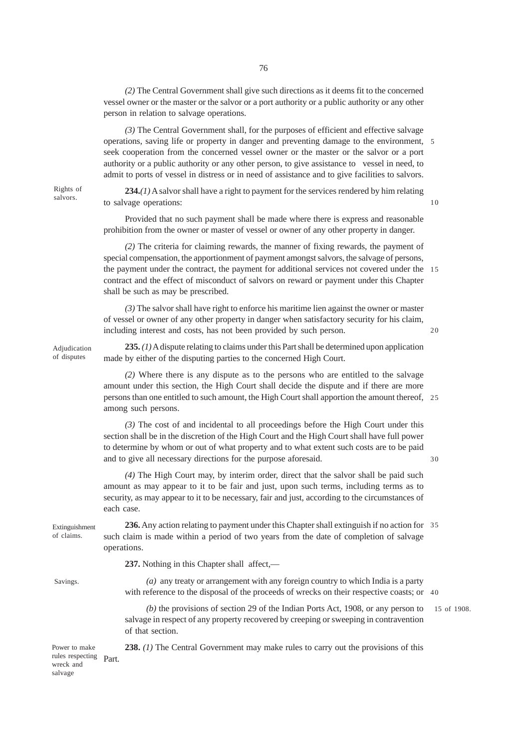*(2)* The Central Government shall give such directions as it deems fit to the concerned vessel owner or the master or the salvor or a port authority or a public authority or any other person in relation to salvage operations.

*(3)* The Central Government shall, for the purposes of efficient and effective salvage operations, saving life or property in danger and preventing damage to the environment, 5 seek cooperation from the concerned vessel owner or the master or the salvor or a port authority or a public authority or any other person, to give assistance to vessel in need, to admit to ports of vessel in distress or in need of assistance and to give facilities to salvors.

Rights of salvors.

**234.***(1)* A salvor shall have a right to payment for the services rendered by him relating to salvage operations:

Provided that no such payment shall be made where there is express and reasonable prohibition from the owner or master of vessel or owner of any other property in danger.

*(2)* The criteria for claiming rewards, the manner of fixing rewards, the payment of special compensation, the apportionment of payment amongst salvors, the salvage of persons, the payment under the contract, the payment for additional services not covered under the 15 contract and the effect of misconduct of salvors on reward or payment under this Chapter shall be such as may be prescribed.

*(3)* The salvor shall have right to enforce his maritime lien against the owner or master of vessel or owner of any other property in danger when satisfactory security for his claim, including interest and costs, has not been provided by such person.

 $20$ 

30

10

Adjudication of disputes

**235.** *(1)* A dispute relating to claims under this Part shall be determined upon application made by either of the disputing parties to the concerned High Court.

*(2)* Where there is any dispute as to the persons who are entitled to the salvage amount under this section, the High Court shall decide the dispute and if there are more persons than one entitled to such amount, the High Court shall apportion the amount thereof, 25 among such persons.

*(3)* The cost of and incidental to all proceedings before the High Court under this section shall be in the discretion of the High Court and the High Court shall have full power to determine by whom or out of what property and to what extent such costs are to be paid and to give all necessary directions for the purpose aforesaid.

*(4)* The High Court may, by interim order, direct that the salvor shall be paid such amount as may appear to it to be fair and just, upon such terms, including terms as to security, as may appear to it to be necessary, fair and just, according to the circumstances of each case.

Extinguishment of claims.

**236.** Any action relating to payment under this Chapter shall extinguish if no action for 35 such claim is made within a period of two years from the date of completion of salvage operations.

**237.** Nothing in this Chapter shall affect,—

Savings.

*(a)* any treaty or arrangement with any foreign country to which India is a party with reference to the disposal of the proceeds of wrecks on their respective coasts; or 40

**238.** *(1)* The Central Government may make rules to carry out the provisions of this

*(b)* the provisions of section 29 of the Indian Ports Act, 1908, or any person to salvage in respect of any property recovered by creeping or sweeping in contravention of that section.

15 of 1908.

rules respecting Part. Power to make wreck and salvage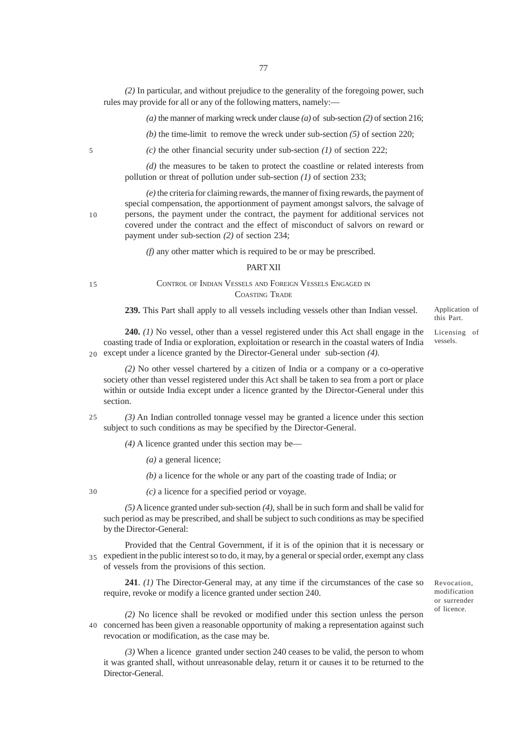*(2)* In particular, and without prejudice to the generality of the foregoing power, such rules may provide for all or any of the following matters, namely:—

*(a)* the manner of marking wreck under clause *(a)* of sub-section *(2)* of section 216;

*(b)* the time-limit to remove the wreck under sub-section *(5)* of section 220;

*(c)* the other financial security under sub-section *(1)* of section 222;

*(d)* the measures to be taken to protect the coastline or related interests from pollution or threat of pollution under sub-section *(1)* of section 233;

*(e)* the criteria for claiming rewards, the manner of fixing rewards, the payment of special compensation, the apportionment of payment amongst salvors, the salvage of persons, the payment under the contract, the payment for additional services not covered under the contract and the effect of misconduct of salvors on reward or payment under sub-section *(2)* of section 234;

*(f)* any other matter which is required to be or may be prescribed.

## **PART XII**

15

CONTROL OF INDIAN VESSELS AND FOREIGN VESSELS ENGAGED IN COASTING TRADE

**239.** This Part shall apply to all vessels including vessels other than Indian vessel.

**240.** *(1)* No vessel, other than a vessel registered under this Act shall engage in the coasting trade of India or exploration, exploitation or research in the coastal waters of India except under a licence granted by the Director-General under sub-section *(4)*. 20

*(2)* No other vessel chartered by a citizen of India or a company or a co-operative society other than vessel registered under this Act shall be taken to sea from a port or place within or outside India except under a licence granted by the Director-General under this section.

*(3)* An Indian controlled tonnage vessel may be granted a licence under this section subject to such conditions as may be specified by the Director-General. 25

*(4)* A licence granted under this section may be—

*(a)* a general licence;

*(b)* a licence for the whole or any part of the coasting trade of India; or

30

*(c)* a licence for a specified period or voyage.

*(5)* A licence granted under sub-section *(4)*, shall be in such form and shall be valid for such period as may be prescribed, and shall be subject to such conditions as may be specified by the Director-General:

Provided that the Central Government, if it is of the opinion that it is necessary or expedient in the public interest so to do, it may, by a general or special order, exempt any class 35 of vessels from the provisions of this section.

**241**. *(1)* The Director-General may, at any time if the circumstances of the case so require, revoke or modify a licence granted under section 240.

*(2)* No licence shall be revoked or modified under this section unless the person concerned has been given a reasonable opportunity of making a representation against such 40revocation or modification, as the case may be.

*(3)* When a licence granted under section 240 ceases to be valid, the person to whom it was granted shall, without unreasonable delay, return it or causes it to be returned to the Director-General.

Application of this Part.

Licensing of vessels.

Revocation, modification or surrender of licence.

10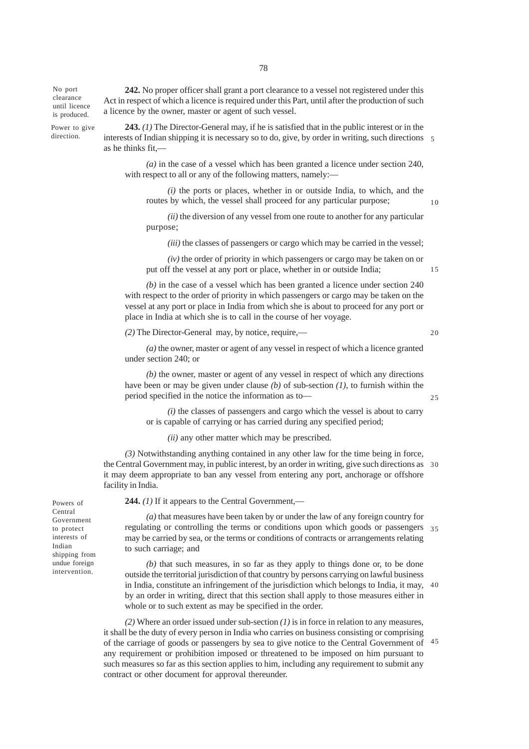No port clearance until licence is produced.

Power to give direction.

Act in respect of which a licence is required under this Part, until after the production of such a licence by the owner, master or agent of such vessel.

**242.** No proper officer shall grant a port clearance to a vessel not registered under this

**243.** *(1)* The Director-General may, if he is satisfied that in the public interest or in the interests of Indian shipping it is necessary so to do, give, by order in writing, such directions 5 as he thinks fit,—

*(a)* in the case of a vessel which has been granted a licence under section 240, with respect to all or any of the following matters, namely:—

*(i)* the ports or places, whether in or outside India, to which, and the routes by which, the vessel shall proceed for any particular purpose;

*(ii)* the diversion of any vessel from one route to another for any particular purpose;

*(iii)* the classes of passengers or cargo which may be carried in the vessel;

*(iv)* the order of priority in which passengers or cargo may be taken on or put off the vessel at any port or place, whether in or outside India;

*(b)* in the case of a vessel which has been granted a licence under section 240 with respect to the order of priority in which passengers or cargo may be taken on the vessel at any port or place in India from which she is about to proceed for any port or place in India at which she is to call in the course of her voyage.

*(2)* The Director-General may, by notice, require,—

20

25

15

10

*(a)* the owner, master or agent of any vessel in respect of which a licence granted under section 240; or

*(b)* the owner, master or agent of any vessel in respect of which any directions have been or may be given under clause *(b)* of sub-section *(1)*, to furnish within the period specified in the notice the information as to—

*(i)* the classes of passengers and cargo which the vessel is about to carry or is capable of carrying or has carried during any specified period;

*(ii)* any other matter which may be prescribed.

*(3)* Notwithstanding anything contained in any other law for the time being in force, the Central Government may, in public interest, by an order in writing, give such directions as 30 it may deem appropriate to ban any vessel from entering any port, anchorage or offshore facility in India.

**244.** *(1)* If it appears to the Central Government,—

*(a)* that measures have been taken by or under the law of any foreign country for regulating or controlling the terms or conditions upon which goods or passengers 35 may be carried by sea, or the terms or conditions of contracts or arrangements relating to such carriage; and

*(b)* that such measures, in so far as they apply to things done or, to be done outside the territorial jurisdiction of that country by persons carrying on lawful business in India, constitute an infringement of the jurisdiction which belongs to India, it may, 40 by an order in writing, direct that this section shall apply to those measures either in whole or to such extent as may be specified in the order.

*(2)* Where an order issued under sub-section *(1)* is in force in relation to any measures, it shall be the duty of every person in India who carries on business consisting or comprising of the carriage of goods or passengers by sea to give notice to the Central Government of 45any requirement or prohibition imposed or threatened to be imposed on him pursuant to such measures so far as this section applies to him, including any requirement to submit any contract or other document for approval thereunder.

Powers of Central Government to protect interests of Indian shipping from undue foreign intervention.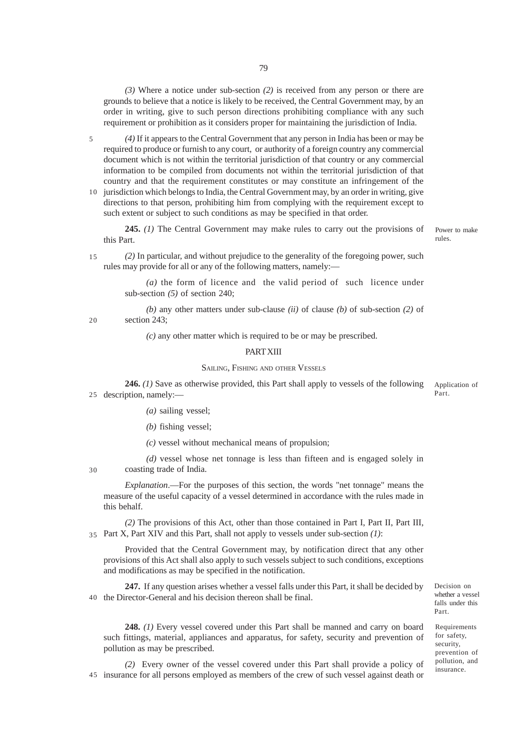*(3)* Where a notice under sub-section *(2)* is received from any person or there are grounds to believe that a notice is likely to be received, the Central Government may, by an order in writing, give to such person directions prohibiting compliance with any such requirement or prohibition as it considers proper for maintaining the jurisdiction of India.

*(4)* If it appears to the Central Government that any person in India has been or may be required to produce or furnish to any court, or authority of a foreign country any commercial document which is not within the territorial jurisdiction of that country or any commercial information to be compiled from documents not within the territorial jurisdiction of that country and that the requirement constitutes or may constitute an infringement of the 5

10 jurisdiction which belongs to India, the Central Government may, by an order in writing, give directions to that person, prohibiting him from complying with the requirement except to such extent or subject to such conditions as may be specified in that order.

**245.** *(1)* The Central Government may make rules to carry out the provisions of this Part.

Power to make rules.

*(2)* In particular, and without prejudice to the generality of the foregoing power, such rules may provide for all or any of the following matters, namely:— 15

> *(a)* the form of licence and the valid period of such licence under sub-section *(5)* of section 240;

*(b)* any other matters under sub-clause *(ii)* of clause *(b)* of sub-section *(2)* of section 243:

*(c)* any other matter which is required to be or may be prescribed.

#### PART XIII

## SAILING, FISHING AND OTHER VESSELS

**246.** *(1)* Save as otherwise provided, this Part shall apply to vessels of the following description, namely:— 25 Application of Part.

- *(a)* sailing vessel;
- *(b)* fishing vessel;

*(c)* vessel without mechanical means of propulsion;

*(d)* vessel whose net tonnage is less than fifteen and is engaged solely in coasting trade of India.

30

20

*Explanation*.—For the purposes of this section, the words "net tonnage" means the measure of the useful capacity of a vessel determined in accordance with the rules made in this behalf.

*(2)* The provisions of this Act, other than those contained in Part I, Part II, Part III, Part X, Part XIV and this Part, shall not apply to vessels under sub-section *(1)*: 35

Provided that the Central Government may, by notification direct that any other provisions of this Act shall also apply to such vessels subject to such conditions, exceptions and modifications as may be specified in the notification.

**247.** If any question arises whether a vessel falls under this Part, it shall be decided by 40 the Director-General and his decision thereon shall be final.

**248.** *(1)* Every vessel covered under this Part shall be manned and carry on board such fittings, material, appliances and apparatus, for safety, security and prevention of pollution as may be prescribed.

*(2)* Every owner of the vessel covered under this Part shall provide a policy of 45 insurance for all persons employed as members of the crew of such vessel against death or

Decision on whether a vessel falls under this Part.

Requirements for safety, security, prevention of pollution, and insurance.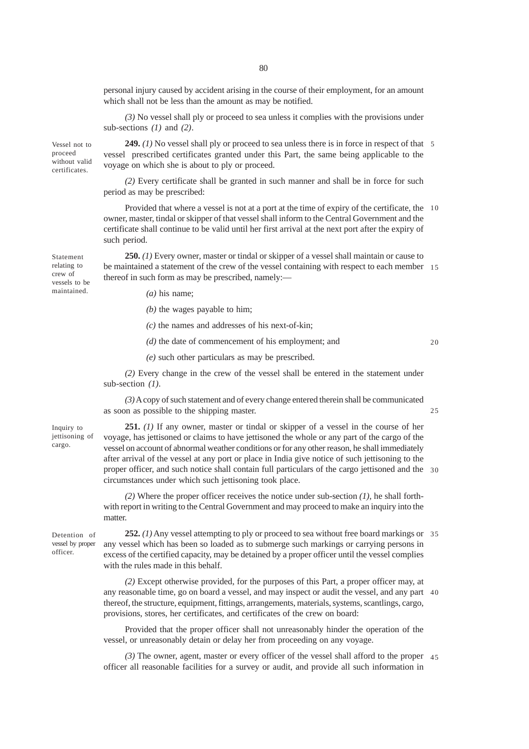personal injury caused by accident arising in the course of their employment, for an amount which shall not be less than the amount as may be notified.

*(3)* No vessel shall ply or proceed to sea unless it complies with the provisions under sub-sections *(1)* and *(2)*.

**249.** *(1)* No vessel shall ply or proceed to sea unless there is in force in respect of that 5 vessel prescribed certificates granted under this Part, the same being applicable to the voyage on which she is about to ply or proceed. Vessel not to proceed without valid certificates.

> *(2)* Every certificate shall be granted in such manner and shall be in force for such period as may be prescribed:

Provided that where a vessel is not at a port at the time of expiry of the certificate, the 10 owner, master, tindal or skipper of that vessel shall inform to the Central Government and the certificate shall continue to be valid until her first arrival at the next port after the expiry of such period.

**250.** *(1)* Every owner, master or tindal or skipper of a vessel shall maintain or cause to be maintained a statement of the crew of the vessel containing with respect to each member 15 thereof in such form as may be prescribed, namely:—

- *(a)* his name;
- *(b)* the wages payable to him;
- *(c)* the names and addresses of his next-of-kin;
- *(d)* the date of commencement of his employment; and

 $20$ 

25

*(e)* such other particulars as may be prescribed.

*(2)* Every change in the crew of the vessel shall be entered in the statement under sub-section *(1)*.

*(3)* A copy of such statement and of every change entered therein shall be communicated as soon as possible to the shipping master.

**251.** *(1)* If any owner, master or tindal or skipper of a vessel in the course of her voyage, has jettisoned or claims to have jettisoned the whole or any part of the cargo of the vessel on account of abnormal weather conditions or for any other reason, he shall immediately after arrival of the vessel at any port or place in India give notice of such jettisoning to the proper officer, and such notice shall contain full particulars of the cargo jettisoned and the 30 circumstances under which such jettisoning took place.

*(2)* Where the proper officer receives the notice under sub-section *(1)*, he shall forthwith report in writing to the Central Government and may proceed to make an inquiry into the matter.

Detention of vessel by proper officer.

Inquiry to jettisoning of cargo.

Statement relating to crew of vessels to be maintained.

> **252.** *(1)* Any vessel attempting to ply or proceed to sea without free board markings or 35 any vessel which has been so loaded as to submerge such markings or carrying persons in excess of the certified capacity, may be detained by a proper officer until the vessel complies with the rules made in this behalf.

> *(2)* Except otherwise provided, for the purposes of this Part, a proper officer may, at any reasonable time, go on board a vessel, and may inspect or audit the vessel, and any part 40 thereof, the structure, equipment, fittings, arrangements, materials, systems, scantlings, cargo, provisions, stores, her certificates, and certificates of the crew on board:

Provided that the proper officer shall not unreasonably hinder the operation of the vessel, or unreasonably detain or delay her from proceeding on any voyage.

*(3)* The owner, agent, master or every officer of the vessel shall afford to the proper 45officer all reasonable facilities for a survey or audit, and provide all such information in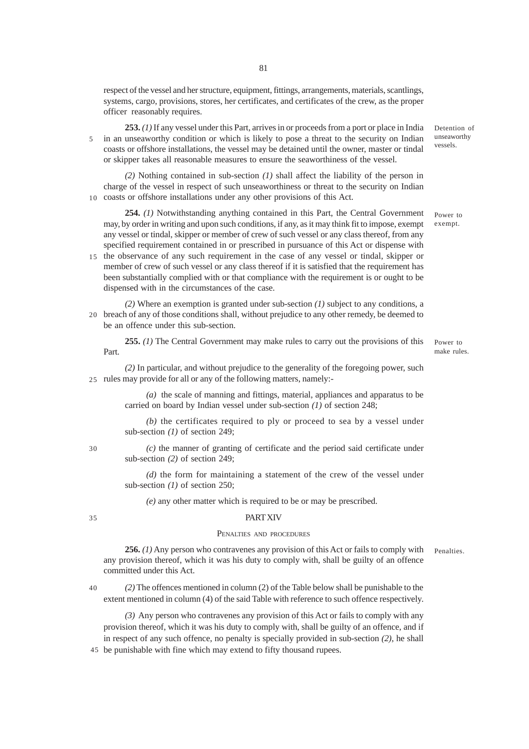respect of the vessel and her structure, equipment, fittings, arrangements, materials, scantlings, systems, cargo, provisions, stores, her certificates, and certificates of the crew, as the proper officer reasonably requires.

**253.** *(1)* If any vessel under this Part, arrives in or proceeds from a port or place in India in an unseaworthy condition or which is likely to pose a threat to the security on Indian coasts or offshore installations, the vessel may be detained until the owner, master or tindal or skipper takes all reasonable measures to ensure the seaworthiness of the vessel. 5

*(2)* Nothing contained in sub-section *(1)* shall affect the liability of the person in charge of the vessel in respect of such unseaworthiness or threat to the security on Indian 10 coasts or offshore installations under any other provisions of this Act.

**254.** *(1)* Notwithstanding anything contained in this Part, the Central Government may, by order in writing and upon such conditions, if any, as it may think fit to impose, exempt any vessel or tindal, skipper or member of crew of such vessel or any class thereof, from any specified requirement contained in or prescribed in pursuance of this Act or dispense with

15 the observance of any such requirement in the case of any vessel or tindal, skipper or member of crew of such vessel or any class thereof if it is satisfied that the requirement has been substantially complied with or that compliance with the requirement is or ought to be dispensed with in the circumstances of the case.

*(2)* Where an exemption is granted under sub-section *(1)* subject to any conditions, a 20 breach of any of those conditions shall, without prejudice to any other remedy, be deemed to be an offence under this sub-section.

**255.** *(1)* The Central Government may make rules to carry out the provisions of this Part.

Power to make rules.

*(2)* In particular, and without prejudice to the generality of the foregoing power, such 25 rules may provide for all or any of the following matters, namely:-

> *(a)* the scale of manning and fittings, material, appliances and apparatus to be carried on board by Indian vessel under sub-section *(1)* of section 248;

> *(b)* the certificates required to ply or proceed to sea by a vessel under sub-section *(1)* of section 249;

> *(c)* the manner of granting of certificate and the period said certificate under sub-section *(2)* of section 249;

> *(d)* the form for maintaining a statement of the crew of the vessel under sub-section *(1)* of section 250;

*(e)* any other matter which is required to be or may be prescribed.

### 35

30

# **PART XIV**

## PENALTIES AND PROCEDURES

**256.** *(1)* Any person who contravenes any provision of this Act or fails to comply with any provision thereof, which it was his duty to comply with, shall be guilty of an offence committed under this Act. Penalties.

*(2)* The offences mentioned in column (2) of the Table below shall be punishable to the extent mentioned in column (4) of the said Table with reference to such offence respectively. 40

*(3)* Any person who contravenes any provision of this Act or fails to comply with any provision thereof, which it was his duty to comply with, shall be guilty of an offence, and if in respect of any such offence, no penalty is specially provided in sub-section *(2)*, he shall

45 be punishable with fine which may extend to fifty thousand rupees.

Detention of unseaworthy vessels.

Power to exempt.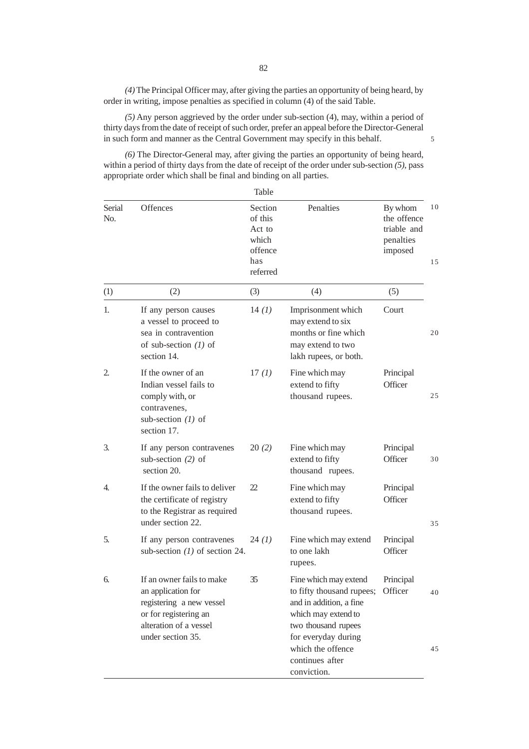*(4)* The Principal Officer may, after giving the parties an opportunity of being heard, by order in writing, impose penalties as specified in column (4) of the said Table.

*(5)* Any person aggrieved by the order under sub-section (4), may, within a period of thirty days from the date of receipt of such order, prefer an appeal before the Director-General in such form and manner as the Central Government may specify in this behalf.

5

*(6)* The Director-General may, after giving the parties an opportunity of being heard, within a period of thirty days from the date of receipt of the order under sub-section *(5)*, pass appropriate order which shall be final and binding on all parties.

 $\overline{\phantom{a}}$ 

|               |                                                                                                                                                     | Table                                                               |                                                                                                                                                                                                                   |                                                               |          |
|---------------|-----------------------------------------------------------------------------------------------------------------------------------------------------|---------------------------------------------------------------------|-------------------------------------------------------------------------------------------------------------------------------------------------------------------------------------------------------------------|---------------------------------------------------------------|----------|
| Serial<br>No. | Offences                                                                                                                                            | Section<br>of this<br>Act to<br>which<br>offence<br>has<br>referred | Penalties                                                                                                                                                                                                         | By whom<br>the offence<br>triable and<br>penalties<br>imposed | 10<br>15 |
| (1)           | (2)                                                                                                                                                 | (3)                                                                 | (4)                                                                                                                                                                                                               | (5)                                                           |          |
| 1.            | If any person causes<br>a vessel to proceed to<br>sea in contravention<br>of sub-section $(1)$ of<br>section 14.                                    | 14 (1)                                                              | Imprisonment which<br>may extend to six<br>months or fine which<br>may extend to two<br>lakh rupees, or both.                                                                                                     | Court                                                         | 20       |
| 2.            | If the owner of an<br>Indian vessel fails to<br>comply with, or<br>contravenes,<br>sub-section $(1)$ of<br>section 17.                              | 17(1)                                                               | Fine which may<br>extend to fifty<br>thousand rupees.                                                                                                                                                             | Principal<br>Officer                                          | 25       |
| 3.            | If any person contravenes<br>sub-section $(2)$ of<br>section 20.                                                                                    | 20(2)                                                               | Fine which may<br>extend to fifty<br>thousand rupees.                                                                                                                                                             | Principal<br>Officer                                          | 30       |
| 4.            | If the owner fails to deliver<br>the certificate of registry<br>to the Registrar as required<br>under section 22.                                   | 22                                                                  | Fine which may<br>extend to fifty<br>thousand rupees.                                                                                                                                                             | Principal<br>Officer                                          | 35       |
| 5.            | If any person contravenes<br>sub-section $(1)$ of section 24.                                                                                       | 24(1)                                                               | Fine which may extend<br>to one lakh<br>rupees.                                                                                                                                                                   | Principal<br>Officer                                          |          |
| 6.            | If an owner fails to make<br>an application for<br>registering a new vessel<br>or for registering an<br>alteration of a vessel<br>under section 35. | 35                                                                  | Fine which may extend<br>to fifty thousand rupees; Officer<br>and in addition, a fine<br>which may extend to<br>two thousand rupees<br>for everyday during<br>which the offence<br>continues after<br>conviction. | Principal                                                     | 40<br>45 |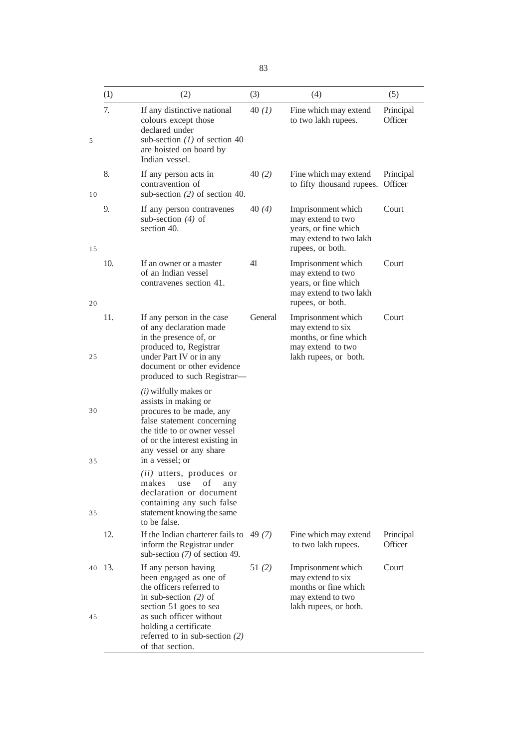|          | (1)  | (2)                                                                                                                                                                                                                       | (3)     | (4)                                                                                                            | (5)                  |
|----------|------|---------------------------------------------------------------------------------------------------------------------------------------------------------------------------------------------------------------------------|---------|----------------------------------------------------------------------------------------------------------------|----------------------|
| 5        | 7.   | If any distinctive national<br>colours except those<br>declared under<br>sub-section $(1)$ of section 40<br>are hoisted on board by<br>Indian vessel.                                                                     | 40(1)   | Fine which may extend<br>to two lakh rupees.                                                                   | Principal<br>Officer |
| 10       | 8.   | If any person acts in<br>contravention of<br>sub-section $(2)$ of section 40.                                                                                                                                             | 40(2)   | Fine which may extend<br>to fifty thousand rupees.                                                             | Principal<br>Officer |
| 15       | 9.   | If any person contravenes<br>sub-section $(4)$ of<br>section 40.                                                                                                                                                          | 40(4)   | Imprisonment which<br>may extend to two<br>years, or fine which<br>may extend to two lakh<br>rupees, or both.  | Court                |
| 20       | 10.  | If an owner or a master<br>of an Indian vessel<br>contravenes section 41.                                                                                                                                                 | 41      | Imprisonment which<br>may extend to two<br>years, or fine which<br>may extend to two lakh<br>rupees, or both.  | Court                |
| 25       | 11.  | If any person in the case<br>of any declaration made<br>in the presence of, or<br>produced to, Registrar<br>under Part IV or in any<br>document or other evidence<br>produced to such Registrar-                          | General | Imprisonment which<br>may extend to six<br>months, or fine which<br>may extend to two<br>lakh rupees, or both. | Court                |
| 30<br>35 |      | $(i)$ wilfully makes or<br>assists in making or<br>procures to be made, any<br>false statement concerning<br>the title to or owner vessel<br>of or the interest existing in<br>any vessel or any share<br>in a vessel; or |         |                                                                                                                |                      |
| 35       |      | (ii) utters, produces or<br>makes use of any<br>declaration or document<br>containing any such false<br>statement knowing the same<br>to be false.                                                                        |         |                                                                                                                |                      |
|          | 12.  | If the Indian charterer fails to<br>inform the Registrar under<br>sub-section $(7)$ of section 49.                                                                                                                        | 49 (7)  | Fine which may extend<br>to two lakh rupees.                                                                   | Principal<br>Officer |
| 40       | -13. | If any person having<br>been engaged as one of<br>the officers referred to<br>in sub-section $(2)$ of<br>section 51 goes to sea                                                                                           | 51(2)   | Imprisonment which<br>may extend to six<br>months or fine which<br>may extend to two<br>lakh rupees, or both.  | Court                |
| 45       |      | as such officer without<br>holding a certificate<br>referred to in sub-section $(2)$<br>of that section.                                                                                                                  |         |                                                                                                                |                      |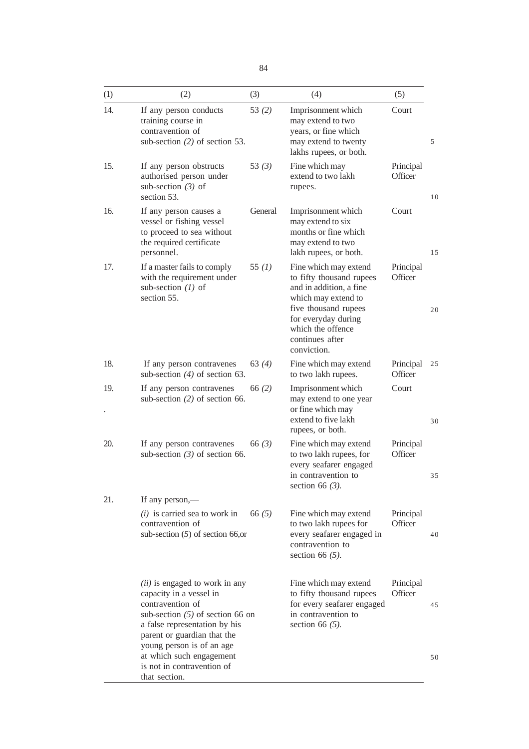| (1) | (2)                                                                                                                                                                                                                       | (3)      | (4)                                                                                                                                                                                                       | (5)                  |    |
|-----|---------------------------------------------------------------------------------------------------------------------------------------------------------------------------------------------------------------------------|----------|-----------------------------------------------------------------------------------------------------------------------------------------------------------------------------------------------------------|----------------------|----|
| 14. | If any person conducts<br>training course in<br>contravention of<br>sub-section $(2)$ of section 53.                                                                                                                      | 53 $(2)$ | Imprisonment which<br>may extend to two<br>years, or fine which<br>may extend to twenty<br>lakhs rupees, or both.                                                                                         | Court                | 5  |
| 15. | If any person obstructs<br>authorised person under<br>sub-section $(3)$ of<br>section 53.                                                                                                                                 | 53 $(3)$ | Fine which may<br>extend to two lakh<br>rupees.                                                                                                                                                           | Principal<br>Officer | 10 |
| 16. | If any person causes a<br>vessel or fishing vessel<br>to proceed to sea without<br>the required certificate<br>personnel.                                                                                                 | General  | Imprisonment which<br>may extend to six<br>months or fine which<br>may extend to two<br>lakh rupees, or both.                                                                                             | Court                | 15 |
| 17. | If a master fails to comply<br>with the requirement under<br>sub-section $(1)$ of<br>section 55.                                                                                                                          | 55 $(1)$ | Fine which may extend<br>to fifty thousand rupees<br>and in addition, a fine<br>which may extend to<br>five thousand rupees<br>for everyday during<br>which the offence<br>continues after<br>conviction. | Principal<br>Officer | 20 |
| 18. | If any person contravenes<br>sub-section $(4)$ of section 63.                                                                                                                                                             | 63(4)    | Fine which may extend<br>to two lakh rupees.                                                                                                                                                              | Principal<br>Officer | 25 |
| 19. | If any person contravenes<br>sub-section $(2)$ of section 66.                                                                                                                                                             | 66 $(2)$ | Imprisonment which<br>may extend to one year<br>or fine which may<br>extend to five lakh<br>rupees, or both.                                                                                              | Court                | 30 |
| 20. | If any person contravenes<br>sub-section $(3)$ of section 66.                                                                                                                                                             | 66 $(3)$ | Fine which may extend<br>to two lakh rupees, for<br>every seafarer engaged<br>in contravention to<br>section 66 $(3)$ .                                                                                   | Principal<br>Officer | 35 |
| 21. | If any person,—                                                                                                                                                                                                           |          |                                                                                                                                                                                                           |                      |    |
|     | $(i)$ is carried sea to work in<br>contravention of<br>sub-section $(5)$ of section 66,or                                                                                                                                 | 66 $(5)$ | Fine which may extend<br>to two lakh rupees for<br>every seafarer engaged in<br>contravention to<br>section 66 $(5)$ .                                                                                    | Principal<br>Officer | 40 |
|     | ( <i>ii</i> ) is engaged to work in any<br>capacity in a vessel in<br>contravention of<br>sub-section $(5)$ of section 66 on<br>a false representation by his<br>parent or guardian that the<br>young person is of an age |          | Fine which may extend<br>to fifty thousand rupees<br>for every seafarer engaged<br>in contravention to<br>section 66 $(5)$ .                                                                              | Principal<br>Officer | 45 |
|     | at which such engagement<br>is not in contravention of<br>that section.                                                                                                                                                   |          |                                                                                                                                                                                                           |                      | 50 |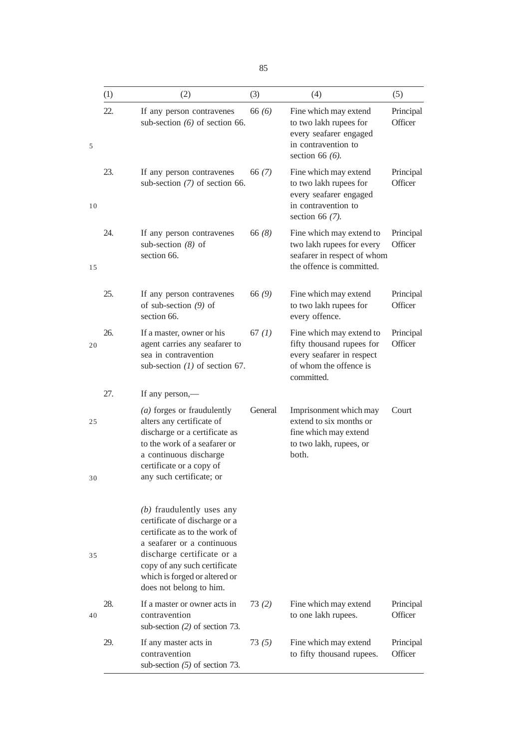|    | (1) | (2)                                                                                                                                                                                                                                                   | (3)      | (4)                                                                                                                        | (5)                  |
|----|-----|-------------------------------------------------------------------------------------------------------------------------------------------------------------------------------------------------------------------------------------------------------|----------|----------------------------------------------------------------------------------------------------------------------------|----------------------|
| 5  | 22. | If any person contravenes<br>sub-section $(6)$ of section 66.                                                                                                                                                                                         | 66 $(6)$ | Fine which may extend<br>to two lakh rupees for<br>every seafarer engaged<br>in contravention to<br>section 66 $(6)$ .     | Principal<br>Officer |
| 10 | 23. | If any person contravenes<br>sub-section $(7)$ of section 66.                                                                                                                                                                                         | 66(7)    | Fine which may extend<br>to two lakh rupees for<br>every seafarer engaged<br>in contravention to<br>section 66 $(7)$ .     | Principal<br>Officer |
| 15 | 24. | If any person contravenes<br>sub-section $(8)$ of<br>section 66.                                                                                                                                                                                      | 66(8)    | Fine which may extend to<br>two lakh rupees for every<br>seafarer in respect of whom<br>the offence is committed.          | Principal<br>Officer |
|    | 25. | If any person contravenes<br>of sub-section $(9)$ of<br>section 66.                                                                                                                                                                                   | 66(9)    | Fine which may extend<br>to two lakh rupees for<br>every offence.                                                          | Principal<br>Officer |
| 20 | 26. | If a master, owner or his<br>agent carries any seafarer to<br>sea in contravention<br>sub-section $(1)$ of section 67.                                                                                                                                | 67 $(1)$ | Fine which may extend to<br>fifty thousand rupees for<br>every seafarer in respect<br>of whom the offence is<br>committed. | Principal<br>Officer |
|    | 27. | If any person,—                                                                                                                                                                                                                                       |          |                                                                                                                            |                      |
| 25 |     | $(a)$ forges or fraudulently<br>alters any certificate of<br>discharge or a certificate as<br>to the work of a seafarer or<br>a continuous discharge<br>certificate or a copy of                                                                      | General  | Imprisonment which may<br>extend to six months or<br>fine which may extend<br>to two lakh, rupees, or<br>both.             | Court                |
| 30 |     | any such certificate; or                                                                                                                                                                                                                              |          |                                                                                                                            |                      |
| 35 |     | $(b)$ fraudulently uses any<br>certificate of discharge or a<br>certificate as to the work of<br>a seafarer or a continuous<br>discharge certificate or a<br>copy of any such certificate<br>which is forged or altered or<br>does not belong to him. |          |                                                                                                                            |                      |
| 40 | 28. | If a master or owner acts in<br>contravention<br>sub-section $(2)$ of section 73.                                                                                                                                                                     | 73(2)    | Fine which may extend<br>to one lakh rupees.                                                                               | Principal<br>Officer |
|    | 29. | If any master acts in<br>contravention<br>sub-section $(5)$ of section 73.                                                                                                                                                                            | 73(5)    | Fine which may extend<br>to fifty thousand rupees.                                                                         | Principal<br>Officer |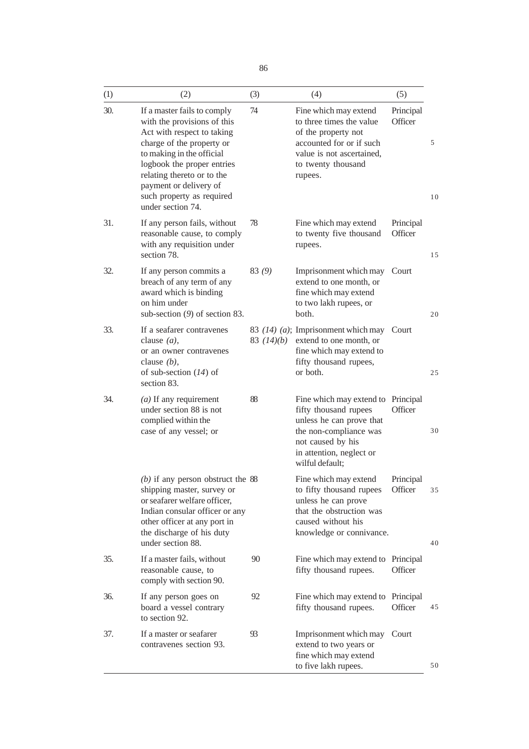| (1) | (2)                                                                                                                                                                                                                                                                                        | (3)          | (4)                                                                                                                                                                         | (5)                  |          |
|-----|--------------------------------------------------------------------------------------------------------------------------------------------------------------------------------------------------------------------------------------------------------------------------------------------|--------------|-----------------------------------------------------------------------------------------------------------------------------------------------------------------------------|----------------------|----------|
| 30. | If a master fails to comply<br>with the provisions of this<br>Act with respect to taking<br>charge of the property or<br>to making in the official<br>logbook the proper entries<br>relating thereto or to the<br>payment or delivery of<br>such property as required<br>under section 74. | 74           | Fine which may extend<br>to three times the value<br>of the property not<br>accounted for or if such<br>value is not ascertained,<br>to twenty thousand<br>rupees.          | Principal<br>Officer | 5<br>10  |
| 31. | If any person fails, without<br>reasonable cause, to comply<br>with any requisition under<br>section 78.                                                                                                                                                                                   | 78           | Fine which may extend<br>to twenty five thousand<br>rupees.                                                                                                                 | Principal<br>Officer | 15       |
| 32. | If any person commits a<br>breach of any term of any<br>award which is binding<br>on him under<br>sub-section $(9)$ of section 83.                                                                                                                                                         | 83(9)        | Imprisonment which may<br>extend to one month, or<br>fine which may extend<br>to two lakh rupees, or<br>both.                                                               | Court                | 20       |
| 33. | If a seafarer contravenes<br>clause $(a)$ ,<br>or an owner contravenes<br>clause $(b)$ ,<br>of sub-section $(14)$ of<br>section 83.                                                                                                                                                        | 83 $(14)(b)$ | 83 (14) (a); Imprisonment which may<br>extend to one month, or<br>fine which may extend to<br>fifty thousand rupees,<br>or both.                                            | Court                | 25       |
| 34. | $(a)$ If any requirement<br>under section 88 is not<br>complied within the<br>case of any vessel; or                                                                                                                                                                                       | 88           | Fine which may extend to<br>fifty thousand rupees<br>unless he can prove that<br>the non-compliance was<br>not caused by his<br>in attention, neglect or<br>wilful default; | Principal<br>Officer | 30       |
|     | $(b)$ if any person obstruct the 88<br>shipping master, survey or<br>or seafarer welfare officer,<br>Indian consular officer or any<br>other officer at any port in<br>the discharge of his duty<br>under section 88.                                                                      |              | Fine which may extend<br>to fifty thousand rupees<br>unless he can prove<br>that the obstruction was<br>caused without his<br>knowledge or connivance.                      | Principal<br>Officer | 35<br>40 |
| 35. | If a master fails, without<br>reasonable cause, to<br>comply with section 90.                                                                                                                                                                                                              | 90           | Fine which may extend to Principal<br>fifty thousand rupees.                                                                                                                | Officer              |          |
| 36. | If any person goes on<br>board a vessel contrary<br>to section 92.                                                                                                                                                                                                                         | 92           | Fine which may extend to<br>fifty thousand rupees.                                                                                                                          | Principal<br>Officer | 45       |
| 37. | If a master or seafarer<br>contravenes section 93.                                                                                                                                                                                                                                         | 93           | Imprisonment which may<br>extend to two years or<br>fine which may extend<br>to five lakh rupees.                                                                           | Court                | 50       |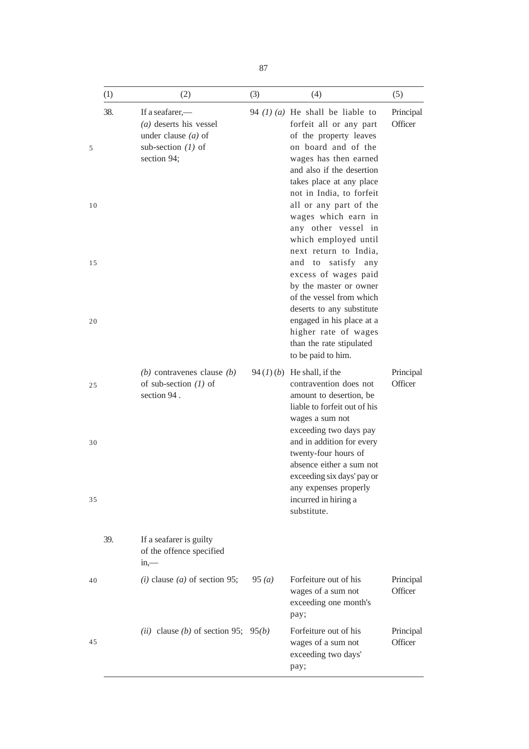|                     | (1) | (2)                                                                                                         | (3)   | (4)                                                                                                                                                                                                                                                                                                                                                                                                                                                                                                                                                                                             | (5)                  |
|---------------------|-----|-------------------------------------------------------------------------------------------------------------|-------|-------------------------------------------------------------------------------------------------------------------------------------------------------------------------------------------------------------------------------------------------------------------------------------------------------------------------------------------------------------------------------------------------------------------------------------------------------------------------------------------------------------------------------------------------------------------------------------------------|----------------------|
| 5<br>10<br>15<br>20 | 38. | If a seafarer,—<br>$(a)$ deserts his vessel<br>under clause $(a)$ of<br>sub-section $(1)$ of<br>section 94; |       | 94 $(1)$ $(a)$ He shall be liable to<br>forfeit all or any part<br>of the property leaves<br>on board and of the<br>wages has then earned<br>and also if the desertion<br>takes place at any place<br>not in India, to forfeit<br>all or any part of the<br>wages which earn in<br>any other vessel in<br>which employed until<br>next return to India,<br>and to satisfy any<br>excess of wages paid<br>by the master or owner<br>of the vessel from which<br>deserts to any substitute<br>engaged in his place at a<br>higher rate of wages<br>than the rate stipulated<br>to be paid to him. | Principal<br>Officer |
| 25<br>30<br>35      |     | (b) contravenes clause $(b)$<br>of sub-section $(1)$ of<br>section 94.                                      |       | 94 $(l)(b)$ He shall, if the<br>contravention does not<br>amount to desertion, be<br>liable to forfeit out of his<br>wages a sum not<br>exceeding two days pay<br>and in addition for every<br>twenty-four hours of<br>absence either a sum not<br>exceeding six days' pay or<br>any expenses properly<br>incurred in hiring a<br>substitute.                                                                                                                                                                                                                                                   | Principal<br>Officer |
|                     | 39. | If a seafarer is guilty<br>of the offence specified<br>in,                                                  |       |                                                                                                                                                                                                                                                                                                                                                                                                                                                                                                                                                                                                 |                      |
| 40                  |     | ( <i>i</i> ) clause ( <i>a</i> ) of section 95;                                                             | 95(a) | Forfeiture out of his<br>wages of a sum not<br>exceeding one month's<br>pay;                                                                                                                                                                                                                                                                                                                                                                                                                                                                                                                    | Principal<br>Officer |
| 45                  |     | ( <i>ii</i> ) clause ( <i>b</i> ) of section 95; 95( <i>b</i> )                                             |       | Forfeiture out of his<br>wages of a sum not<br>exceeding two days'<br>pay;                                                                                                                                                                                                                                                                                                                                                                                                                                                                                                                      | Principal<br>Officer |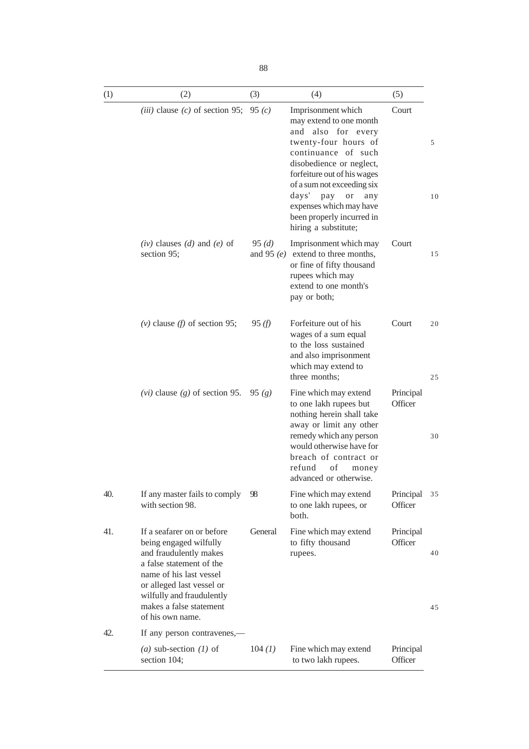| ٠<br>٠<br>ï<br>×<br>۹<br>۰.<br>n a<br>×<br>$\sim$<br>$\sim$ |
|-------------------------------------------------------------|
|-------------------------------------------------------------|

| (1) | (2)                                                                                                                                                                                                                                            | (3)                   | (4)                                                                                                                                                                                                                                                                                                                      | (5)                  |          |
|-----|------------------------------------------------------------------------------------------------------------------------------------------------------------------------------------------------------------------------------------------------|-----------------------|--------------------------------------------------------------------------------------------------------------------------------------------------------------------------------------------------------------------------------------------------------------------------------------------------------------------------|----------------------|----------|
|     | ( <i>iii</i> ) clause ( <i>c</i> ) of section 95;                                                                                                                                                                                              | 95 $(c)$              | Imprisonment which<br>may extend to one month<br>and also for every<br>twenty-four hours of<br>continuance of such<br>disobedience or neglect,<br>forfeiture out of his wages<br>of a sum not exceeding six<br>days'<br>pay<br>or<br>any<br>expenses which may have<br>been properly incurred in<br>hiring a substitute; | Court                | 5<br>10  |
|     | $(iv)$ clauses $(d)$ and $(e)$ of<br>section 95;                                                                                                                                                                                               | 95(d)<br>and 95 $(e)$ | Imprisonment which may<br>extend to three months,<br>or fine of fifty thousand<br>rupees which may<br>extend to one month's<br>pay or both;                                                                                                                                                                              | Court                | 15       |
|     | $(v)$ clause $(f)$ of section 95;                                                                                                                                                                                                              | 95(f)                 | Forfeiture out of his<br>wages of a sum equal<br>to the loss sustained<br>and also imprisonment<br>which may extend to<br>three months;                                                                                                                                                                                  | Court                | 20<br>25 |
|     | ( <i>vi</i> ) clause ( <i>g</i> ) of section 95. 95 ( <i>g</i> )                                                                                                                                                                               |                       | Fine which may extend<br>to one lakh rupees but<br>nothing herein shall take<br>away or limit any other<br>remedy which any person<br>would otherwise have for<br>breach of contract or<br>of<br>refund<br>money<br>advanced or otherwise.                                                                               | Principal<br>Officer | 30       |
| 40. | If any master fails to comply<br>with section 98.                                                                                                                                                                                              | 98                    | Fine which may extend<br>to one lakh rupees, or<br>both.                                                                                                                                                                                                                                                                 | Principal<br>Officer | 35       |
| 41. | If a seafarer on or before<br>being engaged wilfully<br>and fraudulently makes<br>a false statement of the<br>name of his last vessel<br>or alleged last vessel or<br>wilfully and fraudulently<br>makes a false statement<br>of his own name. | General               | Fine which may extend<br>to fifty thousand<br>rupees.                                                                                                                                                                                                                                                                    | Principal<br>Officer | 40<br>45 |
| 42. | If any person contravenes,—                                                                                                                                                                                                                    |                       |                                                                                                                                                                                                                                                                                                                          |                      |          |
|     | (a) sub-section $(1)$ of<br>section 104;                                                                                                                                                                                                       | 104 (1)               | Fine which may extend<br>to two lakh rupees.                                                                                                                                                                                                                                                                             | Principal<br>Officer |          |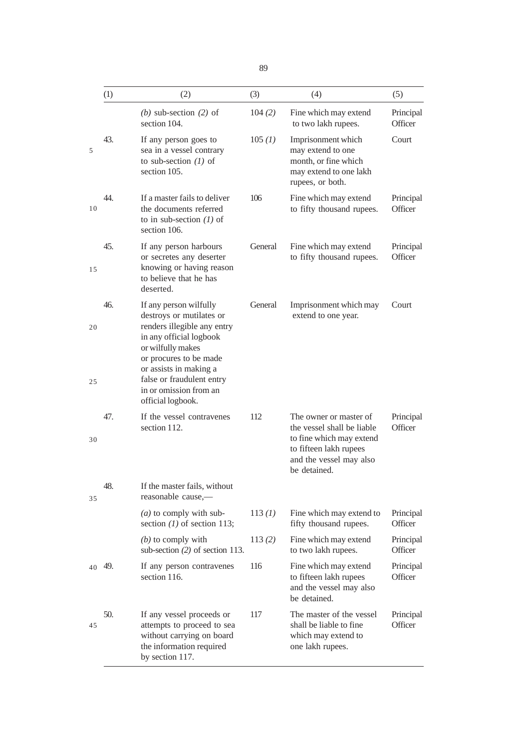|    | (1) | (2)                                                                                                                                                                                   | (3)     | (4)                                                                                                                                                   | (5)                  |
|----|-----|---------------------------------------------------------------------------------------------------------------------------------------------------------------------------------------|---------|-------------------------------------------------------------------------------------------------------------------------------------------------------|----------------------|
|    |     | (b) sub-section $(2)$ of<br>section 104.                                                                                                                                              | 104(2)  | Fine which may extend<br>to two lakh rupees.                                                                                                          | Principal<br>Officer |
| 5  | 43. | If any person goes to<br>sea in a vessel contrary<br>to sub-section $(1)$ of<br>section 105.                                                                                          | 105 (1) | Imprisonment which<br>may extend to one<br>month, or fine which<br>may extend to one lakh<br>rupees, or both.                                         | Court                |
| 10 | 44. | If a master fails to deliver<br>the documents referred<br>to in sub-section $(1)$ of<br>section 106.                                                                                  | 106     | Fine which may extend<br>to fifty thousand rupees.                                                                                                    | Principal<br>Officer |
| 15 | 45. | If any person harbours<br>or secretes any deserter<br>knowing or having reason<br>to believe that he has<br>deserted.                                                                 | General | Fine which may extend<br>to fifty thousand rupees.                                                                                                    | Principal<br>Officer |
| 20 | 46. | If any person wilfully<br>destroys or mutilates or<br>renders illegible any entry<br>in any official logbook<br>or wilfully makes<br>or procures to be made<br>or assists in making a | General | Imprisonment which may<br>extend to one year.                                                                                                         | Court                |
| 25 |     | false or fraudulent entry<br>in or omission from an<br>official logbook.                                                                                                              |         |                                                                                                                                                       |                      |
| 30 | 47. | If the vessel contravenes<br>section 112.                                                                                                                                             | 112     | The owner or master of<br>the vessel shall be liable<br>to fine which may extend<br>to fifteen lakh rupees<br>and the vessel may also<br>be detained. | Principal<br>Officer |
| 35 | 48. | If the master fails, without<br>reasonable cause,—                                                                                                                                    |         |                                                                                                                                                       |                      |
|    |     | $(a)$ to comply with sub-<br>section $(1)$ of section 113;                                                                                                                            | 113 (1) | Fine which may extend to<br>fifty thousand rupees.                                                                                                    | Principal<br>Officer |
|    |     | $(b)$ to comply with<br>sub-section $(2)$ of section 113.                                                                                                                             | 113(2)  | Fine which may extend<br>to two lakh rupees.                                                                                                          | Principal<br>Officer |
| 40 | 49. | If any person contravenes<br>section 116.                                                                                                                                             | 116     | Fine which may extend<br>to fifteen lakh rupees<br>and the vessel may also<br>be detained.                                                            | Principal<br>Officer |
| 45 | 50. | If any vessel proceeds or<br>attempts to proceed to sea<br>without carrying on board<br>the information required<br>by section 117.                                                   | 117     | The master of the vessel<br>shall be liable to fine<br>which may extend to<br>one lakh rupees.                                                        | Principal<br>Officer |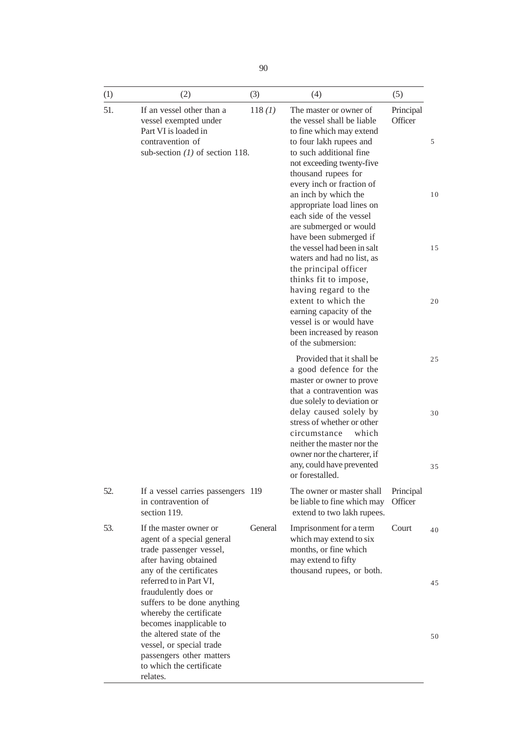| (1) | (2)                                                                                                                                                              | (3)     | (4)                                                                                                                                                                                                                                                                                                                                                                                                                                                                                                                                                                                                                               | (5)                  |                     |
|-----|------------------------------------------------------------------------------------------------------------------------------------------------------------------|---------|-----------------------------------------------------------------------------------------------------------------------------------------------------------------------------------------------------------------------------------------------------------------------------------------------------------------------------------------------------------------------------------------------------------------------------------------------------------------------------------------------------------------------------------------------------------------------------------------------------------------------------------|----------------------|---------------------|
| 51. | If an vessel other than a<br>vessel exempted under<br>Part VI is loaded in<br>contravention of<br>sub-section $(1)$ of section 118.                              | 118 (1) | The master or owner of<br>the vessel shall be liable<br>to fine which may extend<br>to four lakh rupees and<br>to such additional fine<br>not exceeding twenty-five<br>thousand rupees for<br>every inch or fraction of<br>an inch by which the<br>appropriate load lines on<br>each side of the vessel<br>are submerged or would<br>have been submerged if<br>the vessel had been in salt<br>waters and had no list, as<br>the principal officer<br>thinks fit to impose,<br>having regard to the<br>extent to which the<br>earning capacity of the<br>vessel is or would have<br>been increased by reason<br>of the submersion: | Principal<br>Officer | 5<br>10<br>15<br>20 |
|     |                                                                                                                                                                  |         | Provided that it shall be<br>a good defence for the<br>master or owner to prove<br>that a contravention was<br>due solely to deviation or<br>delay caused solely by<br>stress of whether or other<br>circumstance<br>which<br>neither the master nor the<br>owner nor the charterer, if<br>any, could have prevented<br>or forestalled.                                                                                                                                                                                                                                                                                           |                      | 25<br>30<br>35      |
| 52. | If a vessel carries passengers 119<br>in contravention of<br>section 119.                                                                                        |         | The owner or master shall<br>be liable to fine which may<br>extend to two lakh rupees.                                                                                                                                                                                                                                                                                                                                                                                                                                                                                                                                            | Principal<br>Officer |                     |
| 53. | If the master owner or<br>agent of a special general<br>trade passenger vessel,<br>after having obtained<br>any of the certificates                              | General | Imprisonment for a term<br>which may extend to six<br>months, or fine which<br>may extend to fifty<br>thousand rupees, or both.                                                                                                                                                                                                                                                                                                                                                                                                                                                                                                   | Court                | 40                  |
|     | referred to in Part VI,<br>fraudulently does or<br>suffers to be done anything<br>whereby the certificate<br>becomes inapplicable to<br>the altered state of the |         |                                                                                                                                                                                                                                                                                                                                                                                                                                                                                                                                                                                                                                   |                      | 45                  |
|     | vessel, or special trade<br>passengers other matters<br>to which the certificate<br>relates.                                                                     |         |                                                                                                                                                                                                                                                                                                                                                                                                                                                                                                                                                                                                                                   |                      | 50                  |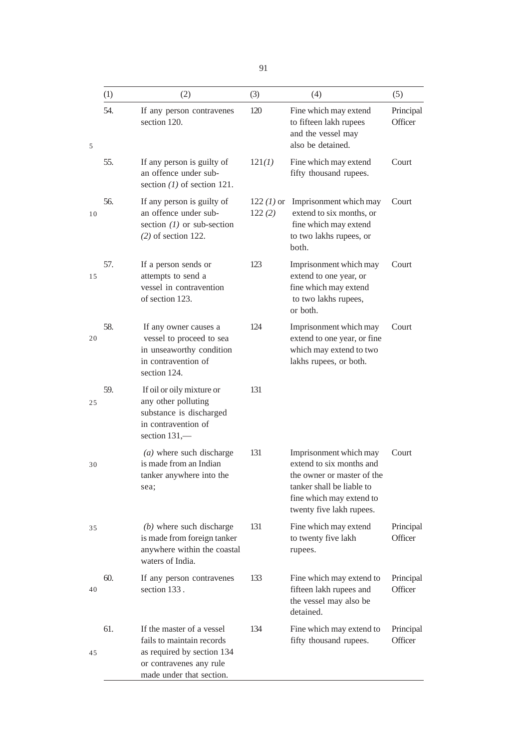|    | (1) | (2)                                                                                                                                         | (3)                    | (4)                                                                                                                                                                   | (5)                  |
|----|-----|---------------------------------------------------------------------------------------------------------------------------------------------|------------------------|-----------------------------------------------------------------------------------------------------------------------------------------------------------------------|----------------------|
| 5  | 54. | If any person contravenes<br>section 120.                                                                                                   | 120                    | Fine which may extend<br>to fifteen lakh rupees<br>and the vessel may<br>also be detained.                                                                            | Principal<br>Officer |
|    | 55. | If any person is guilty of<br>an offence under sub-<br>section $(1)$ of section 121.                                                        | 121(1)                 | Fine which may extend<br>fifty thousand rupees.                                                                                                                       | Court                |
| 10 | 56. | If any person is guilty of<br>an offence under sub-<br>section $(1)$ or sub-section<br>$(2)$ of section 122.                                | $122 (1)$ or<br>122(2) | Imprisonment which may<br>extend to six months, or<br>fine which may extend<br>to two lakhs rupees, or<br>both.                                                       | Court                |
| 15 | 57. | If a person sends or<br>attempts to send a<br>vessel in contravention<br>of section 123.                                                    | 123                    | Imprisonment which may<br>extend to one year, or<br>fine which may extend<br>to two lakhs rupees,<br>or both.                                                         | Court                |
| 20 | 58. | If any owner causes a<br>vessel to proceed to sea<br>in unseaworthy condition<br>in contravention of<br>section 124.                        | 124                    | Imprisonment which may<br>extend to one year, or fine<br>which may extend to two<br>lakhs rupees, or both.                                                            | Court                |
| 25 | 59. | If oil or oily mixture or<br>any other polluting<br>substance is discharged<br>in contravention of<br>section 131,-                         | 131                    |                                                                                                                                                                       |                      |
| 30 |     | $(a)$ where such discharge<br>is made from an Indian<br>tanker anywhere into the<br>sea;                                                    | 131                    | Imprisonment which may<br>extend to six months and<br>the owner or master of the<br>tanker shall be liable to<br>fine which may extend to<br>twenty five lakh rupees. | Court                |
| 35 |     | $(b)$ where such discharge<br>is made from foreign tanker<br>anywhere within the coastal<br>waters of India.                                | 131                    | Fine which may extend<br>to twenty five lakh<br>rupees.                                                                                                               | Principal<br>Officer |
| 40 | 60. | If any person contravenes<br>section 133.                                                                                                   | 133                    | Fine which may extend to<br>fifteen lakh rupees and<br>the vessel may also be<br>detained.                                                                            | Principal<br>Officer |
| 45 | 61. | If the master of a vessel<br>fails to maintain records<br>as required by section 134<br>or contravenes any rule<br>made under that section. | 134                    | Fine which may extend to<br>fifty thousand rupees.                                                                                                                    | Principal<br>Officer |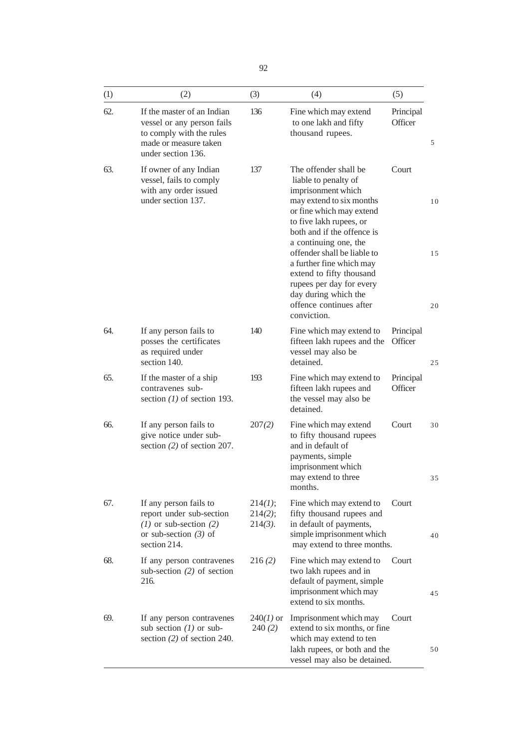| I                | ۰,<br>٧ |
|------------------|---------|
| ×<br>٦<br>I<br>v | v       |

| (1) | (2)                                                                                                                                 | (3)                              | (4)                                                                                                                                                                                                                                          | (5)                  |          |
|-----|-------------------------------------------------------------------------------------------------------------------------------------|----------------------------------|----------------------------------------------------------------------------------------------------------------------------------------------------------------------------------------------------------------------------------------------|----------------------|----------|
| 62. | If the master of an Indian<br>vessel or any person fails<br>to comply with the rules<br>made or measure taken<br>under section 136. | 136                              | Fine which may extend<br>to one lakh and fifty<br>thousand rupees.                                                                                                                                                                           | Principal<br>Officer | 5        |
| 63. | If owner of any Indian<br>vessel, fails to comply<br>with any order issued<br>under section 137.                                    | 137                              | The offender shall be<br>liable to penalty of<br>imprisonment which<br>may extend to six months<br>or fine which may extend<br>to five lakh rupees, or<br>both and if the offence is<br>a continuing one, the<br>offender shall be liable to | Court                | 10<br>15 |
|     |                                                                                                                                     |                                  | a further fine which may<br>extend to fifty thousand<br>rupees per day for every<br>day during which the<br>offence continues after<br>conviction.                                                                                           |                      | 20       |
| 64. | If any person fails to<br>posses the certificates<br>as required under<br>section 140.                                              | 140                              | Fine which may extend to<br>fifteen lakh rupees and the<br>vessel may also be<br>detained.                                                                                                                                                   | Principal<br>Officer | 25       |
| 65. | If the master of a ship<br>contravenes sub-<br>section $(1)$ of section 193.                                                        | 193                              | Fine which may extend to<br>fifteen lakh rupees and<br>the vessel may also be<br>detained.                                                                                                                                                   | Principal<br>Officer |          |
| 66. | If any person fails to<br>give notice under sub-<br>section $(2)$ of section 207.                                                   | 207(2)                           | Fine which may extend<br>to fifty thousand rupees<br>and in default of<br>payments, simple<br>imprisonment which<br>may extend to three<br>months.                                                                                           | Court                | 30<br>35 |
| 67. | If any person fails to<br>report under sub-section<br>$(1)$ or sub-section $(2)$<br>or sub-section $(3)$ of<br>section 214.         | 214(1);<br>214(2);<br>$214(3)$ . | Fine which may extend to<br>fifty thousand rupees and<br>in default of payments,<br>simple imprisonment which<br>may extend to three months.                                                                                                 | Court                | 40       |
| 68. | If any person contravenes<br>sub-section $(2)$ of section<br>216.                                                                   | 216(2)                           | Fine which may extend to<br>two lakh rupees and in<br>default of payment, simple<br>imprisonment which may<br>extend to six months.                                                                                                          | Court                | 45       |
| 69. | If any person contravenes<br>sub section $(1)$ or sub-<br>section $(2)$ of section 240.                                             | $240(1)$ or<br>240(2)            | Imprisonment which may<br>extend to six months, or fine<br>which may extend to ten<br>lakh rupees, or both and the<br>vessel may also be detained.                                                                                           | Court                | 50       |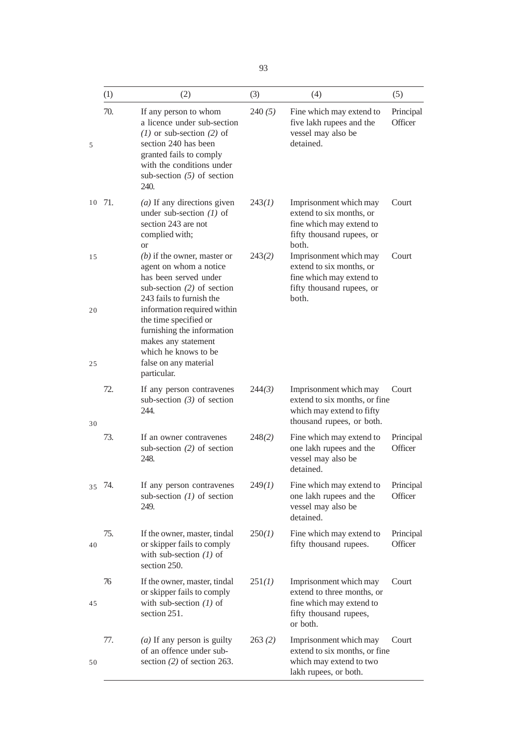|          | (1)    | (2)                                                                                                                                                                                                                                                                               | (3)    | (4)                                                                                                                    | (5)                  |
|----------|--------|-----------------------------------------------------------------------------------------------------------------------------------------------------------------------------------------------------------------------------------------------------------------------------------|--------|------------------------------------------------------------------------------------------------------------------------|----------------------|
| 5        | 70.    | If any person to whom<br>a licence under sub-section<br>$(1)$ or sub-section $(2)$ of<br>section 240 has been<br>granted fails to comply<br>with the conditions under<br>sub-section $(5)$ of section<br>240.                                                                     | 240(5) | Fine which may extend to<br>five lakh rupees and the<br>vessel may also be<br>detained.                                | Principal<br>Officer |
|          | 10 71. | $(a)$ If any directions given<br>under sub-section $(1)$ of<br>section 243 are not<br>complied with;<br><sub>or</sub>                                                                                                                                                             | 243(1) | Imprisonment which may<br>extend to six months, or<br>fine which may extend to<br>fifty thousand rupees, or<br>both.   | Court                |
| 15<br>20 |        | $(b)$ if the owner, master or<br>agent on whom a notice<br>has been served under<br>sub-section $(2)$ of section<br>243 fails to furnish the<br>information required within<br>the time specified or<br>furnishing the information<br>makes any statement<br>which he knows to be | 243(2) | Imprisonment which may<br>extend to six months, or<br>fine which may extend to<br>fifty thousand rupees, or<br>both.   | Court                |
| 25       |        | false on any material<br>particular.                                                                                                                                                                                                                                              |        |                                                                                                                        |                      |
| 30       | 72.    | If any person contravenes<br>sub-section $(3)$ of section<br>244.                                                                                                                                                                                                                 | 244(3) | Imprisonment which may<br>extend to six months, or fine<br>which may extend to fifty<br>thousand rupees, or both.      | Court                |
|          | 73.    | If an owner contravenes<br>sub-section $(2)$ of section<br>248.                                                                                                                                                                                                                   | 248(2) | Fine which may extend to<br>one lakh rupees and the<br>vessel may also be<br>detained.                                 | Principal<br>Officer |
| 35       | 74.    | If any person contravenes<br>sub-section $(1)$ of section<br>249.                                                                                                                                                                                                                 | 249(1) | Fine which may extend to<br>one lakh rupees and the<br>vessel may also be<br>detained.                                 | Principal<br>Officer |
| 40       | 75.    | If the owner, master, tindal<br>or skipper fails to comply<br>with sub-section $(1)$ of<br>section 250.                                                                                                                                                                           | 250(1) | Fine which may extend to<br>fifty thousand rupees.                                                                     | Principal<br>Officer |
| 45       | 76     | If the owner, master, tindal<br>or skipper fails to comply<br>with sub-section $(1)$ of<br>section 251.                                                                                                                                                                           | 251(1) | Imprisonment which may<br>extend to three months, or<br>fine which may extend to<br>fifty thousand rupees,<br>or both. | Court                |
| 50       | 77.    | $(a)$ If any person is guilty<br>of an offence under sub-<br>section $(2)$ of section 263.                                                                                                                                                                                        | 263(2) | Imprisonment which may<br>extend to six months, or fine<br>which may extend to two<br>lakh rupees, or both.            | Court                |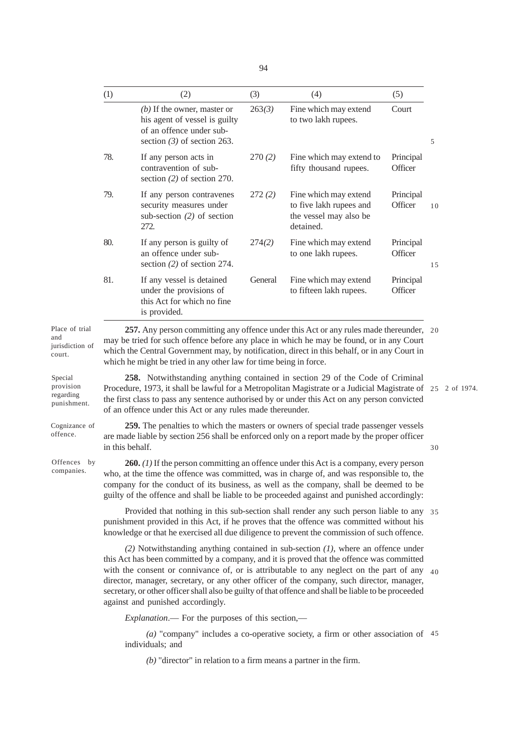|                                                    | (1)                                                                                                                                                                                                                                                                                                                                                                                                                                                                                                                            | (2)                                                                                                                                                                                                                                                                                                                                                     | (3)     | (4)                                                                                     | (5)                  |    |
|----------------------------------------------------|--------------------------------------------------------------------------------------------------------------------------------------------------------------------------------------------------------------------------------------------------------------------------------------------------------------------------------------------------------------------------------------------------------------------------------------------------------------------------------------------------------------------------------|---------------------------------------------------------------------------------------------------------------------------------------------------------------------------------------------------------------------------------------------------------------------------------------------------------------------------------------------------------|---------|-----------------------------------------------------------------------------------------|----------------------|----|
|                                                    |                                                                                                                                                                                                                                                                                                                                                                                                                                                                                                                                | $(b)$ If the owner, master or<br>his agent of vessel is guilty<br>of an offence under sub-<br>section $(3)$ of section 263.                                                                                                                                                                                                                             | 263(3)  | Fine which may extend<br>to two lakh rupees.                                            | Court                | 5  |
|                                                    | 78.                                                                                                                                                                                                                                                                                                                                                                                                                                                                                                                            | If any person acts in<br>contravention of sub-<br>section $(2)$ of section 270.                                                                                                                                                                                                                                                                         | 270(2)  | Fine which may extend to<br>fifty thousand rupees.                                      | Principal<br>Officer |    |
|                                                    | 79.                                                                                                                                                                                                                                                                                                                                                                                                                                                                                                                            | If any person contravenes<br>security measures under<br>sub-section $(2)$ of section<br>272.                                                                                                                                                                                                                                                            | 272(2)  | Fine which may extend<br>to five lakh rupees and<br>the vessel may also be<br>detained. | Principal<br>Officer | 10 |
|                                                    | 80.                                                                                                                                                                                                                                                                                                                                                                                                                                                                                                                            | If any person is guilty of<br>an offence under sub-<br>section $(2)$ of section 274.                                                                                                                                                                                                                                                                    | 274(2)  | Fine which may extend<br>to one lakh rupees.                                            | Principal<br>Officer | 15 |
|                                                    | 81.                                                                                                                                                                                                                                                                                                                                                                                                                                                                                                                            | If any vessel is detained<br>under the provisions of<br>this Act for which no fine<br>is provided.                                                                                                                                                                                                                                                      | General | Fine which may extend<br>to fifteen lakh rupees.                                        | Principal<br>Officer |    |
| Place of trial<br>and<br>jurisdiction of<br>court. |                                                                                                                                                                                                                                                                                                                                                                                                                                                                                                                                | 257. Any person committing any offence under this Act or any rules made thereunder, 20<br>may be tried for such offence before any place in which he may be found, or in any Court<br>which the Central Government may, by notification, direct in this behalf, or in any Court in<br>which he might be tried in any other law for time being in force. |         |                                                                                         |                      |    |
| Special<br>provision<br>regarding<br>punishment.   | 258. Notwithstanding anything contained in section 29 of the Code of Criminal<br>Procedure, 1973, it shall be lawful for a Metropolitan Magistrate or a Judicial Magistrate of 25 2 of 1974.<br>the first class to pass any sentence authorised by or under this Act on any person convicted<br>of an offence under this Act or any rules made thereunder.                                                                                                                                                                     |                                                                                                                                                                                                                                                                                                                                                         |         |                                                                                         |                      |    |
| Cognizance of<br>offence.                          | 259. The penalties to which the masters or owners of special trade passenger vessels<br>are made liable by section 256 shall be enforced only on a report made by the proper officer<br>in this behalf.                                                                                                                                                                                                                                                                                                                        |                                                                                                                                                                                                                                                                                                                                                         |         |                                                                                         |                      | 30 |
| Offences by<br>companies.                          | <b>260.</b> (1) If the person committing an offence under this Act is a company, every person<br>who, at the time the offence was committed, was in charge of, and was responsible to, the<br>company for the conduct of its business, as well as the company, shall be deemed to be<br>guilty of the offence and shall be liable to be proceeded against and punished accordingly:                                                                                                                                            |                                                                                                                                                                                                                                                                                                                                                         |         |                                                                                         |                      |    |
|                                                    | Provided that nothing in this sub-section shall render any such person liable to any 35<br>punishment provided in this Act, if he proves that the offence was committed without his<br>knowledge or that he exercised all due diligence to prevent the commission of such offence.                                                                                                                                                                                                                                             |                                                                                                                                                                                                                                                                                                                                                         |         |                                                                                         |                      |    |
|                                                    | $(2)$ Notwithstanding anything contained in sub-section $(1)$ , where an offence under<br>this Act has been committed by a company, and it is proved that the offence was committed<br>with the consent or connivance of, or is attributable to any neglect on the part of any $40$<br>director, manager, secretary, or any other officer of the company, such director, manager,<br>secretary, or other officer shall also be guilty of that offence and shall be liable to be proceeded<br>against and punished accordingly. |                                                                                                                                                                                                                                                                                                                                                         |         |                                                                                         |                      |    |
|                                                    |                                                                                                                                                                                                                                                                                                                                                                                                                                                                                                                                | <i>Explanation</i> .— For the purposes of this section,—                                                                                                                                                                                                                                                                                                |         |                                                                                         |                      |    |
|                                                    |                                                                                                                                                                                                                                                                                                                                                                                                                                                                                                                                | individuals; and                                                                                                                                                                                                                                                                                                                                        |         | (a) "company" includes a co-operative society, a firm or other association of $45$      |                      |    |

*(b)* "director" in relation to a firm means a partner in the firm.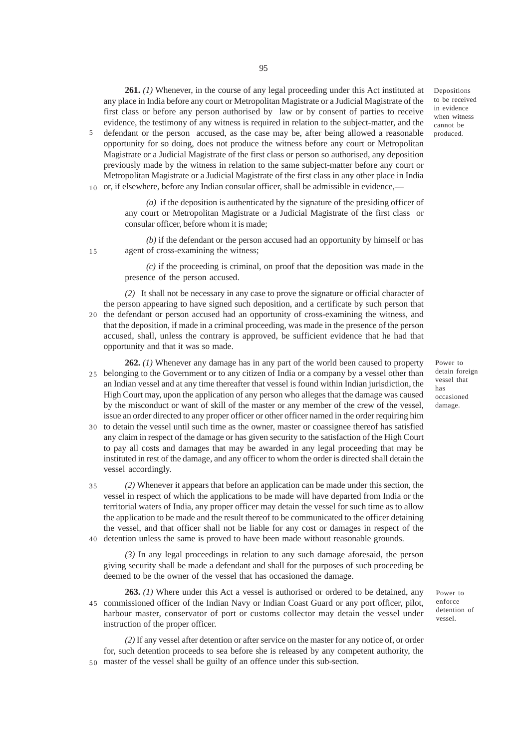**261.** *(1)* Whenever, in the course of any legal proceeding under this Act instituted at any place in India before any court or Metropolitan Magistrate or a Judicial Magistrate of the first class or before any person authorised by law or by consent of parties to receive evidence, the testimony of any witness is required in relation to the subject-matter, and the

defendant or the person accused, as the case may be, after being allowed a reasonable opportunity for so doing, does not produce the witness before any court or Metropolitan Magistrate or a Judicial Magistrate of the first class or person so authorised, any deposition previously made by the witness in relation to the same subject-matter before any court or Metropolitan Magistrate or a Judicial Magistrate of the first class in any other place in India 10 or, if elsewhere, before any Indian consular officer, shall be admissible in evidence,— 5

> *(a)* if the deposition is authenticated by the signature of the presiding officer of any court or Metropolitan Magistrate or a Judicial Magistrate of the first class or consular officer, before whom it is made;

*(b)* if the defendant or the person accused had an opportunity by himself or has agent of cross-examining the witness;

15

*(c)* if the proceeding is criminal, on proof that the deposition was made in the presence of the person accused.

- *(2)* It shall not be necessary in any case to prove the signature or official character of the person appearing to have signed such deposition, and a certificate by such person that 20 the defendant or person accused had an opportunity of cross-examining the witness, and that the deposition, if made in a criminal proceeding, was made in the presence of the person accused, shall, unless the contrary is approved, be sufficient evidence that he had that opportunity and that it was so made.
- **262.** *(1)* Whenever any damage has in any part of the world been caused to property belonging to the Government or to any citizen of India or a company by a vessel other than 25 an Indian vessel and at any time thereafter that vessel is found within Indian jurisdiction, the High Court may, upon the application of any person who alleges that the damage was caused by the misconduct or want of skill of the master or any member of the crew of the vessel, issue an order directed to any proper officer or other officer named in the order requiring him
- 30 to detain the vessel until such time as the owner, master or coassignee thereof has satisfied any claim in respect of the damage or has given security to the satisfaction of the High Court to pay all costs and damages that may be awarded in any legal proceeding that may be instituted in rest of the damage, and any officer to whom the order is directed shall detain the vessel accordingly.
- *(2)* Whenever it appears that before an application can be made under this section, the vessel in respect of which the applications to be made will have departed from India or the territorial waters of India, any proper officer may detain the vessel for such time as to allow the application to be made and the result thereof to be communicated to the officer detaining the vessel, and that officer shall not be liable for any cost or damages in respect of the detention unless the same is proved to have been made without reasonable grounds. 35 40

*(3)* In any legal proceedings in relation to any such damage aforesaid, the person giving security shall be made a defendant and shall for the purposes of such proceeding be deemed to be the owner of the vessel that has occasioned the damage.

**263.** *(1)* Where under this Act a vessel is authorised or ordered to be detained, any commissioned officer of the Indian Navy or Indian Coast Guard or any port officer, pilot, 45 harbour master, conservator of port or customs collector may detain the vessel under instruction of the proper officer.

*(2)* If any vessel after detention or after service on the master for any notice of, or order for, such detention proceeds to sea before she is released by any competent authority, the master of the vessel shall be guilty of an offence under this sub-section. 50

damage.

Power to enforce detention of vessel.

Power to detain foreign vessel that has occasioned

Depositions to be received in evidence when witness cannot be produced.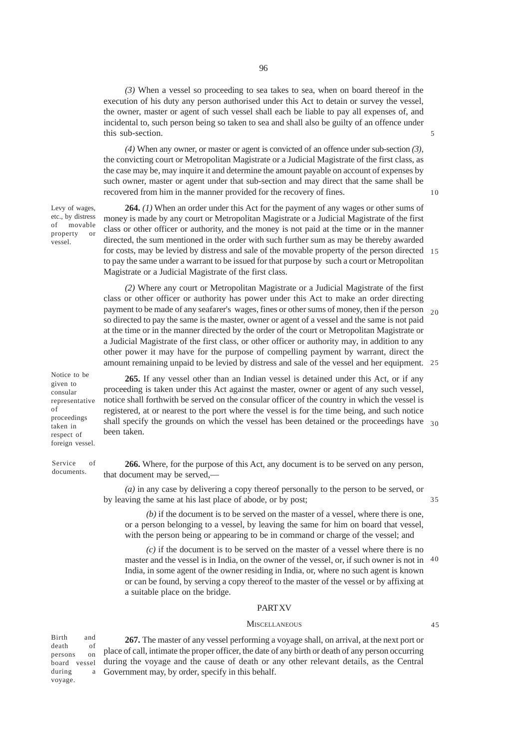*(3)* When a vessel so proceeding to sea takes to sea, when on board thereof in the execution of his duty any person authorised under this Act to detain or survey the vessel, the owner, master or agent of such vessel shall each be liable to pay all expenses of, and incidental to, such person being so taken to sea and shall also be guilty of an offence under this sub-section.

*(4)* When any owner, or master or agent is convicted of an offence under sub-section *(3)*, the convicting court or Metropolitan Magistrate or a Judicial Magistrate of the first class, as the case may be, may inquire it and determine the amount payable on account of expenses by such owner, master or agent under that sub-section and may direct that the same shall be recovered from him in the manner provided for the recovery of fines.

Levy of wages, etc., by distress of movable property or vessel.

**264.** *(1)* When an order under this Act for the payment of any wages or other sums of money is made by any court or Metropolitan Magistrate or a Judicial Magistrate of the first class or other officer or authority, and the money is not paid at the time or in the manner directed, the sum mentioned in the order with such further sum as may be thereby awarded for costs, may be levied by distress and sale of the movable property of the person directed 15 to pay the same under a warrant to be issued for that purpose by such a court or Metropolitan Magistrate or a Judicial Magistrate of the first class.

*(2)* Where any court or Metropolitan Magistrate or a Judicial Magistrate of the first class or other officer or authority has power under this Act to make an order directing payment to be made of any seafarer's wages, fines or other sums of money, then if the person so directed to pay the same is the master, owner or agent of a vessel and the same is not paid at the time or in the manner directed by the order of the court or Metropolitan Magistrate or a Judicial Magistrate of the first class, or other officer or authority may, in addition to any other power it may have for the purpose of compelling payment by warrant, direct the amount remaining unpaid to be levied by distress and sale of the vessel and her equipment. 25  $20$ 

Notice to be given to consular representative of proceedings taken in respect of foreign vessel.

Service of documents.

**265.** If any vessel other than an Indian vessel is detained under this Act, or if any proceeding is taken under this Act against the master, owner or agent of any such vessel, notice shall forthwith be served on the consular officer of the country in which the vessel is registered, at or nearest to the port where the vessel is for the time being, and such notice shall specify the grounds on which the vessel has been detained or the proceedings have 30 been taken.

**266.** Where, for the purpose of this Act, any document is to be served on any person, that document may be served,—

*(a)* in any case by delivering a copy thereof personally to the person to be served, or by leaving the same at his last place of abode, or by post;

*(b)* if the document is to be served on the master of a vessel, where there is one, or a person belonging to a vessel, by leaving the same for him on board that vessel, with the person being or appearing to be in command or charge of the vessel; and

*(c)* if the document is to be served on the master of a vessel where there is no master and the vessel is in India, on the owner of the vessel, or, if such owner is not in India, in some agent of the owner residing in India, or, where no such agent is known or can be found, by serving a copy thereof to the master of the vessel or by affixing at a suitable place on the bridge. 40

## **PART XV**

#### **MISCELLANEOUS**

Birth and death of persons on board vessel during a voyage.

**267.** The master of any vessel performing a voyage shall, on arrival, at the next port or place of call, intimate the proper officer, the date of any birth or death of any person occurring during the voyage and the cause of death or any other relevant details, as the Central Government may, by order, specify in this behalf.

10

5

35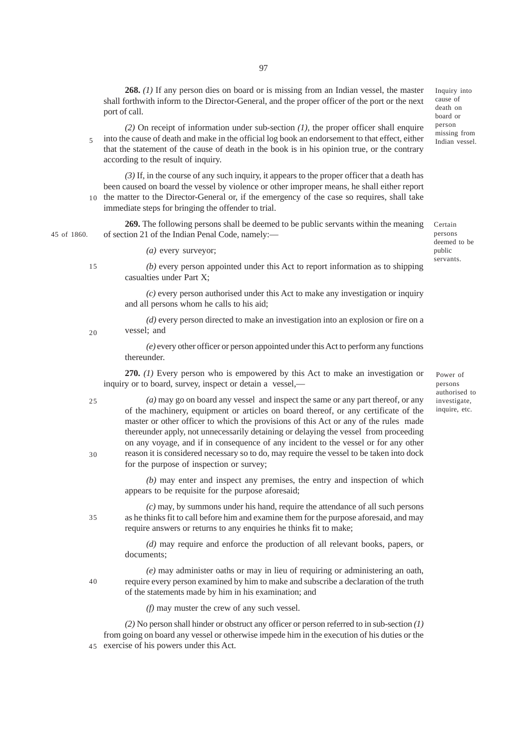**268.** *(1)* If any person dies on board or is missing from an Indian vessel, the master shall forthwith inform to the Director-General, and the proper officer of the port or the next port of call.

*(2)* On receipt of information under sub-section *(1)*, the proper officer shall enquire into the cause of death and make in the official log book an endorsement to that effect, either that the statement of the cause of death in the book is in his opinion true, or the contrary according to the result of inquiry. 5

*(3)* If, in the course of any such inquiry, it appears to the proper officer that a death has been caused on board the vessel by violence or other improper means, he shall either report 10 the matter to the Director-General or, if the emergency of the case so requires, shall take immediate steps for bringing the offender to trial.

**269.** The following persons shall be deemed to be public servants within the meaning of section 21 of the Indian Penal Code, namely:— 45 of 1860.

*(a)* every surveyor;

15

20

*(b)* every person appointed under this Act to report information as to shipping casualties under Part X;

*(c)* every person authorised under this Act to make any investigation or inquiry and all persons whom he calls to his aid;

*(d)* every person directed to make an investigation into an explosion or fire on a vessel; and

*(e)* every other officer or person appointed under this Act to perform any functions thereunder.

**270.** *(1)* Every person who is empowered by this Act to make an investigation or inquiry or to board, survey, inspect or detain a vessel,—

*(a)* may go on board any vessel and inspect the same or any part thereof, or any of the machinery, equipment or articles on board thereof, or any certificate of the master or other officer to which the provisions of this Act or any of the rules made thereunder apply, not unnecessarily detaining or delaying the vessel from proceeding on any voyage, and if in consequence of any incident to the vessel or for any other reason it is considered necessary so to do, may require the vessel to be taken into dock for the purpose of inspection or survey; 25 30

> *(b)* may enter and inspect any premises, the entry and inspection of which appears to be requisite for the purpose aforesaid;

*(c)* may, by summons under his hand, require the attendance of all such persons as he thinks fit to call before him and examine them for the purpose aforesaid, and may require answers or returns to any enquiries he thinks fit to make; 35

> *(d)* may require and enforce the production of all relevant books, papers, or documents;

*(e)* may administer oaths or may in lieu of requiring or administering an oath, require every person examined by him to make and subscribe a declaration of the truth of the statements made by him in his examination; and

*(f)* may muster the crew of any such vessel.

*(2)* No person shall hinder or obstruct any officer or person referred to in sub-section *(1)* from going on board any vessel or otherwise impede him in the execution of his duties or the exercise of his powers under this Act. 45

Inquiry into cause of death on board or person missing from Indian vessel.

Certain persons deemed to be public servants.

Power of persons authorised to investigate, inquire, etc.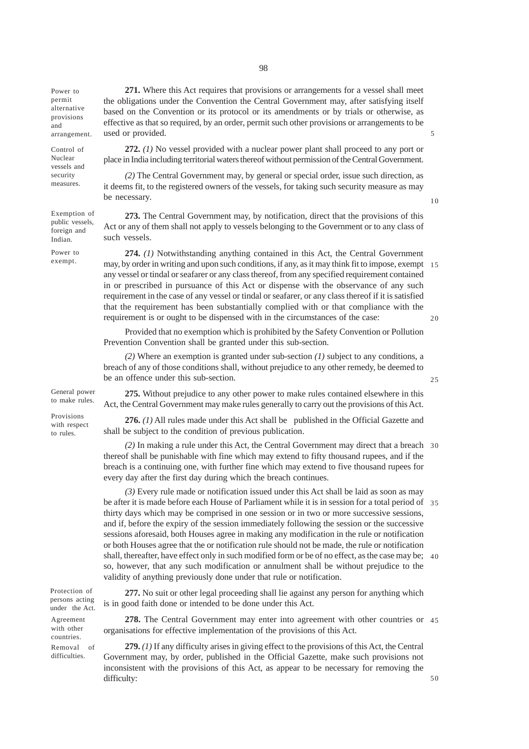Power to permit alternative provisions and arrangement.

Control of Nuclear vessels and security measures.

Exemption of public vessels, foreign and Indian.

Power to exempt.

**271.** Where this Act requires that provisions or arrangements for a vessel shall meet the obligations under the Convention the Central Government may, after satisfying itself based on the Convention or its protocol or its amendments or by trials or otherwise, as effective as that so required, by an order, permit such other provisions or arrangements to be used or provided.

**272.** *(1)* No vessel provided with a nuclear power plant shall proceed to any port or place in India including territorial waters thereof without permission of the Central Government.

*(2)* The Central Government may, by general or special order, issue such direction, as it deems fit, to the registered owners of the vessels, for taking such security measure as may be necessary.

**273.** The Central Government may, by notification, direct that the provisions of this Act or any of them shall not apply to vessels belonging to the Government or to any class of such vessels.

**274.** *(1)* Notwithstanding anything contained in this Act, the Central Government may, by order in writing and upon such conditions, if any, as it may think fit to impose, exempt 15 any vessel or tindal or seafarer or any class thereof, from any specified requirement contained in or prescribed in pursuance of this Act or dispense with the observance of any such requirement in the case of any vessel or tindal or seafarer, or any class thereof if it is satisfied that the requirement has been substantially complied with or that compliance with the requirement is or ought to be dispensed with in the circumstances of the case: 20

Provided that no exemption which is prohibited by the Safety Convention or Pollution Prevention Convention shall be granted under this sub-section.

*(2)* Where an exemption is granted under sub-section *(1)* subject to any conditions, a breach of any of those conditions shall, without prejudice to any other remedy, be deemed to be an offence under this sub-section.

General power to make rules.

Provisions with respect to rules.

**275.** Without prejudice to any other power to make rules contained elsewhere in this Act, the Central Government may make rules generally to carry out the provisions of this Act.

**276.** *(1)* All rules made under this Act shall be published in the Official Gazette and shall be subject to the condition of previous publication.

*(2)* In making a rule under this Act, the Central Government may direct that a breach 30 thereof shall be punishable with fine which may extend to fifty thousand rupees, and if the breach is a continuing one, with further fine which may extend to five thousand rupees for every day after the first day during which the breach continues.

*(3)* Every rule made or notification issued under this Act shall be laid as soon as may be after it is made before each House of Parliament while it is in session for a total period of 35 thirty days which may be comprised in one session or in two or more successive sessions, and if, before the expiry of the session immediately following the session or the successive sessions aforesaid, both Houses agree in making any modification in the rule or notification or both Houses agree that the or notification rule should not be made, the rule or notification shall, thereafter, have effect only in such modified form or be of no effect, as the case may be; 40 so, however, that any such modification or annulment shall be without prejudice to the validity of anything previously done under that rule or notification.

**277.** No suit or other legal proceeding shall lie against any person for anything which is in good faith done or intended to be done under this Act.

**278.** The Central Government may enter into agreement with other countries or 45 organisations for effective implementation of the provisions of this Act.

**279.** *(1)* If any difficulty arises in giving effect to the provisions of this Act, the Central Government may, by order, published in the Official Gazette, make such provisions not inconsistent with the provisions of this Act, as appear to be necessary for removing the difficulty:

Protection of persons acting under the Act. Agreement

with other countries. Removal of difficulties.

5

10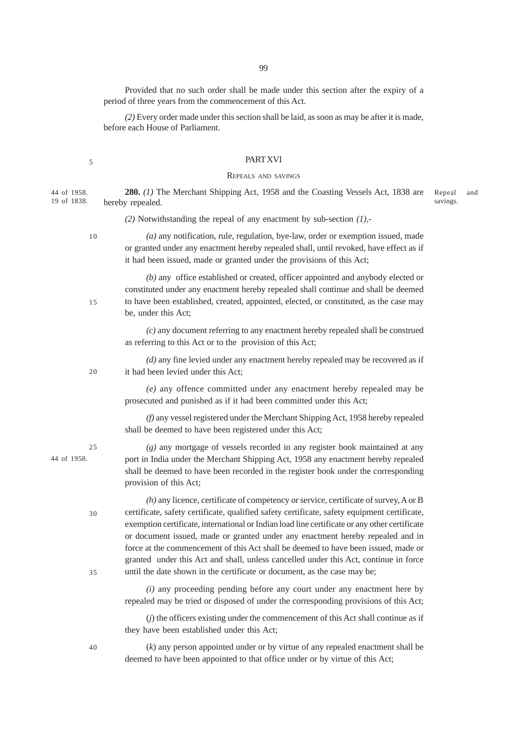99

Provided that no such order shall be made under this section after the expiry of a period of three years from the commencement of this Act.

*(2)* Every order made under this section shall be laid, as soon as may be after it is made, before each House of Parliament.

## **PART XVI**

#### REPEALS AND SAVINGS

**280.** *(1)* The Merchant Shipping Act, 1958 and the Coasting Vessels Act, 1838 are hereby repealed. Repeal and savings. 44 of 1958. 19 of 1838.

*(2)* Notwithstanding the repeal of any enactment by sub-section *(1)*,-

10

15

20

 $25$ 

30

35

5

*(a)* any notification, rule, regulation, bye-law, order or exemption issued, made or granted under any enactment hereby repealed shall, until revoked, have effect as if it had been issued, made or granted under the provisions of this Act;

*(b)* any office established or created, officer appointed and anybody elected or constituted under any enactment hereby repealed shall continue and shall be deemed to have been established, created, appointed, elected, or constituted, as the case may be, under this Act;

*(c)* any document referring to any enactment hereby repealed shall be construed as referring to this Act or to the provision of this Act;

*(d)* any fine levied under any enactment hereby repealed may be recovered as if it had been levied under this Act;

*(e)* any offence committed under any enactment hereby repealed may be prosecuted and punished as if it had been committed under this Act;

*(f)* any vessel registered under the Merchant Shipping Act, 1958 hereby repealed shall be deemed to have been registered under this Act;

*(g)* any mortgage of vessels recorded in any register book maintained at any port in India under the Merchant Shipping Act, 1958 any enactment hereby repealed shall be deemed to have been recorded in the register book under the corresponding provision of this Act;

*(h)* any licence, certificate of competency or service, certificate of survey, A or B certificate, safety certificate, qualified safety certificate, safety equipment certificate, exemption certificate, international or Indian load line certificate or any other certificate or document issued, made or granted under any enactment hereby repealed and in force at the commencement of this Act shall be deemed to have been issued, made or granted under this Act and shall, unless cancelled under this Act, continue in force until the date shown in the certificate or document, as the case may be;

*(i)* any proceeding pending before any court under any enactment here by repealed may be tried or disposed of under the corresponding provisions of this Act;

(*j*) the officers existing under the commencement of this Act shall continue as if they have been established under this Act;

(*k*) any person appointed under or by virtue of any repealed enactment shall be deemed to have been appointed to that office under or by virtue of this Act;

40

44 of 1958.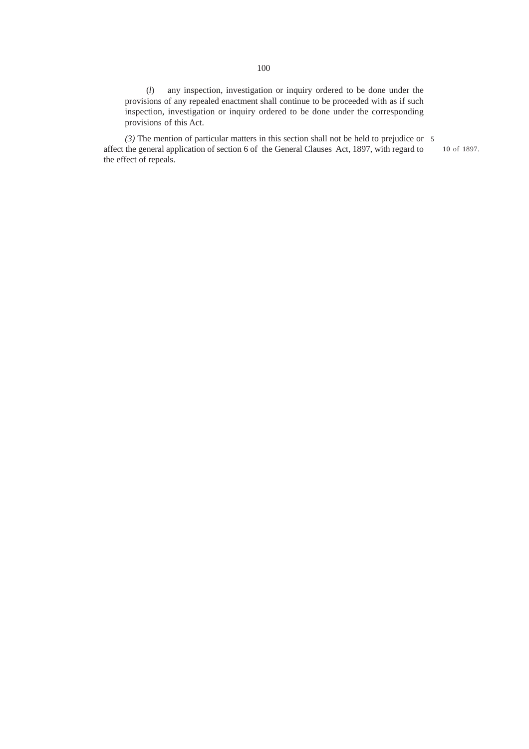(*l*) any inspection, investigation or inquiry ordered to be done under the provisions of any repealed enactment shall continue to be proceeded with as if such inspection, investigation or inquiry ordered to be done under the corresponding provisions of this Act.

*(3)* The mention of particular matters in this section shall not be held to prejudice or 5affect the general application of section 6 of the General Clauses Act, 1897, with regard to the effect of repeals.

10 of 1897.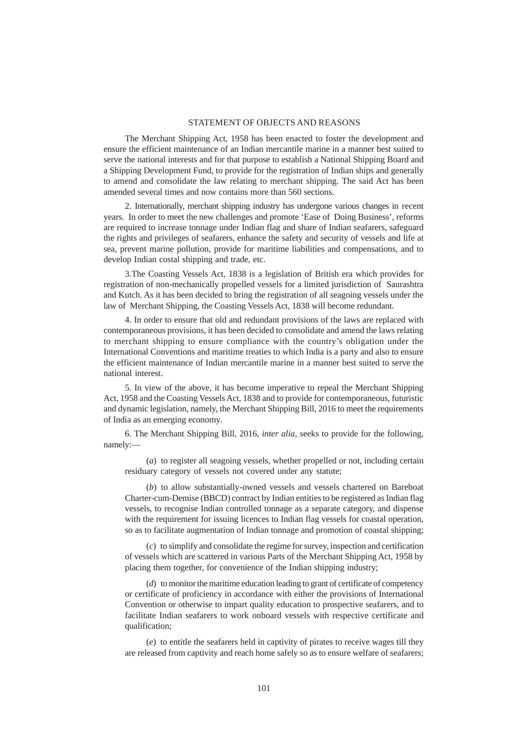### STATEMENT OF OBJECTS AND REASONS

The Merchant Shipping Act, 1958 has been enacted to foster the development and ensure the efficient maintenance of an Indian mercantile marine in a manner best suited to serve the national interests and for that purpose to establish a National Shipping Board and a Shipping Development Fund, to provide for the registration of Indian ships and generally to amend and consolidate the law relating to merchant shipping. The said Act has been amended several times and now contains more than 560 sections.

2. Internationally, merchant shipping industry has undergone various changes in recent years. In order to meet the new challenges and promote 'Ease of Doing Business', reforms are required to increase tonnage under Indian flag and share of Indian seafarers, safeguard the rights and privileges of seafarers, enhance the safety and security of vessels and life at sea, prevent marine pollution, provide for maritime liabilities and compensations, and to develop Indian costal shipping and trade, etc.

3.The Coasting Vessels Act, 1838 is a legislation of British era which provides for registration of non-mechanically propelled vessels for a limited jurisdiction of Saurashtra and Kutch. As it has been decided to bring the registration of all seagoing vessels under the law of Merchant Shipping, the Coasting Vessels Act, 1838 will become redundant.

4. In order to ensure that old and redundant provisions of the laws are replaced with contemporaneous provisions, it has been decided to consolidate and amend the laws relating to merchant shipping to ensure compliance with the country's obligation under the International Conventions and maritime treaties to which India is a party and also to ensure the efficient maintenance of Indian mercantile marine in a manner best suited to serve the national interest.

5. In view of the above, it has become imperative to repeal the Merchant Shipping Act, 1958 and the Coasting Vessels Act, 1838 and to provide for contemporaneous, futuristic and dynamic legislation, namely, the Merchant Shipping Bill, 2016 to meet the requirements of India as an emerging economy.

6. The Merchant Shipping Bill, 2016, *inter alia*, seeks to provide for the following, namely:––

(*a*) to register all seagoing vessels, whether propelled or not, including certain residuary category of vessels not covered under any statute;

(*b*) to allow substantially-owned vessels and vessels chartered on Bareboat Charter-cum-Demise (BBCD) contract by Indian entities to be registered as Indian flag vessels, to recognise Indian controlled tonnage as a separate category, and dispense with the requirement for issuing licences to Indian flag vessels for coastal operation, so as to facilitate augmentation of Indian tonnage and promotion of coastal shipping;

(*c*) to simplify and consolidate the regime for survey, inspection and certification of vessels which are scattered in various Parts of the Merchant Shipping Act, 1958 by placing them together, for convenience of the Indian shipping industry;

(*d*) to monitor the maritime education leading to grant of certificate of competency or certificate of proficiency in accordance with either the provisions of International Convention or otherwise to impart quality education to prospective seafarers, and to facilitate Indian seafarers to work onboard vessels with respective certificate and qualification;

(*e*) to entitle the seafarers held in captivity of pirates to receive wages till they are released from captivity and reach home safely so as to ensure welfare of seafarers;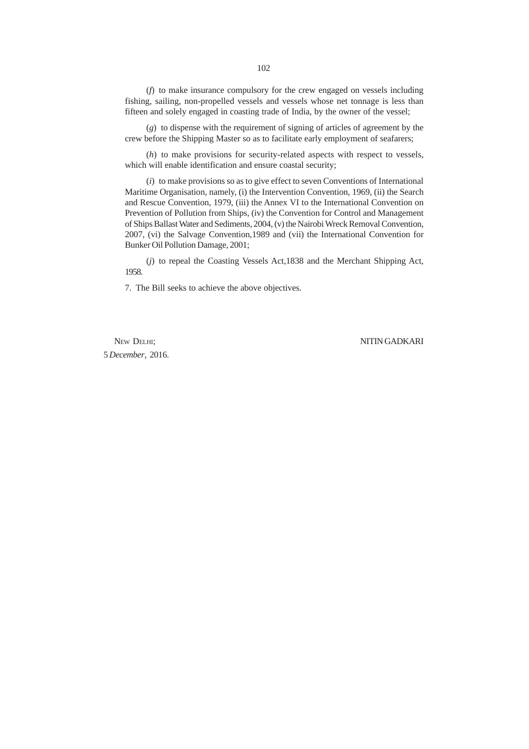(*f*) to make insurance compulsory for the crew engaged on vessels including fishing, sailing, non-propelled vessels and vessels whose net tonnage is less than fifteen and solely engaged in coasting trade of India, by the owner of the vessel;

(*g*) to dispense with the requirement of signing of articles of agreement by the crew before the Shipping Master so as to facilitate early employment of seafarers;

(*h*) to make provisions for security-related aspects with respect to vessels, which will enable identification and ensure coastal security;

(*i*) to make provisions so as to give effect to seven Conventions of International Maritime Organisation, namely, (i) the Intervention Convention, 1969, (ii) the Search and Rescue Convention, 1979, (iii) the Annex VI to the International Convention on Prevention of Pollution from Ships, (iv) the Convention for Control and Management of Ships Ballast Water and Sediments, 2004, (v) the Nairobi Wreck Removal Convention, 2007, (vi) the Salvage Convention,1989 and (vii) the International Convention for Bunker Oil Pollution Damage, 2001;

(*j*) to repeal the Coasting Vessels Act,1838 and the Merchant Shipping Act, 1958.

7. The Bill seeks to achieve the above objectives.

5 *December*, 2016.

NEW DELHI; NITIN GADKARI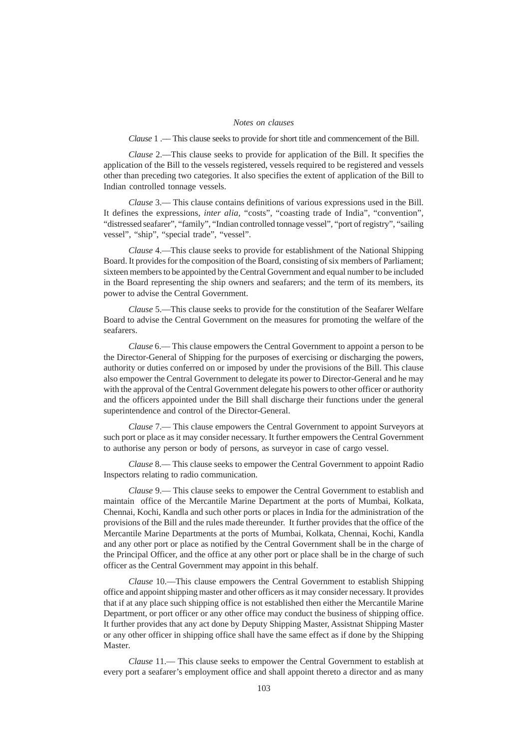### *Notes on clauses*

*Clause* 1 .–– This clause seeks to provide for short title and commencement of the Bill.

*Clause* 2.––This clause seeks to provide for application of the Bill. It specifies the application of the Bill to the vessels registered, vessels required to be registered and vessels other than preceding two categories. It also specifies the extent of application of the Bill to Indian controlled tonnage vessels.

*Clause* 3.–– This clause contains definitions of various expressions used in the Bill. It defines the expressions, *inter alia,* "costs", "coasting trade of India", "convention", "distressed seafarer", "family", "Indian controlled tonnage vessel", "port of registry", "sailing vessel", "ship", "special trade", "vessel".

*Clause* 4.––This clause seeks to provide for establishment of the National Shipping Board. It provides for the composition of the Board, consisting of six members of Parliament; sixteen members to be appointed by the Central Government and equal number to be included in the Board representing the ship owners and seafarers; and the term of its members, its power to advise the Central Government.

*Clause* 5.––This clause seeks to provide for the constitution of the Seafarer Welfare Board to advise the Central Government on the measures for promoting the welfare of the seafarers.

*Clause* 6.–– This clause empowers the Central Government to appoint a person to be the Director-General of Shipping for the purposes of exercising or discharging the powers, authority or duties conferred on or imposed by under the provisions of the Bill. This clause also empower the Central Government to delegate its power to Director-General and he may with the approval of the Central Government delegate his powers to other officer or authority and the officers appointed under the Bill shall discharge their functions under the general superintendence and control of the Director-General.

*Clause* 7.–– This clause empowers the Central Government to appoint Surveyors at such port or place as it may consider necessary. It further empowers the Central Government to authorise any person or body of persons, as surveyor in case of cargo vessel.

*Clause* 8.–– This clause seeks to empower the Central Government to appoint Radio Inspectors relating to radio communication.

*Clause* 9.–– This clause seeks to empower the Central Government to establish and maintain office of the Mercantile Marine Department at the ports of Mumbai, Kolkata, Chennai, Kochi, Kandla and such other ports or places in India for the administration of the provisions of the Bill and the rules made thereunder. It further provides that the office of the Mercantile Marine Departments at the ports of Mumbai, Kolkata, Chennai, Kochi, Kandla and any other port or place as notified by the Central Government shall be in the charge of the Principal Officer, and the office at any other port or place shall be in the charge of such officer as the Central Government may appoint in this behalf.

*Clause* 10.––This clause empowers the Central Government to establish Shipping office and appoint shipping master and other officers as it may consider necessary. It provides that if at any place such shipping office is not established then either the Mercantile Marine Department, or port officer or any other office may conduct the business of shipping office. It further provides that any act done by Deputy Shipping Master, Assistnat Shipping Master or any other officer in shipping office shall have the same effect as if done by the Shipping Master.

*Clause* 11.–– This clause seeks to empower the Central Government to establish at every port a seafarer's employment office and shall appoint thereto a director and as many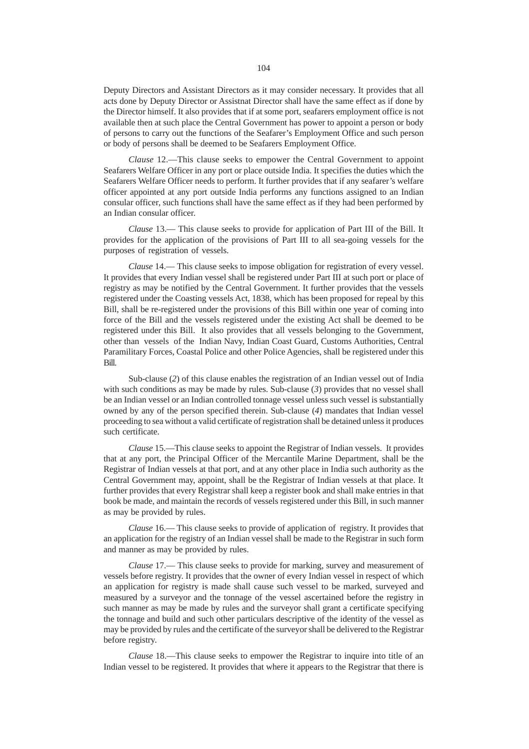Deputy Directors and Assistant Directors as it may consider necessary. It provides that all acts done by Deputy Director or Assistnat Director shall have the same effect as if done by the Director himself. It also provides that if at some port, seafarers employment office is not available then at such place the Central Government has power to appoint a person or body of persons to carry out the functions of the Seafarer's Employment Office and such person or body of persons shall be deemed to be Seafarers Employment Office.

*Clause* 12.––This clause seeks to empower the Central Government to appoint Seafarers Welfare Officer in any port or place outside India. It specifies the duties which the Seafarers Welfare Officer needs to perform. It further provides that if any seafarer's welfare officer appointed at any port outside India performs any functions assigned to an Indian consular officer, such functions shall have the same effect as if they had been performed by an Indian consular officer.

*Clause* 13.–– This clause seeks to provide for application of Part III of the Bill. It provides for the application of the provisions of Part III to all sea-going vessels for the purposes of registration of vessels.

*Clause* 14.–– This clause seeks to impose obligation for registration of every vessel. It provides that every Indian vessel shall be registered under Part III at such port or place of registry as may be notified by the Central Government. It further provides that the vessels registered under the Coasting vessels Act, 1838, which has been proposed for repeal by this Bill, shall be re-registered under the provisions of this Bill within one year of coming into force of the Bill and the vessels registered under the existing Act shall be deemed to be registered under this Bill. It also provides that all vessels belonging to the Government, other than vessels of the Indian Navy, Indian Coast Guard, Customs Authorities, Central Paramilitary Forces, Coastal Police and other Police Agencies, shall be registered under this Bill.

Sub-clause (*2*) of this clause enables the registration of an Indian vessel out of India with such conditions as may be made by rules. Sub-clause (*3*) provides that no vessel shall be an Indian vessel or an Indian controlled tonnage vessel unless such vessel is substantially owned by any of the person specified therein. Sub-clause (*4*) mandates that Indian vessel proceeding to sea without a valid certificate of registration shall be detained unless it produces such certificate.

*Clause* 15.––This clause seeks to appoint the Registrar of Indian vessels. It provides that at any port, the Principal Officer of the Mercantile Marine Department, shall be the Registrar of Indian vessels at that port, and at any other place in India such authority as the Central Government may, appoint, shall be the Registrar of Indian vessels at that place. It further provides that every Registrar shall keep a register book and shall make entries in that book be made, and maintain the records of vessels registered under this Bill, in such manner as may be provided by rules.

*Clause* 16.–– This clause seeks to provide of application of registry. It provides that an application for the registry of an Indian vessel shall be made to the Registrar in such form and manner as may be provided by rules.

*Clause* 17.–– This clause seeks to provide for marking, survey and measurement of vessels before registry. It provides that the owner of every Indian vessel in respect of which an application for registry is made shall cause such vessel to be marked, surveyed and measured by a surveyor and the tonnage of the vessel ascertained before the registry in such manner as may be made by rules and the surveyor shall grant a certificate specifying the tonnage and build and such other particulars descriptive of the identity of the vessel as may be provided by rules and the certificate of the surveyor shall be delivered to the Registrar before registry.

*Clause* 18.––This clause seeks to empower the Registrar to inquire into title of an Indian vessel to be registered. It provides that where it appears to the Registrar that there is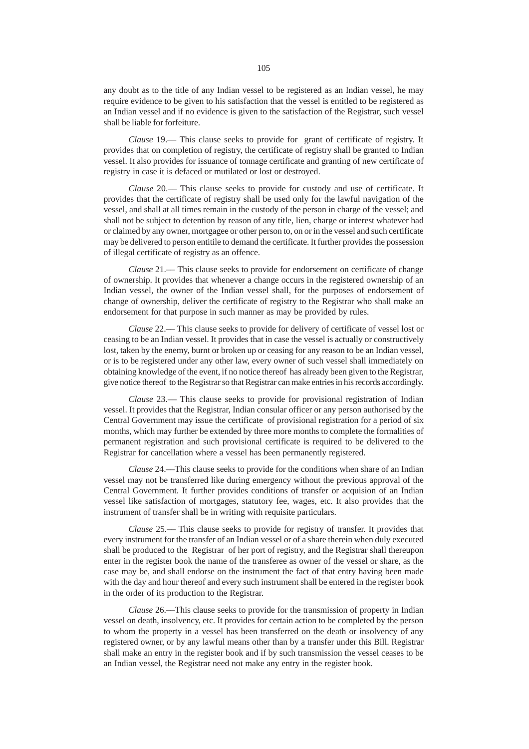any doubt as to the title of any Indian vessel to be registered as an Indian vessel, he may require evidence to be given to his satisfaction that the vessel is entitled to be registered as an Indian vessel and if no evidence is given to the satisfaction of the Registrar, such vessel shall be liable for forfeiture.

*Clause* 19.–– This clause seeks to provide for grant of certificate of registry. It provides that on completion of registry, the certificate of registry shall be granted to Indian vessel. It also provides for issuance of tonnage certificate and granting of new certificate of registry in case it is defaced or mutilated or lost or destroyed.

*Clause* 20.–– This clause seeks to provide for custody and use of certificate. It provides that the certificate of registry shall be used only for the lawful navigation of the vessel, and shall at all times remain in the custody of the person in charge of the vessel; and shall not be subject to detention by reason of any title, lien, charge or interest whatever had or claimed by any owner, mortgagee or other person to, on or in the vessel and such certificate may be delivered to person entitile to demand the certificate. It further provides the possession of illegal certificate of registry as an offence.

*Clause* 21.–– This clause seeks to provide for endorsement on certificate of change of ownership. It provides that whenever a change occurs in the registered ownership of an Indian vessel, the owner of the Indian vessel shall, for the purposes of endorsement of change of ownership, deliver the certificate of registry to the Registrar who shall make an endorsement for that purpose in such manner as may be provided by rules.

*Clause* 22.–– This clause seeks to provide for delivery of certificate of vessel lost or ceasing to be an Indian vessel. It provides that in case the vessel is actually or constructively lost, taken by the enemy, burnt or broken up or ceasing for any reason to be an Indian vessel, or is to be registered under any other law, every owner of such vessel shall immediately on obtaining knowledge of the event, if no notice thereof has already been given to the Registrar, give notice thereof to the Registrar so that Registrar can make entries in his records accordingly.

*Clause* 23.–– This clause seeks to provide for provisional registration of Indian vessel. It provides that the Registrar, Indian consular officer or any person authorised by the Central Government may issue the certificate of provisional registration for a period of six months, which may further be extended by three more months to complete the formalities of permanent registration and such provisional certificate is required to be delivered to the Registrar for cancellation where a vessel has been permanently registered.

*Clause* 24.––This clause seeks to provide for the conditions when share of an Indian vessel may not be transferred like during emergency without the previous approval of the Central Government. It further provides conditions of transfer or acquision of an Indian vessel like satisfaction of mortgages, statutory fee, wages, etc. It also provides that the instrument of transfer shall be in writing with requisite particulars.

*Clause* 25.–– This clause seeks to provide for registry of transfer. It provides that every instrument for the transfer of an Indian vessel or of a share therein when duly executed shall be produced to the Registrar of her port of registry, and the Registrar shall thereupon enter in the register book the name of the transferee as owner of the vessel or share, as the case may be, and shall endorse on the instrument the fact of that entry having been made with the day and hour thereof and every such instrument shall be entered in the register book in the order of its production to the Registrar.

*Clause* 26.––This clause seeks to provide for the transmission of property in Indian vessel on death, insolvency, etc. It provides for certain action to be completed by the person to whom the property in a vessel has been transferred on the death or insolvency of any registered owner, or by any lawful means other than by a transfer under this Bill. Registrar shall make an entry in the register book and if by such transmission the vessel ceases to be an Indian vessel, the Registrar need not make any entry in the register book.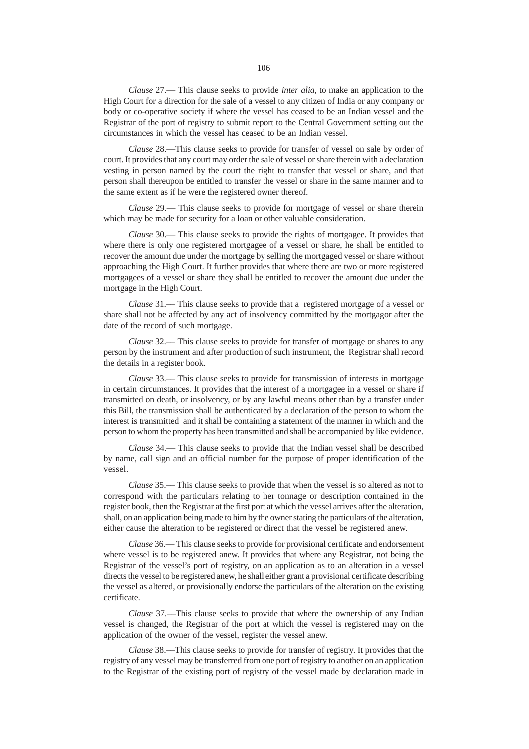*Clause* 27.–– This clause seeks to provide *inter alia,* to make an application to the High Court for a direction for the sale of a vessel to any citizen of India or any company or body or co-operative society if where the vessel has ceased to be an Indian vessel and the Registrar of the port of registry to submit report to the Central Government setting out the circumstances in which the vessel has ceased to be an Indian vessel.

*Clause* 28.––This clause seeks to provide for transfer of vessel on sale by order of court. It provides that any court may order the sale of vessel or share therein with a declaration vesting in person named by the court the right to transfer that vessel or share, and that person shall thereupon be entitled to transfer the vessel or share in the same manner and to the same extent as if he were the registered owner thereof.

*Clause* 29.–– This clause seeks to provide for mortgage of vessel or share therein which may be made for security for a loan or other valuable consideration.

*Clause* 30.–– This clause seeks to provide the rights of mortgagee. It provides that where there is only one registered mortgagee of a vessel or share, he shall be entitled to recover the amount due under the mortgage by selling the mortgaged vessel or share without approaching the High Court. It further provides that where there are two or more registered mortgagees of a vessel or share they shall be entitled to recover the amount due under the mortgage in the High Court.

*Clause* 31.–– This clause seeks to provide that a registered mortgage of a vessel or share shall not be affected by any act of insolvency committed by the mortgagor after the date of the record of such mortgage.

*Clause* 32.–– This clause seeks to provide for transfer of mortgage or shares to any person by the instrument and after production of such instrument, the Registrar shall record the details in a register book.

*Clause* 33.–– This clause seeks to provide for transmission of interests in mortgage in certain circumstances. It provides that the interest of a mortgagee in a vessel or share if transmitted on death, or insolvency, or by any lawful means other than by a transfer under this Bill, the transmission shall be authenticated by a declaration of the person to whom the interest is transmitted and it shall be containing a statement of the manner in which and the person to whom the property has been transmitted and shall be accompanied by like evidence.

*Clause* 34.–– This clause seeks to provide that the Indian vessel shall be described by name, call sign and an official number for the purpose of proper identification of the vessel.

*Clause* 35.–– This clause seeks to provide that when the vessel is so altered as not to correspond with the particulars relating to her tonnage or description contained in the register book, then the Registrar at the first port at which the vessel arrives after the alteration, shall, on an application being made to him by the owner stating the particulars of the alteration, either cause the alteration to be registered or direct that the vessel be registered anew.

*Clause* 36.–– This clause seeks to provide for provisional certificate and endorsement where vessel is to be registered anew. It provides that where any Registrar, not being the Registrar of the vessel's port of registry, on an application as to an alteration in a vessel directs the vessel to be registered anew, he shall either grant a provisional certificate describing the vessel as altered, or provisionally endorse the particulars of the alteration on the existing certificate.

*Clause* 37.––This clause seeks to provide that where the ownership of any Indian vessel is changed, the Registrar of the port at which the vessel is registered may on the application of the owner of the vessel, register the vessel anew.

*Clause* 38.––This clause seeks to provide for transfer of registry. It provides that the registry of any vessel may be transferred from one port of registry to another on an application to the Registrar of the existing port of registry of the vessel made by declaration made in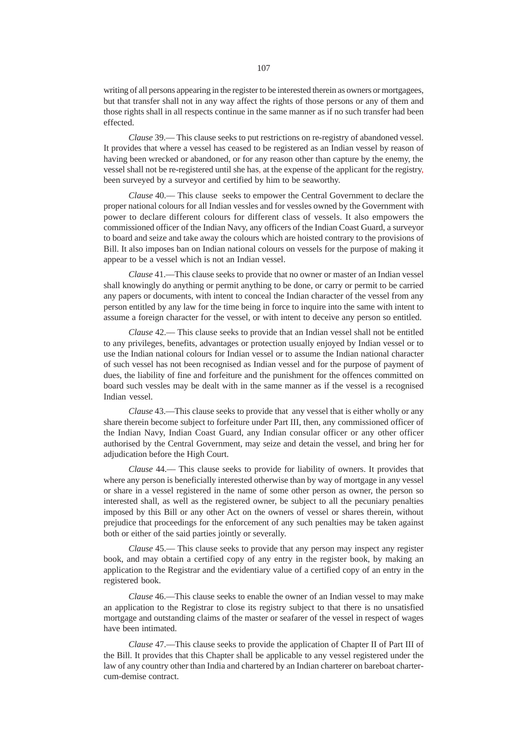writing of all persons appearing in the register to be interested therein as owners or mortgagees, but that transfer shall not in any way affect the rights of those persons or any of them and those rights shall in all respects continue in the same manner as if no such transfer had been effected.

*Clause* 39.–– This clause seeks to put restrictions on re-registry of abandoned vessel. It provides that where a vessel has ceased to be registered as an Indian vessel by reason of having been wrecked or abandoned, or for any reason other than capture by the enemy, the vessel shall not be re-registered until she has, at the expense of the applicant for the registry, been surveyed by a surveyor and certified by him to be seaworthy.

*Clause* 40.–– This clause seeks to empower the Central Government to declare the proper national colours for all Indian vessles and for vessles owned by the Government with power to declare different colours for different class of vessels. It also empowers the commissioned officer of the Indian Navy, any officers of the Indian Coast Guard, a surveyor to board and seize and take away the colours which are hoisted contrary to the provisions of Bill. It also imposes ban on Indian national colours on vessels for the purpose of making it appear to be a vessel which is not an Indian vessel.

*Clause* 41.––This clause seeks to provide that no owner or master of an Indian vessel shall knowingly do anything or permit anything to be done, or carry or permit to be carried any papers or documents, with intent to conceal the Indian character of the vessel from any person entitled by any law for the time being in force to inquire into the same with intent to assume a foreign character for the vessel, or with intent to deceive any person so entitled.

*Clause* 42.–– This clause seeks to provide that an Indian vessel shall not be entitled to any privileges, benefits, advantages or protection usually enjoyed by Indian vessel or to use the Indian national colours for Indian vessel or to assume the Indian national character of such vessel has not been recognised as Indian vessel and for the purpose of payment of dues, the liability of fine and forfeiture and the punishment for the offences committed on board such vessles may be dealt with in the same manner as if the vessel is a recognised Indian vessel.

*Clause* 43.––This clause seeks to provide that any vessel that is either wholly or any share therein become subject to forfeiture under Part III, then, any commissioned officer of the Indian Navy, Indian Coast Guard, any Indian consular officer or any other officer authorised by the Central Government, may seize and detain the vessel, and bring her for adjudication before the High Court.

*Clause* 44.–– This clause seeks to provide for liability of owners. It provides that where any person is beneficially interested otherwise than by way of mortgage in any vessel or share in a vessel registered in the name of some other person as owner, the person so interested shall, as well as the registered owner, be subject to all the pecuniary penalties imposed by this Bill or any other Act on the owners of vessel or shares therein, without prejudice that proceedings for the enforcement of any such penalties may be taken against both or either of the said parties jointly or severally.

*Clause* 45.–– This clause seeks to provide that any person may inspect any register book, and may obtain a certified copy of any entry in the register book, by making an application to the Registrar and the evidentiary value of a certified copy of an entry in the registered book.

*Clause* 46.––This clause seeks to enable the owner of an Indian vessel to may make an application to the Registrar to close its registry subject to that there is no unsatisfied mortgage and outstanding claims of the master or seafarer of the vessel in respect of wages have been intimated.

*Clause* 47.––This clause seeks to provide the application of Chapter II of Part III of the Bill. It provides that this Chapter shall be applicable to any vessel registered under the law of any country other than India and chartered by an Indian charterer on bareboat chartercum-demise contract.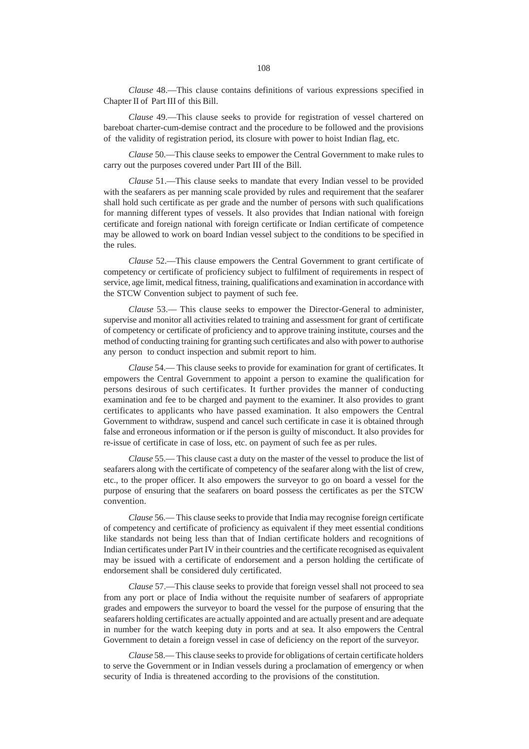*Clause* 48.––This clause contains definitions of various expressions specified in Chapter II of Part III of this Bill.

*Clause* 49.––This clause seeks to provide for registration of vessel chartered on bareboat charter-cum-demise contract and the procedure to be followed and the provisions of the validity of registration period, its closure with power to hoist Indian flag, etc.

*Clause* 50.––This clause seeks to empower the Central Government to make rules to carry out the purposes covered under Part III of the Bill.

*Clause* 51.––This clause seeks to mandate that every Indian vessel to be provided with the seafarers as per manning scale provided by rules and requirement that the seafarer shall hold such certificate as per grade and the number of persons with such qualifications for manning different types of vessels. It also provides that Indian national with foreign certificate and foreign national with foreign certificate or Indian certificate of competence may be allowed to work on board Indian vessel subject to the conditions to be specified in the rules.

*Clause* 52.––This clause empowers the Central Government to grant certificate of competency or certificate of proficiency subject to fulfilment of requirements in respect of service, age limit, medical fitness, training, qualifications and examination in accordance with the STCW Convention subject to payment of such fee.

*Clause* 53.–– This clause seeks to empower the Director-General to administer, supervise and monitor all activities related to training and assessment for grant of certificate of competency or certificate of proficiency and to approve training institute, courses and the method of conducting training for granting such certificates and also with power to authorise any person to conduct inspection and submit report to him.

*Clause* 54.–– This clause seeks to provide for examination for grant of certificates. It empowers the Central Government to appoint a person to examine the qualification for persons desirous of such certificates. It further provides the manner of conducting examination and fee to be charged and payment to the examiner. It also provides to grant certificates to applicants who have passed examination. It also empowers the Central Government to withdraw, suspend and cancel such certificate in case it is obtained through false and erroneous information or if the person is guilty of misconduct. It also provides for re-issue of certificate in case of loss, etc. on payment of such fee as per rules.

*Clause* 55.–– This clause cast a duty on the master of the vessel to produce the list of seafarers along with the certificate of competency of the seafarer along with the list of crew, etc., to the proper officer. It also empowers the surveyor to go on board a vessel for the purpose of ensuring that the seafarers on board possess the certificates as per the STCW convention.

*Clause* 56.–– This clause seeks to provide that India may recognise foreign certificate of competency and certificate of proficiency as equivalent if they meet essential conditions like standards not being less than that of Indian certificate holders and recognitions of Indian certificates under Part IV in their countries and the certificate recognised as equivalent may be issued with a certificate of endorsement and a person holding the certificate of endorsement shall be considered duly certificated.

*Clause* 57.––This clause seeks to provide that foreign vessel shall not proceed to sea from any port or place of India without the requisite number of seafarers of appropriate grades and empowers the surveyor to board the vessel for the purpose of ensuring that the seafarers holding certificates are actually appointed and are actually present and are adequate in number for the watch keeping duty in ports and at sea. It also empowers the Central Government to detain a foreign vessel in case of deficiency on the report of the surveyor.

*Clause* 58.–– This clause seeks to provide for obligations of certain certificate holders to serve the Government or in Indian vessels during a proclamation of emergency or when security of India is threatened according to the provisions of the constitution.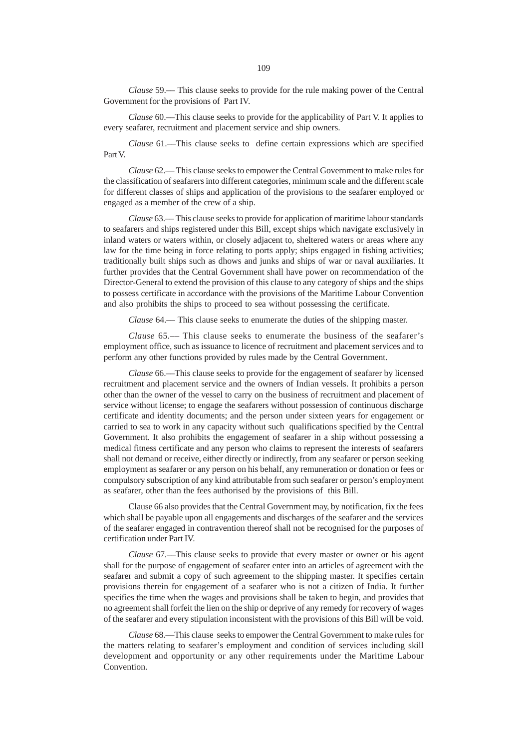*Clause* 59.–– This clause seeks to provide for the rule making power of the Central Government for the provisions of Part IV.

*Clause* 60.––This clause seeks to provide for the applicability of Part V. It applies to every seafarer, recruitment and placement service and ship owners.

*Clause* 61.––This clause seeks to define certain expressions which are specified Part V.

*Clause* 62.–– This clause seeks to empower the Central Government to make rules for the classification of seafarers into different categories, minimum scale and the different scale for different classes of ships and application of the provisions to the seafarer employed or engaged as a member of the crew of a ship.

*Clause* 63.–– This clause seeks to provide for application of maritime labour standards to seafarers and ships registered under this Bill, except ships which navigate exclusively in inland waters or waters within, or closely adjacent to, sheltered waters or areas where any law for the time being in force relating to ports apply; ships engaged in fishing activities; traditionally built ships such as dhows and junks and ships of war or naval auxiliaries. It further provides that the Central Government shall have power on recommendation of the Director-General to extend the provision of this clause to any category of ships and the ships to possess certificate in accordance with the provisions of the Maritime Labour Convention and also prohibits the ships to proceed to sea without possessing the certificate.

*Clause* 64.— This clause seeks to enumerate the duties of the shipping master.

*Clause* 65.–– This clause seeks to enumerate the business of the seafarer's employment office, such as issuance to licence of recruitment and placement services and to perform any other functions provided by rules made by the Central Government.

*Clause* 66.––This clause seeks to provide for the engagement of seafarer by licensed recruitment and placement service and the owners of Indian vessels. It prohibits a person other than the owner of the vessel to carry on the business of recruitment and placement of service without license; to engage the seafarers without possession of continuous discharge certificate and identity documents; and the person under sixteen years for engagement or carried to sea to work in any capacity without such qualifications specified by the Central Government. It also prohibits the engagement of seafarer in a ship without possessing a medical fitness certificate and any person who claims to represent the interests of seafarers shall not demand or receive, either directly or indirectly, from any seafarer or person seeking employment as seafarer or any person on his behalf, any remuneration or donation or fees or compulsory subscription of any kind attributable from such seafarer or person's employment as seafarer, other than the fees authorised by the provisions of this Bill.

Clause 66 also provides that the Central Government may, by notification, fix the fees which shall be payable upon all engagements and discharges of the seafarer and the services of the seafarer engaged in contravention thereof shall not be recognised for the purposes of certification under Part IV.

*Clause* 67.––This clause seeks to provide that every master or owner or his agent shall for the purpose of engagement of seafarer enter into an articles of agreement with the seafarer and submit a copy of such agreement to the shipping master. It specifies certain provisions therein for engagement of a seafarer who is not a citizen of India. It further specifies the time when the wages and provisions shall be taken to begin, and provides that no agreement shall forfeit the lien on the ship or deprive of any remedy for recovery of wages of the seafarer and every stipulation inconsistent with the provisions of this Bill will be void.

*Clause* 68.––This clause seeks to empower the Central Government to make rules for the matters relating to seafarer's employment and condition of services including skill development and opportunity or any other requirements under the Maritime Labour Convention.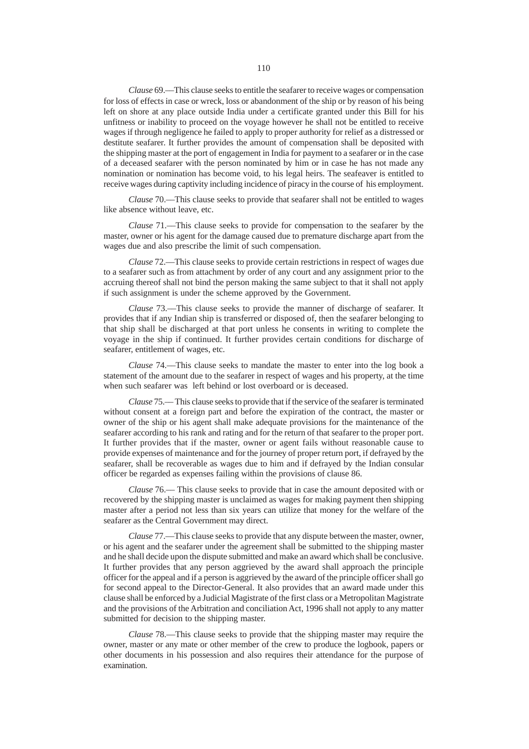*Clause* 69.––This clause seeks to entitle the seafarer to receive wages or compensation for loss of effects in case or wreck, loss or abandonment of the ship or by reason of his being left on shore at any place outside India under a certificate granted under this Bill for his unfitness or inability to proceed on the voyage however he shall not be entitled to receive wages if through negligence he failed to apply to proper authority for relief as a distressed or destitute seafarer. It further provides the amount of compensation shall be deposited with the shipping master at the port of engagement in India for payment to a seafarer or in the case of a deceased seafarer with the person nominated by him or in case he has not made any nomination or nomination has become void, to his legal heirs. The seafeaver is entitled to receive wages during captivity including incidence of piracy in the course of his employment.

*Clause* 70.––This clause seeks to provide that seafarer shall not be entitled to wages like absence without leave, etc.

*Clause* 71.––This clause seeks to provide for compensation to the seafarer by the master, owner or his agent for the damage caused due to premature discharge apart from the wages due and also prescribe the limit of such compensation.

*Clause* 72.––This clause seeks to provide certain restrictions in respect of wages due to a seafarer such as from attachment by order of any court and any assignment prior to the accruing thereof shall not bind the person making the same subject to that it shall not apply if such assignment is under the scheme approved by the Government.

*Clause* 73.––This clause seeks to provide the manner of discharge of seafarer. It provides that if any Indian ship is transferred or disposed of, then the seafarer belonging to that ship shall be discharged at that port unless he consents in writing to complete the voyage in the ship if continued. It further provides certain conditions for discharge of seafarer, entitlement of wages, etc.

*Clause* 74.––This clause seeks to mandate the master to enter into the log book a statement of the amount due to the seafarer in respect of wages and his property, at the time when such seafarer was left behind or lost overboard or is deceased.

*Clause* 75.–– This clause seeks to provide that if the service of the seafarer is terminated without consent at a foreign part and before the expiration of the contract, the master or owner of the ship or his agent shall make adequate provisions for the maintenance of the seafarer according to his rank and rating and for the return of that seafarer to the proper port. It further provides that if the master, owner or agent fails without reasonable cause to provide expenses of maintenance and for the journey of proper return port, if defrayed by the seafarer, shall be recoverable as wages due to him and if defrayed by the Indian consular officer be regarded as expenses failing within the provisions of clause 86.

*Clause* 76.–– This clause seeks to provide that in case the amount deposited with or recovered by the shipping master is unclaimed as wages for making payment then shipping master after a period not less than six years can utilize that money for the welfare of the seafarer as the Central Government may direct.

*Clause* 77.––This clause seeks to provide that any dispute between the master, owner, or his agent and the seafarer under the agreement shall be submitted to the shipping master and he shall decide upon the dispute submitted and make an award which shall be conclusive. It further provides that any person aggrieved by the award shall approach the principle officer for the appeal and if a person is aggrieved by the award of the principle officer shall go for second appeal to the Director-General. It also provides that an award made under this clause shall be enforced by a Judicial Magistrate of the first class or a Metropolitan Magistrate and the provisions of the Arbitration and conciliation Act, 1996 shall not apply to any matter submitted for decision to the shipping master.

*Clause* 78.––This clause seeks to provide that the shipping master may require the owner, master or any mate or other member of the crew to produce the logbook, papers or other documents in his possession and also requires their attendance for the purpose of examination.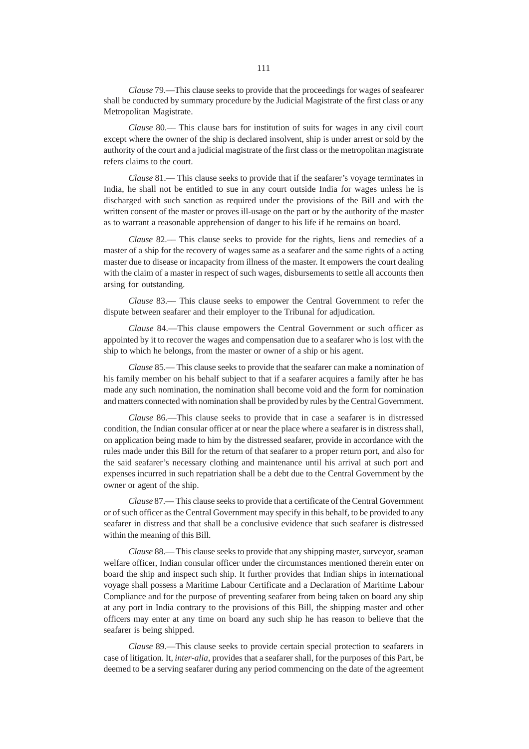*Clause* 79.––This clause seeks to provide that the proceedings for wages of seafearer shall be conducted by summary procedure by the Judicial Magistrate of the first class or any Metropolitan Magistrate.

*Clause* 80.–– This clause bars for institution of suits for wages in any civil court except where the owner of the ship is declared insolvent, ship is under arrest or sold by the authority of the court and a judicial magistrate of the first class or the metropolitan magistrate refers claims to the court.

*Clause* 81.— This clause seeks to provide that if the seafarer's voyage terminates in India, he shall not be entitled to sue in any court outside India for wages unless he is discharged with such sanction as required under the provisions of the Bill and with the written consent of the master or proves ill-usage on the part or by the authority of the master as to warrant a reasonable apprehension of danger to his life if he remains on board.

*Clause* 82.–– This clause seeks to provide for the rights, liens and remedies of a master of a ship for the recovery of wages same as a seafarer and the same rights of a acting master due to disease or incapacity from illness of the master. It empowers the court dealing with the claim of a master in respect of such wages, disbursements to settle all accounts then arsing for outstanding.

*Clause* 83.–– This clause seeks to empower the Central Government to refer the dispute between seafarer and their employer to the Tribunal for adjudication.

*Clause* 84.––This clause empowers the Central Government or such officer as appointed by it to recover the wages and compensation due to a seafarer who is lost with the ship to which he belongs, from the master or owner of a ship or his agent.

*Clause* 85.–– This clause seeks to provide that the seafarer can make a nomination of his family member on his behalf subject to that if a seafarer acquires a family after he has made any such nomination, the nomination shall become void and the form for nomination and matters connected with nomination shall be provided by rules by the Central Government.

*Clause* 86.––This clause seeks to provide that in case a seafarer is in distressed condition, the Indian consular officer at or near the place where a seafarer is in distress shall, on application being made to him by the distressed seafarer, provide in accordance with the rules made under this Bill for the return of that seafarer to a proper return port, and also for the said seafarer's necessary clothing and maintenance until his arrival at such port and expenses incurred in such repatriation shall be a debt due to the Central Government by the owner or agent of the ship.

*Clause* 87.–– This clause seeks to provide that a certificate of the Central Government or of such officer as the Central Government may specify in this behalf, to be provided to any seafarer in distress and that shall be a conclusive evidence that such seafarer is distressed within the meaning of this Bill.

*Clause* 88.–– This clause seeks to provide that any shipping master, surveyor, seaman welfare officer, Indian consular officer under the circumstances mentioned therein enter on board the ship and inspect such ship. It further provides that Indian ships in international voyage shall possess a Maritime Labour Certificate and a Declaration of Maritime Labour Compliance and for the purpose of preventing seafarer from being taken on board any ship at any port in India contrary to the provisions of this Bill, the shipping master and other officers may enter at any time on board any such ship he has reason to believe that the seafarer is being shipped.

*Clause* 89.––This clause seeks to provide certain special protection to seafarers in case of litigation. It, *inter-alia*, provides that a seafarer shall, for the purposes of this Part, be deemed to be a serving seafarer during any period commencing on the date of the agreement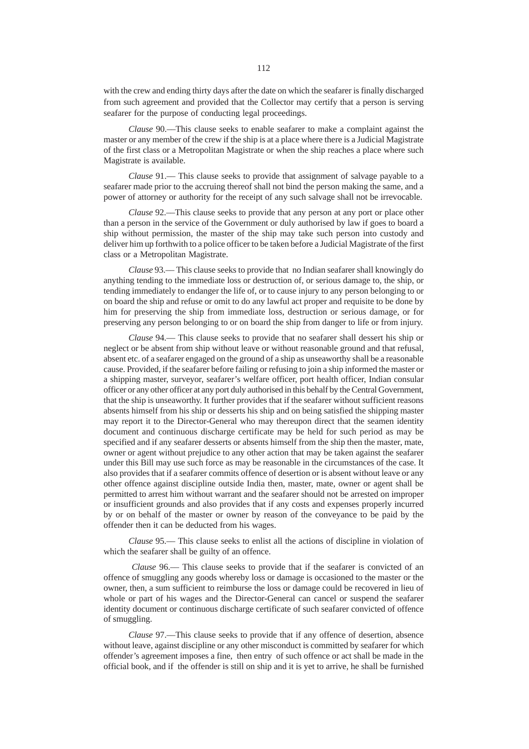with the crew and ending thirty days after the date on which the seafarer is finally discharged from such agreement and provided that the Collector may certify that a person is serving seafarer for the purpose of conducting legal proceedings.

*Clause* 90.––This clause seeks to enable seafarer to make a complaint against the master or any member of the crew if the ship is at a place where there is a Judicial Magistrate of the first class or a Metropolitan Magistrate or when the ship reaches a place where such Magistrate is available.

*Clause* 91.–– This clause seeks to provide that assignment of salvage payable to a seafarer made prior to the accruing thereof shall not bind the person making the same, and a power of attorney or authority for the receipt of any such salvage shall not be irrevocable.

*Clause* 92.––This clause seeks to provide that any person at any port or place other than a person in the service of the Government or duly authorised by law if goes to board a ship without permission, the master of the ship may take such person into custody and deliver him up forthwith to a police officer to be taken before a Judicial Magistrate of the first class or a Metropolitan Magistrate.

*Clause* 93.–– This clause seeks to provide that no Indian seafarer shall knowingly do anything tending to the immediate loss or destruction of, or serious damage to, the ship, or tending immediately to endanger the life of, or to cause injury to any person belonging to or on board the ship and refuse or omit to do any lawful act proper and requisite to be done by him for preserving the ship from immediate loss, destruction or serious damage, or for preserving any person belonging to or on board the ship from danger to life or from injury.

*Clause* 94.–– This clause seeks to provide that no seafarer shall dessert his ship or neglect or be absent from ship without leave or without reasonable ground and that refusal, absent etc. of a seafarer engaged on the ground of a ship as unseaworthy shall be a reasonable cause. Provided, if the seafarer before failing or refusing to join a ship informed the master or a shipping master, surveyor, seafarer's welfare officer, port health officer, Indian consular officer or any other officer at any port duly authorised in this behalf by the Central Government, that the ship is unseaworthy. It further provides that if the seafarer without sufficient reasons absents himself from his ship or desserts his ship and on being satisfied the shipping master may report it to the Director-General who may thereupon direct that the seamen identity document and continuous discharge certificate may be held for such period as may be specified and if any seafarer desserts or absents himself from the ship then the master, mate, owner or agent without prejudice to any other action that may be taken against the seafarer under this Bill may use such force as may be reasonable in the circumstances of the case. It also provides that if a seafarer commits offence of desertion or is absent without leave or any other offence against discipline outside India then, master, mate, owner or agent shall be permitted to arrest him without warrant and the seafarer should not be arrested on improper or insufficient grounds and also provides that if any costs and expenses properly incurred by or on behalf of the master or owner by reason of the conveyance to be paid by the offender then it can be deducted from his wages.

*Clause* 95.–– This clause seeks to enlist all the actions of discipline in violation of which the seafarer shall be guilty of an offence.

 *Clause* 96.–– This clause seeks to provide that if the seafarer is convicted of an offence of smuggling any goods whereby loss or damage is occasioned to the master or the owner, then, a sum sufficient to reimburse the loss or damage could be recovered in lieu of whole or part of his wages and the Director-General can cancel or suspend the seafarer identity document or continuous discharge certificate of such seafarer convicted of offence of smuggling.

*Clause* 97.––This clause seeks to provide that if any offence of desertion, absence without leave, against discipline or any other misconduct is committed by seafarer for which offender's agreement imposes a fine, then entry of such offence or act shall be made in the official book, and if the offender is still on ship and it is yet to arrive, he shall be furnished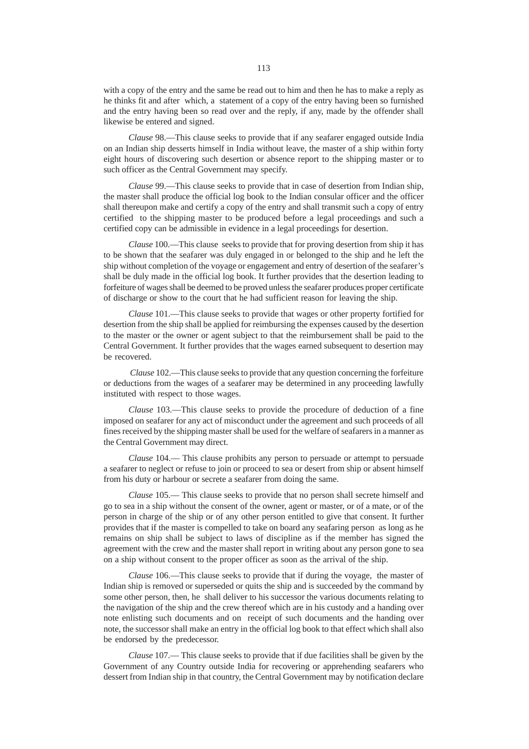with a copy of the entry and the same be read out to him and then he has to make a reply as he thinks fit and after which, a statement of a copy of the entry having been so furnished and the entry having been so read over and the reply, if any, made by the offender shall likewise be entered and signed.

*Clause* 98.––This clause seeks to provide that if any seafarer engaged outside India on an Indian ship desserts himself in India without leave, the master of a ship within forty eight hours of discovering such desertion or absence report to the shipping master or to such officer as the Central Government may specify.

*Clause* 99.––This clause seeks to provide that in case of desertion from Indian ship, the master shall produce the official log book to the Indian consular officer and the officer shall thereupon make and certify a copy of the entry and shall transmit such a copy of entry certified to the shipping master to be produced before a legal proceedings and such a certified copy can be admissible in evidence in a legal proceedings for desertion.

*Clause* 100.––This clause seeks to provide that for proving desertion from ship it has to be shown that the seafarer was duly engaged in or belonged to the ship and he left the ship without completion of the voyage or engagement and entry of desertion of the seafarer's shall be duly made in the official log book. It further provides that the desertion leading to forfeiture of wages shall be deemed to be proved unless the seafarer produces proper certificate of discharge or show to the court that he had sufficient reason for leaving the ship.

*Clause* 101.––This clause seeks to provide that wages or other property fortified for desertion from the ship shall be applied for reimbursing the expenses caused by the desertion to the master or the owner or agent subject to that the reimbursement shall be paid to the Central Government. It further provides that the wages earned subsequent to desertion may be recovered.

*Clause* 102.––This clause seeks to provide that any question concerning the forfeiture or deductions from the wages of a seafarer may be determined in any proceeding lawfully instituted with respect to those wages.

*Clause* 103.––This clause seeks to provide the procedure of deduction of a fine imposed on seafarer for any act of misconduct under the agreement and such proceeds of all fines received by the shipping master shall be used for the welfare of seafarers in a manner as the Central Government may direct.

*Clause* 104.–– This clause prohibits any person to persuade or attempt to persuade a seafarer to neglect or refuse to join or proceed to sea or desert from ship or absent himself from his duty or harbour or secrete a seafarer from doing the same.

*Clause* 105.–– This clause seeks to provide that no person shall secrete himself and go to sea in a ship without the consent of the owner, agent or master, or of a mate, or of the person in charge of the ship or of any other person entitled to give that consent. It further provides that if the master is compelled to take on board any seafaring person as long as he remains on ship shall be subject to laws of discipline as if the member has signed the agreement with the crew and the master shall report in writing about any person gone to sea on a ship without consent to the proper officer as soon as the arrival of the ship.

*Clause* 106.––This clause seeks to provide that if during the voyage, the master of Indian ship is removed or superseded or quits the ship and is succeeded by the command by some other person, then, he shall deliver to his successor the various documents relating to the navigation of the ship and the crew thereof which are in his custody and a handing over note enlisting such documents and on receipt of such documents and the handing over note, the successor shall make an entry in the official log book to that effect which shall also be endorsed by the predecessor.

*Clause* 107.–– This clause seeks to provide that if due facilities shall be given by the Government of any Country outside India for recovering or apprehending seafarers who dessert from Indian ship in that country, the Central Government may by notification declare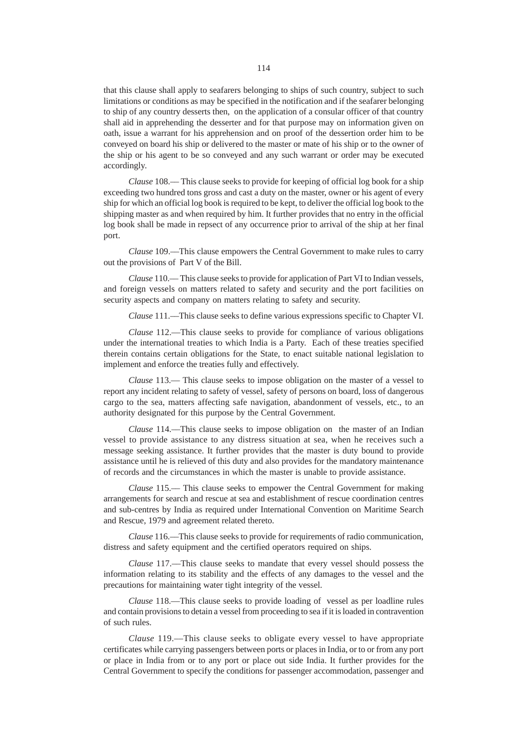that this clause shall apply to seafarers belonging to ships of such country, subject to such limitations or conditions as may be specified in the notification and if the seafarer belonging to ship of any country desserts then, on the application of a consular officer of that country shall aid in apprehending the desserter and for that purpose may on information given on oath, issue a warrant for his apprehension and on proof of the dessertion order him to be conveyed on board his ship or delivered to the master or mate of his ship or to the owner of the ship or his agent to be so conveyed and any such warrant or order may be executed accordingly.

*Clause* 108.–– This clause seeks to provide for keeping of official log book for a ship exceeding two hundred tons gross and cast a duty on the master, owner or his agent of every ship for which an official log book is required to be kept, to deliver the official log book to the shipping master as and when required by him. It further provides that no entry in the official log book shall be made in repsect of any occurrence prior to arrival of the ship at her final port.

*Clause* 109.––This clause empowers the Central Government to make rules to carry out the provisions of Part V of the Bill.

*Clause* 110.–– This clause seeks to provide for application of Part VI to Indian vessels, and foreign vessels on matters related to safety and security and the port facilities on security aspects and company on matters relating to safety and security.

*Clause* 111.––This clause seeks to define various expressions specific to Chapter VI.

*Clause* 112.––This clause seeks to provide for compliance of various obligations under the international treaties to which India is a Party. Each of these treaties specified therein contains certain obligations for the State, to enact suitable national legislation to implement and enforce the treaties fully and effectively.

*Clause* 113.–– This clause seeks to impose obligation on the master of a vessel to report any incident relating to safety of vessel, safety of persons on board, loss of dangerous cargo to the sea, matters affecting safe navigation, abandonment of vessels, etc., to an authority designated for this purpose by the Central Government.

*Clause* 114.––This clause seeks to impose obligation on the master of an Indian vessel to provide assistance to any distress situation at sea, when he receives such a message seeking assistance. It further provides that the master is duty bound to provide assistance until he is relieved of this duty and also provides for the mandatory maintenance of records and the circumstances in which the master is unable to provide assistance.

*Clause* 115.–– This clause seeks to empower the Central Government for making arrangements for search and rescue at sea and establishment of rescue coordination centres and sub-centres by India as required under International Convention on Maritime Search and Rescue, 1979 and agreement related thereto.

*Clause* 116.––This clause seeks to provide for requirements of radio communication, distress and safety equipment and the certified operators required on ships.

*Clause* 117.––This clause seeks to mandate that every vessel should possess the information relating to its stability and the effects of any damages to the vessel and the precautions for maintaining water tight integrity of the vessel.

*Clause* 118.––This clause seeks to provide loading of vessel as per loadline rules and contain provisions to detain a vessel from proceeding to sea if it is loaded in contravention of such rules.

*Clause* 119.––This clause seeks to obligate every vessel to have appropriate certificates while carrying passengers between ports or places in India, or to or from any port or place in India from or to any port or place out side India. It further provides for the Central Government to specify the conditions for passenger accommodation, passenger and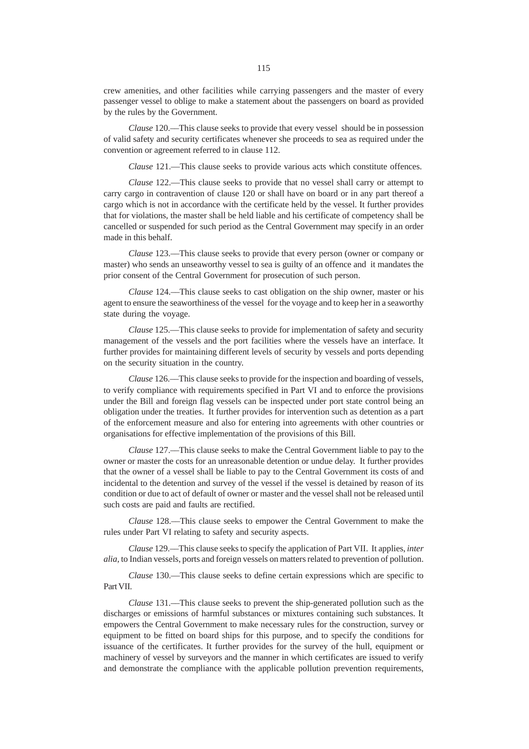crew amenities, and other facilities while carrying passengers and the master of every passenger vessel to oblige to make a statement about the passengers on board as provided by the rules by the Government.

*Clause* 120.––This clause seeks to provide that every vessel should be in possession of valid safety and security certificates whenever she proceeds to sea as required under the convention or agreement referred to in clause 112.

*Clause* 121.––This clause seeks to provide various acts which constitute offences.

*Clause* 122.––This clause seeks to provide that no vessel shall carry or attempt to carry cargo in contravention of clause 120 or shall have on board or in any part thereof a cargo which is not in accordance with the certificate held by the vessel. It further provides that for violations, the master shall be held liable and his certificate of competency shall be cancelled or suspended for such period as the Central Government may specify in an order made in this behalf.

*Clause* 123.––This clause seeks to provide that every person (owner or company or master) who sends an unseaworthy vessel to sea is guilty of an offence and it mandates the prior consent of the Central Government for prosecution of such person.

*Clause* 124.––This clause seeks to cast obligation on the ship owner, master or his agent to ensure the seaworthiness of the vessel for the voyage and to keep her in a seaworthy state during the voyage.

*Clause* 125.––This clause seeks to provide for implementation of safety and security management of the vessels and the port facilities where the vessels have an interface. It further provides for maintaining different levels of security by vessels and ports depending on the security situation in the country.

*Clause* 126.––This clause seeks to provide for the inspection and boarding of vessels, to verify compliance with requirements specified in Part VI and to enforce the provisions under the Bill and foreign flag vessels can be inspected under port state control being an obligation under the treaties. It further provides for intervention such as detention as a part of the enforcement measure and also for entering into agreements with other countries or organisations for effective implementation of the provisions of this Bill.

*Clause* 127.––This clause seeks to make the Central Government liable to pay to the owner or master the costs for an unreasonable detention or undue delay. It further provides that the owner of a vessel shall be liable to pay to the Central Government its costs of and incidental to the detention and survey of the vessel if the vessel is detained by reason of its condition or due to act of default of owner or master and the vessel shall not be released until such costs are paid and faults are rectified.

*Clause* 128.––This clause seeks to empower the Central Government to make the rules under Part VI relating to safety and security aspects.

*Clause* 129.––This clause seeks to specify the application of Part VII. It applies, *inter alia,* to Indian vessels, ports and foreign vessels on matters related to prevention of pollution.

*Clause* 130.––This clause seeks to define certain expressions which are specific to Part VII.

*Clause* 131.––This clause seeks to prevent the ship-generated pollution such as the discharges or emissions of harmful substances or mixtures containing such substances. It empowers the Central Government to make necessary rules for the construction, survey or equipment to be fitted on board ships for this purpose, and to specify the conditions for issuance of the certificates. It further provides for the survey of the hull, equipment or machinery of vessel by surveyors and the manner in which certificates are issued to verify and demonstrate the compliance with the applicable pollution prevention requirements,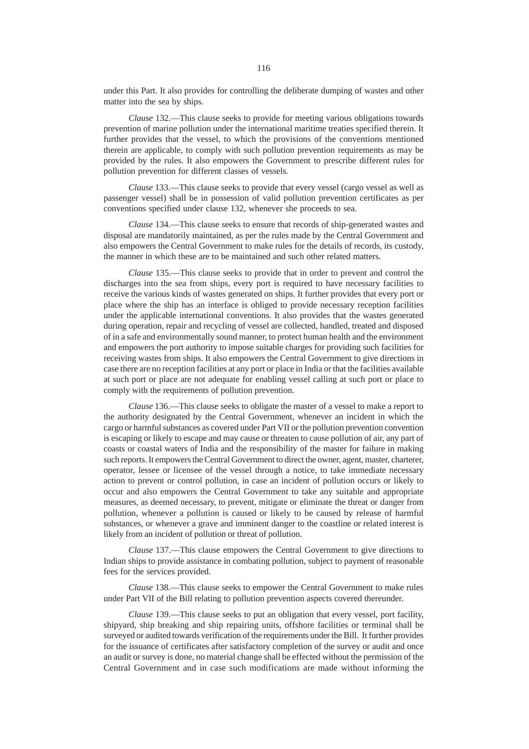under this Part. It also provides for controlling the deliberate dumping of wastes and other matter into the sea by ships.

*Clause* 132.––This clause seeks to provide for meeting various obligations towards prevention of marine pollution under the international maritime treaties specified therein. It further provides that the vessel, to which the provisions of the conventions mentioned therein are applicable, to comply with such pollution prevention requirements as may be provided by the rules. It also empowers the Government to prescribe different rules for pollution prevention for different classes of vessels.

*Clause* 133.––This clause seeks to provide that every vessel (cargo vessel as well as passenger vessel) shall be in possession of valid pollution prevention certificates as per conventions specified under clause 132, whenever she proceeds to sea.

*Clause* 134.––This clause seeks to ensure that records of ship-generated wastes and disposal are mandatorily maintained, as per the rules made by the Central Government and also empowers the Central Government to make rules for the details of records, its custody, the manner in which these are to be maintained and such other related matters.

*Clause* 135.––This clause seeks to provide that in order to prevent and control the discharges into the sea from ships, every port is required to have necessary facilities to receive the various kinds of wastes generated on ships. It further provides that every port or place where the ship has an interface is obliged to provide necessary reception facilities under the applicable international conventions. It also provides that the wastes generated during operation, repair and recycling of vessel are collected, handled, treated and disposed of in a safe and environmentally sound manner, to protect human health and the environment and empowers the port authority to impose suitable charges for providing such facilities for receiving wastes from ships. It also empowers the Central Government to give directions in case there are no reception facilities at any port or place in India or that the facilities available at such port or place are not adequate for enabling vessel calling at such port or place to comply with the requirements of pollution prevention.

*Clause* 136.––This clause seeks to obligate the master of a vessel to make a report to the authority designated by the Central Government, whenever an incident in which the cargo or harmful substances as covered under Part VII or the pollution prevention convention is escaping or likely to escape and may cause or threaten to cause pollution of air, any part of coasts or coastal waters of India and the responsibility of the master for failure in making such reports. It empowers the Central Government to direct the owner, agent, master, charterer, operator, lessee or licensee of the vessel through a notice, to take immediate necessary action to prevent or control pollution, in case an incident of pollution occurs or likely to occur and also empowers the Central Government to take any suitable and appropriate measures, as deemed necessary, to prevent, mitigate or eliminate the threat or danger from pollution, whenever a pollution is caused or likely to be caused by release of harmful substances, or whenever a grave and imminent danger to the coastline or related interest is likely from an incident of pollution or threat of pollution.

*Clause* 137.––This clause empowers the Central Government to give directions to Indian ships to provide assistance in combating pollution, subject to payment of reasonable fees for the services provided.

*Clause* 138.––This clause seeks to empower the Central Government to make rules under Part VII of the Bill relating to pollution prevention aspects covered thereunder.

*Clause* 139.––This clause seeks to put an obligation that every vessel, port facility, shipyard, ship breaking and ship repairing units, offshore facilities or terminal shall be surveyed or audited towards verification of the requirements under the Bill. It further provides for the issuance of certificates after satisfactory completion of the survey or audit and once an audit or survey is done, no material change shall be effected without the permission of the Central Government and in case such modifications are made without informing the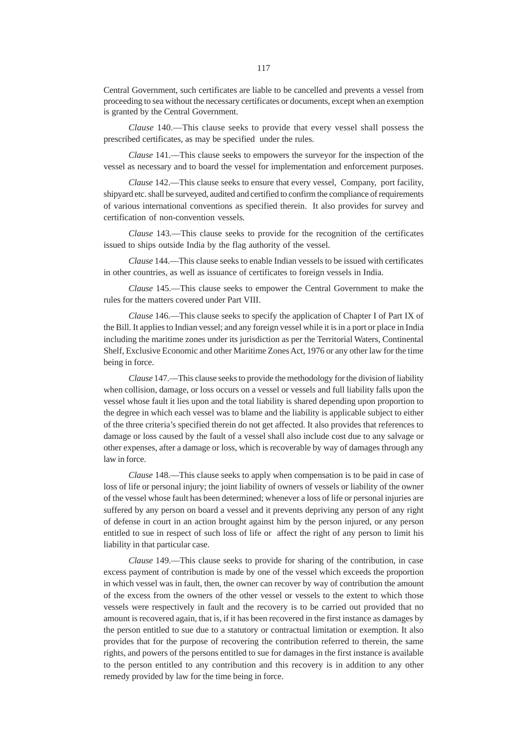*Clause* 140.––This clause seeks to provide that every vessel shall possess the prescribed certificates, as may be specified under the rules.

*Clause* 141.––This clause seeks to empowers the surveyor for the inspection of the vessel as necessary and to board the vessel for implementation and enforcement purposes.

*Clause* 142.––This clause seeks to ensure that every vessel, Company, port facility, shipyard etc. shall be surveyed, audited and certified to confirm the compliance of requirements of various international conventions as specified therein. It also provides for survey and certification of non-convention vessels.

*Clause* 143.––This clause seeks to provide for the recognition of the certificates issued to ships outside India by the flag authority of the vessel.

*Clause* 144.––This clause seeks to enable Indian vessels to be issued with certificates in other countries, as well as issuance of certificates to foreign vessels in India.

*Clause* 145.––This clause seeks to empower the Central Government to make the rules for the matters covered under Part VIII.

*Clause* 146.––This clause seeks to specify the application of Chapter I of Part IX of the Bill. It applies to Indian vessel; and any foreign vessel while it is in a port or place in India including the maritime zones under its jurisdiction as per the Territorial Waters, Continental Shelf, Exclusive Economic and other Maritime Zones Act, 1976 or any other law for the time being in force.

*Clause* 147.––This clause seeks to provide the methodology for the division of liability when collision, damage, or loss occurs on a vessel or vessels and full liability falls upon the vessel whose fault it lies upon and the total liability is shared depending upon proportion to the degree in which each vessel was to blame and the liability is applicable subject to either of the three criteria's specified therein do not get affected. It also provides that references to damage or loss caused by the fault of a vessel shall also include cost due to any salvage or other expenses, after a damage or loss, which is recoverable by way of damages through any law in force.

*Clause* 148.––This clause seeks to apply when compensation is to be paid in case of loss of life or personal injury; the joint liability of owners of vessels or liability of the owner of the vessel whose fault has been determined; whenever a loss of life or personal injuries are suffered by any person on board a vessel and it prevents depriving any person of any right of defense in court in an action brought against him by the person injured, or any person entitled to sue in respect of such loss of life or affect the right of any person to limit his liability in that particular case.

*Clause* 149.––This clause seeks to provide for sharing of the contribution, in case excess payment of contribution is made by one of the vessel which exceeds the proportion in which vessel was in fault, then, the owner can recover by way of contribution the amount of the excess from the owners of the other vessel or vessels to the extent to which those vessels were respectively in fault and the recovery is to be carried out provided that no amount is recovered again, that is, if it has been recovered in the first instance as damages by the person entitled to sue due to a statutory or contractual limitation or exemption. It also provides that for the purpose of recovering the contribution referred to therein, the same rights, and powers of the persons entitled to sue for damages in the first instance is available to the person entitled to any contribution and this recovery is in addition to any other remedy provided by law for the time being in force.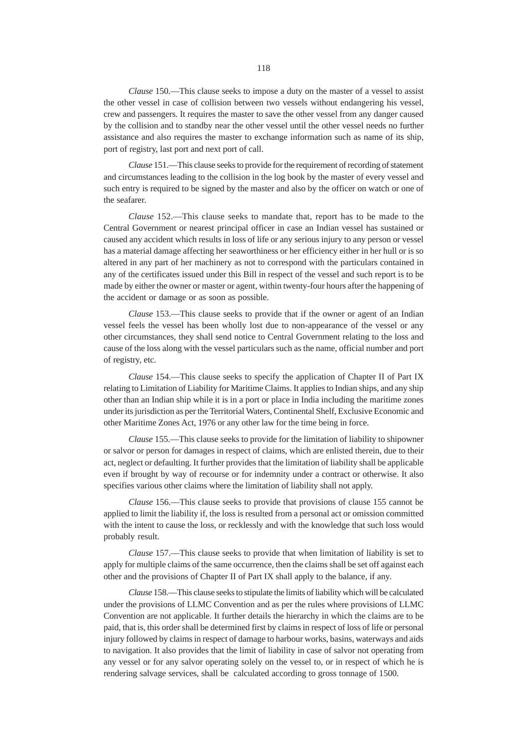*Clause* 150.––This clause seeks to impose a duty on the master of a vessel to assist the other vessel in case of collision between two vessels without endangering his vessel, crew and passengers. It requires the master to save the other vessel from any danger caused by the collision and to standby near the other vessel until the other vessel needs no further assistance and also requires the master to exchange information such as name of its ship, port of registry, last port and next port of call.

*Clause* 151.––This clause seeks to provide for the requirement of recording of statement and circumstances leading to the collision in the log book by the master of every vessel and such entry is required to be signed by the master and also by the officer on watch or one of the seafarer.

*Clause* 152.––This clause seeks to mandate that, report has to be made to the Central Government or nearest principal officer in case an Indian vessel has sustained or caused any accident which results in loss of life or any serious injury to any person or vessel has a material damage affecting her seaworthiness or her efficiency either in her hull or is so altered in any part of her machinery as not to correspond with the particulars contained in any of the certificates issued under this Bill in respect of the vessel and such report is to be made by either the owner or master or agent, within twenty-four hours after the happening of the accident or damage or as soon as possible.

*Clause* 153.––This clause seeks to provide that if the owner or agent of an Indian vessel feels the vessel has been wholly lost due to non-appearance of the vessel or any other circumstances, they shall send notice to Central Government relating to the loss and cause of the loss along with the vessel particulars such as the name, official number and port of registry, etc.

*Clause* 154.––This clause seeks to specify the application of Chapter II of Part IX relating to Limitation of Liability for Maritime Claims. It applies to Indian ships, and any ship other than an Indian ship while it is in a port or place in India including the maritime zones under its jurisdiction as per the Territorial Waters, Continental Shelf, Exclusive Economic and other Maritime Zones Act, 1976 or any other law for the time being in force.

*Clause* 155.––This clause seeks to provide for the limitation of liability to shipowner or salvor or person for damages in respect of claims, which are enlisted therein, due to their act, neglect or defaulting. It further provides that the limitation of liability shall be applicable even if brought by way of recourse or for indemnity under a contract or otherwise. It also specifies various other claims where the limitation of liability shall not apply.

*Clause* 156.––This clause seeks to provide that provisions of clause 155 cannot be applied to limit the liability if, the loss is resulted from a personal act or omission committed with the intent to cause the loss, or recklessly and with the knowledge that such loss would probably result.

*Clause* 157.––This clause seeks to provide that when limitation of liability is set to apply for multiple claims of the same occurrence, then the claims shall be set off against each other and the provisions of Chapter II of Part IX shall apply to the balance, if any.

*Clause* 158.––This clause seeks to stipulate the limits of liability which will be calculated under the provisions of LLMC Convention and as per the rules where provisions of LLMC Convention are not applicable. It further details the hierarchy in which the claims are to be paid, that is, this order shall be determined first by claims in respect of loss of life or personal injury followed by claims in respect of damage to harbour works, basins, waterways and aids to navigation. It also provides that the limit of liability in case of salvor not operating from any vessel or for any salvor operating solely on the vessel to, or in respect of which he is rendering salvage services, shall be calculated according to gross tonnage of 1500.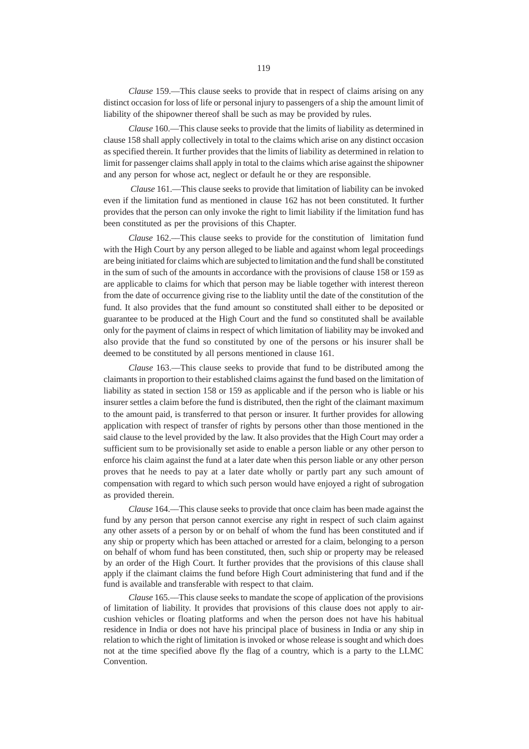*Clause* 159.––This clause seeks to provide that in respect of claims arising on any distinct occasion for loss of life or personal injury to passengers of a ship the amount limit of liability of the shipowner thereof shall be such as may be provided by rules.

*Clause* 160.––This clause seeks to provide that the limits of liability as determined in clause 158 shall apply collectively in total to the claims which arise on any distinct occasion as specified therein. It further provides that the limits of liability as determined in relation to limit for passenger claims shall apply in total to the claims which arise against the shipowner and any person for whose act, neglect or default he or they are responsible.

 *Clause* 161.––This clause seeks to provide that limitation of liability can be invoked even if the limitation fund as mentioned in clause 162 has not been constituted. It further provides that the person can only invoke the right to limit liability if the limitation fund has been constituted as per the provisions of this Chapter.

*Clause* 162.––This clause seeks to provide for the constitution of limitation fund with the High Court by any person alleged to be liable and against whom legal proceedings are being initiated for claims which are subjected to limitation and the fund shall be constituted in the sum of such of the amounts in accordance with the provisions of clause 158 or 159 as are applicable to claims for which that person may be liable together with interest thereon from the date of occurrence giving rise to the liablity until the date of the constitution of the fund. It also provides that the fund amount so constituted shall either to be deposited or guarantee to be produced at the High Court and the fund so constituted shall be available only for the payment of claims in respect of which limitation of liability may be invoked and also provide that the fund so constituted by one of the persons or his insurer shall be deemed to be constituted by all persons mentioned in clause 161.

*Clause* 163.––This clause seeks to provide that fund to be distributed among the claimants in proportion to their established claims against the fund based on the limitation of liability as stated in section 158 or 159 as applicable and if the person who is liable or his insurer settles a claim before the fund is distributed, then the right of the claimant maximum to the amount paid, is transferred to that person or insurer. It further provides for allowing application with respect of transfer of rights by persons other than those mentioned in the said clause to the level provided by the law. It also provides that the High Court may order a sufficient sum to be provisionally set aside to enable a person liable or any other person to enforce his claim against the fund at a later date when this person liable or any other person proves that he needs to pay at a later date wholly or partly part any such amount of compensation with regard to which such person would have enjoyed a right of subrogation as provided therein.

*Clause* 164.––This clause seeks to provide that once claim has been made against the fund by any person that person cannot exercise any right in respect of such claim against any other assets of a person by or on behalf of whom the fund has been constituted and if any ship or property which has been attached or arrested for a claim, belonging to a person on behalf of whom fund has been constituted, then, such ship or property may be released by an order of the High Court. It further provides that the provisions of this clause shall apply if the claimant claims the fund before High Court administering that fund and if the fund is available and transferable with respect to that claim.

*Clause* 165.––This clause seeks to mandate the scope of application of the provisions of limitation of liability. It provides that provisions of this clause does not apply to aircushion vehicles or floating platforms and when the person does not have his habitual residence in India or does not have his principal place of business in India or any ship in relation to which the right of limitation is invoked or whose release is sought and which does not at the time specified above fly the flag of a country, which is a party to the LLMC Convention.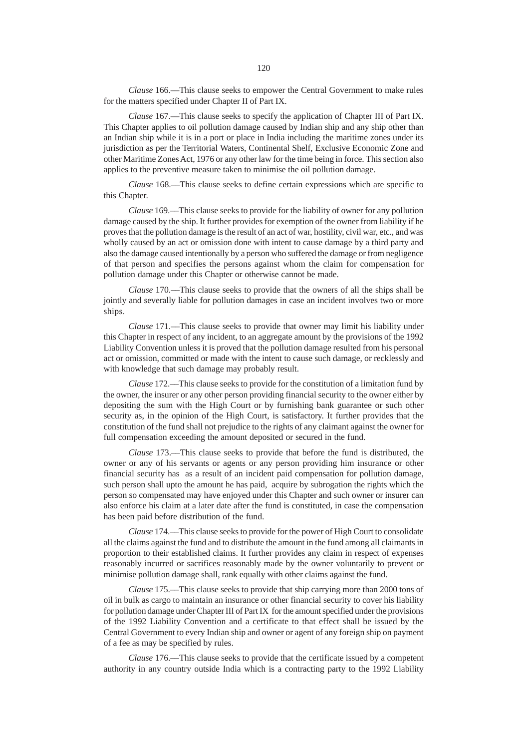*Clause* 166.––This clause seeks to empower the Central Government to make rules for the matters specified under Chapter II of Part IX.

*Clause* 167.––This clause seeks to specify the application of Chapter III of Part IX. This Chapter applies to oil pollution damage caused by Indian ship and any ship other than an Indian ship while it is in a port or place in India including the maritime zones under its jurisdiction as per the Territorial Waters, Continental Shelf, Exclusive Economic Zone and other Maritime Zones Act, 1976 or any other law for the time being in force. This section also applies to the preventive measure taken to minimise the oil pollution damage.

*Clause* 168.––This clause seeks to define certain expressions which are specific to this Chapter.

*Clause* 169.––This clause seeks to provide for the liability of owner for any pollution damage caused by the ship. It further provides for exemption of the owner from liability if he proves that the pollution damage is the result of an act of war, hostility, civil war, etc., and was wholly caused by an act or omission done with intent to cause damage by a third party and also the damage caused intentionally by a person who suffered the damage or from negligence of that person and specifies the persons against whom the claim for compensation for pollution damage under this Chapter or otherwise cannot be made.

*Clause* 170.––This clause seeks to provide that the owners of all the ships shall be jointly and severally liable for pollution damages in case an incident involves two or more ships.

*Clause* 171.––This clause seeks to provide that owner may limit his liability under this Chapter in respect of any incident, to an aggregate amount by the provisions of the 1992 Liability Convention unless it is proved that the pollution damage resulted from his personal act or omission, committed or made with the intent to cause such damage, or recklessly and with knowledge that such damage may probably result.

*Clause* 172.––This clause seeks to provide for the constitution of a limitation fund by the owner, the insurer or any other person providing financial security to the owner either by depositing the sum with the High Court or by furnishing bank guarantee or such other security as, in the opinion of the High Court, is satisfactory. It further provides that the constitution of the fund shall not prejudice to the rights of any claimant against the owner for full compensation exceeding the amount deposited or secured in the fund.

*Clause* 173.––This clause seeks to provide that before the fund is distributed, the owner or any of his servants or agents or any person providing him insurance or other financial security has as a result of an incident paid compensation for pollution damage, such person shall upto the amount he has paid, acquire by subrogation the rights which the person so compensated may have enjoyed under this Chapter and such owner or insurer can also enforce his claim at a later date after the fund is constituted, in case the compensation has been paid before distribution of the fund.

*Clause* 174.––This clause seeks to provide for the power of High Court to consolidate all the claims against the fund and to distribute the amount in the fund among all claimants in proportion to their established claims. It further provides any claim in respect of expenses reasonably incurred or sacrifices reasonably made by the owner voluntarily to prevent or minimise pollution damage shall, rank equally with other claims against the fund.

*Clause* 175.––This clause seeks to provide that ship carrying more than 2000 tons of oil in bulk as cargo to maintain an insurance or other financial security to cover his liability for pollution damage under Chapter III of Part IX for the amount specified under the provisions of the 1992 Liability Convention and a certificate to that effect shall be issued by the Central Government to every Indian ship and owner or agent of any foreign ship on payment of a fee as may be specified by rules.

*Clause* 176.––This clause seeks to provide that the certificate issued by a competent authority in any country outside India which is a contracting party to the 1992 Liability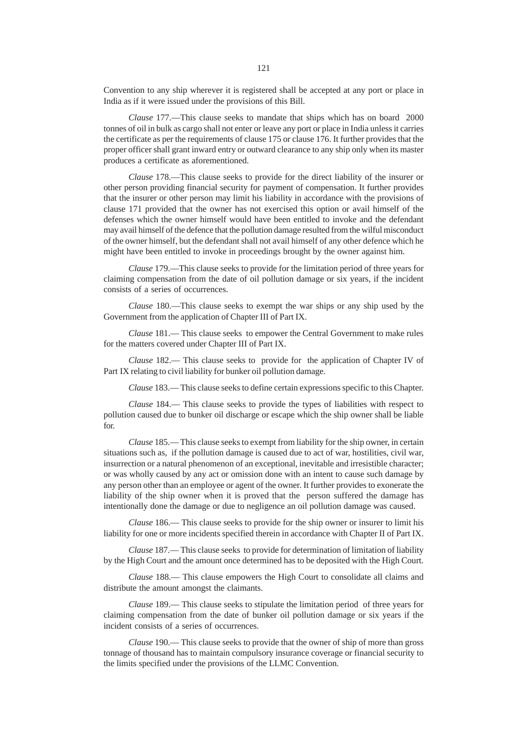Convention to any ship wherever it is registered shall be accepted at any port or place in India as if it were issued under the provisions of this Bill.

*Clause* 177.––This clause seeks to mandate that ships which has on board 2000 tonnes of oil in bulk as cargo shall not enter or leave any port or place in India unless it carries the certificate as per the requirements of clause 175 or clause 176. It further provides that the proper officer shall grant inward entry or outward clearance to any ship only when its master produces a certificate as aforementioned.

*Clause* 178.––This clause seeks to provide for the direct liability of the insurer or other person providing financial security for payment of compensation. It further provides that the insurer or other person may limit his liability in accordance with the provisions of clause 171 provided that the owner has not exercised this option or avail himself of the defenses which the owner himself would have been entitled to invoke and the defendant may avail himself of the defence that the pollution damage resulted from the wilful misconduct of the owner himself, but the defendant shall not avail himself of any other defence which he might have been entitled to invoke in proceedings brought by the owner against him.

*Clause* 179.––This clause seeks to provide for the limitation period of three years for claiming compensation from the date of oil pollution damage or six years, if the incident consists of a series of occurrences.

*Clause* 180.––This clause seeks to exempt the war ships or any ship used by the Government from the application of Chapter III of Part IX.

*Clause* 181.–– This clause seeks to empower the Central Government to make rules for the matters covered under Chapter III of Part IX.

*Clause* 182.–– This clause seeks to provide for the application of Chapter IV of Part IX relating to civil liability for bunker oil pollution damage.

*Clause* 183.–– This clause seeks to define certain expressions specific to this Chapter.

*Clause* 184.–– This clause seeks to provide the types of liabilities with respect to pollution caused due to bunker oil discharge or escape which the ship owner shall be liable for.

*Clause* 185.–– This clause seeks to exempt from liability for the ship owner, in certain situations such as, if the pollution damage is caused due to act of war, hostilities, civil war, insurrection or a natural phenomenon of an exceptional, inevitable and irresistible character; or was wholly caused by any act or omission done with an intent to cause such damage by any person other than an employee or agent of the owner. It further provides to exonerate the liability of the ship owner when it is proved that the person suffered the damage has intentionally done the damage or due to negligence an oil pollution damage was caused.

*Clause* 186.–– This clause seeks to provide for the ship owner or insurer to limit his liability for one or more incidents specified therein in accordance with Chapter II of Part IX.

*Clause* 187.–– This clause seeks to provide for determination of limitation of liability by the High Court and the amount once determined has to be deposited with the High Court.

*Clause* 188.–– This clause empowers the High Court to consolidate all claims and distribute the amount amongst the claimants.

*Clause* 189.–– This clause seeks to stipulate the limitation period of three years for claiming compensation from the date of bunker oil pollution damage or six years if the incident consists of a series of occurrences.

*Clause* 190.–– This clause seeks to provide that the owner of ship of more than gross tonnage of thousand has to maintain compulsory insurance coverage or financial security to the limits specified under the provisions of the LLMC Convention.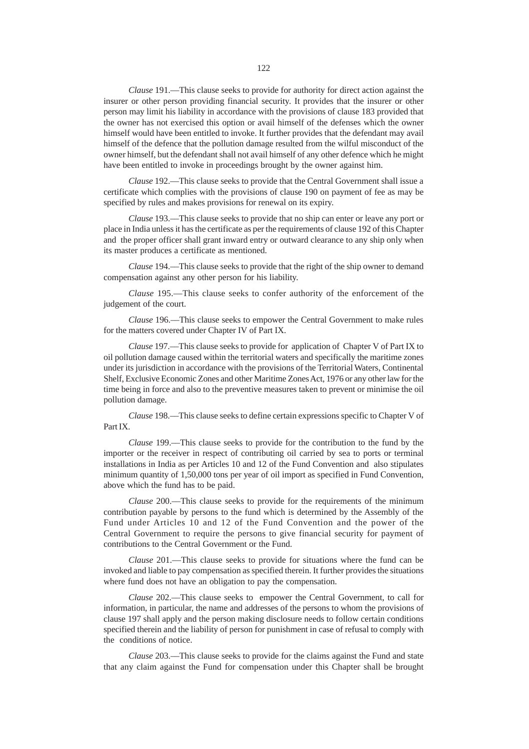*Clause* 191.––This clause seeks to provide for authority for direct action against the insurer or other person providing financial security. It provides that the insurer or other person may limit his liability in accordance with the provisions of clause 183 provided that the owner has not exercised this option or avail himself of the defenses which the owner himself would have been entitled to invoke. It further provides that the defendant may avail himself of the defence that the pollution damage resulted from the wilful misconduct of the owner himself, but the defendant shall not avail himself of any other defence which he might have been entitled to invoke in proceedings brought by the owner against him.

*Clause* 192.––This clause seeks to provide that the Central Government shall issue a certificate which complies with the provisions of clause 190 on payment of fee as may be specified by rules and makes provisions for renewal on its expiry.

*Clause* 193.––This clause seeks to provide that no ship can enter or leave any port or place in India unless it has the certificate as per the requirements of clause 192 of this Chapter and the proper officer shall grant inward entry or outward clearance to any ship only when its master produces a certificate as mentioned.

*Clause* 194.––This clause seeks to provide that the right of the ship owner to demand compensation against any other person for his liability.

*Clause* 195.––This clause seeks to confer authority of the enforcement of the judgement of the court.

*Clause* 196.––This clause seeks to empower the Central Government to make rules for the matters covered under Chapter IV of Part IX.

*Clause* 197.––This clause seeks to provide for application of Chapter V of Part IX to oil pollution damage caused within the territorial waters and specifically the maritime zones under its jurisdiction in accordance with the provisions of the Territorial Waters, Continental Shelf, Exclusive Economic Zones and other Maritime Zones Act, 1976 or any other law for the time being in force and also to the preventive measures taken to prevent or minimise the oil pollution damage.

*Clause* 198.––This clause seeks to define certain expressions specific to Chapter V of Part IX.

*Clause* 199.––This clause seeks to provide for the contribution to the fund by the importer or the receiver in respect of contributing oil carried by sea to ports or terminal installations in India as per Articles 10 and 12 of the Fund Convention and also stipulates minimum quantity of 1,50,000 tons per year of oil import as specified in Fund Convention, above which the fund has to be paid.

*Clause* 200.––This clause seeks to provide for the requirements of the minimum contribution payable by persons to the fund which is determined by the Assembly of the Fund under Articles 10 and 12 of the Fund Convention and the power of the Central Government to require the persons to give financial security for payment of contributions to the Central Government or the Fund.

*Clause* 201.––This clause seeks to provide for situations where the fund can be invoked and liable to pay compensation as specified therein. It further provides the situations where fund does not have an obligation to pay the compensation.

*Clause* 202.––This clause seeks to empower the Central Government, to call for information, in particular, the name and addresses of the persons to whom the provisions of clause 197 shall apply and the person making disclosure needs to follow certain conditions specified therein and the liability of person for punishment in case of refusal to comply with the conditions of notice.

*Clause* 203.––This clause seeks to provide for the claims against the Fund and state that any claim against the Fund for compensation under this Chapter shall be brought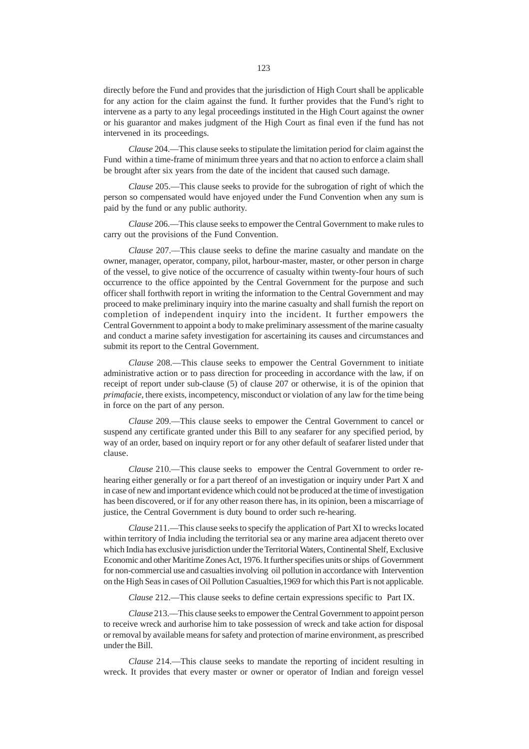directly before the Fund and provides that the jurisdiction of High Court shall be applicable for any action for the claim against the fund. It further provides that the Fund's right to intervene as a party to any legal proceedings instituted in the High Court against the owner or his guarantor and makes judgment of the High Court as final even if the fund has not intervened in its proceedings.

*Clause* 204.––This clause seeks to stipulate the limitation period for claim against the Fund within a time-frame of minimum three years and that no action to enforce a claim shall be brought after six years from the date of the incident that caused such damage.

*Clause* 205.––This clause seeks to provide for the subrogation of right of which the person so compensated would have enjoyed under the Fund Convention when any sum is paid by the fund or any public authority.

*Clause* 206.––This clause seeks to empower the Central Government to make rules to carry out the provisions of the Fund Convention.

*Clause* 207.––This clause seeks to define the marine casualty and mandate on the owner, manager, operator, company, pilot, harbour-master, master, or other person in charge of the vessel, to give notice of the occurrence of casualty within twenty-four hours of such occurrence to the office appointed by the Central Government for the purpose and such officer shall forthwith report in writing the information to the Central Government and may proceed to make preliminary inquiry into the marine casualty and shall furnish the report on completion of independent inquiry into the incident. It further empowers the Central Government to appoint a body to make preliminary assessment of the marine casualty and conduct a marine safety investigation for ascertaining its causes and circumstances and submit its report to the Central Government.

*Clause* 208.––This clause seeks to empower the Central Government to initiate administrative action or to pass direction for proceeding in accordance with the law, if on receipt of report under sub-clause (5) of clause 207 or otherwise, it is of the opinion that *primafacie*, there exists, incompetency, misconduct or violation of any law for the time being in force on the part of any person.

*Clause* 209.––This clause seeks to empower the Central Government to cancel or suspend any certificate granted under this Bill to any seafarer for any specified period, by way of an order, based on inquiry report or for any other default of seafarer listed under that clause.

*Clause* 210.––This clause seeks to empower the Central Government to order rehearing either generally or for a part thereof of an investigation or inquiry under Part X and in case of new and important evidence which could not be produced at the time of investigation has been discovered, or if for any other reason there has, in its opinion, been a miscarriage of justice, the Central Government is duty bound to order such re-hearing.

*Clause* 211.––This clause seeks to specify the application of Part XI to wrecks located within territory of India including the territorial sea or any marine area adjacent thereto over which India has exclusive jurisdiction under the Territorial Waters, Continental Shelf, Exclusive Economic and other Maritime Zones Act, 1976. It further specifies units or ships of Government for non-commercial use and casualties involving oil pollution in accordance with Intervention on the High Seas in cases of Oil Pollution Casualties,1969 for which this Part is not applicable.

*Clause* 212.––This clause seeks to define certain expressions specific to Part IX.

*Clause* 213.––This clause seeks to empower the Central Government to appoint person to receive wreck and aurhorise him to take possession of wreck and take action for disposal or removal by available means for safety and protection of marine environment, as prescribed under the Bill.

*Clause* 214.––This clause seeks to mandate the reporting of incident resulting in wreck. It provides that every master or owner or operator of Indian and foreign vessel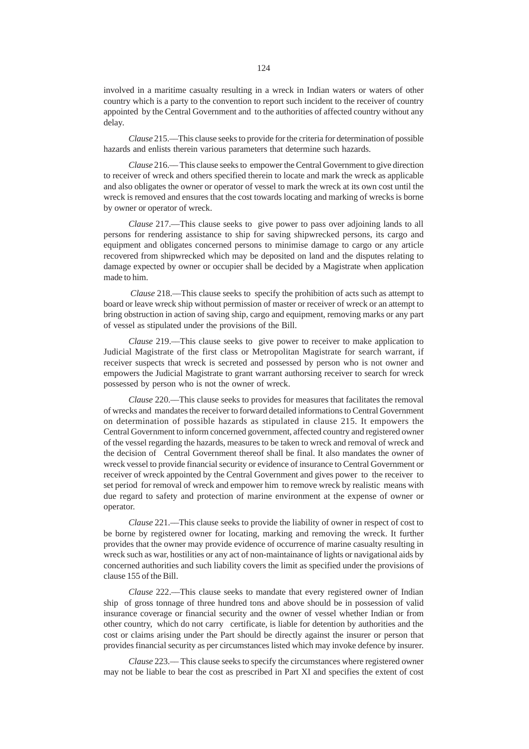involved in a maritime casualty resulting in a wreck in Indian waters or waters of other country which is a party to the convention to report such incident to the receiver of country appointed by the Central Government and to the authorities of affected country without any delay.

*Clause* 215.––This clause seeks to provide for the criteria for determination of possible hazards and enlists therein various parameters that determine such hazards.

*Clause* 216.–– This clause seeks to empower the Central Government to give direction to receiver of wreck and others specified therein to locate and mark the wreck as applicable and also obligates the owner or operator of vessel to mark the wreck at its own cost until the wreck is removed and ensures that the cost towards locating and marking of wrecks is borne by owner or operator of wreck.

*Clause* 217.––This clause seeks to give power to pass over adjoining lands to all persons for rendering assistance to ship for saving shipwrecked persons, its cargo and equipment and obligates concerned persons to minimise damage to cargo or any article recovered from shipwrecked which may be deposited on land and the disputes relating to damage expected by owner or occupier shall be decided by a Magistrate when application made to him.

*Clause* 218.––This clause seeks to specify the prohibition of acts such as attempt to board or leave wreck ship without permission of master or receiver of wreck or an attempt to bring obstruction in action of saving ship, cargo and equipment, removing marks or any part of vessel as stipulated under the provisions of the Bill.

*Clause* 219.––This clause seeks to give power to receiver to make application to Judicial Magistrate of the first class or Metropolitan Magistrate for search warrant, if receiver suspects that wreck is secreted and possessed by person who is not owner and empowers the Judicial Magistrate to grant warrant authorsing receiver to search for wreck possessed by person who is not the owner of wreck.

*Clause* 220.––This clause seeks to provides for measures that facilitates the removal of wrecks and mandates the receiver to forward detailed informations to Central Government on determination of possible hazards as stipulated in clause 215. It empowers the Central Government to inform concerned government, affected country and registered owner of the vessel regarding the hazards, measures to be taken to wreck and removal of wreck and the decision of Central Government thereof shall be final. It also mandates the owner of wreck vessel to provide financial security or evidence of insurance to Central Government or receiver of wreck appointed by the Central Government and gives power to the receiver to set period for removal of wreck and empower him to remove wreck by realistic means with due regard to safety and protection of marine environment at the expense of owner or operator.

*Clause* 221.––This clause seeks to provide the liability of owner in respect of cost to be borne by registered owner for locating, marking and removing the wreck. It further provides that the owner may provide evidence of occurrence of marine casualty resulting in wreck such as war, hostilities or any act of non-maintainance of lights or navigational aids by concerned authorities and such liability covers the limit as specified under the provisions of clause 155 of the Bill.

*Clause* 222.––This clause seeks to mandate that every registered owner of Indian ship of gross tonnage of three hundred tons and above should be in possession of valid insurance coverage or financial security and the owner of vessel whether Indian or from other country, which do not carry certificate, is liable for detention by authorities and the cost or claims arising under the Part should be directly against the insurer or person that provides financial security as per circumstances listed which may invoke defence by insurer.

*Clause* 223.–– This clause seeks to specify the circumstances where registered owner may not be liable to bear the cost as prescribed in Part XI and specifies the extent of cost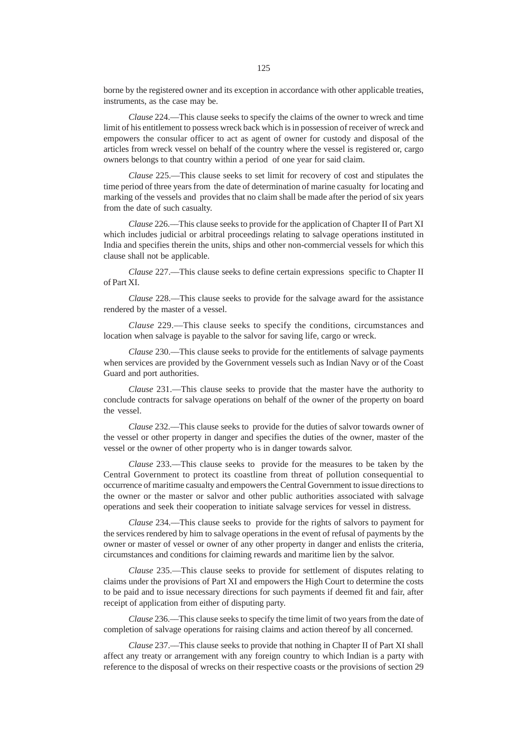borne by the registered owner and its exception in accordance with other applicable treaties, instruments, as the case may be.

*Clause* 224.––This clause seeks to specify the claims of the owner to wreck and time limit of his entitlement to possess wreck back which is in possession of receiver of wreck and empowers the consular officer to act as agent of owner for custody and disposal of the articles from wreck vessel on behalf of the country where the vessel is registered or, cargo owners belongs to that country within a period of one year for said claim.

*Clause* 225.––This clause seeks to set limit for recovery of cost and stipulates the time period of three years from the date of determination of marine casualty for locating and marking of the vessels and provides that no claim shall be made after the period of six years from the date of such casualty.

*Clause* 226.––This clause seeks to provide for the application of Chapter II of Part XI which includes judicial or arbitral proceedings relating to salvage operations instituted in India and specifies therein the units, ships and other non-commercial vessels for which this clause shall not be applicable.

*Clause* 227.––This clause seeks to define certain expressions specific to Chapter II of Part XI.

*Clause* 228.––This clause seeks to provide for the salvage award for the assistance rendered by the master of a vessel.

*Clause* 229.––This clause seeks to specify the conditions, circumstances and location when salvage is payable to the salvor for saving life, cargo or wreck.

*Clause* 230.––This clause seeks to provide for the entitlements of salvage payments when services are provided by the Government vessels such as Indian Navy or of the Coast Guard and port authorities.

*Clause* 231.––This clause seeks to provide that the master have the authority to conclude contracts for salvage operations on behalf of the owner of the property on board the vessel.

*Clause* 232.––This clause seeks to provide for the duties of salvor towards owner of the vessel or other property in danger and specifies the duties of the owner, master of the vessel or the owner of other property who is in danger towards salvor.

*Clause* 233.––This clause seeks to provide for the measures to be taken by the Central Government to protect its coastline from threat of pollution consequential to occurrence of maritime casualty and empowers the Central Government to issue directions to the owner or the master or salvor and other public authorities associated with salvage operations and seek their cooperation to initiate salvage services for vessel in distress.

*Clause* 234.––This clause seeks to provide for the rights of salvors to payment for the services rendered by him to salvage operations in the event of refusal of payments by the owner or master of vessel or owner of any other property in danger and enlists the criteria, circumstances and conditions for claiming rewards and maritime lien by the salvor.

*Clause* 235.––This clause seeks to provide for settlement of disputes relating to claims under the provisions of Part XI and empowers the High Court to determine the costs to be paid and to issue necessary directions for such payments if deemed fit and fair, after receipt of application from either of disputing party.

*Clause* 236.––This clause seeks to specify the time limit of two years from the date of completion of salvage operations for raising claims and action thereof by all concerned.

*Clause* 237.––This clause seeks to provide that nothing in Chapter II of Part XI shall affect any treaty or arrangement with any foreign country to which Indian is a party with reference to the disposal of wrecks on their respective coasts or the provisions of section 29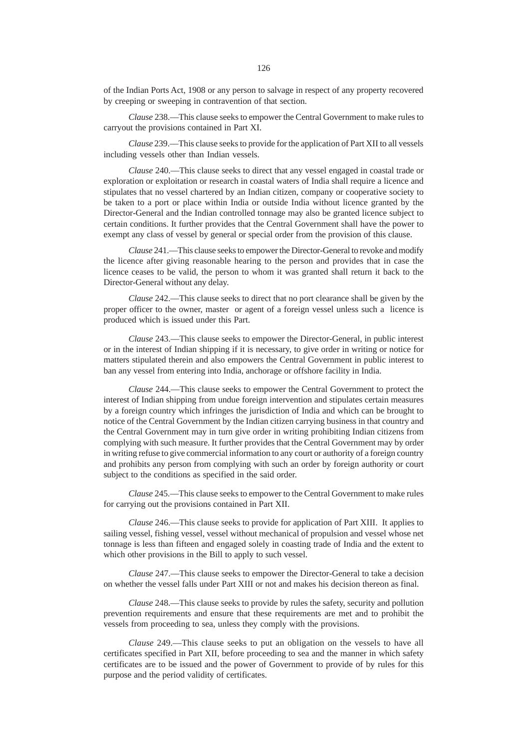of the Indian Ports Act, 1908 or any person to salvage in respect of any property recovered by creeping or sweeping in contravention of that section.

*Clause* 238.––This clause seeks to empower the Central Government to make rules to carryout the provisions contained in Part XI.

*Clause* 239.––This clause seeks to provide for the application of Part XII to all vessels including vessels other than Indian vessels.

*Clause* 240.––This clause seeks to direct that any vessel engaged in coastal trade or exploration or exploitation or research in coastal waters of India shall require a licence and stipulates that no vessel chartered by an Indian citizen, company or cooperative society to be taken to a port or place within India or outside India without licence granted by the Director-General and the Indian controlled tonnage may also be granted licence subject to certain conditions. It further provides that the Central Government shall have the power to exempt any class of vessel by general or special order from the provision of this clause.

*Clause* 241.––This clause seeks to empower the Director-General to revoke and modify the licence after giving reasonable hearing to the person and provides that in case the licence ceases to be valid, the person to whom it was granted shall return it back to the Director-General without any delay.

*Clause* 242.––This clause seeks to direct that no port clearance shall be given by the proper officer to the owner, master or agent of a foreign vessel unless such a licence is produced which is issued under this Part.

*Clause* 243.––This clause seeks to empower the Director-General, in public interest or in the interest of Indian shipping if it is necessary, to give order in writing or notice for matters stipulated therein and also empowers the Central Government in public interest to ban any vessel from entering into India, anchorage or offshore facility in India.

*Clause* 244.––This clause seeks to empower the Central Government to protect the interest of Indian shipping from undue foreign intervention and stipulates certain measures by a foreign country which infringes the jurisdiction of India and which can be brought to notice of the Central Government by the Indian citizen carrying business in that country and the Central Government may in turn give order in writing prohibiting Indian citizens from complying with such measure. It further provides that the Central Government may by order in writing refuse to give commercial information to any court or authority of a foreign country and prohibits any person from complying with such an order by foreign authority or court subject to the conditions as specified in the said order.

*Clause* 245.––This clause seeks to empower to the Central Government to make rules for carrying out the provisions contained in Part XII.

*Clause* 246.––This clause seeks to provide for application of Part XIII. It applies to sailing vessel, fishing vessel, vessel without mechanical of propulsion and vessel whose net tonnage is less than fifteen and engaged solely in coasting trade of India and the extent to which other provisions in the Bill to apply to such vessel.

*Clause* 247.––This clause seeks to empower the Director-General to take a decision on whether the vessel falls under Part XIII or not and makes his decision thereon as final.

*Clause* 248.––This clause seeks to provide by rules the safety, security and pollution prevention requirements and ensure that these requirements are met and to prohibit the vessels from proceeding to sea, unless they comply with the provisions.

*Clause* 249.––This clause seeks to put an obligation on the vessels to have all certificates specified in Part XII, before proceeding to sea and the manner in which safety certificates are to be issued and the power of Government to provide of by rules for this purpose and the period validity of certificates.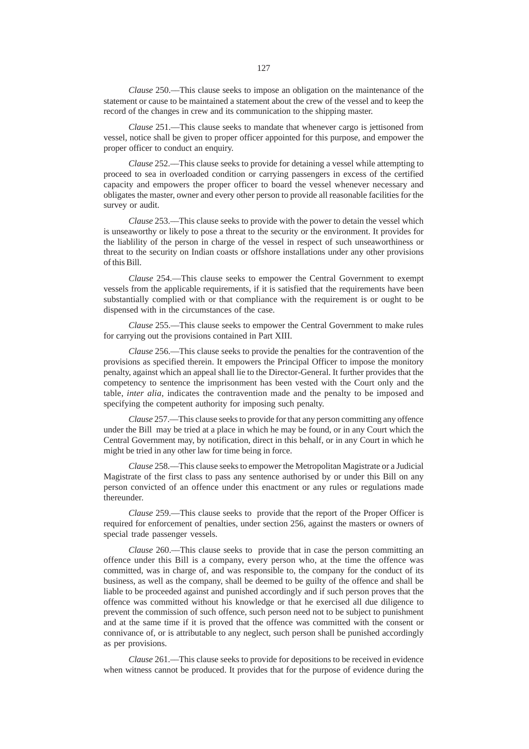*Clause* 250.––This clause seeks to impose an obligation on the maintenance of the statement or cause to be maintained a statement about the crew of the vessel and to keep the record of the changes in crew and its communication to the shipping master.

*Clause* 251.––This clause seeks to mandate that whenever cargo is jettisoned from vessel, notice shall be given to proper officer appointed for this purpose, and empower the proper officer to conduct an enquiry.

*Clause* 252.––This clause seeks to provide for detaining a vessel while attempting to proceed to sea in overloaded condition or carrying passengers in excess of the certified capacity and empowers the proper officer to board the vessel whenever necessary and obligates the master, owner and every other person to provide all reasonable facilities for the survey or audit.

*Clause* 253.––This clause seeks to provide with the power to detain the vessel which is unseaworthy or likely to pose a threat to the security or the environment. It provides for the liablility of the person in charge of the vessel in respect of such unseaworthiness or threat to the security on Indian coasts or offshore installations under any other provisions of this Bill.

*Clause* 254.––This clause seeks to empower the Central Government to exempt vessels from the applicable requirements, if it is satisfied that the requirements have been substantially complied with or that compliance with the requirement is or ought to be dispensed with in the circumstances of the case.

*Clause* 255.––This clause seeks to empower the Central Government to make rules for carrying out the provisions contained in Part XIII.

*Clause* 256.––This clause seeks to provide the penalties for the contravention of the provisions as specified therein. It empowers the Principal Officer to impose the monitory penalty, against which an appeal shall lie to the Director-General. It further provides that the competency to sentence the imprisonment has been vested with the Court only and the table, *inter alia*, indicates the contravention made and the penalty to be imposed and specifying the competent authority for imposing such penalty.

*Clause* 257.––This clause seeks to provide for that any person committing any offence under the Bill may be tried at a place in which he may be found, or in any Court which the Central Government may, by notification, direct in this behalf, or in any Court in which he might be tried in any other law for time being in force.

*Clause* 258.––This clause seeks to empower the Metropolitan Magistrate or a Judicial Magistrate of the first class to pass any sentence authorised by or under this Bill on any person convicted of an offence under this enactment or any rules or regulations made thereunder.

*Clause* 259.––This clause seeks to provide that the report of the Proper Officer is required for enforcement of penalties, under section 256, against the masters or owners of special trade passenger vessels.

*Clause* 260.––This clause seeks to provide that in case the person committing an offence under this Bill is a company, every person who, at the time the offence was committed, was in charge of, and was responsible to, the company for the conduct of its business, as well as the company, shall be deemed to be guilty of the offence and shall be liable to be proceeded against and punished accordingly and if such person proves that the offence was committed without his knowledge or that he exercised all due diligence to prevent the commission of such offence, such person need not to be subject to punishment and at the same time if it is proved that the offence was committed with the consent or connivance of, or is attributable to any neglect, such person shall be punished accordingly as per provisions.

*Clause* 261.––This clause seeks to provide for depositions to be received in evidence when witness cannot be produced. It provides that for the purpose of evidence during the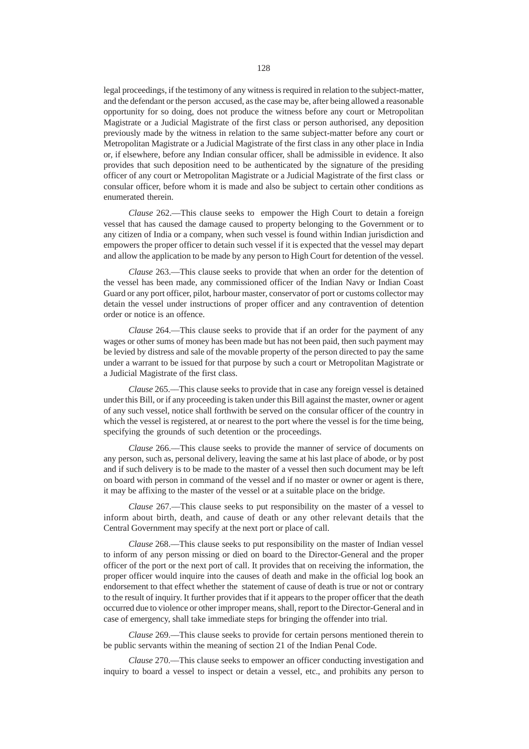legal proceedings, if the testimony of any witness is required in relation to the subject-matter, and the defendant or the person accused, as the case may be, after being allowed a reasonable opportunity for so doing, does not produce the witness before any court or Metropolitan Magistrate or a Judicial Magistrate of the first class or person authorised, any deposition previously made by the witness in relation to the same subject-matter before any court or Metropolitan Magistrate or a Judicial Magistrate of the first class in any other place in India or, if elsewhere, before any Indian consular officer, shall be admissible in evidence. It also provides that such deposition need to be authenticated by the signature of the presiding officer of any court or Metropolitan Magistrate or a Judicial Magistrate of the first class or consular officer, before whom it is made and also be subject to certain other conditions as enumerated therein.

*Clause* 262.––This clause seeks to empower the High Court to detain a foreign vessel that has caused the damage caused to property belonging to the Government or to any citizen of India or a company, when such vessel is found within Indian jurisdiction and empowers the proper officer to detain such vessel if it is expected that the vessel may depart and allow the application to be made by any person to High Court for detention of the vessel.

*Clause* 263.––This clause seeks to provide that when an order for the detention of the vessel has been made, any commissioned officer of the Indian Navy or Indian Coast Guard or any port officer, pilot, harbour master, conservator of port or customs collector may detain the vessel under instructions of proper officer and any contravention of detention order or notice is an offence.

*Clause* 264.––This clause seeks to provide that if an order for the payment of any wages or other sums of money has been made but has not been paid, then such payment may be levied by distress and sale of the movable property of the person directed to pay the same under a warrant to be issued for that purpose by such a court or Metropolitan Magistrate or a Judicial Magistrate of the first class.

*Clause* 265.––This clause seeks to provide that in case any foreign vessel is detained under this Bill, or if any proceeding is taken under this Bill against the master, owner or agent of any such vessel, notice shall forthwith be served on the consular officer of the country in which the vessel is registered, at or nearest to the port where the vessel is for the time being, specifying the grounds of such detention or the proceedings.

*Clause* 266.––This clause seeks to provide the manner of service of documents on any person, such as, personal delivery, leaving the same at his last place of abode, or by post and if such delivery is to be made to the master of a vessel then such document may be left on board with person in command of the vessel and if no master or owner or agent is there, it may be affixing to the master of the vessel or at a suitable place on the bridge.

*Clause* 267.––This clause seeks to put responsibility on the master of a vessel to inform about birth, death, and cause of death or any other relevant details that the Central Government may specify at the next port or place of call.

*Clause* 268.––This clause seeks to put responsibility on the master of Indian vessel to inform of any person missing or died on board to the Director-General and the proper officer of the port or the next port of call. It provides that on receiving the information, the proper officer would inquire into the causes of death and make in the official log book an endorsement to that effect whether the statement of cause of death is true or not or contrary to the result of inquiry. It further provides that if it appears to the proper officer that the death occurred due to violence or other improper means, shall, report to the Director-General and in case of emergency, shall take immediate steps for bringing the offender into trial.

*Clause* 269.––This clause seeks to provide for certain persons mentioned therein to be public servants within the meaning of section 21 of the Indian Penal Code.

*Clause* 270.––This clause seeks to empower an officer conducting investigation and inquiry to board a vessel to inspect or detain a vessel, etc., and prohibits any person to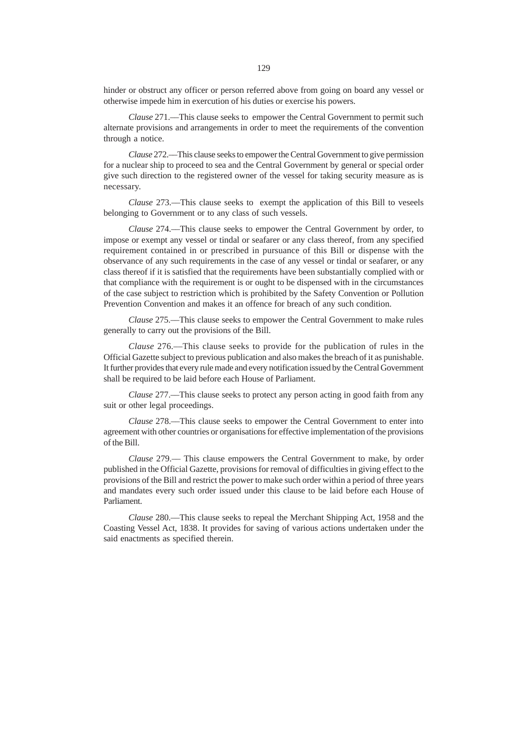hinder or obstruct any officer or person referred above from going on board any vessel or otherwise impede him in exercution of his duties or exercise his powers.

*Clause* 271.––This clause seeks to empower the Central Government to permit such alternate provisions and arrangements in order to meet the requirements of the convention through a notice.

*Clause* 272.––This clause seeks to empower the Central Government to give permission for a nuclear ship to proceed to sea and the Central Government by general or special order give such direction to the registered owner of the vessel for taking security measure as is necessary.

*Clause* 273.––This clause seeks to exempt the application of this Bill to veseels belonging to Government or to any class of such vessels.

*Clause* 274.––This clause seeks to empower the Central Government by order, to impose or exempt any vessel or tindal or seafarer or any class thereof, from any specified requirement contained in or prescribed in pursuance of this Bill or dispense with the observance of any such requirements in the case of any vessel or tindal or seafarer, or any class thereof if it is satisfied that the requirements have been substantially complied with or that compliance with the requirement is or ought to be dispensed with in the circumstances of the case subject to restriction which is prohibited by the Safety Convention or Pollution Prevention Convention and makes it an offence for breach of any such condition.

*Clause* 275.––This clause seeks to empower the Central Government to make rules generally to carry out the provisions of the Bill.

*Clause* 276.––This clause seeks to provide for the publication of rules in the Official Gazette subject to previous publication and also makes the breach of it as punishable. It further provides that every rule made and every notification issued by the Central Government shall be required to be laid before each House of Parliament.

*Clause* 277.––This clause seeks to protect any person acting in good faith from any suit or other legal proceedings.

*Clause* 278.––This clause seeks to empower the Central Government to enter into agreement with other countries or organisations for effective implementation of the provisions of the Bill.

*Clause* 279.–– This clause empowers the Central Government to make, by order published in the Official Gazette, provisions for removal of difficulties in giving effect to the provisions of the Bill and restrict the power to make such order within a period of three years and mandates every such order issued under this clause to be laid before each House of Parliament.

*Clause* 280.––This clause seeks to repeal the Merchant Shipping Act, 1958 and the Coasting Vessel Act, 1838. It provides for saving of various actions undertaken under the said enactments as specified therein.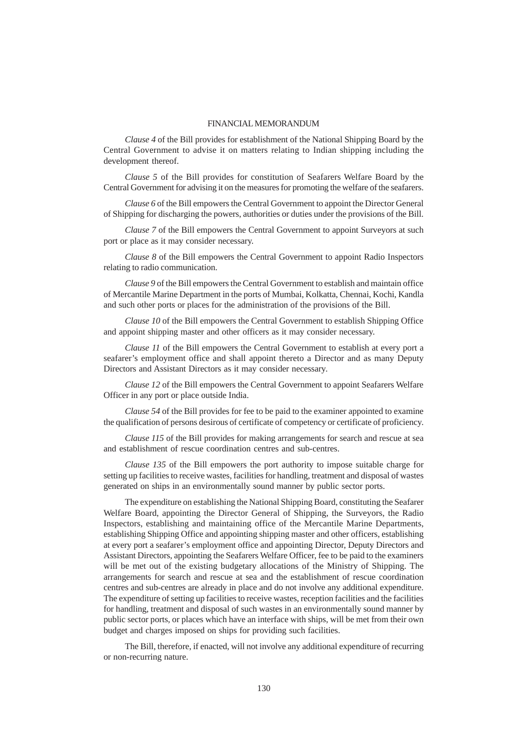### FINANCIAL MEMORANDUM

*Clause 4* of the Bill provides for establishment of the National Shipping Board by the Central Government to advise it on matters relating to Indian shipping including the development thereof.

*Clause 5* of the Bill provides for constitution of Seafarers Welfare Board by the Central Government for advising it on the measures for promoting the welfare of the seafarers.

*Clause 6* of the Bill empowers the Central Government to appoint the Director General of Shipping for discharging the powers, authorities or duties under the provisions of the Bill.

*Clause 7* of the Bill empowers the Central Government to appoint Surveyors at such port or place as it may consider necessary.

*Clause 8* of the Bill empowers the Central Government to appoint Radio Inspectors relating to radio communication.

*Clause 9* of the Bill empowers the Central Government to establish and maintain office of Mercantile Marine Department in the ports of Mumbai, Kolkatta, Chennai, Kochi, Kandla and such other ports or places for the administration of the provisions of the Bill.

*Clause 10* of the Bill empowers the Central Government to establish Shipping Office and appoint shipping master and other officers as it may consider necessary.

*Clause 11* of the Bill empowers the Central Government to establish at every port a seafarer's employment office and shall appoint thereto a Director and as many Deputy Directors and Assistant Directors as it may consider necessary.

*Clause 12* of the Bill empowers the Central Government to appoint Seafarers Welfare Officer in any port or place outside India.

*Clause 54* of the Bill provides for fee to be paid to the examiner appointed to examine the qualification of persons desirous of certificate of competency or certificate of proficiency.

*Clause 115* of the Bill provides for making arrangements for search and rescue at sea and establishment of rescue coordination centres and sub-centres.

*Clause 135* of the Bill empowers the port authority to impose suitable charge for setting up facilities to receive wastes, facilities for handling, treatment and disposal of wastes generated on ships in an environmentally sound manner by public sector ports.

The expenditure on establishing the National Shipping Board, constituting the Seafarer Welfare Board, appointing the Director General of Shipping, the Surveyors, the Radio Inspectors, establishing and maintaining office of the Mercantile Marine Departments, establishing Shipping Office and appointing shipping master and other officers, establishing at every port a seafarer's employment office and appointing Director, Deputy Directors and Assistant Directors, appointing the Seafarers Welfare Officer, fee to be paid to the examiners will be met out of the existing budgetary allocations of the Ministry of Shipping. The arrangements for search and rescue at sea and the establishment of rescue coordination centres and sub-centres are already in place and do not involve any additional expenditure. The expenditure of setting up facilities to receive wastes, reception facilities and the facilities for handling, treatment and disposal of such wastes in an environmentally sound manner by public sector ports, or places which have an interface with ships, will be met from their own budget and charges imposed on ships for providing such facilities.

The Bill, therefore, if enacted, will not involve any additional expenditure of recurring or non-recurring nature.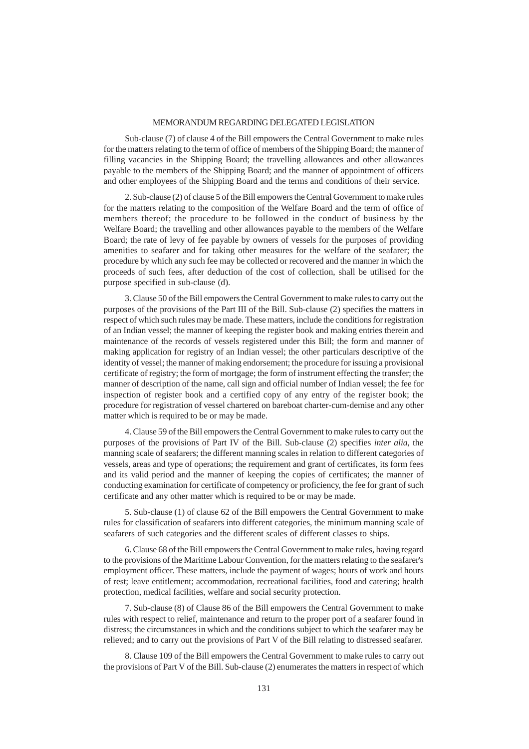### MEMORANDUM REGARDING DELEGATED LEGISLATION

Sub-clause (7) of clause 4 of the Bill empowers the Central Government to make rules for the matters relating to the term of office of members of the Shipping Board; the manner of filling vacancies in the Shipping Board; the travelling allowances and other allowances payable to the members of the Shipping Board; and the manner of appointment of officers and other employees of the Shipping Board and the terms and conditions of their service.

2. Sub-clause (2) of clause 5 of the Bill empowers the Central Government to make rules for the matters relating to the composition of the Welfare Board and the term of office of members thereof; the procedure to be followed in the conduct of business by the Welfare Board; the travelling and other allowances payable to the members of the Welfare Board; the rate of levy of fee payable by owners of vessels for the purposes of providing amenities to seafarer and for taking other measures for the welfare of the seafarer; the procedure by which any such fee may be collected or recovered and the manner in which the proceeds of such fees, after deduction of the cost of collection, shall be utilised for the purpose specified in sub-clause (d).

3. Clause 50 of the Bill empowers the Central Government to make rules to carry out the purposes of the provisions of the Part III of the Bill. Sub-clause (2) specifies the matters in respect of which such rules may be made. These matters, include the conditions for registration of an Indian vessel; the manner of keeping the register book and making entries therein and maintenance of the records of vessels registered under this Bill; the form and manner of making application for registry of an Indian vessel; the other particulars descriptive of the identity of vessel; the manner of making endorsement; the procedure for issuing a provisional certificate of registry; the form of mortgage; the form of instrument effecting the transfer; the manner of description of the name, call sign and official number of Indian vessel; the fee for inspection of register book and a certified copy of any entry of the register book; the procedure for registration of vessel chartered on bareboat charter-cum-demise and any other matter which is required to be or may be made.

4. Clause 59 of the Bill empowers the Central Government to make rules to carry out the purposes of the provisions of Part IV of the Bill. Sub-clause (2) specifies *inter alia*, the manning scale of seafarers; the different manning scales in relation to different categories of vessels, areas and type of operations; the requirement and grant of certificates, its form fees and its valid period and the manner of keeping the copies of certificates; the manner of conducting examination for certificate of competency or proficiency, the fee for grant of such certificate and any other matter which is required to be or may be made.

5. Sub-clause (1) of clause 62 of the Bill empowers the Central Government to make rules for classification of seafarers into different categories, the minimum manning scale of seafarers of such categories and the different scales of different classes to ships.

6. Clause 68 of the Bill empowers the Central Government to make rules, having regard to the provisions of the Maritime Labour Convention, for the matters relating to the seafarer's employment officer. These matters, include the payment of wages; hours of work and hours of rest; leave entitlement; accommodation, recreational facilities, food and catering; health protection, medical facilities, welfare and social security protection.

7. Sub-clause (8) of Clause 86 of the Bill empowers the Central Government to make rules with respect to relief, maintenance and return to the proper port of a seafarer found in distress; the circumstances in which and the conditions subject to which the seafarer may be relieved; and to carry out the provisions of Part V of the Bill relating to distressed seafarer.

8. Clause 109 of the Bill empowers the Central Government to make rules to carry out the provisions of Part V of the Bill. Sub-clause (2) enumerates the matters in respect of which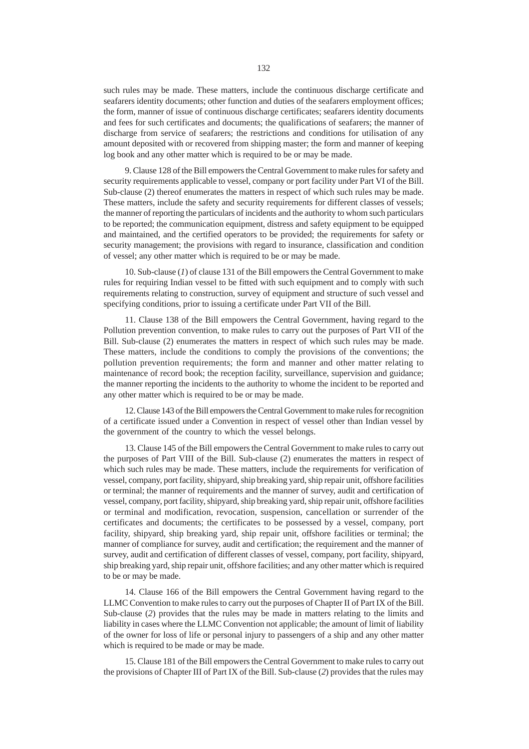such rules may be made. These matters, include the continuous discharge certificate and seafarers identity documents; other function and duties of the seafarers employment offices; the form, manner of issue of continuous discharge certificates; seafarers identity documents and fees for such certificates and documents; the qualifications of seafarers; the manner of discharge from service of seafarers; the restrictions and conditions for utilisation of any amount deposited with or recovered from shipping master; the form and manner of keeping log book and any other matter which is required to be or may be made.

9. Clause 128 of the Bill empowers the Central Government to make rules for safety and security requirements applicable to vessel, company or port facility under Part VI of the Bill. Sub-clause (2) thereof enumerates the matters in respect of which such rules may be made. These matters, include the safety and security requirements for different classes of vessels; the manner of reporting the particulars of incidents and the authority to whom such particulars to be reported; the communication equipment, distress and safety equipment to be equipped and maintained, and the certified operators to be provided; the requirements for safety or security management; the provisions with regard to insurance, classification and condition of vessel; any other matter which is required to be or may be made.

10. Sub-clause (*1*) of clause 131 of the Bill empowers the Central Government to make rules for requiring Indian vessel to be fitted with such equipment and to comply with such requirements relating to construction, survey of equipment and structure of such vessel and specifying conditions, prior to issuing a certificate under Part VII of the Bill.

11. Clause 138 of the Bill empowers the Central Government, having regard to the Pollution prevention convention, to make rules to carry out the purposes of Part VII of the Bill. Sub-clause (2) enumerates the matters in respect of which such rules may be made. These matters, include the conditions to comply the provisions of the conventions; the pollution prevention requirements; the form and manner and other matter relating to maintenance of record book; the reception facility, surveillance, supervision and guidance; the manner reporting the incidents to the authority to whome the incident to be reported and any other matter which is required to be or may be made.

12. Clause 143 of the Bill empowers the Central Government to make rules for recognition of a certificate issued under a Convention in respect of vessel other than Indian vessel by the government of the country to which the vessel belongs.

13. Clause 145 of the Bill empowers the Central Government to make rules to carry out the purposes of Part VIII of the Bill. Sub-clause (2) enumerates the matters in respect of which such rules may be made. These matters, include the requirements for verification of vessel, company, port facility, shipyard, ship breaking yard, ship repair unit, offshore facilities or terminal; the manner of requirements and the manner of survey, audit and certification of vessel, company, port facility, shipyard, ship breaking yard, ship repair unit, offshore facilities or terminal and modification, revocation, suspension, cancellation or surrender of the certificates and documents; the certificates to be possessed by a vessel, company, port facility, shipyard, ship breaking yard, ship repair unit, offshore facilities or terminal; the manner of compliance for survey, audit and certification; the requirement and the manner of survey, audit and certification of different classes of vessel, company, port facility, shipyard, ship breaking yard, ship repair unit, offshore facilities; and any other matter which is required to be or may be made.

14. Clause 166 of the Bill empowers the Central Government having regard to the LLMC Convention to make rules to carry out the purposes of Chapter II of Part IX of the Bill. Sub-clause (*2*) provides that the rules may be made in matters relating to the limits and liability in cases where the LLMC Convention not applicable; the amount of limit of liability of the owner for loss of life or personal injury to passengers of a ship and any other matter which is required to be made or may be made.

15. Clause 181 of the Bill empowers the Central Government to make rules to carry out the provisions of Chapter III of Part IX of the Bill. Sub-clause (*2*) provides that the rules may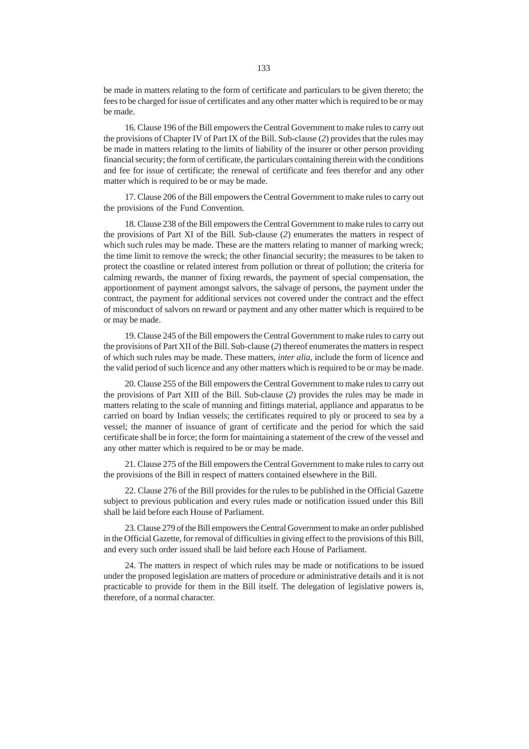be made in matters relating to the form of certificate and particulars to be given thereto; the fees to be charged for issue of certificates and any other matter which is required to be or may be made.

16. Clause 196 of the Bill empowers the Central Government to make rules to carry out the provisions of Chapter IV of Part IX of the Bill. Sub-clause (*2*) provides that the rules may be made in matters relating to the limits of liability of the insurer or other person providing financial security; the form of certificate, the particulars containing therein with the conditions and fee for issue of certificate; the renewal of certificate and fees therefor and any other matter which is required to be or may be made.

17. Clause 206 of the Bill empowers the Central Government to make rules to carry out the provisions of the Fund Convention.

18. Clause 238 of the Bill empowers the Central Government to make rules to carry out the provisions of Part XI of the Bill. Sub-clause (*2*) enumerates the matters in respect of which such rules may be made. These are the matters relating to manner of marking wreck; the time limit to remove the wreck; the other financial security; the measures to be taken to protect the coastline or related interest from pollution or threat of pollution; the criteria for calming rewards, the manner of fixing rewards, the payment of special compensation, the apportionment of payment amongst salvors, the salvage of persons, the payment under the contract, the payment for additional services not covered under the contract and the effect of misconduct of salvors on reward or payment and any other matter which is required to be or may be made.

19. Clause 245 of the Bill empowers the Central Government to make rules to carry out the provisions of Part XII of the Bill. Sub-clause (*2*) thereof enumerates the matters in respect of which such rules may be made. These matters, *inter alia*, include the form of licence and the valid period of such licence and any other matters which is required to be or may be made.

20. Clause 255 of the Bill empowers the Central Government to make rules to carry out the provisions of Part XIII of the Bill. Sub-clause (*2*) provides the rules may be made in matters relating to the scale of manning and fittings material, appliance and apparatus to be carried on board by Indian vessels; the certificates required to ply or proceed to sea by a vessel; the manner of issuance of grant of certificate and the period for which the said certificate shall be in force; the form for maintaining a statement of the crew of the vessel and any other matter which is required to be or may be made.

21. Clause 275 of the Bill empowers the Central Government to make rules to carry out the provisions of the Bill in respect of matters contained elsewhere in the Bill.

22. Clause 276 of the Bill provides for the rules to be published in the Official Gazette subject to previous publication and every rules made or notification issued under this Bill shall be laid before each House of Parliament.

23. Clause 279 of the Bill empowers the Central Government to make an order published in the Official Gazette, for removal of difficulties in giving effect to the provisions of this Bill, and every such order issued shall be laid before each House of Parliament.

24. The matters in respect of which rules may be made or notifications to be issued under the proposed legislation are matters of procedure or administrative details and it is not practicable to provide for them in the Bill itself. The delegation of legislative powers is, therefore, of a normal character.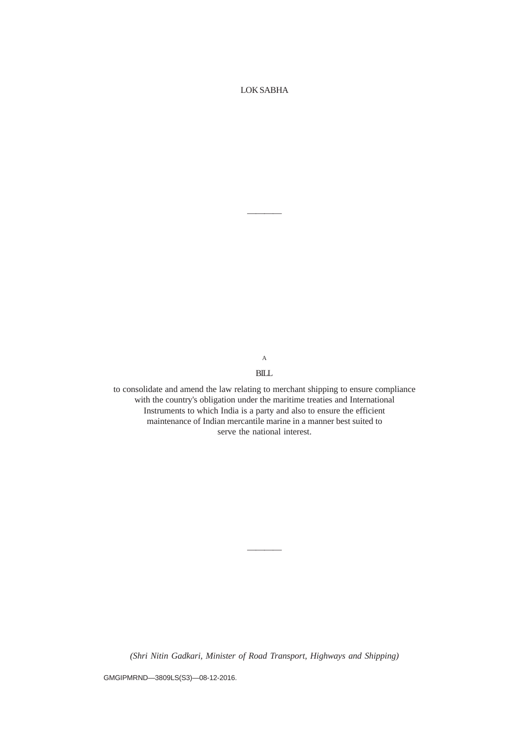LOK SABHA

————

A BILL

to consolidate and amend the law relating to merchant shipping to ensure compliance with the country's obligation under the maritime treaties and International Instruments to which India is a party and also to ensure the efficient maintenance of Indian mercantile marine in a manner best suited to serve the national interest.

*(Shri Nitin Gadkari, Minister of Road Transport, Highways and Shipping)*

————

GMGIPMRND—3809LS(S3)—08-12-2016.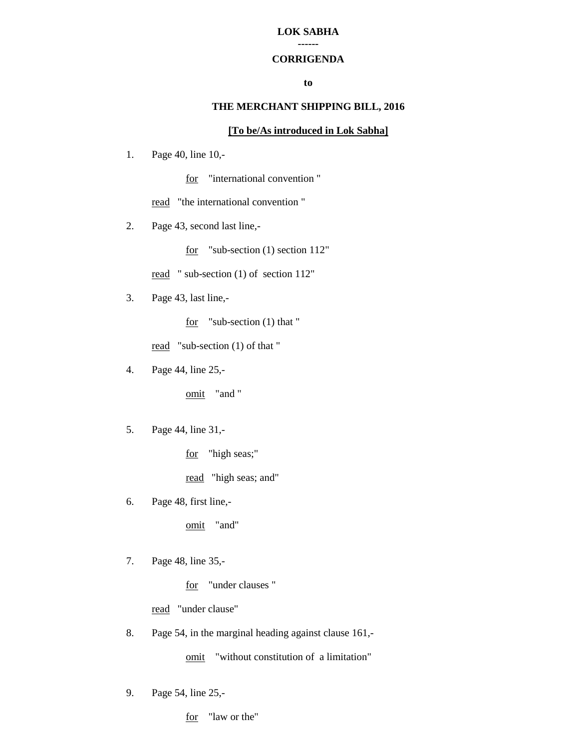#### **LOK SABHA ------**

# **CORRIGENDA**

### **to**

## **THE MERCHANT SHIPPING BILL, 2016**

## **[To be/As introduced in Lok Sabha]**

1. Page 40, line 10,-

for "international convention "

read "the international convention"

2. Page 43, second last line,-

for "sub-section (1) section 112"

read " sub-section (1) of section 112"

3. Page 43, last line,-

for "sub-section (1) that "

read "sub-section (1) of that "

4. Page 44, line 25,-

omit "and "

5. Page 44, line 31,-

for "high seas;"

read "high seas; and"

6. Page 48, first line,-

omit "and"

7. Page 48, line 35,-

for "under clauses "

read "under clause"

8. Page 54, in the marginal heading against clause 161,-

omit "without constitution of a limitation"

9. Page 54, line 25,-

for "law or the"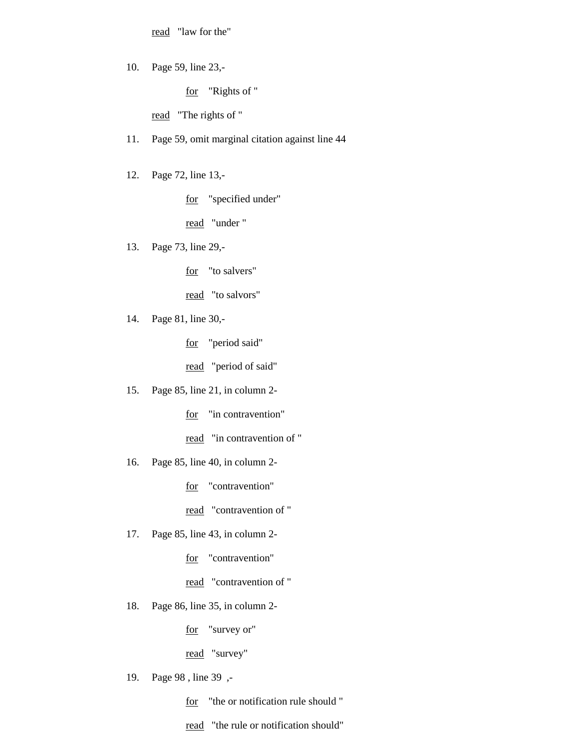read "law for the"

10. Page 59, line 23,-

for "Rights of "

read "The rights of "

11. Page 59, omit marginal citation against line 44

12. Page 72, line 13,-

for "specified under"

read "under "

13. Page 73, line 29,-

for "to salvers"

read "to salvors"

14. Page 81, line 30,-

for "period said"

read "period of said"

15. Page 85, line 21, in column 2-

for "in contravention"

read "in contravention of "

16. Page 85, line 40, in column 2-

for "contravention"

read "contravention of "

17. Page 85, line 43, in column 2-

for "contravention"

read "contravention of "

18. Page 86, line 35, in column 2-

for "survey or"

read "survey"

19. Page 98 , line 39 ,-

for "the or notification rule should "

read "the rule or notification should"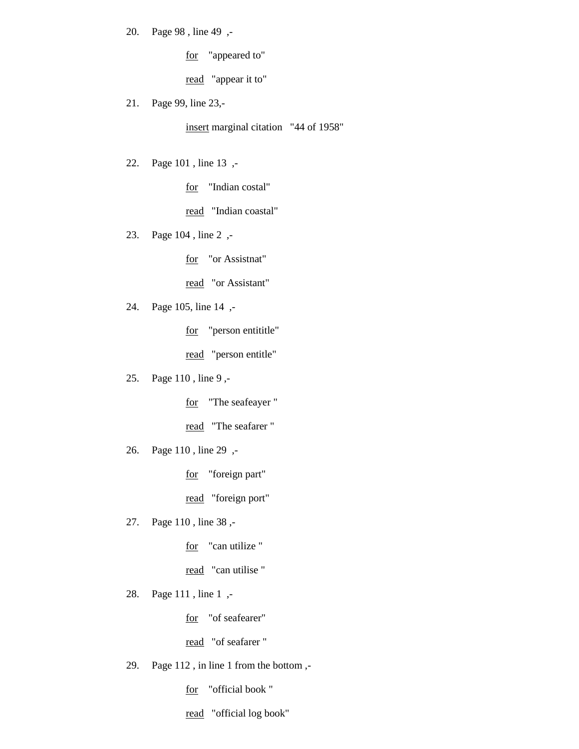20. Page 98 , line 49 ,-

for "appeared to"

read "appear it to"

21. Page 99, line 23,-

insert marginal citation "44 of 1958"

22. Page 101 , line 13 ,-

for "Indian costal"

read "Indian coastal"

23. Page 104 , line 2 ,-

for "or Assistnat"

read "or Assistant"

24. Page 105, line 14 ,-

for "person entititle"

read "person entitle"

25. Page 110 , line 9 ,-

for "The seafeayer "

read "The seafarer "

26. Page 110 , line 29 ,-

for "foreign part"

read "foreign port"

27. Page 110 , line 38 ,-

for "can utilize"

read "can utilise"

28. Page 111 , line 1 ,-

for "of seafearer"

read "of seafarer"

29. Page 112 , in line 1 from the bottom ,-

for "official book "

read "official log book"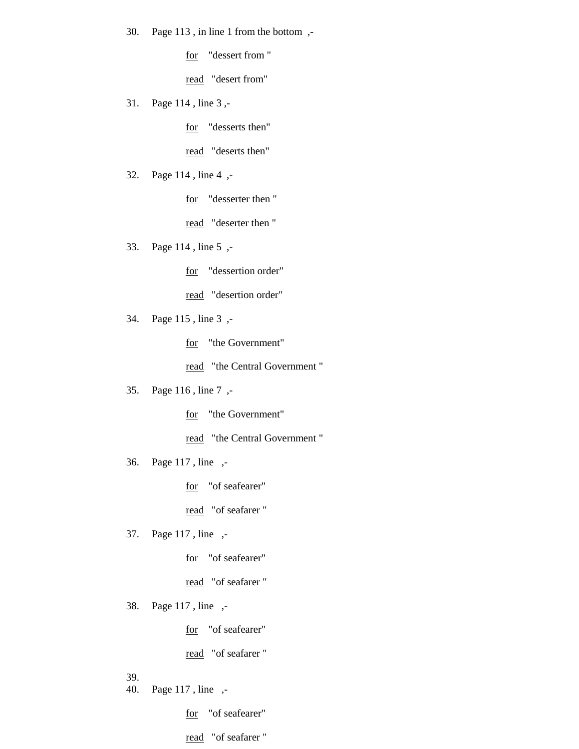30. Page 113 , in line 1 from the bottom ,-

for "dessert from "

read "desert from"

31. Page 114 , line 3 ,-

for "desserts then"

read "deserts then"

32. Page 114 , line 4 ,-

for "desserter then "

read "deserter then "

33. Page 114 , line 5 ,-

for "dessertion order"

read "desertion order"

34. Page 115 , line 3 ,-

for "the Government"

read "the Central Government "

35. Page 116 , line 7 ,-

for "the Government"

read "the Central Government "

36. Page 117 , line ,-

for "of seafearer"

read "of seafarer "

37. Page 117 , line ,-

for "of seafearer"

read "of seafarer"

38. Page 117 , line ,-

for "of seafearer"

read "of seafarer"

39.

40. Page 117 , line ,-

for "of seafearer"

read "of seafarer "